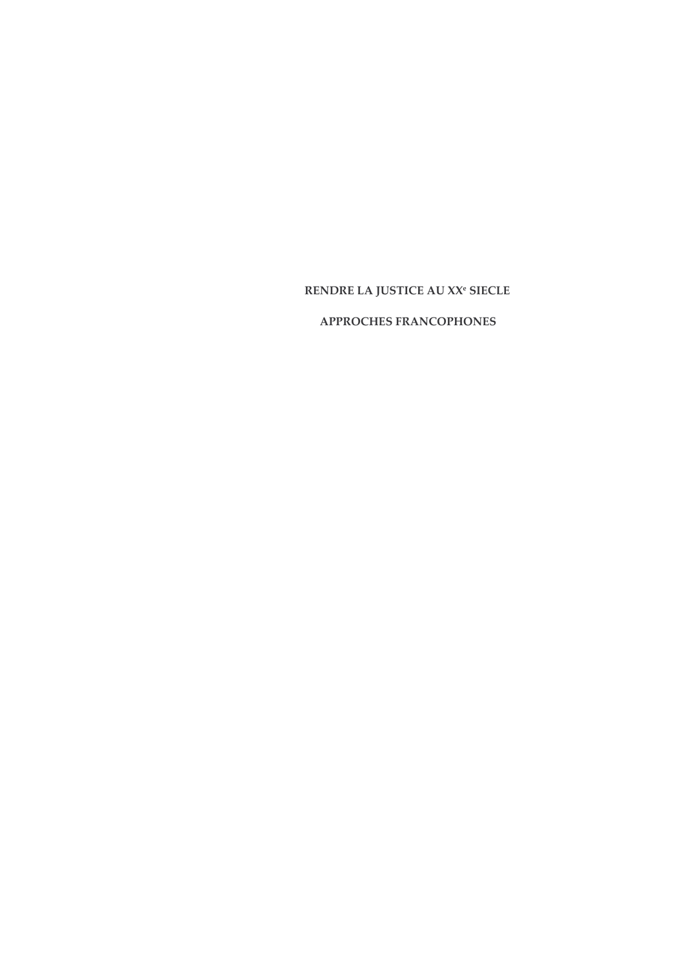# RENDRE LA JUSTICE AU XX<sup>e</sup> SIECLE

# APPROCHES FRANCOPHONES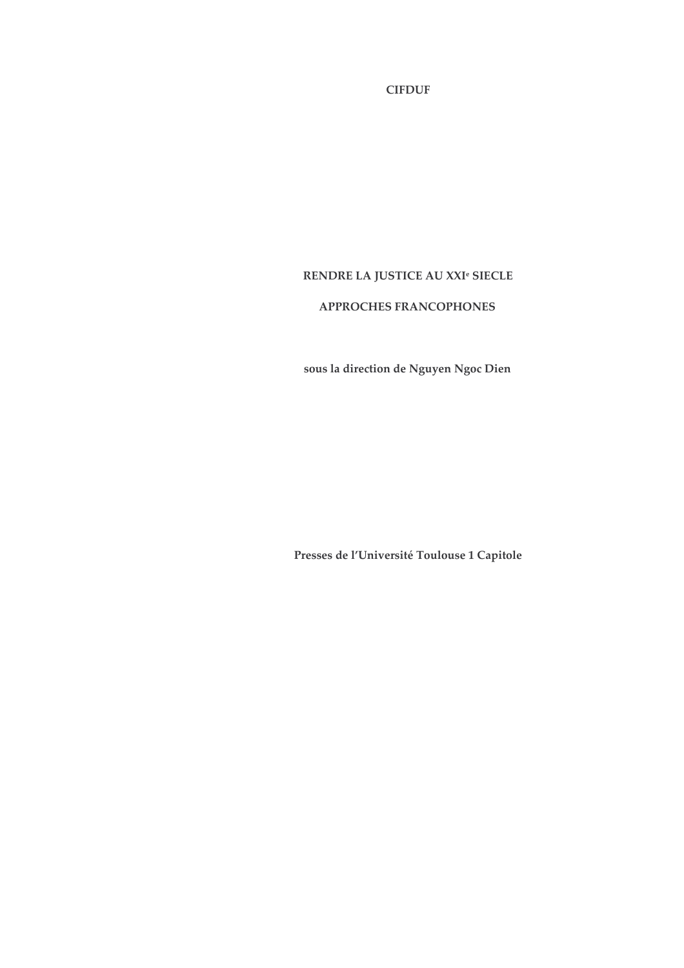**CIFDUF** 

# RENDRE LA JUSTICE AU XXI<sup>e</sup> SIECLE

# APPROCHES FRANCOPHONES

sous la direction de Nguyen Ngoc Dien

Presses de l'Université Toulouse 1 Capitole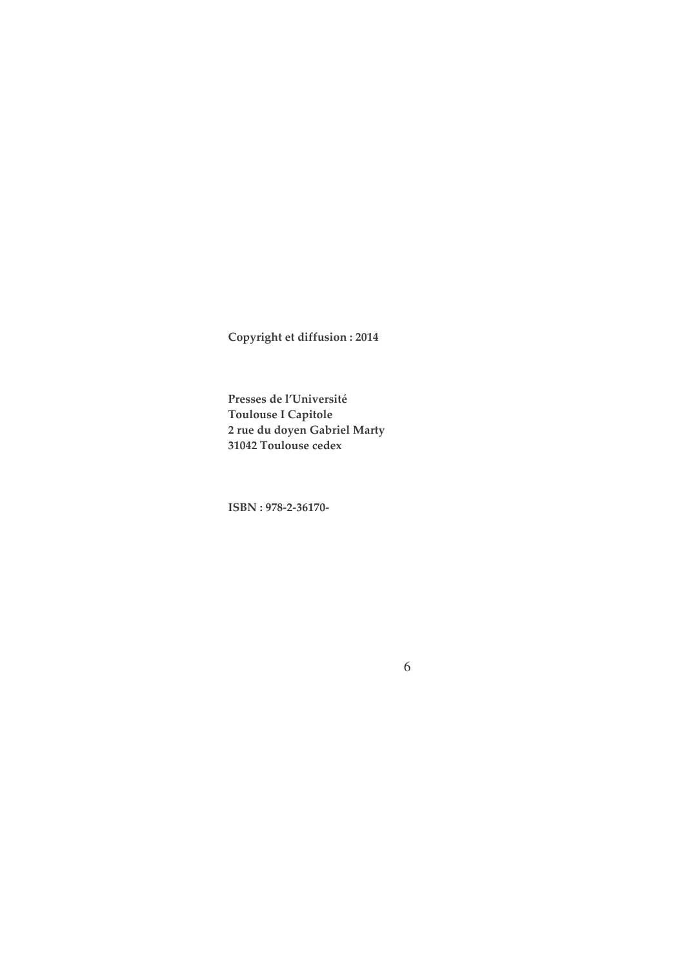Copyright et diffusion : 2014

Presses de l'Université **Toulouse I Capitole** 2 rue du doyen Gabriel Marty 31042 Toulouse cedex

ISBN: 978-2-36170-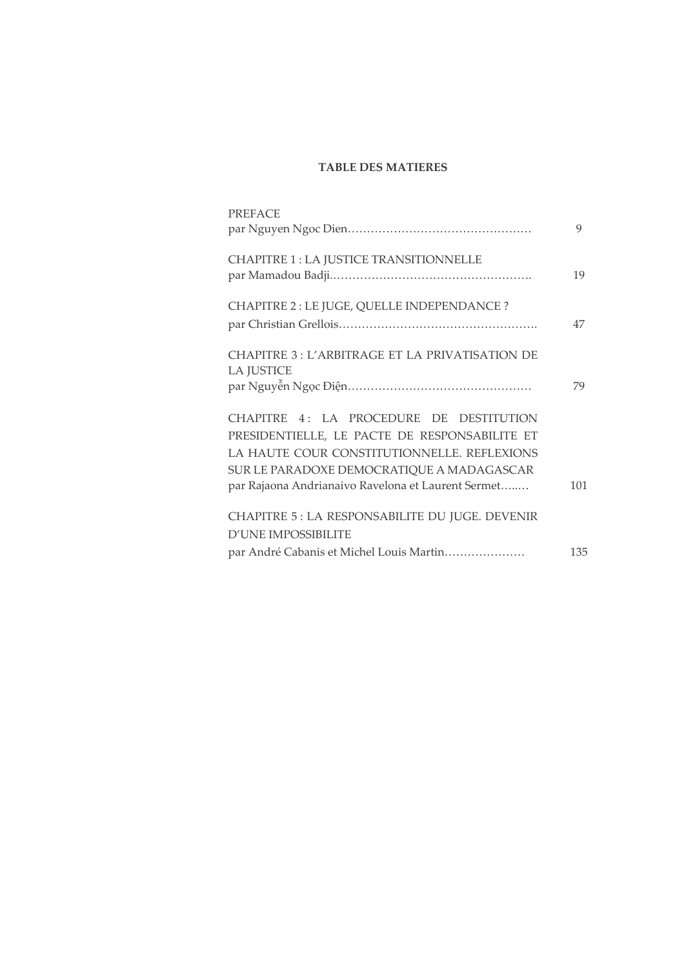# **TABLE DES MATIERES**

| <b>PREFACE</b>                                                                                                                                                                                                                             | 9   |
|--------------------------------------------------------------------------------------------------------------------------------------------------------------------------------------------------------------------------------------------|-----|
| <b>CHAPITRE 1: LA JUSTICE TRANSITIONNELLE</b>                                                                                                                                                                                              | 19  |
| CHAPITRE 2 : LE JUGE, QUELLE INDEPENDANCE ?                                                                                                                                                                                                | 47  |
| <b>CHAPITRE 3: L'ARBITRAGE ET LA PRIVATISATION DE</b><br><b>LA JUSTICE</b>                                                                                                                                                                 | 79  |
| CHAPITRE 4: LA PROCEDURE DE DESTITUTION<br>PRESIDENTIELLE, LE PACTE DE RESPONSABILITE ET<br>LA HAUTE COUR CONSTITUTIONNELLE. REFLEXIONS<br>SUR LE PARADOXE DEMOCRATIQUE A MADAGASCAR<br>par Rajaona Andrianaivo Ravelona et Laurent Sermet | 101 |
| CHAPITRE 5: LA RESPONSABILITE DU JUGE. DEVENIR<br><b>D'UNE IMPOSSIBILITE</b>                                                                                                                                                               |     |
| par André Cabanis et Michel Louis Martin                                                                                                                                                                                                   | 135 |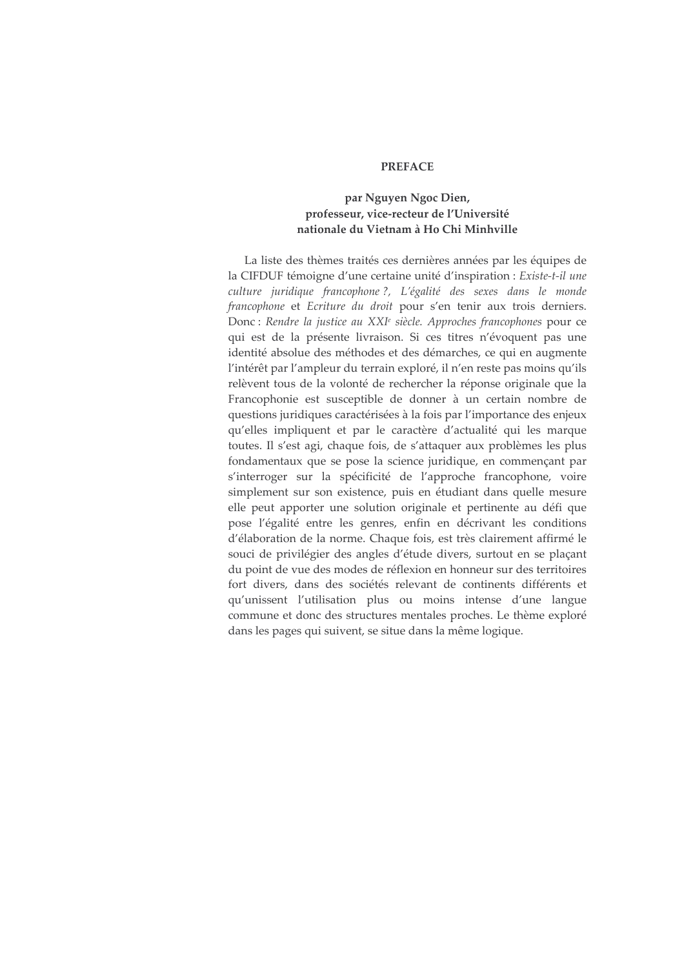#### **PREFACE**

# par Nguyen Ngoc Dien, professeur, vice-recteur de l'Université nationale du Vietnam à Ho Chi Minhville

La liste des thèmes traités ces dernières années par les équipes de la CIFDUF témoigne d'une certaine unité d'inspiration : Existe-t-il une culture juridique francophone?, L'égalité des sexes dans le monde francophone et Ecriture du droit pour s'en tenir aux trois derniers. Donc : Rendre la justice au XXI<sup>e</sup> siècle. Approches francophones pour ce qui est de la présente livraison. Si ces titres n'évoquent pas une identité absolue des méthodes et des démarches, ce qui en augmente l'intérêt par l'ampleur du terrain exploré, il n'en reste pas moins qu'ils relèvent tous de la volonté de rechercher la réponse originale que la Francophonie est susceptible de donner à un certain nombre de questions juridiques caractérisées à la fois par l'importance des enjeux qu'elles impliquent et par le caractère d'actualité qui les marque toutes. Il s'est agi, chaque fois, de s'attaquer aux problèmes les plus fondamentaux que se pose la science juridique, en commençant par s'interroger sur la spécificité de l'approche francophone, voire simplement sur son existence, puis en étudiant dans quelle mesure elle peut apporter une solution originale et pertinente au défi que pose l'égalité entre les genres, enfin en décrivant les conditions d'élaboration de la norme. Chaque fois, est très clairement affirmé le souci de privilégier des angles d'étude divers, surtout en se plaçant du point de vue des modes de réflexion en honneur sur des territoires fort divers, dans des sociétés relevant de continents différents et qu'unissent l'utilisation plus ou moins intense d'une langue commune et donc des structures mentales proches. Le thème exploré dans les pages qui suivent, se situe dans la même logique.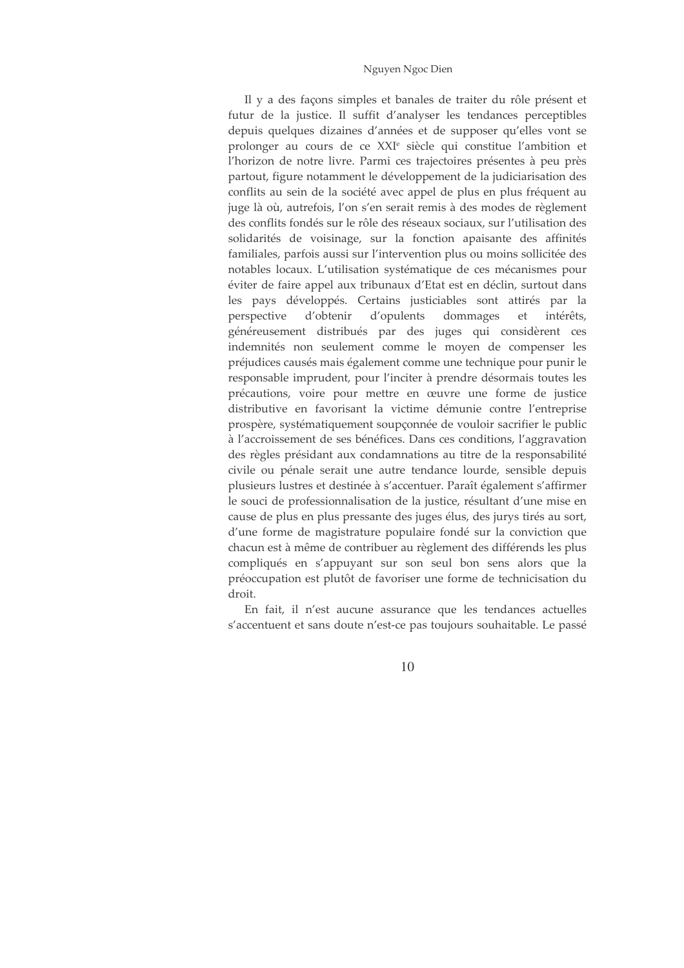#### Nguyen Ngoc Dien

Il y a des façons simples et banales de traiter du rôle présent et futur de la justice. Il suffit d'analyser les tendances perceptibles depuis quelques dizaines d'années et de supposer qu'elles vont se prolonger au cours de ce XXI<sup>e</sup> siècle qui constitue l'ambition et l'horizon de notre livre. Parmi ces trajectoires présentes à peu près partout, figure notamment le développement de la judiciarisation des conflits au sein de la société avec appel de plus en plus fréquent au juge là où, autrefois, l'on s'en serait remis à des modes de règlement des conflits fondés sur le rôle des réseaux sociaux, sur l'utilisation des solidarités de voisinage, sur la fonction apaisante des affinités familiales, parfois aussi sur l'intervention plus ou moins sollicitée des notables locaux. L'utilisation systématique de ces mécanismes pour éviter de faire appel aux tribunaux d'Etat est en déclin, surtout dans les pays développés. Certains justiciables sont attirés par la d'obtenir d'opulents dommages intérêts, perspective et généreusement distribués par des juges qui considèrent ces indemnités non seulement comme le moyen de compenser les préjudices causés mais également comme une technique pour punir le responsable imprudent, pour l'inciter à prendre désormais toutes les précautions, voire pour mettre en œuvre une forme de justice distributive en favorisant la victime démunie contre l'entreprise prospère, systématiquement soupçonnée de vouloir sacrifier le public à l'accroissement de ses bénéfices. Dans ces conditions, l'aggravation des règles présidant aux condamnations au titre de la responsabilité civile ou pénale serait une autre tendance lourde, sensible depuis plusieurs lustres et destinée à s'accentuer. Paraît également s'affirmer le souci de professionnalisation de la justice, résultant d'une mise en cause de plus en plus pressante des juges élus, des jurys tirés au sort, d'une forme de magistrature populaire fondé sur la conviction que chacun est à même de contribuer au règlement des différends les plus compliqués en s'appuyant sur son seul bon sens alors que la préoccupation est plutôt de favoriser une forme de technicisation du droit.

En fait, il n'est aucune assurance que les tendances actuelles s'accentuent et sans doute n'est-ce pas toujours souhaitable. Le passé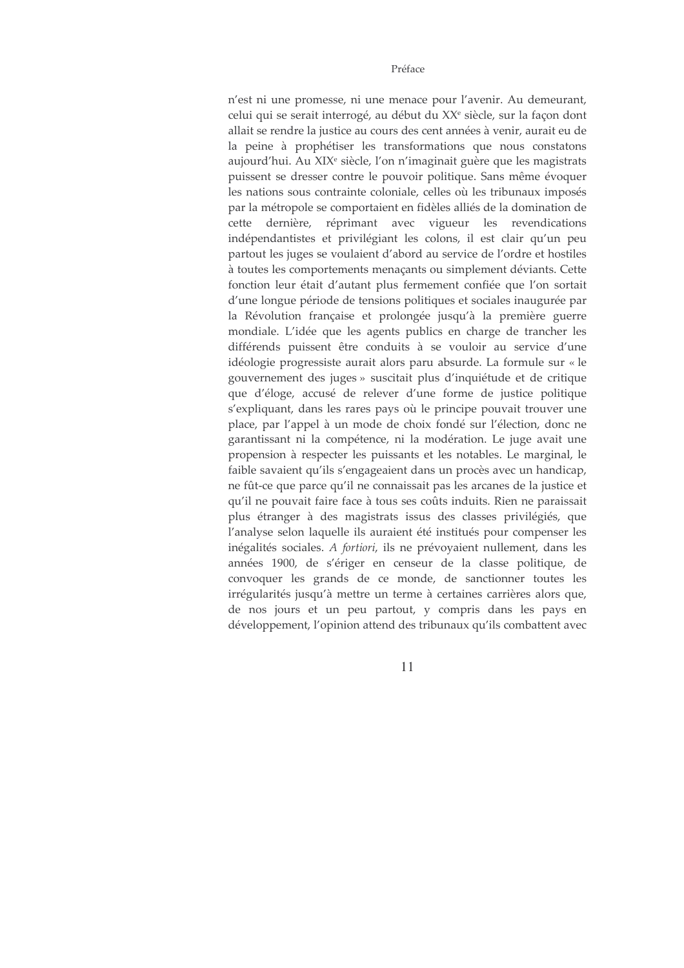#### Préface

n'est ni une promesse, ni une menace pour l'avenir. Au demeurant, celui qui se serait interrogé, au début du XX<sup>e</sup> siècle, sur la façon dont allait se rendre la justice au cours des cent années à venir, aurait eu de la peine à prophétiser les transformations que nous constatons aujourd'hui. Au XIX<sup>e</sup> siècle, l'on n'imaginait guère que les magistrats puissent se dresser contre le pouvoir politique. Sans même évoquer les nations sous contrainte coloniale, celles où les tribunaux imposés par la métropole se comportaient en fidèles alliés de la domination de cette dernière, réprimant avec vigueur les revendications indépendantistes et privilégiant les colons, il est clair qu'un peu partout les juges se voulaient d'abord au service de l'ordre et hostiles à toutes les comportements menaçants ou simplement déviants. Cette fonction leur était d'autant plus fermement confiée que l'on sortait d'une longue période de tensions politiques et sociales inaugurée par la Révolution française et prolongée jusqu'à la première guerre mondiale. L'idée que les agents publics en charge de trancher les différends puissent être conduits à se vouloir au service d'une idéologie progressiste aurait alors paru absurde. La formule sur « le gouvernement des juges » suscitait plus d'inquiétude et de critique que d'éloge, accusé de relever d'une forme de justice politique s'expliquant, dans les rares pays où le principe pouvait trouver une place, par l'appel à un mode de choix fondé sur l'élection, donc ne garantissant ni la compétence, ni la modération. Le juge avait une propension à respecter les puissants et les notables. Le marginal, le faible savaient qu'ils s'engageaient dans un procès avec un handicap, ne fût-ce que parce qu'il ne connaissait pas les arcanes de la justice et qu'il ne pouvait faire face à tous ses coûts induits. Rien ne paraissait plus étranger à des magistrats issus des classes privilégiés, que l'analyse selon laquelle ils auraient été institués pour compenser les inégalités sociales. A fortiori, ils ne prévovaient nullement, dans les années 1900, de s'ériger en censeur de la classe politique, de convoquer les grands de ce monde, de sanctionner toutes les irrégularités jusqu'à mettre un terme à certaines carrières alors que, de nos jours et un peu partout, y compris dans les pays en développement, l'opinion attend des tribunaux qu'ils combattent avec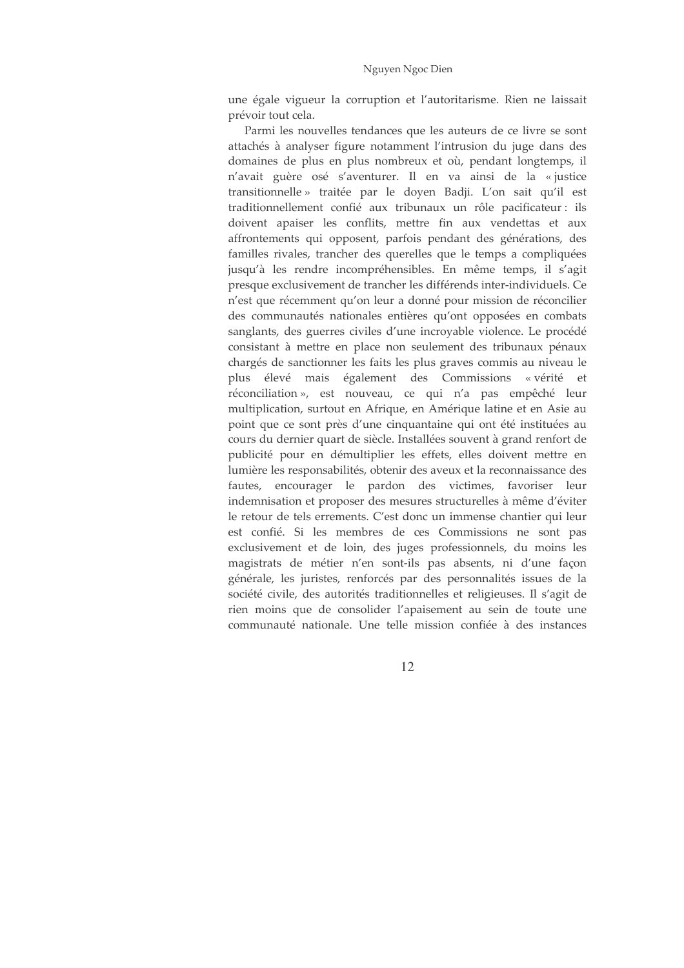une égale vigueur la corruption et l'autoritarisme. Rien ne laissait prévoir tout cela.

Parmi les nouvelles tendances que les auteurs de ce livre se sont attachés à analyser figure notamment l'intrusion du juge dans des domaines de plus en plus nombreux et où, pendant longtemps, il n'avait guère osé s'aventurer. Il en va ainsi de la «justice transitionnelle » traitée par le doyen Badji. L'on sait qu'il est traditionnellement confié aux tribunaux un rôle pacificateur : ils doivent apaiser les conflits, mettre fin aux vendettas et aux affrontements qui opposent, parfois pendant des générations, des familles rivales, trancher des querelles que le temps a compliquées jusqu'à les rendre incompréhensibles. En même temps, il s'agit presque exclusivement de trancher les différends inter-individuels. Ce n'est que récemment qu'on leur a donné pour mission de réconcilier des communautés nationales entières qu'ont opposées en combats sanglants, des guerres civiles d'une incroyable violence. Le procédé consistant à mettre en place non seulement des tribunaux pénaux chargés de sanctionner les faits les plus graves commis au niveau le plus élevé mais également des Commissions « vérité et réconciliation », est nouveau, ce qui n'a pas empêché leur multiplication, surtout en Afrique, en Amérique latine et en Asie au point que ce sont près d'une cinquantaine qui ont été instituées au cours du dernier quart de siècle. Installées souvent à grand renfort de publicité pour en démultiplier les effets, elles doivent mettre en lumière les responsabilités, obtenir des aveux et la reconnaissance des fautes, encourager le pardon des victimes, favoriser leur indemnisation et proposer des mesures structurelles à même d'éviter le retour de tels errements. C'est donc un immense chantier qui leur est confié. Si les membres de ces Commissions ne sont pas exclusivement et de loin, des juges professionnels, du moins les magistrats de métier n'en sont-ils pas absents, ni d'une façon générale, les juristes, renforcés par des personnalités issues de la société civile, des autorités traditionnelles et religieuses. Il s'agit de rien moins que de consolider l'apaisement au sein de toute une communauté nationale. Une telle mission confiée à des instances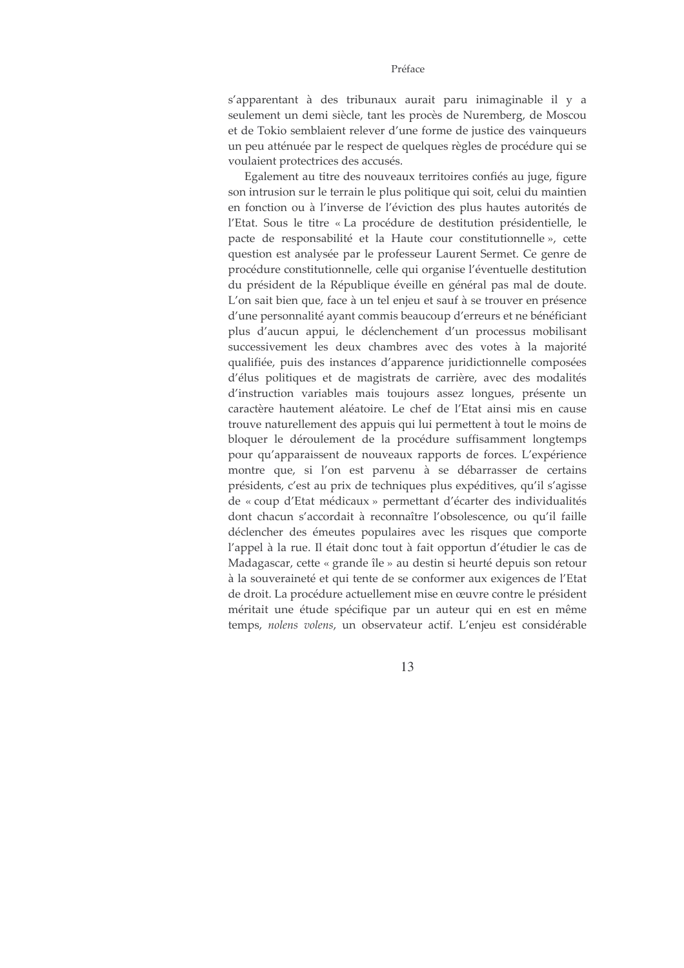#### Préface

s'apparentant à des tribunaux aurait paru inimaginable il y a seulement un demi siècle, tant les procès de Nuremberg, de Moscou et de Tokio semblaient relever d'une forme de justice des vainqueurs un peu atténuée par le respect de quelques règles de procédure qui se voulaient protectrices des accusés.

Egalement au titre des nouveaux territoires confiés au juge, figure son intrusion sur le terrain le plus politique qui soit, celui du maintien en fonction ou à l'inverse de l'éviction des plus hautes autorités de l'Etat. Sous le titre « La procédure de destitution présidentielle, le pacte de responsabilité et la Haute cour constitutionnelle», cette question est analysée par le professeur Laurent Sermet. Ce genre de procédure constitutionnelle, celle qui organise l'éventuelle destitution du président de la République éveille en général pas mal de doute. L'on sait bien que, face à un tel enjeu et sauf à se trouver en présence d'une personnalité ayant commis beaucoup d'erreurs et ne bénéficiant plus d'aucun appui, le déclenchement d'un processus mobilisant successivement les deux chambres avec des votes à la majorité qualifiée, puis des instances d'apparence juridictionnelle composées d'élus politiques et de magistrats de carrière, avec des modalités d'instruction variables mais toujours assez longues, présente un caractère hautement aléatoire. Le chef de l'Etat ainsi mis en cause trouve naturellement des appuis qui lui permettent à tout le moins de bloquer le déroulement de la procédure suffisamment longtemps pour qu'apparaissent de nouveaux rapports de forces. L'expérience montre que, si l'on est parvenu à se débarrasser de certains présidents, c'est au prix de techniques plus expéditives, qu'il s'agisse de « coup d'Etat médicaux » permettant d'écarter des individualités dont chacun s'accordait à reconnaître l'obsolescence, ou qu'il faille déclencher des émeutes populaires avec les risques que comporte l'appel à la rue. Il était donc tout à fait opportun d'étudier le cas de Madagascar, cette « grande île » au destin si heurté depuis son retour à la souveraineté et qui tente de se conformer aux exigences de l'Etat de droit. La procédure actuellement mise en œuvre contre le président méritait une étude spécifique par un auteur qui en est en même temps, nolens volens, un observateur actif. L'enjeu est considérable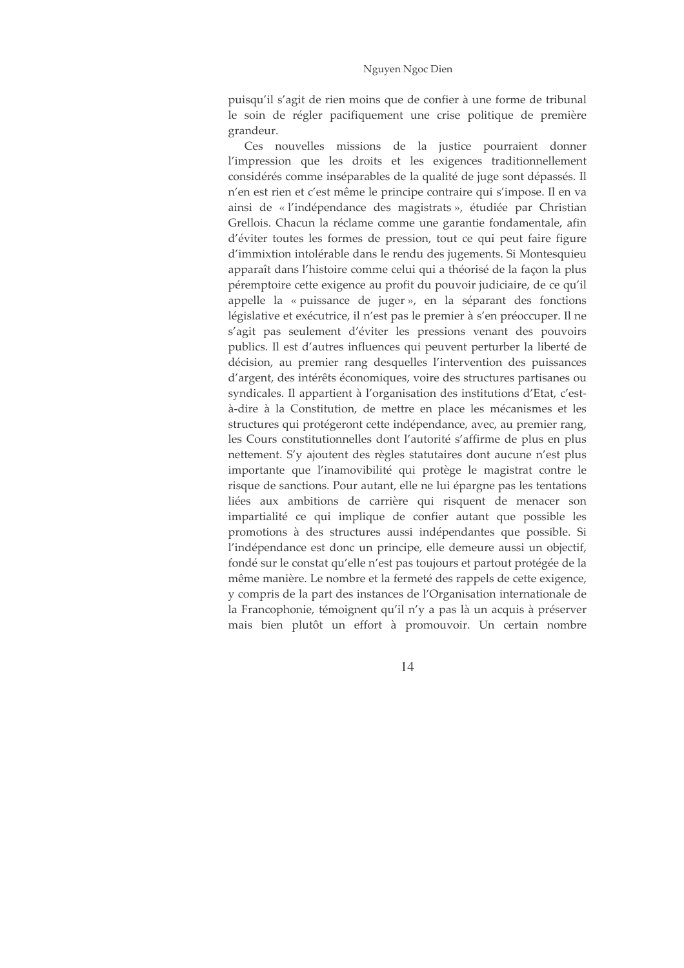#### Nguyen Ngoc Dien

puisqu'il s'agit de rien moins que de confier à une forme de tribunal le soin de régler pacifiquement une crise politique de première grandeur.

Ces nouvelles missions de la justice pourraient donner l'impression que les droits et les exigences traditionnellement considérés comme inséparables de la qualité de juge sont dépassés. Il n'en est rien et c'est même le principe contraire qui s'impose. Il en va ainsi de « l'indépendance des magistrats », étudiée par Christian Grellois. Chacun la réclame comme une garantie fondamentale, afin d'éviter toutes les formes de pression, tout ce qui peut faire figure d'immixtion intolérable dans le rendu des jugements. Si Montesquieu apparaît dans l'histoire comme celui qui a théorisé de la façon la plus péremptoire cette exigence au profit du pouvoir judiciaire, de ce qu'il appelle la « puissance de juger », en la séparant des fonctions législative et exécutrice, il n'est pas le premier à s'en préoccuper. Il ne s'agit pas seulement d'éviter les pressions venant des pouvoirs publics. Il est d'autres influences qui peuvent perturber la liberté de décision, au premier rang desquelles l'intervention des puissances d'argent, des intérêts économiques, voire des structures partisanes ou syndicales. Il appartient à l'organisation des institutions d'Etat, c'està-dire à la Constitution, de mettre en place les mécanismes et les structures qui protégeront cette indépendance, avec, au premier rang, les Cours constitutionnelles dont l'autorité s'affirme de plus en plus nettement. S'y ajoutent des règles statutaires dont aucune n'est plus importante que l'inamovibilité qui protège le magistrat contre le risque de sanctions. Pour autant, elle ne lui épargne pas les tentations liées aux ambitions de carrière qui risquent de menacer son impartialité ce qui implique de confier autant que possible les promotions à des structures aussi indépendantes que possible. Si l'indépendance est donc un principe, elle demeure aussi un objectif, fondé sur le constat qu'elle n'est pas toujours et partout protégée de la même manière. Le nombre et la fermeté des rappels de cette exigence, y compris de la part des instances de l'Organisation internationale de la Francophonie, témoignent qu'il n'y a pas là un acquis à préserver mais bien plutôt un effort à promouvoir. Un certain nombre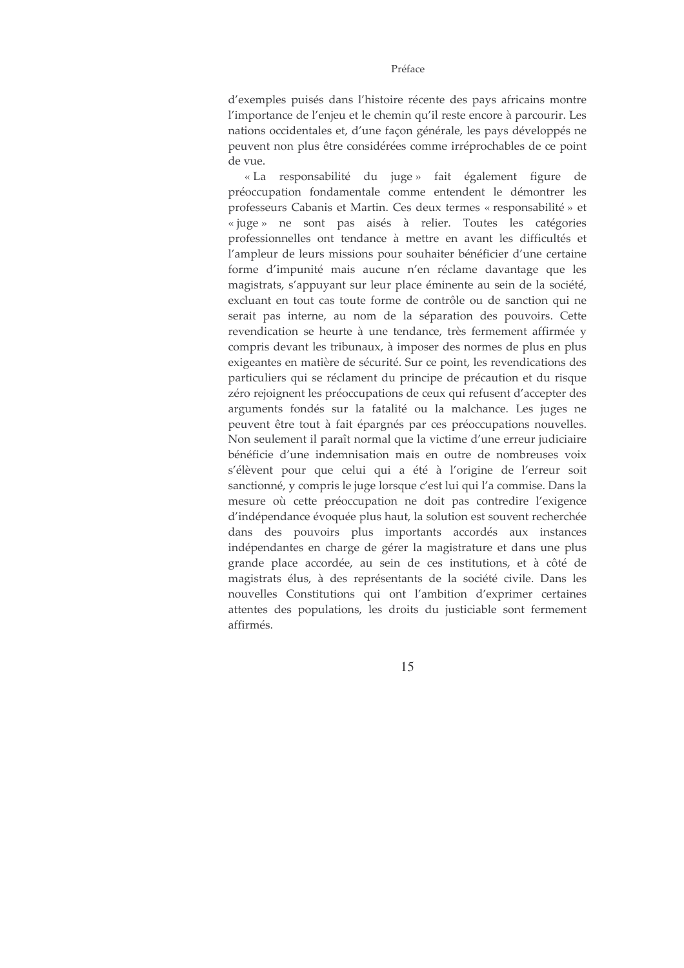#### Préface

d'exemples puisés dans l'histoire récente des pays africains montre l'importance de l'enjeu et le chemin qu'il reste encore à parcourir. Les nations occidentales et, d'une façon générale, les pays développés ne peuvent non plus être considérées comme irréprochables de ce point de vue.

« La responsabilité du juge » fait également figure - de préoccupation fondamentale comme entendent le démontrer les professeurs Cabanis et Martin. Ces deux termes « responsabilité » et « juge » ne sont pas aisés à relier. Toutes les catégories professionnelles ont tendance à mettre en avant les difficultés et l'ampleur de leurs missions pour souhaiter bénéficier d'une certaine forme d'impunité mais aucune n'en réclame davantage que les magistrats, s'appuyant sur leur place éminente au sein de la société, excluant en tout cas toute forme de contrôle ou de sanction qui ne serait pas interne, au nom de la séparation des pouvoirs. Cette revendication se heurte à une tendance, très fermement affirmée y compris devant les tribunaux, à imposer des normes de plus en plus exigeantes en matière de sécurité. Sur ce point, les revendications des particuliers qui se réclament du principe de précaution et du risque zéro rejoignent les préoccupations de ceux qui refusent d'accepter des arguments fondés sur la fatalité ou la malchance. Les juges ne peuvent être tout à fait épargnés par ces préoccupations nouvelles. Non seulement il paraît normal que la victime d'une erreur judiciaire bénéficie d'une indemnisation mais en outre de nombreuses voix s'élèvent pour que celui qui a été à l'origine de l'erreur soit sanctionné, y compris le juge lorsque c'est lui qui l'a commise. Dans la mesure où cette préoccupation ne doit pas contredire l'exigence d'indépendance évoquée plus haut, la solution est souvent recherchée dans des pouvoirs plus importants accordés aux instances indépendantes en charge de gérer la magistrature et dans une plus grande place accordée, au sein de ces institutions, et à côté de magistrats élus, à des représentants de la société civile. Dans les nouvelles Constitutions qui ont l'ambition d'exprimer certaines attentes des populations, les droits du justiciable sont fermement affirmés.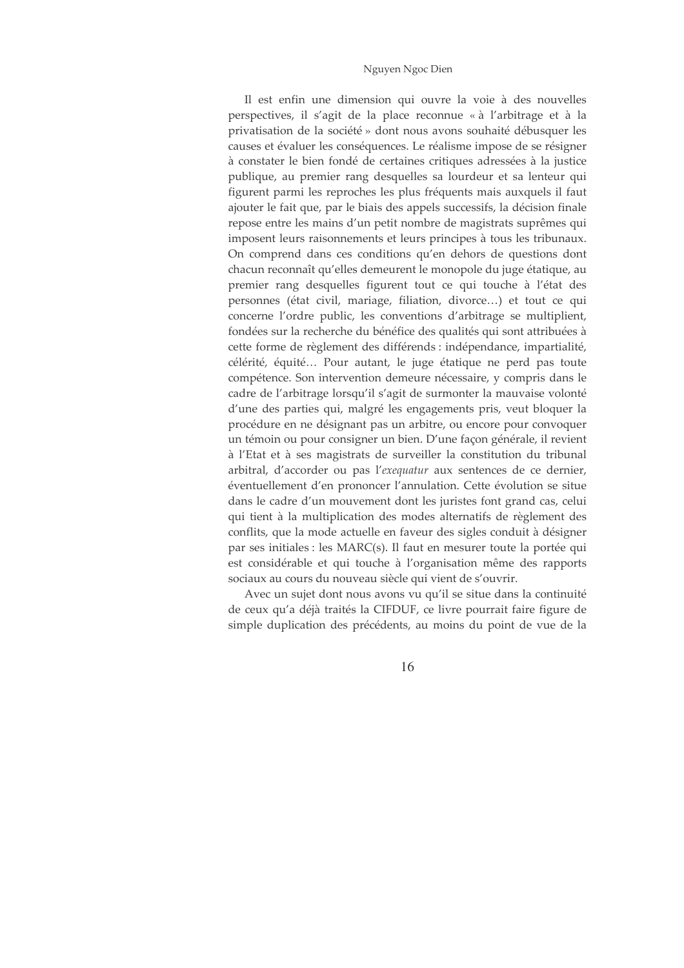#### Nguyen Ngoc Dien

Il est enfin une dimension qui ouvre la voie à des nouvelles perspectives, il s'agit de la place reconnue « à l'arbitrage et à la privatisation de la société » dont nous avons souhaité débusquer les causes et évaluer les conséquences. Le réalisme impose de se résigner à constater le bien fondé de certaines critiques adressées à la justice publique, au premier rang desquelles sa lourdeur et sa lenteur qui figurent parmi les reproches les plus fréquents mais auxquels il faut ajouter le fait que, par le biais des appels successifs, la décision finale repose entre les mains d'un petit nombre de magistrats suprêmes qui imposent leurs raisonnements et leurs principes à tous les tribunaux. On comprend dans ces conditions qu'en dehors de questions dont chacun reconnaît qu'elles demeurent le monopole du juge étatique, au premier rang desquelles figurent tout ce qui touche à l'état des personnes (état civil, mariage, filiation, divorce...) et tout ce qui concerne l'ordre public, les conventions d'arbitrage se multiplient, fondées sur la recherche du bénéfice des qualités qui sont attribuées à cette forme de règlement des différends : indépendance, impartialité, célérité, équité... Pour autant, le juge étatique ne perd pas toute compétence. Son intervention demeure nécessaire, y compris dans le cadre de l'arbitrage lorsqu'il s'agit de surmonter la mauvaise volonté d'une des parties qui, malgré les engagements pris, veut bloquer la procédure en ne désignant pas un arbitre, ou encore pour convoquer un témoin ou pour consigner un bien. D'une façon générale, il revient à l'Etat et à ses magistrats de surveiller la constitution du tribunal arbitral, d'accorder ou pas l'exequatur aux sentences de ce dernier, éventuellement d'en prononcer l'annulation. Cette évolution se situe dans le cadre d'un mouvement dont les juristes font grand cas, celui qui tient à la multiplication des modes alternatifs de règlement des conflits, que la mode actuelle en faveur des sigles conduit à désigner par ses initiales : les MARC(s). Il faut en mesurer toute la portée qui est considérable et qui touche à l'organisation même des rapports sociaux au cours du nouveau siècle qui vient de s'ouvrir.

Avec un sujet dont nous avons vu qu'il se situe dans la continuité de ceux qu'a déjà traités la CIFDUF, ce livre pourrait faire figure de simple duplication des précédents, au moins du point de vue de la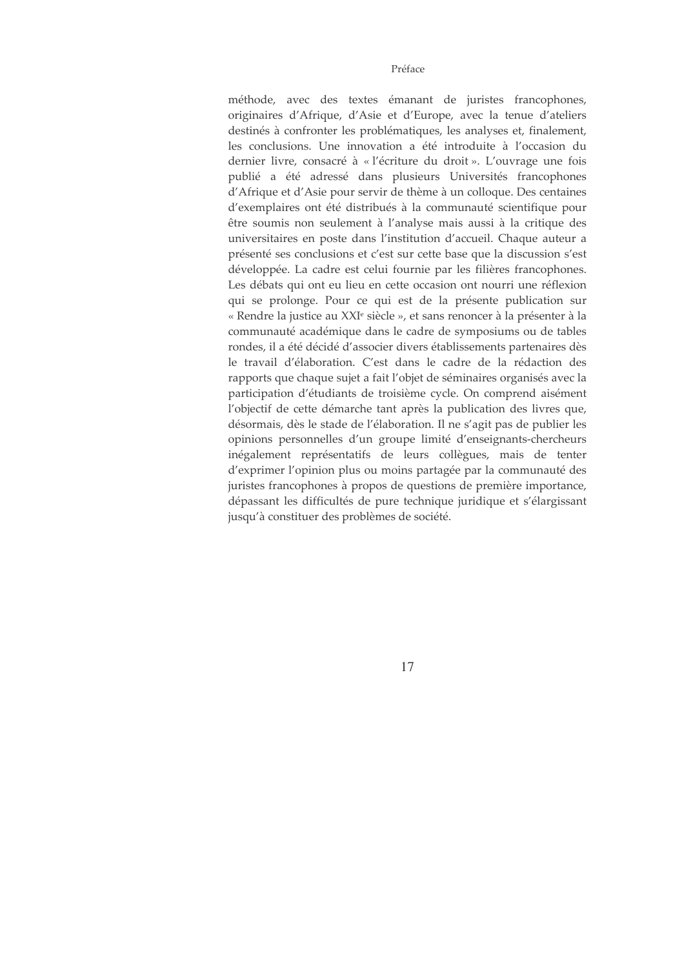#### Préface

méthode, avec des textes émanant de juristes francophones, originaires d'Afrique, d'Asie et d'Europe, avec la tenue d'ateliers destinés à confronter les problématiques, les analyses et, finalement, les conclusions. Une innovation a été introduite à l'occasion du dernier livre, consacré à « l'écriture du droit ». L'ouvrage une fois publié a été adressé dans plusieurs Universités francophones d'Afrique et d'Asie pour servir de thème à un colloque. Des centaines d'exemplaires ont été distribués à la communauté scientifique pour être soumis non seulement à l'analyse mais aussi à la critique des universitaires en poste dans l'institution d'accueil. Chaque auteur a présenté ses conclusions et c'est sur cette base que la discussion s'est développée. La cadre est celui fournie par les filières francophones. Les débats qui ont eu lieu en cette occasion ont nourri une réflexion qui se prolonge. Pour ce qui est de la présente publication sur « Rendre la justice au XXI<sup>e</sup> siècle », et sans renoncer à la présenter à la communauté académique dans le cadre de symposiums ou de tables rondes, il a été décidé d'associer divers établissements partenaires dès le travail d'élaboration. C'est dans le cadre de la rédaction des rapports que chaque sujet a fait l'objet de séminaires organisés avec la participation d'étudiants de troisième cycle. On comprend aisément l'objectif de cette démarche tant après la publication des livres que, désormais, dès le stade de l'élaboration. Il ne s'agit pas de publier les opinions personnelles d'un groupe limité d'enseignants-chercheurs inégalement représentatifs de leurs collègues, mais de tenter d'exprimer l'opinion plus ou moins partagée par la communauté des juristes francophones à propos de questions de première importance, dépassant les difficultés de pure technique juridique et s'élargissant jusqu'à constituer des problèmes de société.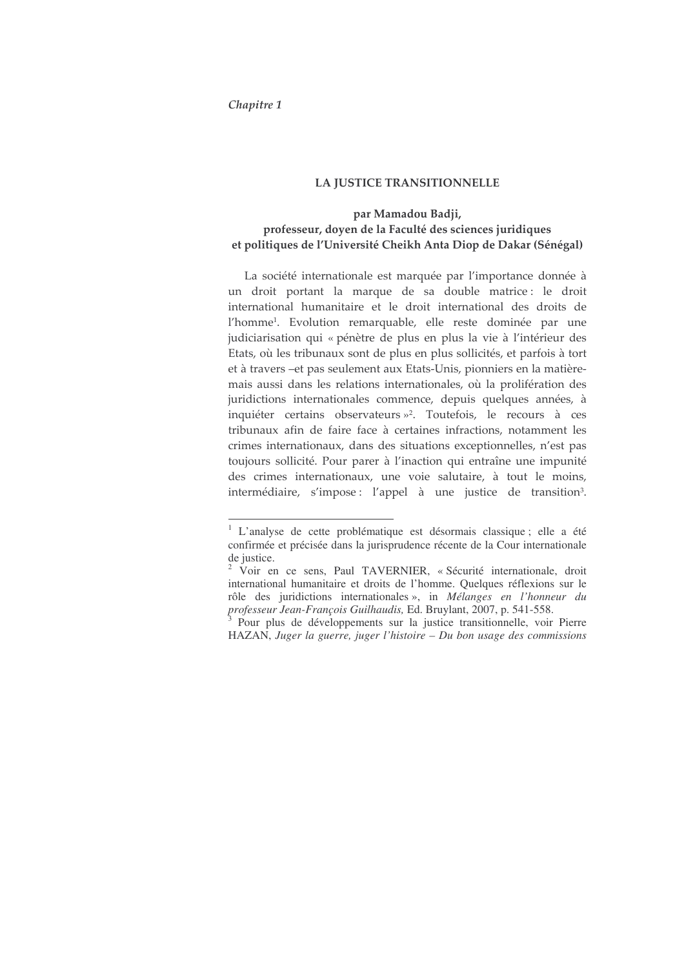#### Chapitre 1

#### LA JUSTICE TRANSITIONNELLE

# par Mamadou Badji, professeur, doyen de la Faculté des sciences juridiques et politiques de l'Université Cheikh Anta Diop de Dakar (Sénégal)

La société internationale est marquée par l'importance donnée à un droit portant la marque de sa double matrice: le droit international humanitaire et le droit international des droits de l'homme<sup>1</sup>. Evolution remarquable, elle reste dominée par une judiciarisation qui « pénètre de plus en plus la vie à l'intérieur des Etats, où les tribunaux sont de plus en plus sollicités, et parfois à tort et à travers –et pas seulement aux Etats-Unis, pionniers en la matièremais aussi dans les relations internationales, où la prolifération des juridictions internationales commence, depuis quelques années, à inquiéter certains observateurs »<sup>2</sup>. Toutefois, le recours à ces tribunaux afin de faire face à certaines infractions, notamment les crimes internationaux, dans des situations exceptionnelles, n'est pas toujours sollicité. Pour parer à l'inaction qui entraîne une impunité des crimes internationaux, une voie salutaire, à tout le moins, intermédiaire, s'impose : l'appel à une justice de transition<sup>3</sup>.

<sup>&</sup>lt;sup>1</sup> L'analyse de cette problématique est désormais classique ; elle a été confirmée et précisée dans la jurisprudence récente de la Cour internationale de justice.

<sup>&</sup>lt;sup>2</sup> Voir en ce sens, Paul TAVERNIER, « Sécurité internationale, droit international humanitaire et droits de l'homme. Quelques réflexions sur le rôle des juridictions internationales », in *Mélanges en l'honneur du professeur Jean-François Guilhaudis,* Ed. Bruylant, 2007, p. 541-558.

<sup>&</sup>lt;sup>3</sup> Pour plus de développements sur la justice transitionnelle, voir Pierre HAZAN, *Juger la guerre, juger l'histoire – Du bon usage des commissions*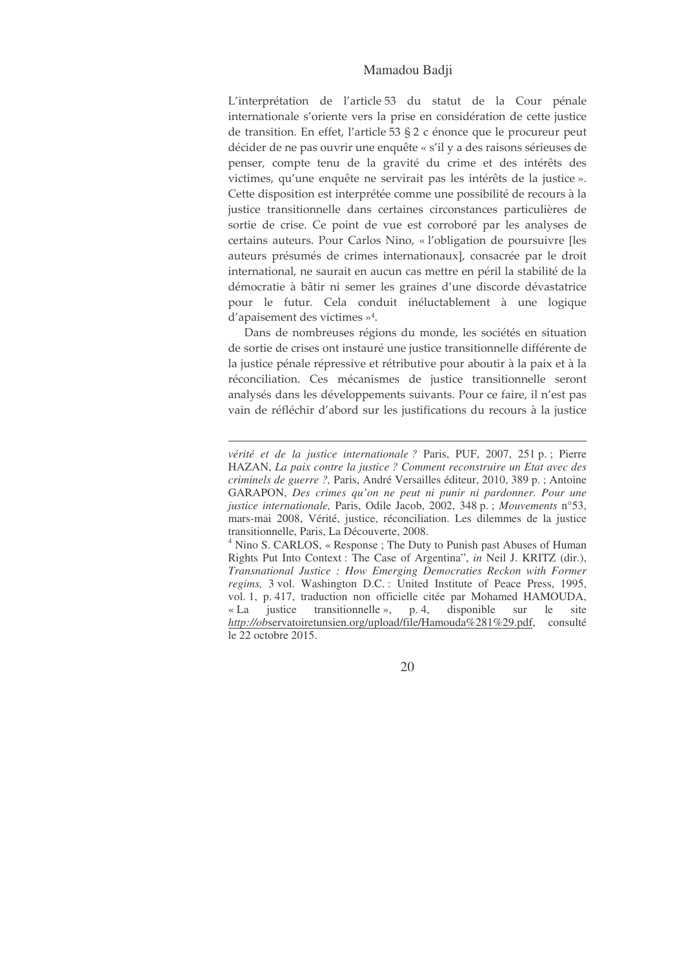### Mamadou Badji

L'interprétation de l'article 53 du statut de la Cour pénale internationale s'oriente vers la prise en considération de cette justice de transition. En effet, l'article 53 § 2 c énonce que le procureur peut décider de ne pas ouvrir une enquête « s'il y a des raisons sérieuses de penser, compte tenu de la gravité du crime et des intérêts des victimes, qu'une enquête ne servirait pas les intérêts de la justice ». Cette disposition est interprétée comme une possibilité de recours à la justice transitionnelle dans certaines circonstances particulières de sortie de crise. Ce point de vue est corroboré par les analyses de certains auteurs. Pour Carlos Nino, « l'obligation de poursuivre [les auteurs présumés de crimes internationaux], consacrée par le droit international, ne saurait en aucun cas mettre en péril la stabilité de la démocratie à bâtir ni semer les graines d'une discorde dévastatrice pour le futur. Cela conduit inéluctablement à une logique d'apaisement des victimes  $\nu^4$ .

Dans de nombreuses régions du monde, les sociétés en situation de sortie de crises ont instauré une justice transitionnelle différente de la justice pénale répressive et rétributive pour aboutir à la paix et à la réconciliation. Ces mécanismes de justice transitionnelle seront analysés dans les développements suivants. Pour ce faire, il n'est pas vain de réfléchir d'abord sur les justifications du recours à la justice

<sup>4</sup> Nino S. CARLOS, « Response ; The Duty to Punish past Abuses of Human Rights Put Into Context : The Case of Argentina", *in* Neil J. KRITZ (dir.), *Transnational Justice : How Emerging Democraties Reckon with Former regims,* 3 vol. Washington D.C. : United Institute of Peace Press, 1995, vol. 1, p. 417, traduction non officielle citée par Mohamed HAMOUDA, « La justice transitionnelle », p. 4, disponible sur le site *http://ob*servatoiretunsien.org/upload/file/Hamouda%281%29.pdf, consulté le 22 octobre 2015.

*vérité et de la justice internationale ?* Paris, PUF, 2007, 251 p. ; Pierre HAZAN, *La paix contre la justice ? Comment reconstruire un Etat avec des criminels de guerre ?,* Paris, André Versailles éditeur, 2010, 389 p. ; Antoine GARAPON, *Des crimes qu'on ne peut ni punir ni pardonner. Pour une justice internationale,* Paris, Odile Jacob, 2002, 348 p. ; *Mouvements* n°53, mars-mai 2008, Vérité, justice, réconciliation. Les dilemmes de la justice transitionnelle, Paris, La Découverte, 2008.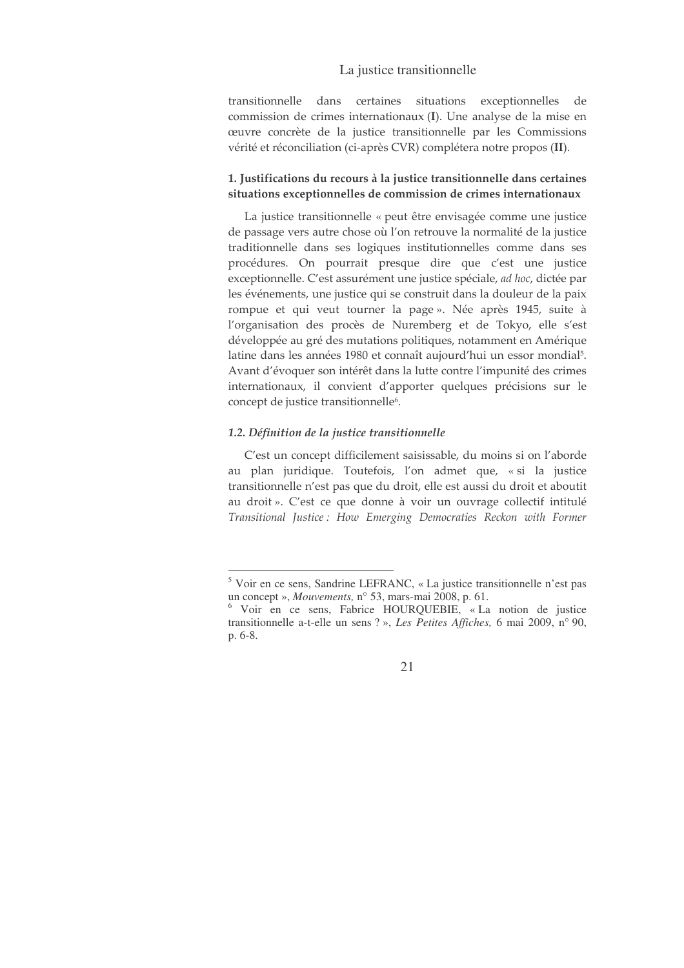transitionnelle dans certaines situations exceptionnelles de commission de crimes internationaux (I). Une analyse de la mise en œuvre concrète de la justice transitionnelle par les Commissions vérité et réconciliation (ci-après CVR) complétera notre propos (II).

### 1. Justifications du recours à la justice transitionnelle dans certaines situations exceptionnelles de commission de crimes internationaux

La justice transitionnelle « peut être envisagée comme une justice de passage vers autre chose où l'on retrouve la normalité de la justice traditionnelle dans ses logiques institutionnelles comme dans ses procédures. On pourrait presque dire que c'est une justice exceptionnelle. C'est assurément une justice spéciale, ad hoc, dictée par les événements, une justice qui se construit dans la douleur de la paix rompue et qui veut tourner la page». Née après 1945, suite à l'organisation des procès de Nuremberg et de Tokyo, elle s'est développée au gré des mutations politiques, notamment en Amérique latine dans les années 1980 et connaît aujourd'hui un essor mondial<sup>5</sup>. Avant d'évoquer son intérêt dans la lutte contre l'impunité des crimes internationaux, il convient d'apporter quelques précisions sur le concept de justice transitionnelle<sup>6</sup>.

#### 1.2. Définition de la justice transitionnelle

C'est un concept difficilement saisissable, du moins si on l'aborde au plan juridique. Toutefois, l'on admet que, « si la justice transitionnelle n'est pas que du droit, elle est aussi du droit et aboutit au droit». C'est ce que donne à voir un ouvrage collectif intitulé Transitional Justice: How Emerging Democraties Reckon with Former

<sup>&</sup>lt;sup>5</sup> Voir en ce sens, Sandrine LEFRANC, « La justice transitionnelle n'est pas un concept », Mouvements, n° 53, mars-mai 2008, p. 61.

<sup>&</sup>lt;sup>6</sup> Voir en ce sens, Fabrice HOURQUEBIE, « La notion de justice transitionnelle a-t-elle un sens ?», Les Petites Affiches, 6 mai 2009, n° 90, p. 6-8.

<sup>21</sup>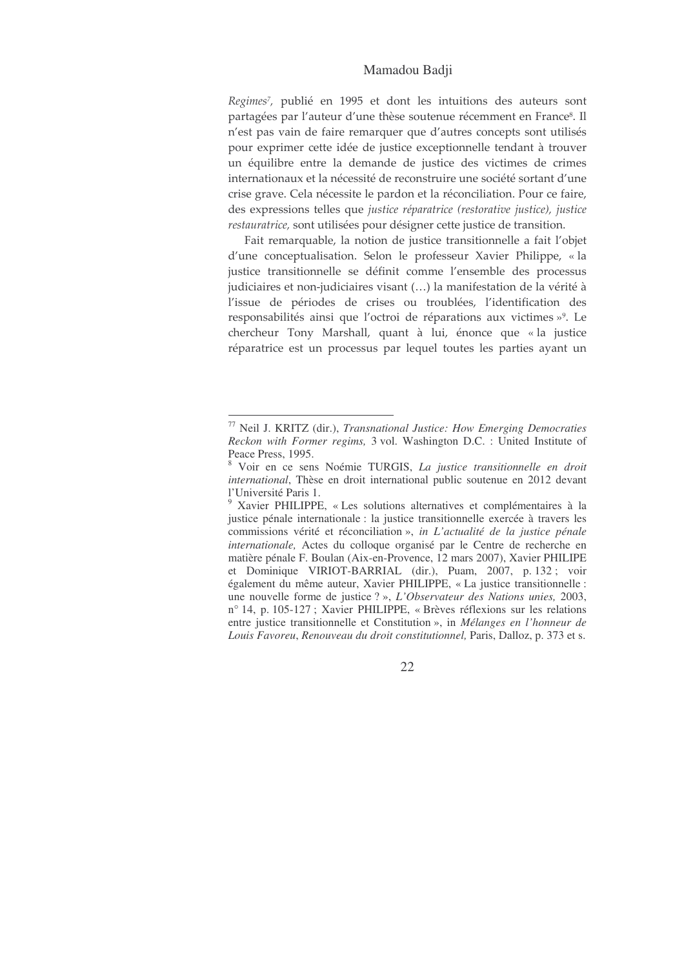# Mamadou Badji

Regimes<sup>7</sup>, publié en 1995 et dont les intuitions des auteurs sont partagées par l'auteur d'une thèse soutenue récemment en France<sup>s</sup>. Il n'est pas vain de faire remarquer que d'autres concepts sont utilisés pour exprimer cette idée de justice exceptionnelle tendant à trouver un équilibre entre la demande de justice des victimes de crimes internationaux et la nécessité de reconstruire une société sortant d'une crise grave. Cela nécessite le pardon et la réconciliation. Pour ce faire, des expressions telles que justice réparatrice (restorative justice), justice restauratrice, sont utilisées pour désigner cette justice de transition.

Fait remarquable, la notion de justice transitionnelle a fait l'objet d'une conceptualisation. Selon le professeur Xavier Philippe, « la justice transitionnelle se définit comme l'ensemble des processus judiciaires et non-judiciaires visant (...) la manifestation de la vérité à l'issue de périodes de crises ou troublées, l'identification des responsabilités ainsi que l'octroi de réparations aux victimes »<sup>9</sup>. Le chercheur Tony Marshall, quant à lui, énonce que « la justice réparatrice est un processus par lequel toutes les parties ayant un

<sup>77</sup> Neil J. KRITZ (dir.), *Transnational Justice: How Emerging Democraties Reckon with Former regims,* 3 vol. Washington D.C. : United Institute of Peace Press, 1995.

<sup>8</sup> Voir en ce sens Noémie TURGIS, *La justice transitionnelle en droit international*, Thèse en droit international public soutenue en 2012 devant l'Université Paris 1.

<sup>9</sup> Xavier PHILIPPE, « Les solutions alternatives et complémentaires à la justice pénale internationale : la justice transitionnelle exercée à travers les commissions vérité et réconciliation », *in L'actualité de la justice pénale internationale,* Actes du colloque organisé par le Centre de recherche en matière pénale F. Boulan (Aix-en-Provence, 12 mars 2007), Xavier PHILIPE et Dominique VIRIOT-BARRIAL (dir.), Puam, 2007, p. 132 ; voir également du même auteur, Xavier PHILIPPE, « La justice transitionnelle : une nouvelle forme de justice ? », *L'Observateur des Nations unies,* 2003, n° 14, p. 105-127 ; Xavier PHILIPPE, « Brèves réflexions sur les relations entre justice transitionnelle et Constitution », in *Mélanges en l'honneur de Louis Favoreu*, *Renouveau du droit constitutionnel,* Paris, Dalloz, p. 373 et s.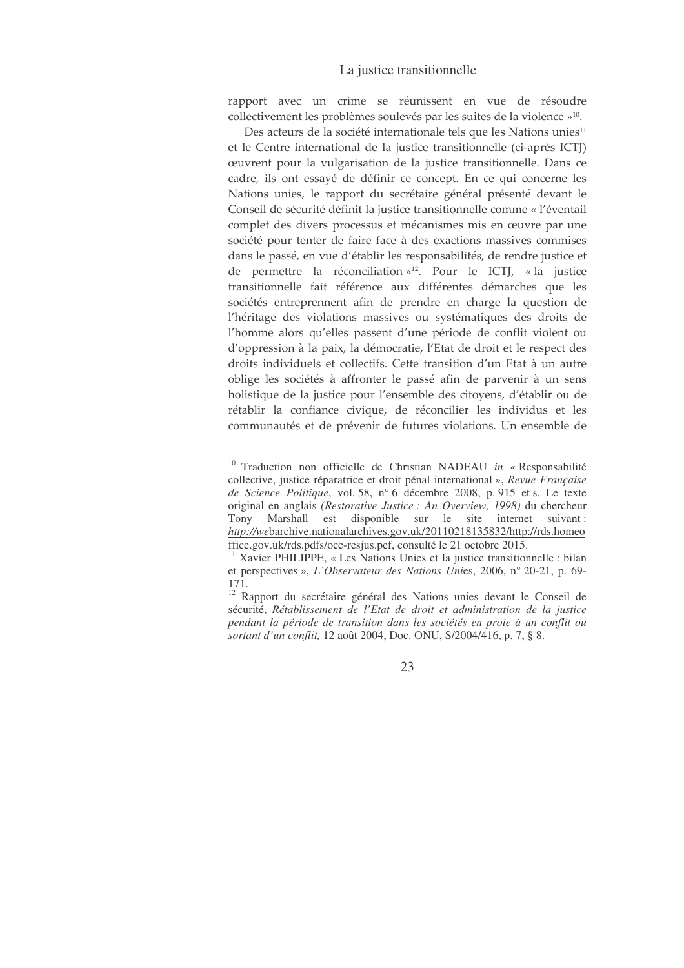rapport avec un crime se réunissent en vue de résoudre collectivement les problèmes soulevés par les suites de la violence »<sup>10</sup>.

Des acteurs de la société internationale tels que les Nations unies<sup>11</sup> et le Centre international de la justice transitionnelle (ci-après ICTJ) œuvrent pour la vulgarisation de la justice transitionnelle. Dans ce cadre, ils ont essayé de définir ce concept. En ce qui concerne les Nations unies, le rapport du secrétaire général présenté devant le Conseil de sécurité définit la justice transitionnelle comme « l'éventail complet des divers processus et mécanismes mis en œuvre par une société pour tenter de faire face à des exactions massives commises dans le passé, en vue d'établir les responsabilités, de rendre justice et de permettre la réconciliation »<sup>12</sup>. Pour le ICTJ, « la justice transitionnelle fait référence aux différentes démarches que les sociétés entreprennent afin de prendre en charge la question de l'héritage des violations massives ou systématiques des droits de l'homme alors qu'elles passent d'une période de conflit violent ou d'oppression à la paix, la démocratie, l'Etat de droit et le respect des droits individuels et collectifs. Cette transition d'un Etat à un autre oblige les sociétés à affronter le passé afin de parvenir à un sens holistique de la justice pour l'ensemble des citoyens, d'établir ou de rétablir la confiance civique, de réconcilier les individus et les communautés et de prévenir de futures violations. Un ensemble de

<sup>&</sup>lt;sup>10</sup> Traduction non officielle de Christian NADEAU in « Responsabilité collective, justice réparatrice et droit pénal international », Revue Française de Science Politique, vol. 58, n° 6 décembre 2008, p. 915 et s. Le texte original en anglais (Restorative Justice : An Overview, 1998) du chercheur Tony Marshall est disponible sur le site internet suivant : http://webarchive.nationalarchives.gov.uk/20110218135832/http://rds.homeo ffice.gov.uk/rds.pdfs/occ-resjus.pef, consulté le 21 octobre 2015.

<sup>&</sup>lt;sup>11</sup> Xavier PHILIPPE, « Les Nations Unies et la justice transitionnelle : bilan et perspectives », L'Observateur des Nations Unies, 2006, n° 20-21, p. 69- $171.$ 

<sup>&</sup>lt;sup>12</sup> Rapport du secrétaire général des Nations unies devant le Conseil de sécurité, Rétablissement de l'Etat de droit et administration de la justice pendant la période de transition dans les sociétés en proie à un conflit ou sortant d'un conflit, 12 août 2004, Doc. ONU, S/2004/416, p. 7, § 8.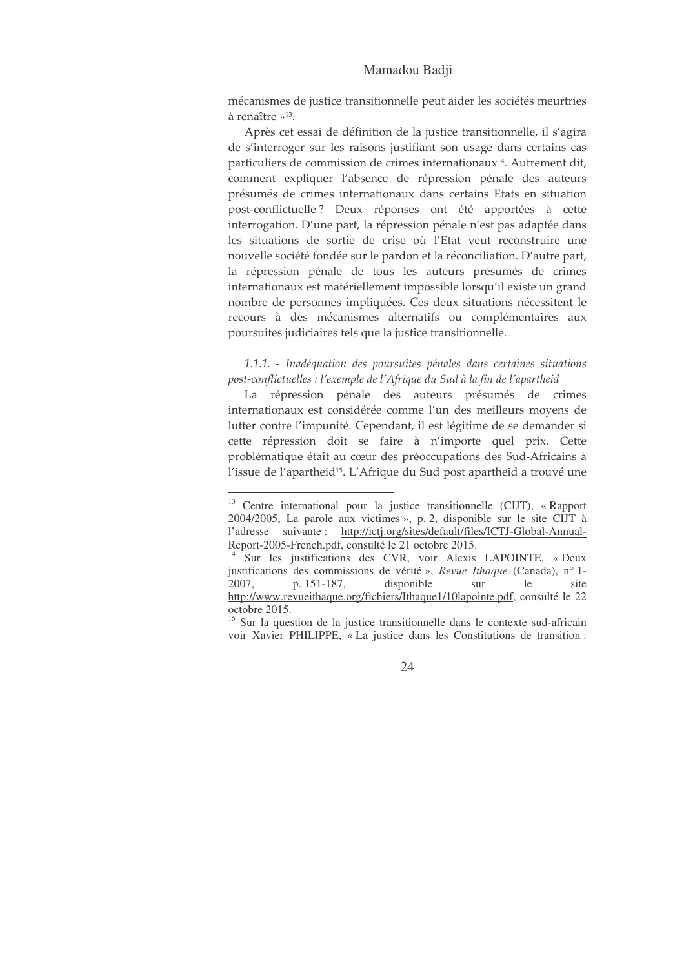#### Mamadou Badji

mécanismes de justice transitionnelle peut aider les sociétés meurtries à renaître  $v^{13}$ .

Après cet essai de définition de la justice transitionnelle, il s'agira de s'interroger sur les raisons justifiant son usage dans certains cas particuliers de commission de crimes internationaux<sup>14</sup>. Autrement dit, comment expliquer l'absence de répression pénale des auteurs présumés de crimes internationaux dans certains Etats en situation post-conflictuelle? Deux réponses ont été apportées à cette interrogation. D'une part, la répression pénale n'est pas adaptée dans les situations de sortie de crise où l'Etat veut reconstruire une nouvelle société fondée sur le pardon et la réconciliation. D'autre part, la répression pénale de tous les auteurs présumés de crimes internationaux est matériellement impossible lorsqu'il existe un grand nombre de personnes impliquées. Ces deux situations nécessitent le recours à des mécanismes alternatifs ou complémentaires aux poursuites judiciaires tels que la justice transitionnelle.

1.1.1. - Inadéquation des poursuites pénales dans certaines situations post-conflictuelles : l'exemple de l'Afrique du Sud à la fin de l'apartheid

La répression pénale des auteurs présumés de crimes internationaux est considérée comme l'un des meilleurs moyens de lutter contre l'impunité. Cependant, il est légitime de se demander si cette répression doit se faire à n'importe quel prix. Cette problématique était au cœur des préoccupations des Sud-Africains à l'issue de l'apartheid<sup>15</sup>. L'Afrique du Sud post apartheid a trouvé une

<sup>&</sup>lt;sup>13</sup> Centre international pour la justice transitionnelle (CIJT), « Rapport 2004/2005, La parole aux victimes », p. 2, disponible sur le site CIJT à l'adresse suivante : http://ictj.org/sites/default/files/ICTJ-Global-Annual-Report-2005-French.pdf, consulté le 21 octobre 2015.

<sup>&</sup>lt;sup>14</sup> Sur les justifications des CVR, voir Alexis LAPOINTE, « Deux justifications des commissions de vérité», Revue Ithaque (Canada), n° 1-2007, p. 151-187, disponible sur le site http://www.revueithaque.org/fichiers/Ithaque1/10lapointe.pdf, consulté le 22 octobre 2015.

<sup>&</sup>lt;sup>15</sup> Sur la question de la justice transitionnelle dans le contexte sud-africain voir Xavier PHILIPPE, « La justice dans les Constitutions de transition :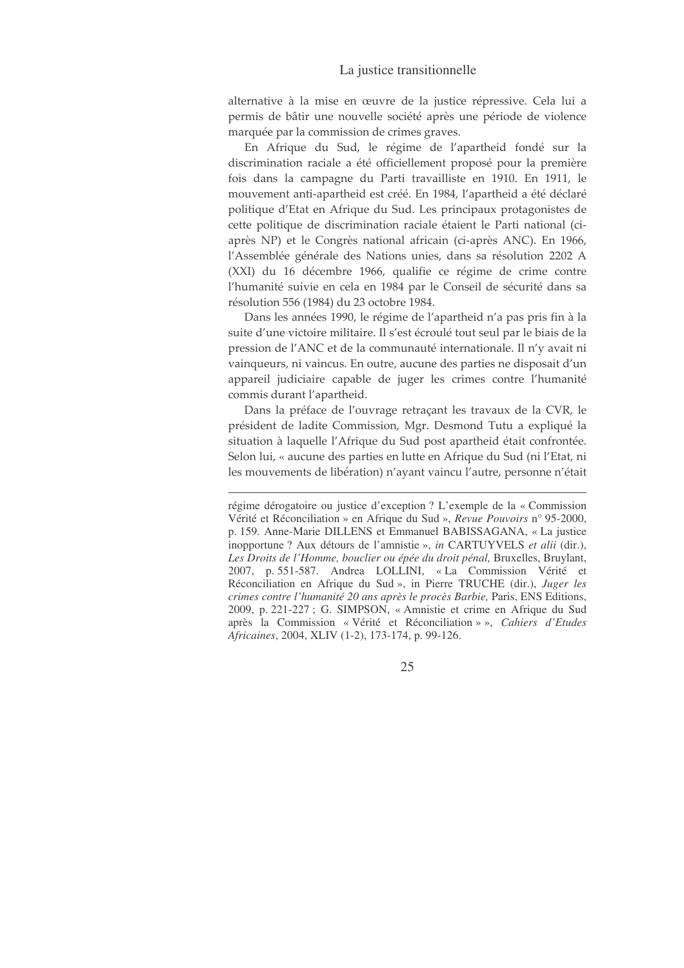alternative à la mise en œuvre de la justice répressive. Cela lui a permis de bâtir une nouvelle société après une période de violence marquée par la commission de crimes graves.

En Afrique du Sud, le régime de l'apartheid fondé sur la discrimination raciale a été officiellement proposé pour la première fois dans la campagne du Parti travailliste en 1910. En 1911, le mouvement anti-apartheid est créé. En 1984, l'apartheid a été déclaré politique d'Etat en Afrique du Sud. Les principaux protagonistes de cette politique de discrimination raciale étaient le Parti national (ciaprès NP) et le Congrès national africain (ci-après ANC). En 1966, l'Assemblée générale des Nations unies, dans sa résolution 2202 A (XXI) du 16 décembre 1966, qualifie ce régime de crime contre l'humanité suivie en cela en 1984 par le Conseil de sécurité dans sa résolution 556 (1984) du 23 octobre 1984.

Dans les années 1990, le régime de l'apartheid n'a pas pris fin à la suite d'une victoire militaire. Il s'est écroulé tout seul par le biais de la pression de l'ANC et de la communauté internationale. Il n'y avait ni vainqueurs, ni vaincus. En outre, aucune des parties ne disposait d'un appareil judiciaire capable de juger les crimes contre l'humanité commis durant l'apartheid.

Dans la préface de l'ouvrage retraçant les travaux de la CVR, le président de ladite Commission, Mgr. Desmond Tutu a expliqué la situation à laquelle l'Afrique du Sud post apartheid était confrontée. Selon lui, « aucune des parties en lutte en Afrique du Sud (ni l'Etat, ni les mouvements de libération) n'ayant vaincu l'autre, personne n'était

régime dérogatoire ou justice d'exception ? L'exemple de la « Commission Vérité et Réconciliation » en Afrique du Sud », Revue Pouvoirs n° 95-2000, p. 159. Anne-Marie DILLENS et Emmanuel BABISSAGANA, « La justice inopportune ? Aux détours de l'amnistie », in CARTUYVELS et alii (dir.), Les Droits de l'Homme, bouclier ou épée du droit pénal, Bruxelles, Bruylant, 2007, p. 551-587. Andrea LOLLINI, «La Commission Vérité et Réconciliation en Afrique du Sud », in Pierre TRUCHE (dir.), Juger les crimes contre l'humanité 20 ans après le procès Barbie, Paris, ENS Editions, 2009, p. 221-227; G. SIMPSON, « Amnistie et crime en Afrique du Sud après la Commission « Vérité et Réconciliation » », Cahiers d'Etudes Africaines, 2004, XLIV (1-2), 173-174, p. 99-126.

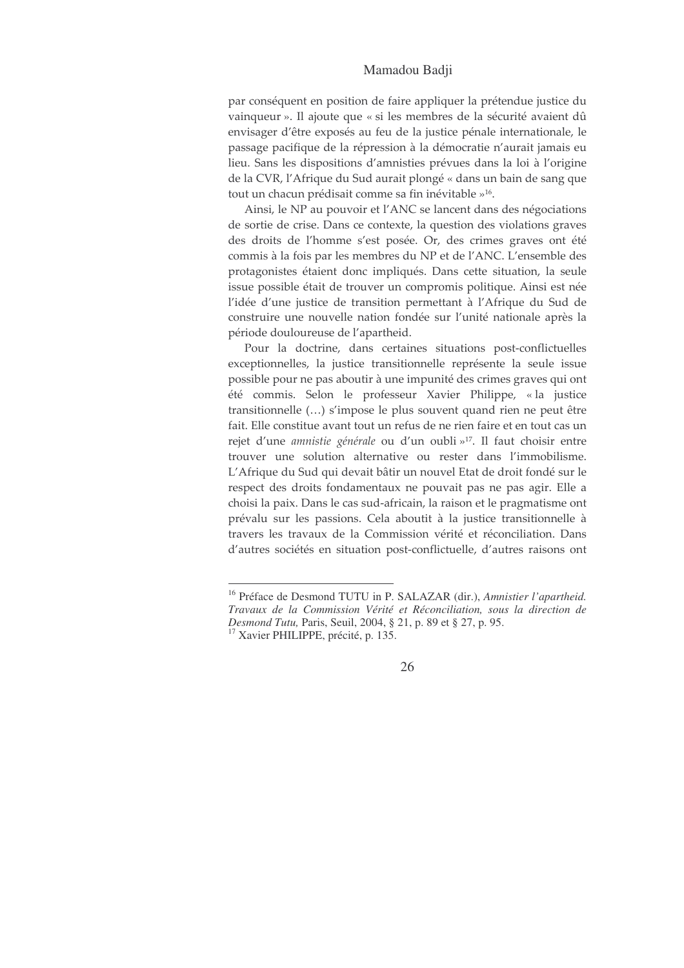# Mamadou Badii

par conséquent en position de faire appliquer la prétendue justice du vainqueur ». Il ajoute que « si les membres de la sécurité avaient dû envisager d'être exposés au feu de la justice pénale internationale, le passage pacifique de la répression à la démocratie n'aurait jamais eu lieu. Sans les dispositions d'amnisties prévues dans la loi à l'origine de la CVR, l'Afrique du Sud aurait plongé « dans un bain de sang que tout un chacun prédisait comme sa fin inévitable »<sup>16</sup>.

Ainsi, le NP au pouvoir et l'ANC se lancent dans des négociations de sortie de crise. Dans ce contexte, la question des violations graves des droits de l'homme s'est posée. Or, des crimes graves ont été commis à la fois par les membres du NP et de l'ANC. L'ensemble des protagonistes étaient donc impliqués. Dans cette situation, la seule issue possible était de trouver un compromis politique. Ainsi est née l'idée d'une justice de transition permettant à l'Afrique du Sud de construire une nouvelle nation fondée sur l'unité nationale après la période douloureuse de l'apartheid.

Pour la doctrine, dans certaines situations post-conflictuelles exceptionnelles, la justice transitionnelle représente la seule issue possible pour ne pas aboutir à une impunité des crimes graves qui ont été commis. Selon le professeur Xavier Philippe, « la justice transitionnelle (...) s'impose le plus souvent quand rien ne peut être fait. Elle constitue avant tout un refus de ne rien faire et en tout cas un rejet d'une amnistie générale ou d'un oubli »<sup>17</sup>. Il faut choisir entre trouver une solution alternative ou rester dans l'immobilisme. L'Afrique du Sud qui devait bâtir un nouvel Etat de droit fondé sur le respect des droits fondamentaux ne pouvait pas ne pas agir. Elle a choisi la paix. Dans le cas sud-africain, la raison et le pragmatisme ont prévalu sur les passions. Cela aboutit à la justice transitionnelle à travers les travaux de la Commission vérité et réconciliation. Dans d'autres sociétés en situation post-conflictuelle, d'autres raisons ont

<sup>&</sup>lt;sup>16</sup> Préface de Desmond TUTU in P. SALAZAR (dir.), Amnistier l'apartheid. Travaux de la Commission Vérité et Réconciliation, sous la direction de Desmond Tutu, Paris, Seuil, 2004, § 21, p. 89 et § 27, p. 95.

<sup>&</sup>lt;sup>17</sup> Xavier PHILIPPE, précité, p. 135.

<sup>26</sup>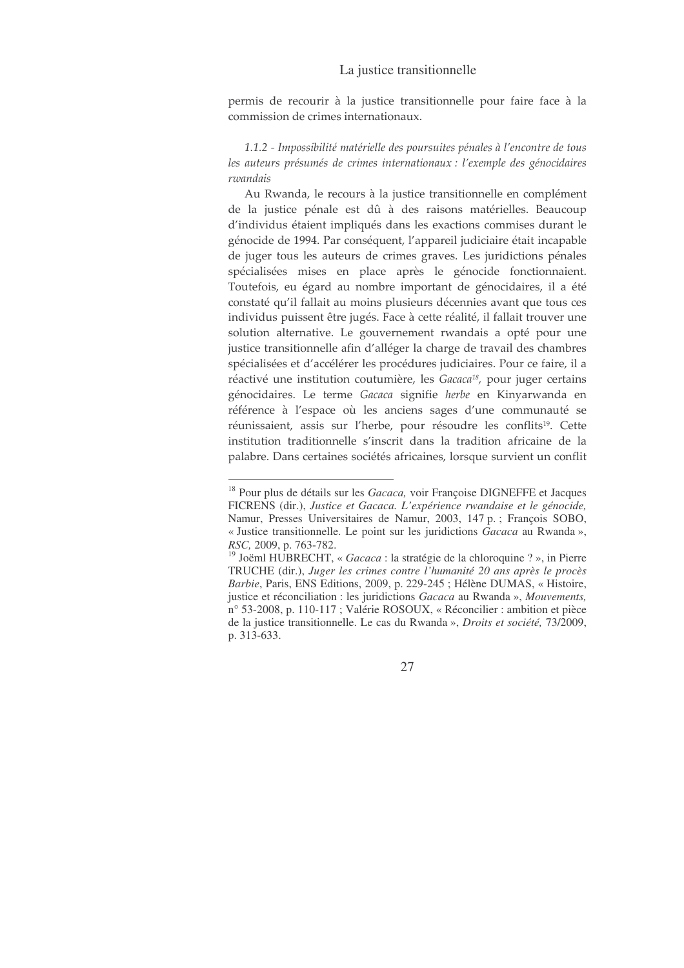permis de recourir à la justice transitionnelle pour faire face à la commission de crimes internationaux.

1.1.2 - Impossibilité matérielle des poursuites pénales à l'encontre de tous les auteurs présumés de crimes internationaux : l'exemple des génocidaires rwandais

Au Rwanda, le recours à la justice transitionnelle en complément de la justice pénale est dû à des raisons matérielles. Beaucoup d'individus étaient impliqués dans les exactions commises durant le génocide de 1994. Par conséquent, l'appareil judiciaire était incapable de juger tous les auteurs de crimes graves. Les juridictions pénales spécialisées mises en place après le génocide fonctionnaient. Toutefois, eu égard au nombre important de génocidaires, il a été constaté qu'il fallait au moins plusieurs décennies avant que tous ces individus puissent être jugés. Face à cette réalité, il fallait trouver une solution alternative. Le gouvernement rwandais a opté pour une justice transitionnelle afin d'alléger la charge de travail des chambres spécialisées et d'accélérer les procédures judiciaires. Pour ce faire, il a réactivé une institution coutumière, les Gacaca<sup>18</sup>, pour juger certains génocidaires. Le terme Gacaca signifie herbe en Kinyarwanda en référence à l'espace où les anciens sages d'une communauté se réunissaient, assis sur l'herbe, pour résoudre les conflits<sup>19</sup>. Cette institution traditionnelle s'inscrit dans la tradition africaine de la palabre. Dans certaines sociétés africaines, lorsque survient un conflit

<sup>&</sup>lt;sup>18</sup> Pour plus de détails sur les Gacaca, voir Françoise DIGNEFFE et Jacques FICRENS (dir.), Justice et Gacaca. L'expérience rwandaise et le génocide, Namur, Presses Universitaires de Namur, 2003, 147 p.; François SOBO, « Justice transitionnelle. Le point sur les juridictions Gacaca au Rwanda », RSC, 2009, p. 763-782.

<sup>&</sup>lt;sup>19</sup> Joëml HUBRECHT, « Gacaca : la stratégie de la chloroquine ? », in Pierre TRUCHE (dir.), Juger les crimes contre l'humanité 20 ans après le procès Barbie, Paris, ENS Editions, 2009, p. 229-245 ; Hélène DUMAS, « Histoire, justice et réconciliation : les juridictions Gacaca au Rwanda », Mouvements, n° 53-2008, p. 110-117 ; Valérie ROSOUX, « Réconcilier : ambition et pièce de la justice transitionnelle. Le cas du Rwanda », Droits et société, 73/2009, p. 313-633.

<sup>27</sup>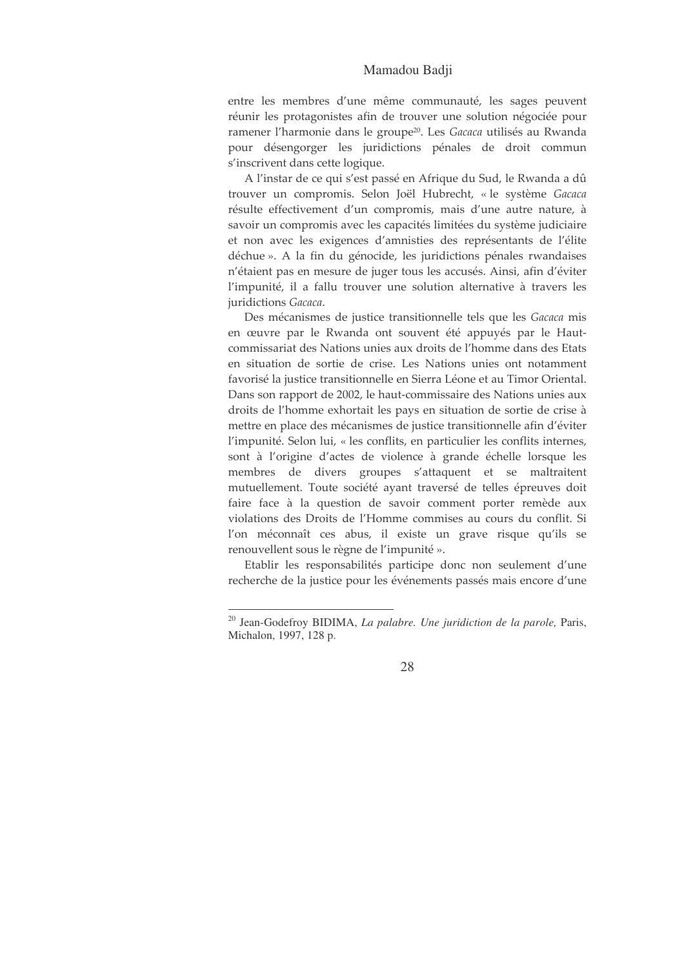#### Mamadou Badii

entre les membres d'une même communauté, les sages peuvent réunir les protagonistes afin de trouver une solution négociée pour ramener l'harmonie dans le groupe<sup>20</sup>. Les Gacaca utilisés au Rwanda pour désengorger les juridictions pénales de droit commun s'inscrivent dans cette logique.

A l'instar de ce qui s'est passé en Afrique du Sud, le Rwanda a dû trouver un compromis. Selon Joël Hubrecht, « le système Gacaca résulte effectivement d'un compromis, mais d'une autre nature, à savoir un compromis avec les capacités limitées du système judiciaire et non avec les exigences d'amnisties des représentants de l'élite déchue ». A la fin du génocide, les juridictions pénales rwandaises n'étaient pas en mesure de juger tous les accusés. Ainsi, afin d'éviter l'impunité, il a fallu trouver une solution alternative à travers les juridictions Gacaca.

Des mécanismes de justice transitionnelle tels que les Gacaca mis en œuvre par le Rwanda ont souvent été appuyés par le Hautcommissariat des Nations unies aux droits de l'homme dans des Etats en situation de sortie de crise. Les Nations unies ont notamment favorisé la justice transitionnelle en Sierra Léone et au Timor Oriental. Dans son rapport de 2002, le haut-commissaire des Nations unies aux droits de l'homme exhortait les pays en situation de sortie de crise à mettre en place des mécanismes de justice transitionnelle afin d'éviter l'impunité. Selon lui, « les conflits, en particulier les conflits internes, sont à l'origine d'actes de violence à grande échelle lorsque les membres de divers groupes s'attaquent et se maltraitent mutuellement. Toute société ayant traversé de telles épreuves doit faire face à la question de savoir comment porter remède aux violations des Droits de l'Homme commises au cours du conflit. Si l'on méconnaît ces abus, il existe un grave risque qu'ils se renouvellent sous le règne de l'impunité ».

Etablir les responsabilités participe donc non seulement d'une recherche de la justice pour les événements passés mais encore d'une

<sup>&</sup>lt;sup>20</sup> Jean-Godefroy BIDIMA, *La palabre. Une juridiction de la parole*, Paris, Michalon, 1997, 128 p.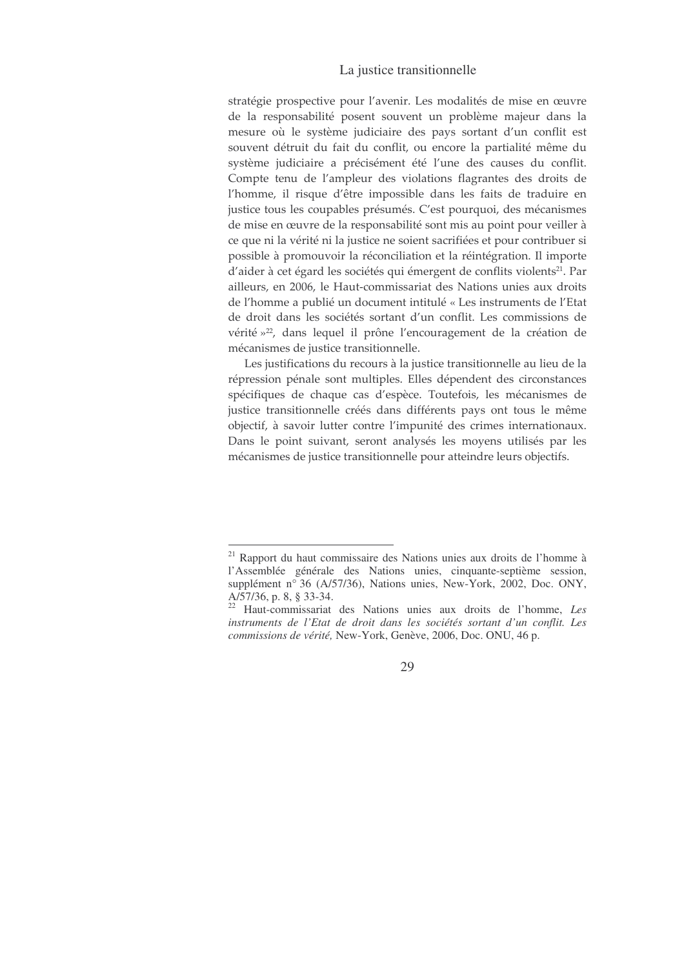stratégie prospective pour l'avenir. Les modalités de mise en œuvre de la responsabilité posent souvent un problème majeur dans la mesure où le système judiciaire des pays sortant d'un conflit est souvent détruit du fait du conflit, ou encore la partialité même du système judiciaire a précisément été l'une des causes du conflit. Compte tenu de l'ampleur des violations flagrantes des droits de l'homme, il risque d'être impossible dans les faits de traduire en justice tous les coupables présumés. C'est pourquoi, des mécanismes de mise en œuvre de la responsabilité sont mis au point pour veiller à ce que ni la vérité ni la justice ne soient sacrifiées et pour contribuer si possible à promouvoir la réconciliation et la réintégration. Il importe d'aider à cet égard les sociétés qui émergent de conflits violents<sup>21</sup>. Par ailleurs, en 2006, le Haut-commissariat des Nations unies aux droits de l'homme a publié un document intitulé « Les instruments de l'Etat de droit dans les sociétés sortant d'un conflit. Les commissions de vérité »<sup>22</sup>, dans lequel il prône l'encouragement de la création de mécanismes de justice transitionnelle.

Les justifications du recours à la justice transitionnelle au lieu de la répression pénale sont multiples. Elles dépendent des circonstances spécifiques de chaque cas d'espèce. Toutefois, les mécanismes de justice transitionnelle créés dans différents pays ont tous le même objectif, à savoir lutter contre l'impunité des crimes internationaux. Dans le point suivant, seront analysés les moyens utilisés par les mécanismes de justice transitionnelle pour atteindre leurs objectifs.

<sup>&</sup>lt;sup>21</sup> Rapport du haut commissaire des Nations unies aux droits de l'homme à l'Assemblée générale des Nations unies, cinquante-septième session, supplément nº 36 (A/57/36), Nations unies, New-York, 2002, Doc. ONY, A/57/36, p. 8, § 33-34.

<sup>&</sup>lt;sup>22</sup> Haut-commissariat des Nations unies aux droits de l'homme, Les instruments de l'Etat de droit dans les sociétés sortant d'un conflit. Les commissions de vérité, New-York, Genève, 2006, Doc. ONU, 46 p.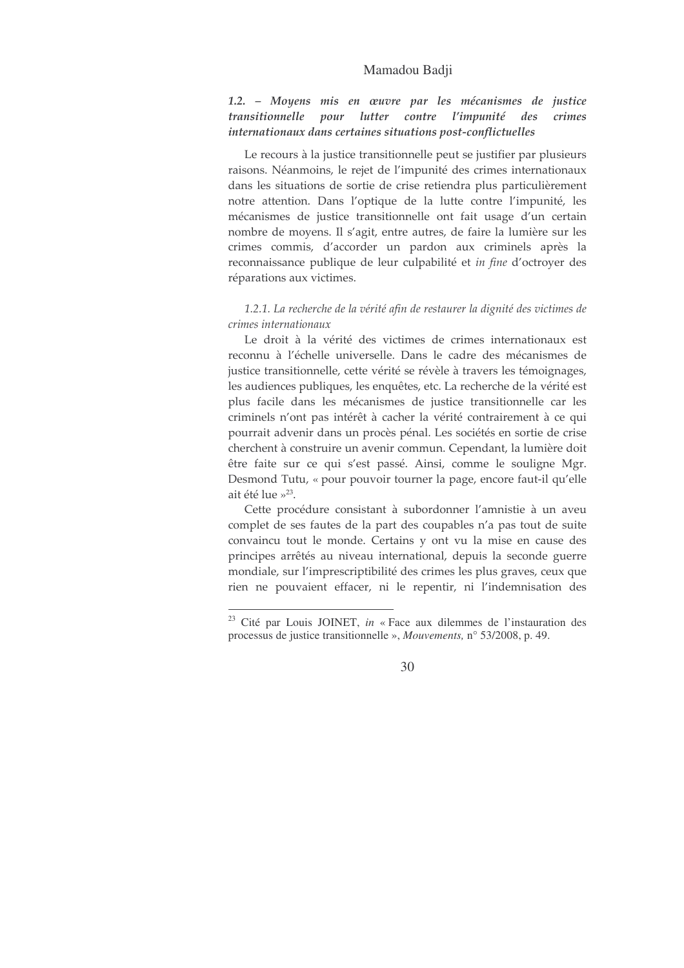#### Mamadou Badii

1.2. – Moyens mis en œuvre par les mécanismes de justice transitionnelle pour lutter contre l'impunité des crimes internationaux dans certaines situations post-conflictuelles

Le recours à la justice transitionnelle peut se justifier par plusieurs raisons. Néanmoins, le rejet de l'impunité des crimes internationaux dans les situations de sortie de crise retiendra plus particulièrement notre attention. Dans l'optique de la lutte contre l'impunité, les mécanismes de justice transitionnelle ont fait usage d'un certain nombre de moyens. Il s'agit, entre autres, de faire la lumière sur les crimes commis, d'accorder un pardon aux criminels après la reconnaissance publique de leur culpabilité et in fine d'octroyer des réparations aux victimes.

1.2.1. La recherche de la vérité afin de restaurer la dignité des victimes de crimes internationaux

Le droit à la vérité des victimes de crimes internationaux est reconnu à l'échelle universelle. Dans le cadre des mécanismes de justice transitionnelle, cette vérité se révèle à travers les témoignages, les audiences publiques, les enquêtes, etc. La recherche de la vérité est plus facile dans les mécanismes de justice transitionnelle car les criminels n'ont pas intérêt à cacher la vérité contrairement à ce qui pourrait advenir dans un procès pénal. Les sociétés en sortie de crise cherchent à construire un avenir commun. Cependant, la lumière doit être faite sur ce qui s'est passé. Ainsi, comme le souligne Mgr. Desmond Tutu, « pour pouvoir tourner la page, encore faut-il qu'elle ait été lue »<sup>23</sup>.

Cette procédure consistant à subordonner l'amnistie à un aveu complet de ses fautes de la part des coupables n'a pas tout de suite convaincu tout le monde. Certains y ont vu la mise en cause des principes arrêtés au niveau international, depuis la seconde guerre mondiale, sur l'imprescriptibilité des crimes les plus graves, ceux que rien ne pouvaient effacer, ni le repentir, ni l'indemnisation des

<sup>&</sup>lt;sup>23</sup> Cité par Louis JOINET, in « Face aux dilemmes de l'instauration des processus de justice transitionnelle », Mouvements, n° 53/2008, p. 49.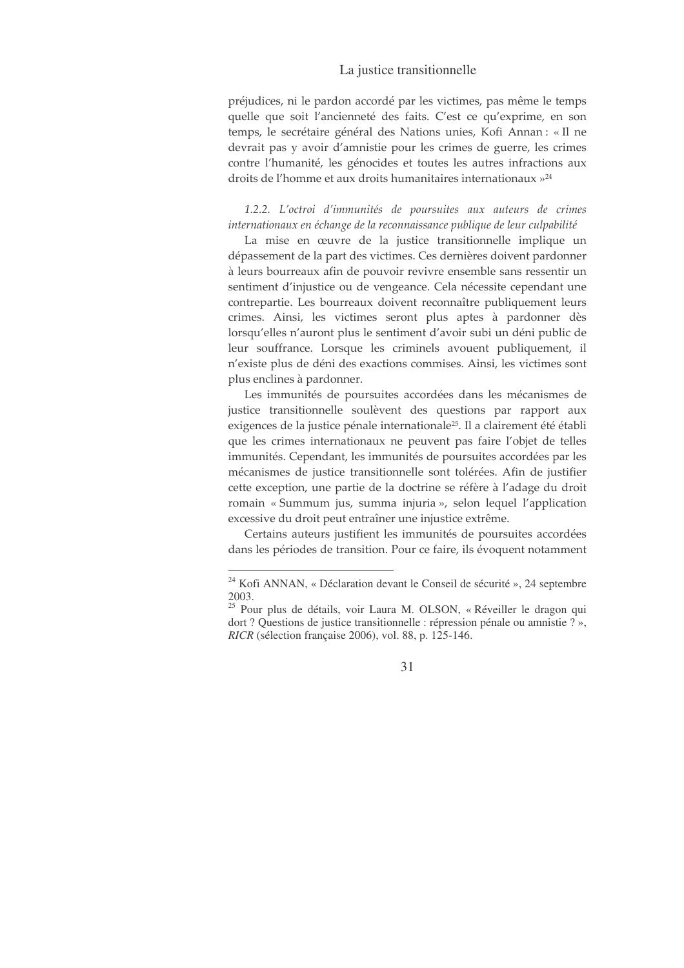préjudices, ni le pardon accordé par les victimes, pas même le temps quelle que soit l'ancienneté des faits. C'est ce qu'exprime, en son temps, le secrétaire général des Nations unies, Kofi Annan : « Il ne devrait pas y avoir d'amnistie pour les crimes de guerre, les crimes contre l'humanité, les génocides et toutes les autres infractions aux droits de l'homme et aux droits humanitaires internationaux »<sup>24</sup>

1.2.2. L'octroi d'immunités de poursuites aux auteurs de crimes internationaux en échange de la reconnaissance publique de leur culpabilité

La mise en œuvre de la justice transitionnelle implique un dépassement de la part des victimes. Ces dernières doivent pardonner à leurs bourreaux afin de pouvoir revivre ensemble sans ressentir un sentiment d'injustice ou de vengeance. Cela nécessite cependant une contrepartie. Les bourreaux doivent reconnaître publiquement leurs crimes. Ainsi, les victimes seront plus aptes à pardonner dès lorsqu'elles n'auront plus le sentiment d'avoir subi un déni public de leur souffrance. Lorsque les criminels avouent publiquement, il n'existe plus de déni des exactions commises. Ainsi, les victimes sont plus enclines à pardonner.

Les immunités de poursuites accordées dans les mécanismes de justice transitionnelle soulèvent des questions par rapport aux exigences de la justice pénale internationale<sup>25</sup>. Il a clairement été établi que les crimes internationaux ne peuvent pas faire l'objet de telles immunités. Cependant, les immunités de poursuites accordées par les mécanismes de justice transitionnelle sont tolérées. Afin de justifier cette exception, une partie de la doctrine se réfère à l'adage du droit romain « Summum jus, summa injuria », selon lequel l'application excessive du droit peut entraîner une injustice extrême.

Certains auteurs justifient les immunités de poursuites accordées dans les périodes de transition. Pour ce faire, ils évoquent notamment

<sup>&</sup>lt;sup>24</sup> Kofi ANNAN, « Déclaration devant le Conseil de sécurité », 24 septembre 2003.

<sup>&</sup>lt;sup>25</sup> Pour plus de détails, voir Laura M. OLSON, « Réveiller le dragon qui dort ? Questions de justice transitionnelle : répression pénale ou amnistie ? », RICR (sélection française 2006), vol. 88, p. 125-146.

<sup>31</sup>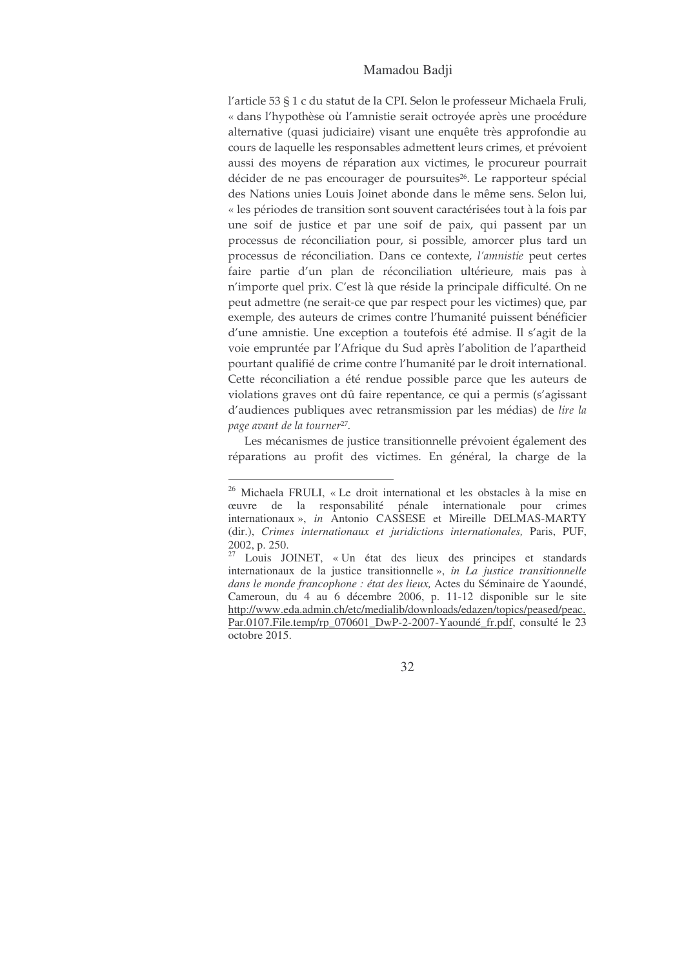# Mamadou Badji

l'article 53 § 1 c du statut de la CPI. Selon le professeur Michaela Fruli, « dans l'hypothèse où l'amnistie serait octroyée après une procédure alternative (quasi judiciaire) visant une enquête très approfondie au cours de laquelle les responsables admettent leurs crimes, et prévoient aussi des moyens de réparation aux victimes, le procureur pourrait décider de ne pas encourager de poursuites<sup>26</sup>. Le rapporteur spécial des Nations unies Louis Joinet abonde dans le même sens. Selon lui, « les périodes de transition sont souvent caractérisées tout à la fois par une soif de justice et par une soif de paix, qui passent par un processus de réconciliation pour, si possible, amorcer plus tard un processus de réconciliation. Dans ce contexte, l'amnistie peut certes faire partie d'un plan de réconciliation ultérieure, mais pas à n'importe quel prix. C'est là que réside la principale difficulté. On ne peut admettre (ne serait-ce que par respect pour les victimes) que, par exemple, des auteurs de crimes contre l'humanité puissent bénéficier d'une amnistie. Une exception a toutefois été admise. Il s'agit de la voie empruntée par l'Afrique du Sud après l'abolition de l'apartheid pourtant qualifié de crime contre l'humanité par le droit international. Cette réconciliation a été rendue possible parce que les auteurs de violations graves ont dû faire repentance, ce qui a permis (s'agissant d'audiences publiques avec retransmission par les médias) de lire la page avant de la tourner<sup>27</sup>.

Les mécanismes de justice transitionnelle prévoient également des réparations au profit des victimes. En général, la charge de la

<sup>&</sup>lt;sup>26</sup> Michaela FRULI, « Le droit international et les obstacles à la mise en ceuvre de la responsabilité pénale internationale pour crimes internationaux », in Antonio CASSESE et Mireille DELMAS-MARTY (dir.), Crimes internationaux et juridictions internationales, Paris, PUF, 2002, p. 250.

<sup>&</sup>lt;sup>27</sup> Louis JOINET, « Un état des lieux des principes et standards internationaux de la justice transitionnelle», in La justice transitionnelle dans le monde francophone : état des lieux, Actes du Séminaire de Yaoundé, Cameroun, du 4 au 6 décembre 2006, p. 11-12 disponible sur le site http://www.eda.admin.ch/etc/medialib/downloads/edazen/topics/peased/peac. Par.0107.File.temp/rp\_070601\_DwP-2-2007-Yaoundé\_fr.pdf, consulté le 23 octobre 2015.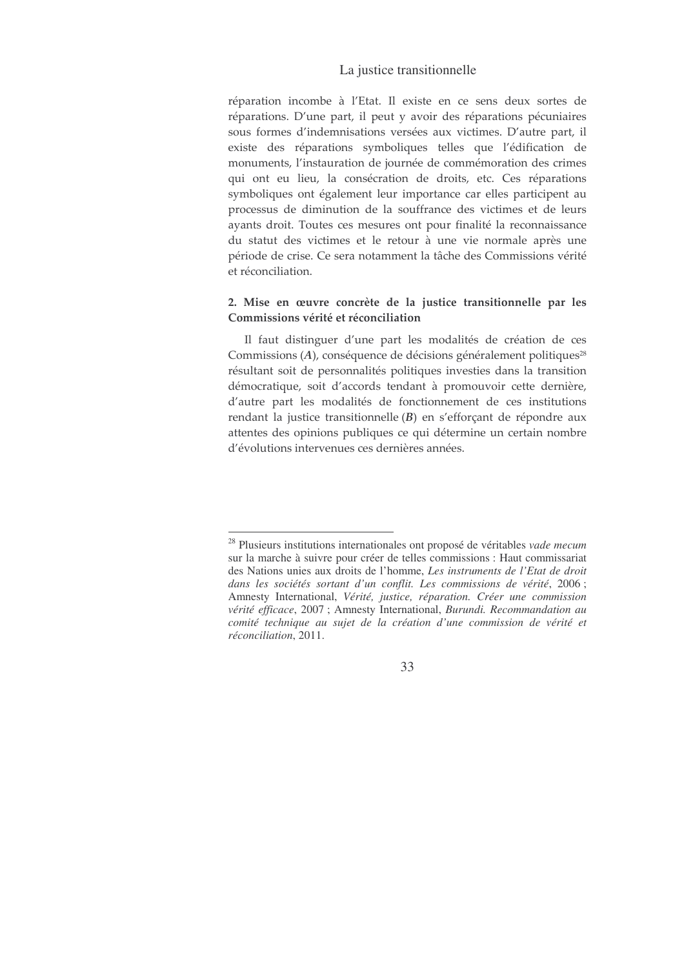réparation incombe à l'Etat. Il existe en ce sens deux sortes de réparations. D'une part, il peut y avoir des réparations pécuniaires sous formes d'indemnisations versées aux victimes. D'autre part, il existe des réparations symboliques telles que l'édification de monuments, l'instauration de journée de commémoration des crimes qui ont eu lieu, la consécration de droits, etc. Ces réparations symboliques ont également leur importance car elles participent au processus de diminution de la souffrance des victimes et de leurs ayants droit. Toutes ces mesures ont pour finalité la reconnaissance du statut des victimes et le retour à une vie normale après une période de crise. Ce sera notamment la tâche des Commissions vérité et réconciliation.

# 2. Mise en œuvre concrète de la justice transitionnelle par les Commissions vérité et réconciliation

Il faut distinguer d'une part les modalités de création de ces Commissions  $(A)$ , conséquence de décisions généralement politiques<sup>28</sup> résultant soit de personnalités politiques investies dans la transition démocratique, soit d'accords tendant à promouvoir cette dernière, d'autre part les modalités de fonctionnement de ces institutions rendant la justice transitionnelle $(B)$  en s'efforçant de répondre aux attentes des opinions publiques ce qui détermine un certain nombre d'évolutions intervenues ces dernières années.

<sup>28</sup> Plusieurs institutions internationales ont proposé de véritables *vade mecum* sur la marche à suivre pour créer de telles commissions : Haut commissariat des Nations unies aux droits de l'homme, *Les instruments de l'Etat de droit dans les sociétés sortant d'un conflit. Les commissions de vérité*, 2006 ; Amnesty International, *Vérité, justice, réparation. Créer une commission vérité efficace*, 2007 ; Amnesty International, *Burundi. Recommandation au comité technique au sujet de la création d'une commission de vérité et réconciliation*, 2011.

<sup>33</sup>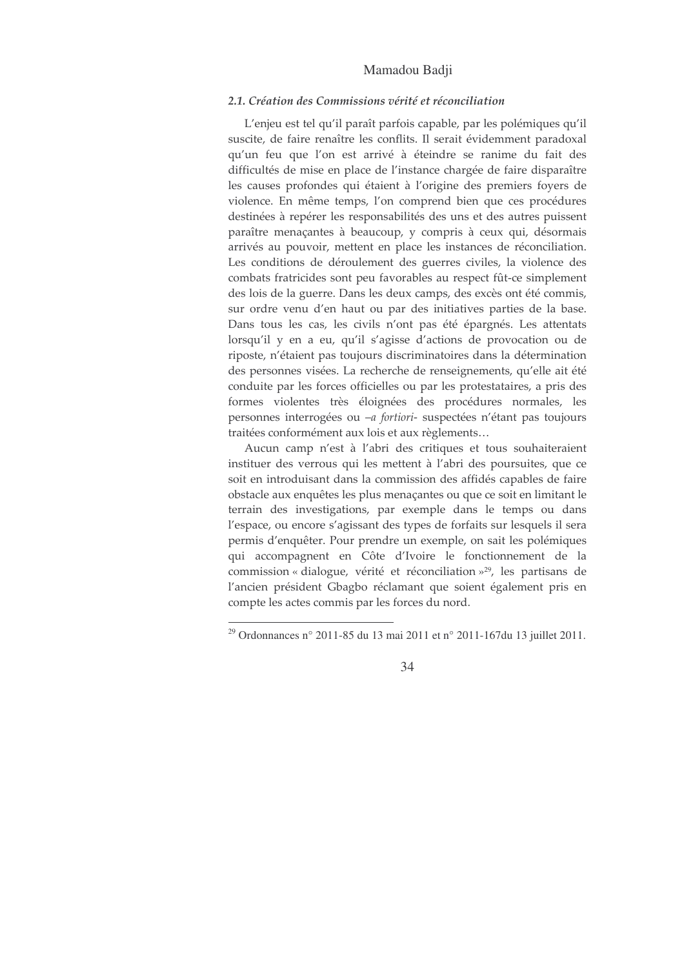# Mamadou Badji

# 2.1. Création des Commissions vérité et réconciliation

L'enjeu est tel qu'il paraît parfois capable, par les polémiques qu'il suscite, de faire renaître les conflits. Il serait évidemment paradoxal qu'un feu que l'on est arrivé à éteindre se ranime du fait des difficultés de mise en place de l'instance chargée de faire disparaître les causes profondes qui étaient à l'origine des premiers foyers de violence. En même temps, l'on comprend bien que ces procédures destinées à repérer les responsabilités des uns et des autres puissent paraître menaçantes à beaucoup, y compris à ceux qui, désormais arrivés au pouvoir, mettent en place les instances de réconciliation. Les conditions de déroulement des guerres civiles, la violence des combats fratricides sont peu favorables au respect fût-ce simplement des lois de la guerre. Dans les deux camps, des excès ont été commis, sur ordre venu d'en haut ou par des initiatives parties de la base. Dans tous les cas, les civils n'ont pas été épargnés. Les attentats lorsqu'il y en a eu, qu'il s'agisse d'actions de provocation ou de riposte, n'étaient pas toujours discriminatoires dans la détermination des personnes visées. La recherche de renseignements, qu'elle ait été conduite par les forces officielles ou par les protestataires, a pris des formes violentes très éloignées des procédures normales, les personnes interrogées ou -a fortiori- suspectées n'étant pas toujours traitées conformément aux lois et aux règlements...

Aucun camp n'est à l'abri des critiques et tous souhaiteraient instituer des verrous qui les mettent à l'abri des poursuites, que ce soit en introduisant dans la commission des affidés capables de faire obstacle aux enquêtes les plus menaçantes ou que ce soit en limitant le terrain des investigations, par exemple dans le temps ou dans l'espace, ou encore s'agissant des types de forfaits sur lesquels il sera permis d'enquêter. Pour prendre un exemple, on sait les polémiques qui accompagnent en Côte d'Ivoire le fonctionnement de la commission « dialogue, vérité et réconciliation »<sup>29</sup>, les partisans de l'ancien président Gbagbo réclamant que soient également pris en compte les actes commis par les forces du nord.

<sup>&</sup>lt;sup>29</sup> Ordonnances n° 2011-85 du 13 mai 2011 et n° 2011-167 du 13 juillet 2011.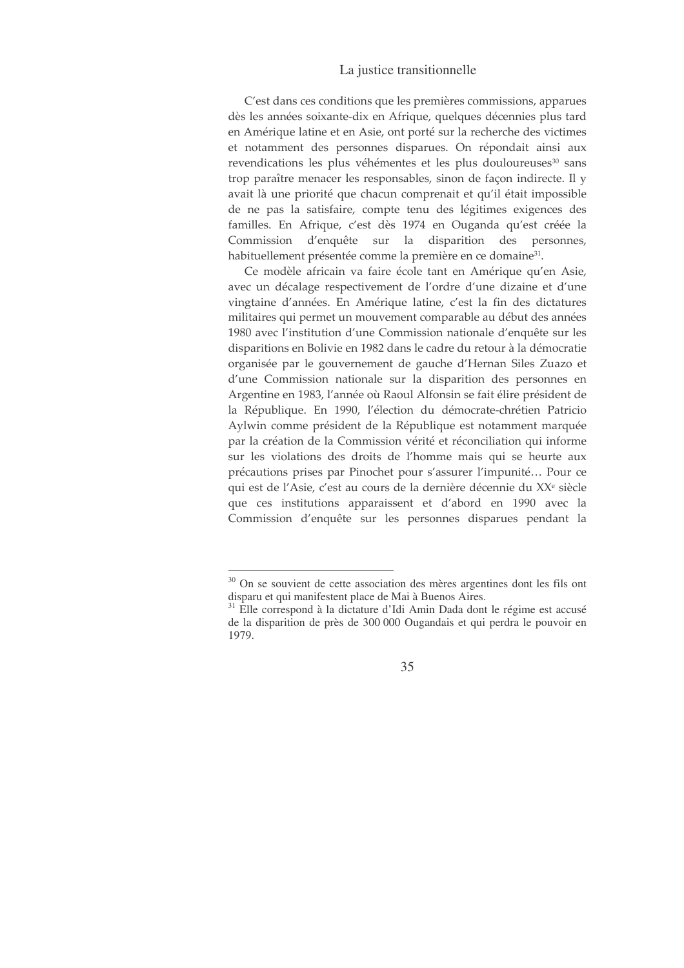C'est dans ces conditions que les premières commissions, apparues dès les années soixante-dix en Afrique, quelques décennies plus tard en Amérique latine et en Asie, ont porté sur la recherche des victimes et notamment des personnes disparues. On répondait ainsi aux revendications les plus véhémentes et les plus douloureuses<sup>30</sup> sans trop paraître menacer les responsables, sinon de façon indirecte. Il y avait là une priorité que chacun comprenait et qu'il était impossible de ne pas la satisfaire, compte tenu des légitimes exigences des familles. En Afrique, c'est dès 1974 en Ouganda qu'est créée la Commission d'enquête sur la disparition des personnes, habituellement présentée comme la première en ce domaine<sup>31</sup>.

Ce modèle africain va faire école tant en Amérique qu'en Asie, avec un décalage respectivement de l'ordre d'une dizaine et d'une vingtaine d'années. En Amérique latine, c'est la fin des dictatures militaires qui permet un mouvement comparable au début des années 1980 avec l'institution d'une Commission nationale d'enquête sur les disparitions en Bolivie en 1982 dans le cadre du retour à la démocratie organisée par le gouvernement de gauche d'Hernan Siles Zuazo et d'une Commission nationale sur la disparition des personnes en Argentine en 1983, l'année où Raoul Alfonsin se fait élire président de la République. En 1990, l'élection du démocrate-chrétien Patricio Aylwin comme président de la République est notamment marquée par la création de la Commission vérité et réconciliation qui informe sur les violations des droits de l'homme mais qui se heurte aux précautions prises par Pinochet pour s'assurer l'impunité... Pour ce qui est de l'Asie, c'est au cours de la dernière décennie du XX<sup>e</sup> siècle que ces institutions apparaissent et d'abord en 1990 avec la Commission d'enquête sur les personnes disparues pendant la

<sup>&</sup>lt;sup>30</sup> On se souvient de cette association des mères argentines dont les fils ont disparu et qui manifestent place de Mai à Buenos Aires.

<sup>&</sup>lt;sup>31</sup> Elle correspond à la dictature d'Idi Amin Dada dont le régime est accusé de la disparition de près de 300 000 Ougandais et qui perdra le pouvoir en 1979.

<sup>35</sup>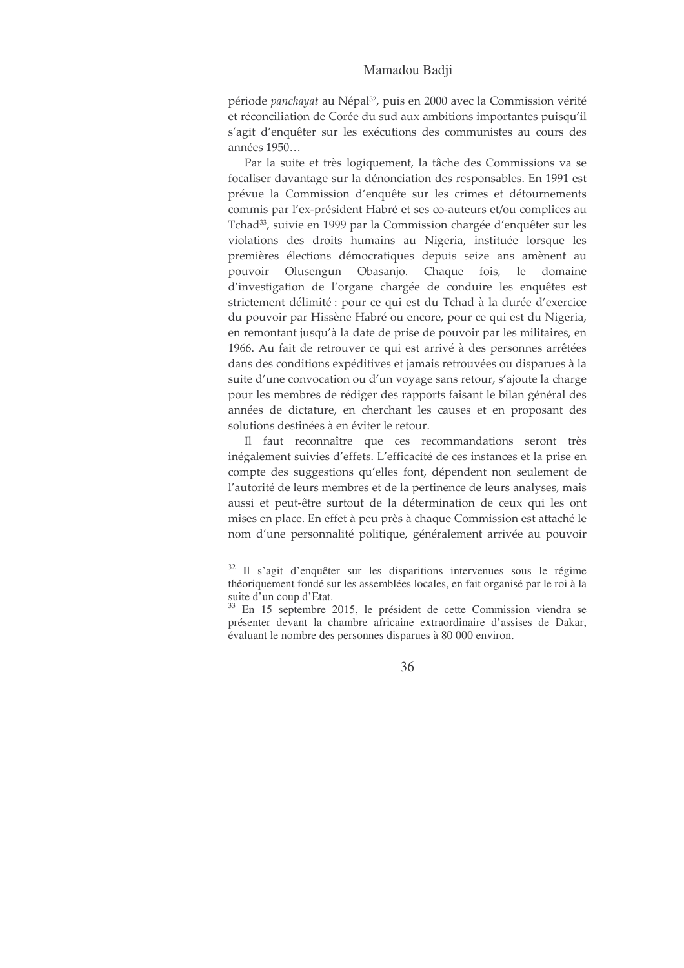### Mamadou Badii

période panchayat au Népal<sup>32</sup>, puis en 2000 avec la Commission vérité et réconciliation de Corée du sud aux ambitions importantes puisqu'il s'agit d'enquêter sur les exécutions des communistes au cours des années 1950...

Par la suite et très logiquement, la tâche des Commissions va se focaliser davantage sur la dénonciation des responsables. En 1991 est prévue la Commission d'enquête sur les crimes et détournements commis par l'ex-président Habré et ses co-auteurs et/ou complices au Tchad<sup>33</sup>, suivie en 1999 par la Commission chargée d'enquêter sur les violations des droits humains au Nigeria, instituée lorsque les premières élections démocratiques depuis seize ans amènent au pouvoir Olusengun Obasanjo. Chaque fois, le domaine d'investigation de l'organe chargée de conduire les enquêtes est strictement délimité : pour ce qui est du Tchad à la durée d'exercice du pouvoir par Hissène Habré ou encore, pour ce qui est du Nigeria, en remontant jusqu'à la date de prise de pouvoir par les militaires, en 1966. Au fait de retrouver ce qui est arrivé à des personnes arrêtées dans des conditions expéditives et jamais retrouvées ou disparues à la suite d'une convocation ou d'un voyage sans retour, s'ajoute la charge pour les membres de rédiger des rapports faisant le bilan général des années de dictature, en cherchant les causes et en proposant des solutions destinées à en éviter le retour.

Il faut reconnaître que ces recommandations seront très inégalement suivies d'effets. L'efficacité de ces instances et la prise en compte des suggestions qu'elles font, dépendent non seulement de l'autorité de leurs membres et de la pertinence de leurs analyses, mais aussi et peut-être surtout de la détermination de ceux qui les ont mises en place. En effet à peu près à chaque Commission est attaché le nom d'une personnalité politique, généralement arrivée au pouvoir

<sup>&</sup>lt;sup>32</sup> Il s'agit d'enquêter sur les disparitions intervenues sous le régime théoriquement fondé sur les assemblées locales, en fait organisé par le roi à la suite d'un coup d'Etat.

<sup>&</sup>lt;sup>33</sup> En 15 septembre 2015, le président de cette Commission viendra se présenter devant la chambre africaine extraordinaire d'assises de Dakar, évaluant le nombre des personnes disparues à 80 000 environ.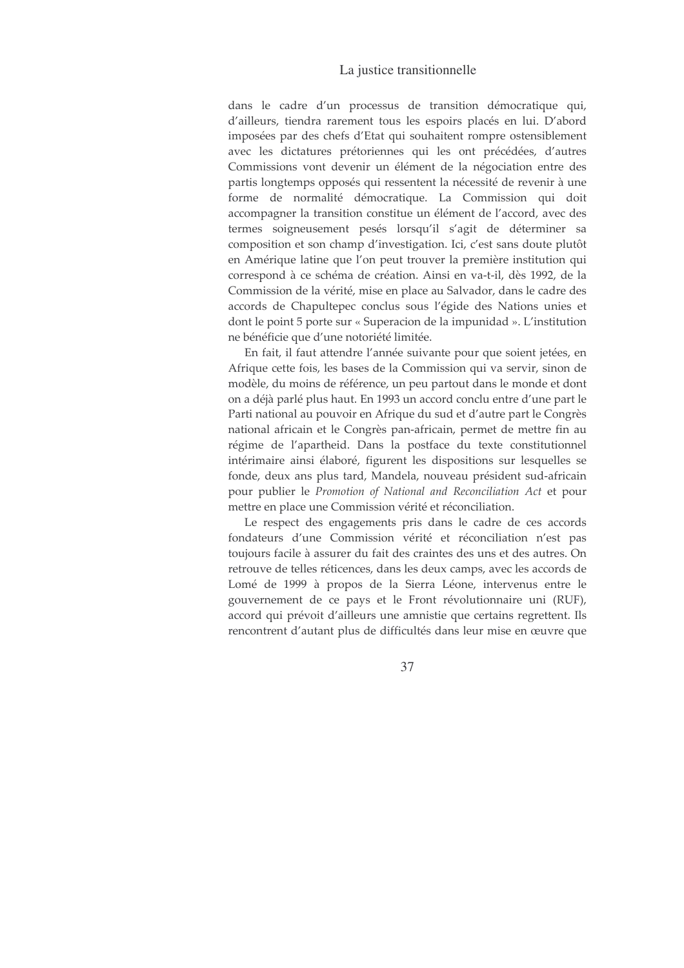## La justice transitionnelle

dans le cadre d'un processus de transition démocratique qui, d'ailleurs, tiendra rarement tous les espoirs placés en lui. D'abord imposées par des chefs d'Etat qui souhaitent rompre ostensiblement avec les dictatures prétoriennes qui les ont précédées, d'autres Commissions vont devenir un élément de la négociation entre des partis longtemps opposés qui ressentent la nécessité de revenir à une forme de normalité démocratique. La Commission qui doit accompagner la transition constitue un élément de l'accord, avec des termes soigneusement pesés lorsqu'il s'agit de déterminer sa composition et son champ d'investigation. Ici, c'est sans doute plutôt en Amérique latine que l'on peut trouver la première institution qui correspond à ce schéma de création. Ainsi en va-t-il, dès 1992, de la Commission de la vérité, mise en place au Salvador, dans le cadre des accords de Chapultepec conclus sous l'égide des Nations unies et dont le point 5 porte sur « Superacion de la impunidad ». L'institution ne bénéficie que d'une notoriété limitée.

En fait, il faut attendre l'année suivante pour que soient jetées, en Afrique cette fois, les bases de la Commission qui va servir, sinon de modèle, du moins de référence, un peu partout dans le monde et dont on a déjà parlé plus haut. En 1993 un accord conclu entre d'une part le Parti national au pouvoir en Afrique du sud et d'autre part le Congrès national africain et le Congrès pan-africain, permet de mettre fin au régime de l'apartheid. Dans la postface du texte constitutionnel intérimaire ainsi élaboré, figurent les dispositions sur lesquelles se fonde, deux ans plus tard, Mandela, nouveau président sud-africain pour publier le Promotion of National and Reconciliation Act et pour mettre en place une Commission vérité et réconciliation.

Le respect des engagements pris dans le cadre de ces accords fondateurs d'une Commission vérité et réconciliation n'est pas toujours facile à assurer du fait des craintes des uns et des autres. On retrouve de telles réticences, dans les deux camps, avec les accords de Lomé de 1999 à propos de la Sierra Léone, intervenus entre le gouvernement de ce pays et le Front révolutionnaire uni (RUF), accord qui prévoit d'ailleurs une amnistie que certains regrettent. Ils rencontrent d'autant plus de difficultés dans leur mise en œuvre que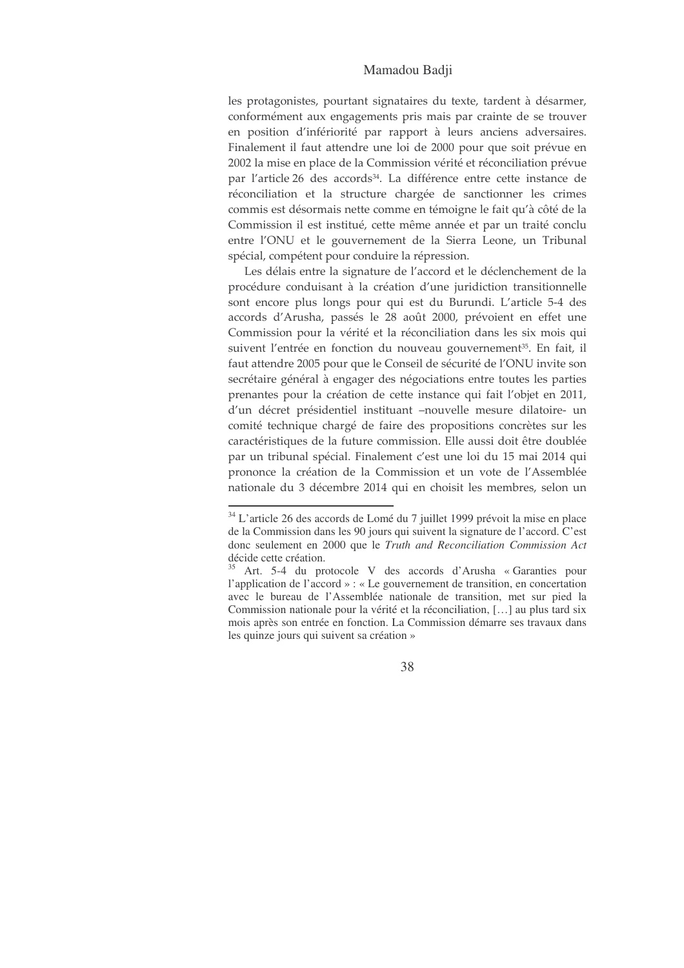### Mamadou Badji

les protagonistes, pourtant signataires du texte, tardent à désarmer, conformément aux engagements pris mais par crainte de se trouver en position d'infériorité par rapport à leurs anciens adversaires. Finalement il faut attendre une loi de 2000 pour que soit prévue en 2002 la mise en place de la Commission vérité et réconciliation prévue par l'article 26 des accords<sup>34</sup>. La différence entre cette instance de réconciliation et la structure chargée de sanctionner les crimes commis est désormais nette comme en témoigne le fait qu'à côté de la Commission il est institué, cette même année et par un traité conclu entre l'ONU et le gouvernement de la Sierra Leone, un Tribunal spécial, compétent pour conduire la répression.

Les délais entre la signature de l'accord et le déclenchement de la procédure conduisant à la création d'une juridiction transitionnelle sont encore plus longs pour qui est du Burundi. L'article 5-4 des accords d'Arusha, passés le 28 août 2000, prévoient en effet une Commission pour la vérité et la réconciliation dans les six mois qui suivent l'entrée en fonction du nouveau gouvernement<sup>35</sup>. En fait, il faut attendre 2005 pour que le Conseil de sécurité de l'ONU invite son secrétaire général à engager des négociations entre toutes les parties prenantes pour la création de cette instance qui fait l'objet en 2011, d'un décret présidentiel instituant -nouvelle mesure dilatoire- un comité technique chargé de faire des propositions concrètes sur les caractéristiques de la future commission. Elle aussi doit être doublée par un tribunal spécial. Finalement c'est une loi du 15 mai 2014 qui prononce la création de la Commission et un vote de l'Assemblée nationale du 3 décembre 2014 qui en choisit les membres, selon un

<sup>&</sup>lt;sup>34</sup> L'article 26 des accords de Lomé du 7 juillet 1999 prévoit la mise en place de la Commission dans les 90 jours qui suivent la signature de l'accord. C'est donc seulement en 2000 que le Truth and Reconciliation Commission Act décide cette création.

<sup>&</sup>lt;sup>35</sup> Art. 5-4 du protocole V des accords d'Arusha « Garanties pour l'application de l'accord » : « Le gouvernement de transition, en concertation avec le bureau de l'Assemblée nationale de transition, met sur pied la Commission nationale pour la vérité et la réconciliation, [...] au plus tard six mois après son entrée en fonction. La Commission démarre ses travaux dans les quinze jours qui suivent sa création »

<sup>38</sup>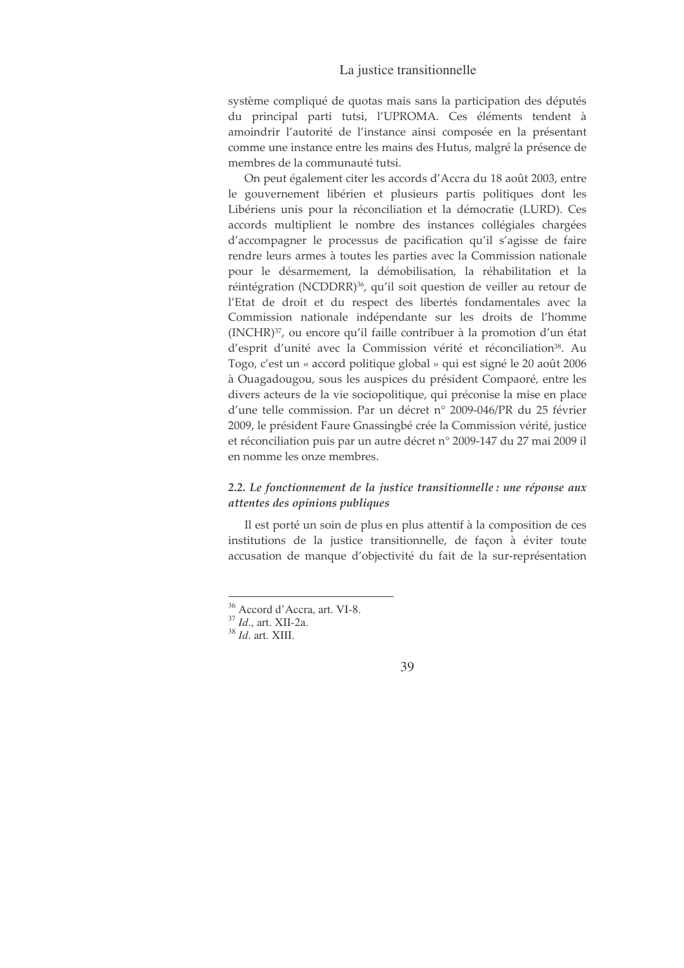### La justice transitionnelle

système compliqué de quotas mais sans la participation des députés du principal parti tutsi, l'UPROMA. Ces éléments tendent à amoindrir l'autorité de l'instance ainsi composée en la présentant comme une instance entre les mains des Hutus, malgré la présence de membres de la communauté tutsi.

On peut également citer les accords d'Accra du 18 août 2003, entre le gouvernement libérien et plusieurs partis politiques dont les Libériens unis pour la réconciliation et la démocratie (LURD). Ces accords multiplient le nombre des instances collégiales chargées d'accompagner le processus de pacification qu'il s'agisse de faire rendre leurs armes à toutes les parties avec la Commission nationale pour le désarmement, la démobilisation, la réhabilitation et la réintégration (NCDDRR)<sup>36</sup>, qu'il soit question de veiller au retour de l'Etat de droit et du respect des libertés fondamentales avec la Commission nationale indépendante sur les droits de l'homme (INCHR)<sup>37</sup>, ou encore qu'il faille contribuer à la promotion d'un état d'esprit d'unité avec la Commission vérité et réconciliation<sup>38</sup>. Au Togo, c'est un « accord politique global » qui est signé le 20 août 2006 à Ouagadougou, sous les auspices du président Compaoré, entre les divers acteurs de la vie sociopolitique, qui préconise la mise en place d'une telle commission. Par un décret n° 2009-046/PR du 25 février 2009, le président Faure Gnassingbé crée la Commission vérité, justice et réconciliation puis par un autre décret n° 2009-147 du 27 mai 2009 il en nomme les onze membres.

# 2.2. Le fonctionnement de la justice transitionnelle : une réponse aux attentes des opinions publiques

Il est porté un soin de plus en plus attentif à la composition de ces institutions de la justice transitionnelle, de façon à éviter toute accusation de manque d'objectivité du fait de la sur-représentation

<sup>&</sup>lt;sup>36</sup> Accord d'Accra, art. VI-8.

 $^{37}$   $\mathit{Id.},$  art. XII-2a.

 $38$  *Id.* art. XIII.

<sup>39</sup>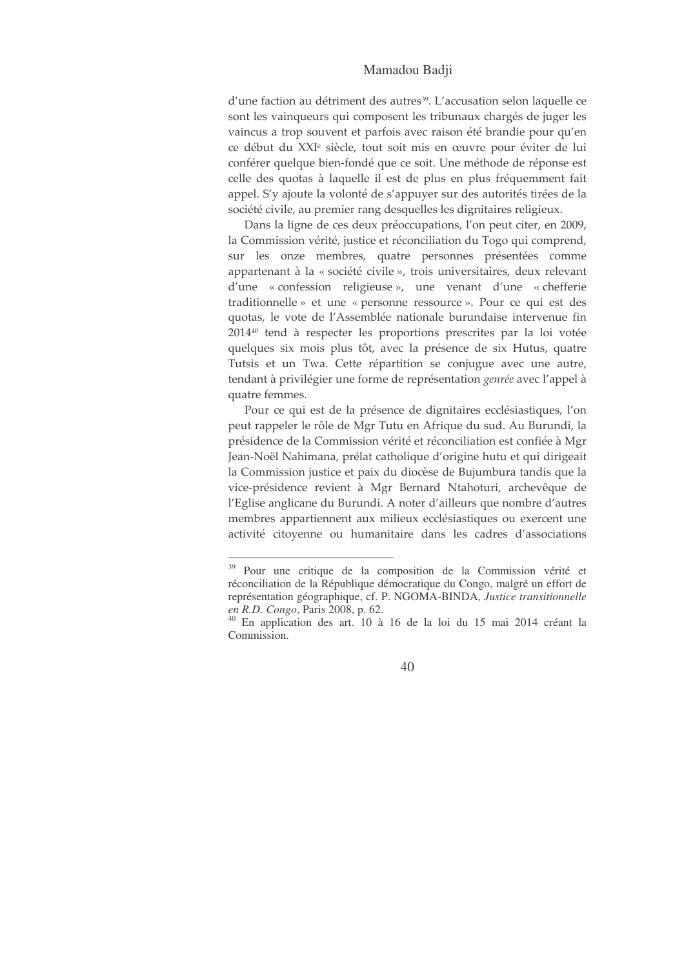### Mamadou Badii

d'une faction au détriment des autres<sup>39</sup>. L'accusation selon laquelle ce sont les vainqueurs qui composent les tribunaux chargés de juger les vaincus a trop souvent et parfois avec raison été brandie pour qu'en ce début du XXI<sup>e</sup> siècle, tout soit mis en œuvre pour éviter de lui conférer quelque bien-fondé que ce soit. Une méthode de réponse est celle des quotas à laquelle il est de plus en plus fréquemment fait appel. S'y ajoute la volonté de s'appuyer sur des autorités tirées de la société civile, au premier rang desquelles les dignitaires religieux.

Dans la ligne de ces deux préoccupations, l'on peut citer, en 2009, la Commission vérité, justice et réconciliation du Togo qui comprend, sur les onze membres, quatre personnes présentées comme appartenant à la « société civile », trois universitaires, deux relevant d'une « confession religieuse », une venant d'une « chefferie traditionnelle » et une « personne ressource ». Pour ce qui est des quotas, le vote de l'Assemblée nationale burundaise intervenue fin 2014<sup>40</sup> tend à respecter les proportions prescrites par la loi votée quelques six mois plus tôt, avec la présence de six Hutus, quatre Tutsis et un Twa. Cette répartition se conjugue avec une autre, tendant à privilégier une forme de représentation genrée avec l'appel à quatre femmes.

Pour ce qui est de la présence de dignitaires ecclésiastiques, l'on peut rappeler le rôle de Mgr Tutu en Afrique du sud. Au Burundi, la présidence de la Commission vérité et réconciliation est confiée à Mgr Jean-Noël Nahimana, prélat catholique d'origine hutu et qui dirigeait la Commission justice et paix du diocèse de Bujumbura tandis que la vice-présidence revient à Mgr Bernard Ntahoturi, archevêque de l'Eglise anglicane du Burundi. A noter d'ailleurs que nombre d'autres membres appartiennent aux milieux ecclésiastiques ou exercent une activité citoyenne ou humanitaire dans les cadres d'associations

<sup>&</sup>lt;sup>39</sup> Pour une critique de la composition de la Commission vérité et réconciliation de la République démocratique du Congo, malgré un effort de représentation géographique, cf. P. NGOMA-BINDA, Justice transitionnelle en R.D. Congo, Paris 2008, p. 62.

 $40$  En application des art.  $10$  à 16 de la loi du 15 mai 2014 créant la Commission.

<sup>40</sup>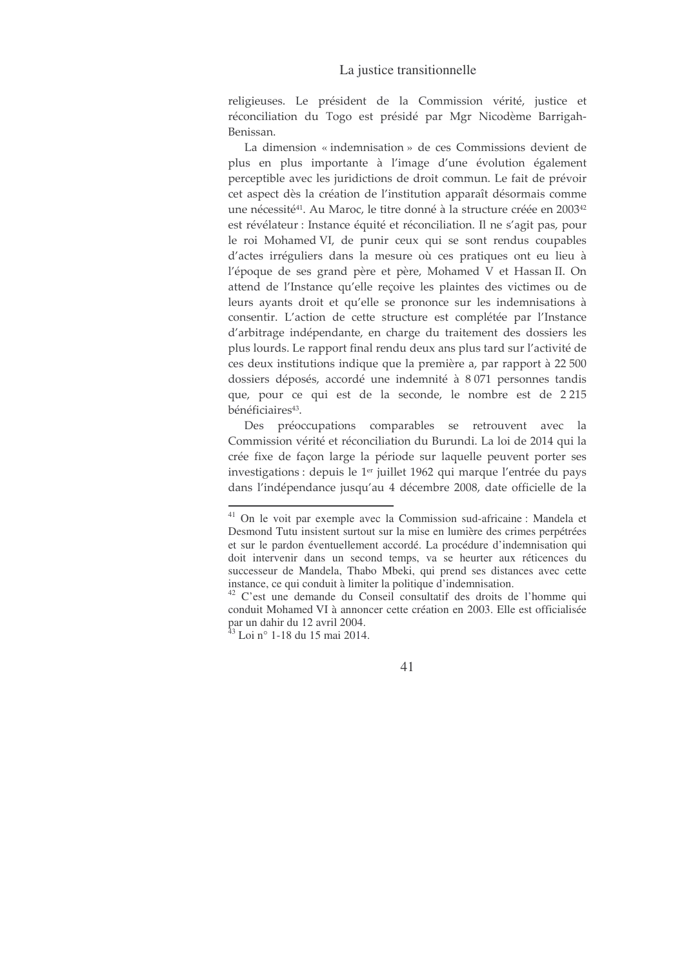### La justice transitionnelle

religieuses. Le président de la Commission vérité, justice et réconciliation du Togo est présidé par Mgr Nicodème Barrigah-Benissan.

La dimension « indemnisation » de ces Commissions devient de plus en plus importante à l'image d'une évolution également perceptible avec les juridictions de droit commun. Le fait de prévoir cet aspect dès la création de l'institution apparaît désormais comme une nécessité<sup>41</sup>. Au Maroc, le titre donné à la structure créée en 2003<sup>42</sup> est révélateur : Instance équité et réconciliation. Il ne s'agit pas, pour le roi Mohamed VI, de punir ceux qui se sont rendus coupables d'actes irréguliers dans la mesure où ces pratiques ont eu lieu à l'époque de ses grand père et père, Mohamed V et Hassan II. On attend de l'Instance qu'elle recoive les plaintes des victimes ou de leurs ayants droit et qu'elle se prononce sur les indemnisations à consentir. L'action de cette structure est complétée par l'Instance d'arbitrage indépendante, en charge du traitement des dossiers les plus lourds. Le rapport final rendu deux ans plus tard sur l'activité de ces deux institutions indique que la première a, par rapport à 22 500 dossiers déposés, accordé une indemnité à 8071 personnes tandis que, pour ce qui est de la seconde, le nombre est de 2215 bénéficiaires<sup>43</sup>.

Des préoccupations comparables se retrouvent avec  $\Box$ Commission vérité et réconciliation du Burundi. La loi de 2014 qui la crée fixe de façon large la période sur laquelle peuvent porter ses investigations : depuis le 1<sup>er</sup> juillet 1962 qui marque l'entrée du pays dans l'indépendance jusqu'au 4 décembre 2008, date officielle de la

<sup>&</sup>lt;sup>41</sup> On le voit par exemple avec la Commission sud-africaine : Mandela et Desmond Tutu insistent surtout sur la mise en lumière des crimes perpétrées et sur le pardon éventuellement accordé. La procédure d'indemnisation qui doit intervenir dans un second temps, va se heurter aux réticences du successeur de Mandela, Thabo Mbeki, qui prend ses distances avec cette instance, ce qui conduit à limiter la politique d'indemnisation.

<sup>&</sup>lt;sup>42</sup> C'est une demande du Conseil consultatif des droits de l'homme qui conduit Mohamed VI à annoncer cette création en 2003. Elle est officialisée par un dahir du 12 avril 2004.<br><sup>43</sup> Loi n° 1-18 du 15 mai 2014.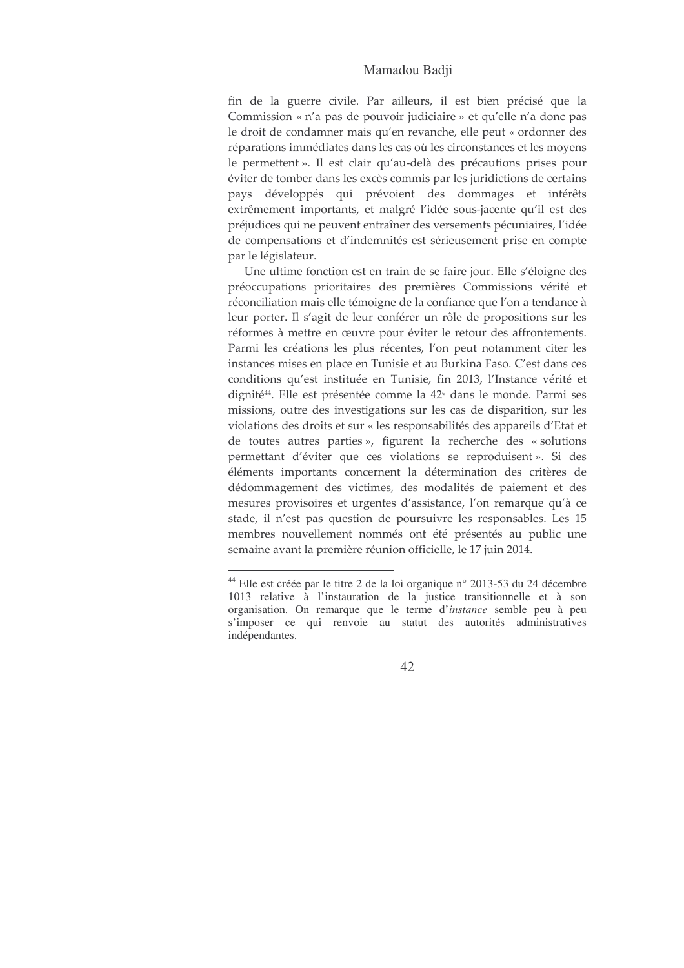### Mamadou Badji

fin de la guerre civile. Par ailleurs, il est bien précisé que la Commission « n'a pas de pouvoir judiciaire » et qu'elle n'a donc pas le droit de condamner mais qu'en revanche, elle peut « ordonner des réparations immédiates dans les cas où les circonstances et les moyens le permettent ». Il est clair qu'au-delà des précautions prises pour éviter de tomber dans les excès commis par les juridictions de certains pays développés qui prévoient des dommages et intérêts extrêmement importants, et malgré l'idée sous-jacente qu'il est des préjudices qui ne peuvent entraîner des versements pécuniaires, l'idée de compensations et d'indemnités est sérieusement prise en compte par le législateur.

Une ultime fonction est en train de se faire jour. Elle s'éloigne des préoccupations prioritaires des premières Commissions vérité et réconciliation mais elle témoigne de la confiance que l'on a tendance à leur porter. Il s'agit de leur conférer un rôle de propositions sur les réformes à mettre en œuvre pour éviter le retour des affrontements. Parmi les créations les plus récentes, l'on peut notamment citer les instances mises en place en Tunisie et au Burkina Faso. C'est dans ces conditions qu'est instituée en Tunisie, fin 2013, l'Instance vérité et dignité<sup>44</sup>. Elle est présentée comme la 42<sup>e</sup> dans le monde. Parmi ses missions, outre des investigations sur les cas de disparition, sur les violations des droits et sur « les responsabilités des appareils d'Etat et de toutes autres parties», figurent la recherche des « solutions permettant d'éviter que ces violations se reproduisent ». Si des éléments importants concernent la détermination des critères de dédommagement des victimes, des modalités de paiement et des mesures provisoires et urgentes d'assistance, l'on remarque qu'à ce stade, il n'est pas question de poursuivre les responsables. Les 15 membres nouvellement nommés ont été présentés au public une semaine avant la première réunion officielle, le 17 juin 2014.

<sup>&</sup>lt;sup>44</sup> Elle est créée par le titre 2 de la loi organique n° 2013-53 du 24 décembre 1013 relative à l'instauration de la justice transitionnelle et à son organisation. On remarque que le terme d'instance semble peu à peu s'imposer ce qui renvoie au statut des autorités administratives indépendantes.

<sup>42</sup>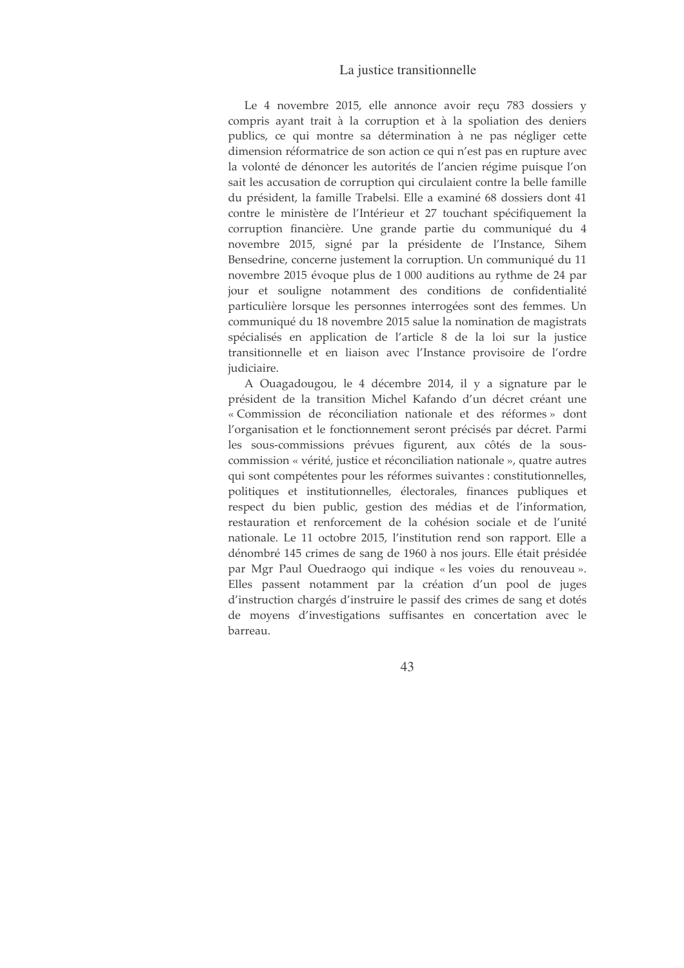## La justice transitionnelle

Le 4 novembre 2015, elle annonce avoir reçu 783 dossiers y compris avant trait à la corruption et à la spoliation des deniers publics, ce qui montre sa détermination à ne pas négliger cette dimension réformatrice de son action ce qui n'est pas en rupture avec la volonté de dénoncer les autorités de l'ancien régime puisque l'on sait les accusation de corruption qui circulaient contre la belle famille du président, la famille Trabelsi. Elle a examiné 68 dossiers dont 41 contre le ministère de l'Intérieur et 27 touchant spécifiquement la corruption financière. Une grande partie du communiqué du 4 novembre 2015, signé par la présidente de l'Instance, Sihem Bensedrine, concerne justement la corruption. Un communiqué du 11 novembre 2015 évoque plus de 1 000 auditions au rythme de 24 par jour et souligne notamment des conditions de confidentialité particulière lorsque les personnes interrogées sont des femmes. Un communiqué du 18 novembre 2015 salue la nomination de magistrats spécialisés en application de l'article 8 de la loi sur la justice transitionnelle et en liaison avec l'Instance provisoire de l'ordre judiciaire.

A Ouagadougou, le 4 décembre 2014, il y a signature par le président de la transition Michel Kafando d'un décret créant une « Commission de réconciliation nationale et des réformes » dont l'organisation et le fonctionnement seront précisés par décret. Parmi les sous-commissions prévues figurent, aux côtés de la souscommission « vérité, justice et réconciliation nationale », quatre autres qui sont compétentes pour les réformes suivantes : constitutionnelles, politiques et institutionnelles, électorales, finances publiques et respect du bien public, gestion des médias et de l'information, restauration et renforcement de la cohésion sociale et de l'unité nationale. Le 11 octobre 2015, l'institution rend son rapport. Elle a dénombré 145 crimes de sang de 1960 à nos jours. Elle était présidée par Mgr Paul Ouedraogo qui indique « les voies du renouveau ». Elles passent notamment par la création d'un pool de juges d'instruction chargés d'instruire le passif des crimes de sang et dotés de moyens d'investigations suffisantes en concertation avec le barreau.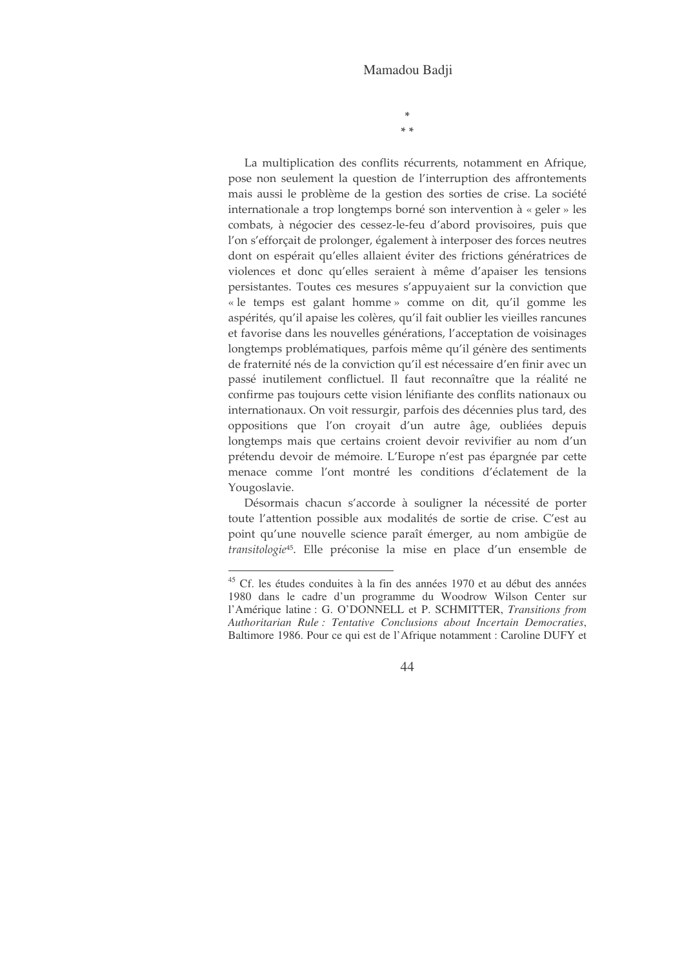$*$  \*

La multiplication des conflits récurrents, notamment en Afrique, pose non seulement la question de l'interruption des affrontements mais aussi le problème de la gestion des sorties de crise. La société internationale a trop longtemps borné son intervention à « geler » les combats, à négocier des cessez-le-feu d'abord provisoires, puis que l'on s'efforçait de prolonger, également à interposer des forces neutres dont on espérait qu'elles allaient éviter des frictions génératrices de violences et donc qu'elles seraient à même d'apaiser les tensions persistantes. Toutes ces mesures s'appuyaient sur la conviction que « le temps est galant homme » comme on dit, qu'il gomme les aspérités, qu'il apaise les colères, qu'il fait oublier les vieilles rancunes et favorise dans les nouvelles générations, l'acceptation de voisinages longtemps problématiques, parfois même qu'il génère des sentiments de fraternité nés de la conviction qu'il est nécessaire d'en finir avec un passé inutilement conflictuel. Il faut reconnaître que la réalité ne confirme pas toujours cette vision lénifiante des conflits nationaux ou internationaux. On voit ressurgir, parfois des décennies plus tard, des oppositions que l'on croyait d'un autre âge, oubliées depuis longtemps mais que certains croient devoir revivifier au nom d'un prétendu devoir de mémoire. L'Europe n'est pas épargnée par cette menace comme l'ont montré les conditions d'éclatement de la Yougoslavie.

Désormais chacun s'accorde à souligner la nécessité de porter toute l'attention possible aux modalités de sortie de crise. C'est au point qu'une nouvelle science paraît émerger, au nom ambigüe de transitologie<sup>45</sup>. Elle préconise la mise en place d'un ensemble de

<sup>&</sup>lt;sup>45</sup> Cf. les études conduites à la fin des années 1970 et au début des années 1980 dans le cadre d'un programme du Woodrow Wilson Center sur l'Amérique latine : G. O'DONNELL et P. SCHMITTER, Transitions from Authoritarian Rule: Tentative Conclusions about Incertain Democraties, Baltimore 1986. Pour ce qui est de l'Afrique notamment : Caroline DUFY et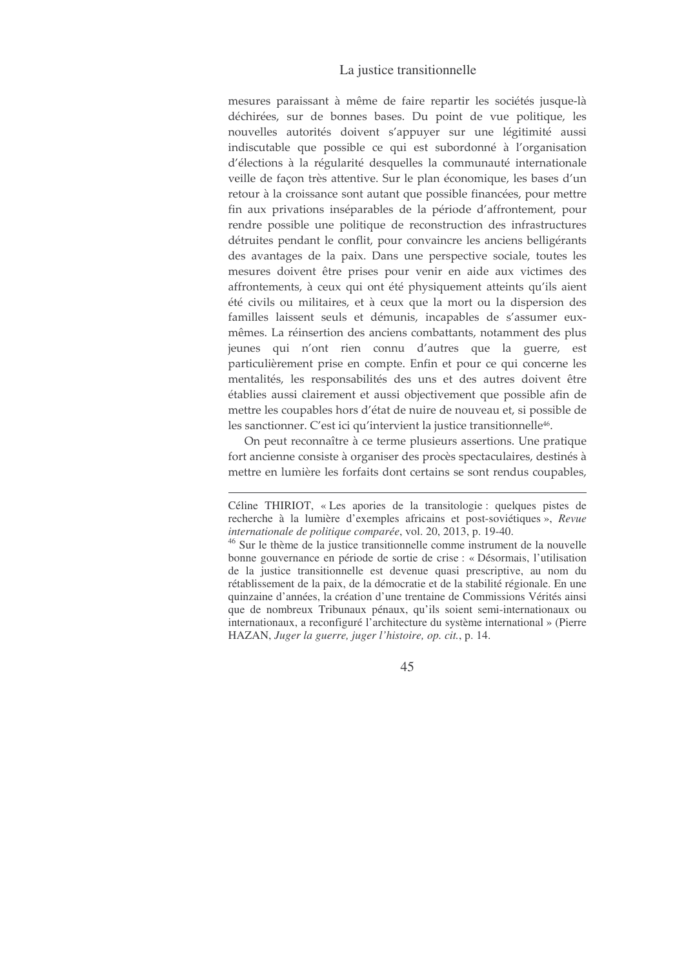## La justice transitionnelle

mesures paraissant à même de faire repartir les sociétés jusque-là déchirées, sur de bonnes bases. Du point de vue politique, les nouvelles autorités doivent s'appuyer sur une légitimité aussi indiscutable que possible ce qui est subordonné à l'organisation d'élections à la régularité desquelles la communauté internationale veille de façon très attentive. Sur le plan économique, les bases d'un retour à la croissance sont autant que possible financées, pour mettre fin aux privations inséparables de la période d'affrontement, pour rendre possible une politique de reconstruction des infrastructures détruites pendant le conflit, pour convaincre les anciens belligérants des avantages de la paix. Dans une perspective sociale, toutes les mesures doivent être prises pour venir en aide aux victimes des affrontements, à ceux qui ont été physiquement atteints qu'ils aient été civils ou militaires, et à ceux que la mort ou la dispersion des familles laissent seuls et démunis, incapables de s'assumer euxmêmes. La réinsertion des anciens combattants, notamment des plus jeunes qui n'ont rien connu d'autres que la guerre, est particulièrement prise en compte. Enfin et pour ce qui concerne les mentalités, les responsabilités des uns et des autres doivent être établies aussi clairement et aussi objectivement que possible afin de mettre les coupables hors d'état de nuire de nouveau et, si possible de les sanctionner. C'est ici qu'intervient la justice transitionnelle<sup>46</sup>.

On peut reconnaître à ce terme plusieurs assertions. Une pratique fort ancienne consiste à organiser des procès spectaculaires, destinés à mettre en lumière les forfaits dont certains se sont rendus coupables,

Céline THIRIOT, « Les apories de la transitologie : quelques pistes de recherche à la lumière d'exemples africains et post-soviétiques », Revue internationale de politique comparée, vol. 20, 2013, p. 19-40.

<sup>&</sup>lt;sup>46</sup> Sur le thème de la justice transitionnelle comme instrument de la nouvelle bonne gouvernance en période de sortie de crise : « Désormais, l'utilisation de la justice transitionnelle est devenue quasi prescriptive, au nom du rétablissement de la paix, de la démocratie et de la stabilité régionale. En une quinzaine d'années, la création d'une trentaine de Commissions Vérités ainsi que de nombreux Tribunaux pénaux, qu'ils soient semi-internationaux ou internationaux, a reconfiguré l'architecture du système international » (Pierre HAZAN, Juger la guerre, juger l'histoire, op. cit., p. 14.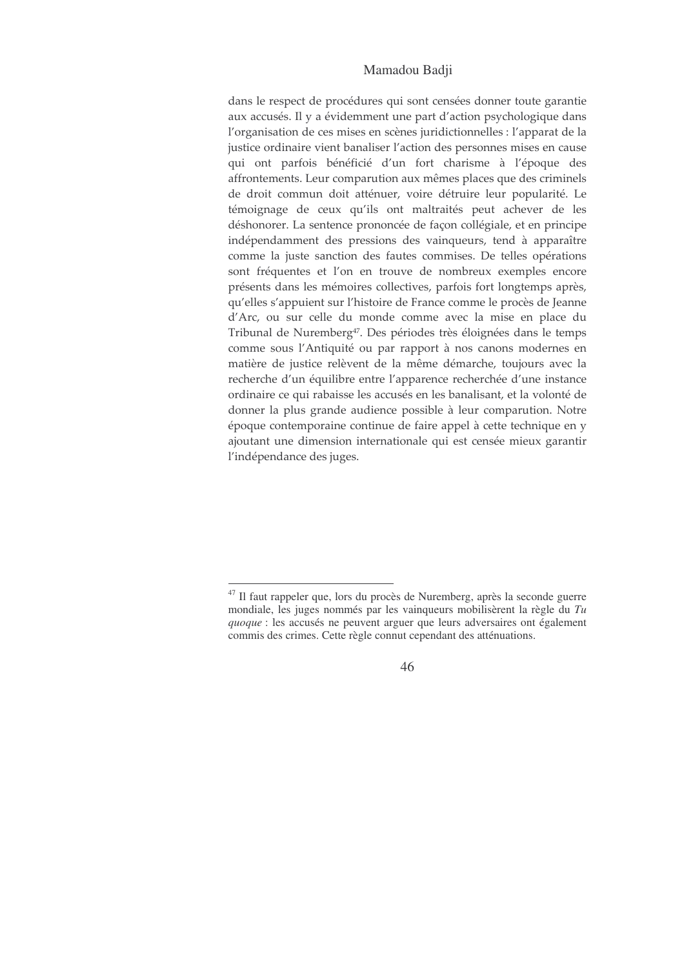## Mamadou Badji

dans le respect de procédures qui sont censées donner toute garantie aux accusés. Il y a évidemment une part d'action psychologique dans l'organisation de ces mises en scènes juridictionnelles : l'apparat de la justice ordinaire vient banaliser l'action des personnes mises en cause qui ont parfois bénéficié d'un fort charisme à l'époque des affrontements. Leur comparution aux mêmes places que des criminels de droit commun doit atténuer, voire détruire leur popularité. Le témoignage de ceux qu'ils ont maltraités peut achever de les déshonorer. La sentence prononcée de façon collégiale, et en principe indépendamment des pressions des vainqueurs, tend à apparaître comme la juste sanction des fautes commises. De telles opérations sont fréquentes et l'on en trouve de nombreux exemples encore présents dans les mémoires collectives, parfois fort longtemps après, qu'elles s'appuient sur l'histoire de France comme le procès de Jeanne d'Arc, ou sur celle du monde comme avec la mise en place du Tribunal de Nuremberg<sup>47</sup>. Des périodes très éloignées dans le temps comme sous l'Antiquité ou par rapport à nos canons modernes en matière de justice relèvent de la même démarche, toujours avec la recherche d'un équilibre entre l'apparence recherchée d'une instance ordinaire ce qui rabaisse les accusés en les banalisant, et la volonté de donner la plus grande audience possible à leur comparution. Notre époque contemporaine continue de faire appel à cette technique en y ajoutant une dimension internationale qui est censée mieux garantir l'indépendance des juges.

<sup>&</sup>lt;sup>47</sup> Il faut rappeler que, lors du procès de Nuremberg, après la seconde guerre mondiale, les juges nommés par les vainqueurs mobilisèrent la règle du Tu quoque : les accusés ne peuvent arguer que leurs adversaires ont également commis des crimes. Cette règle connut cependant des atténuations.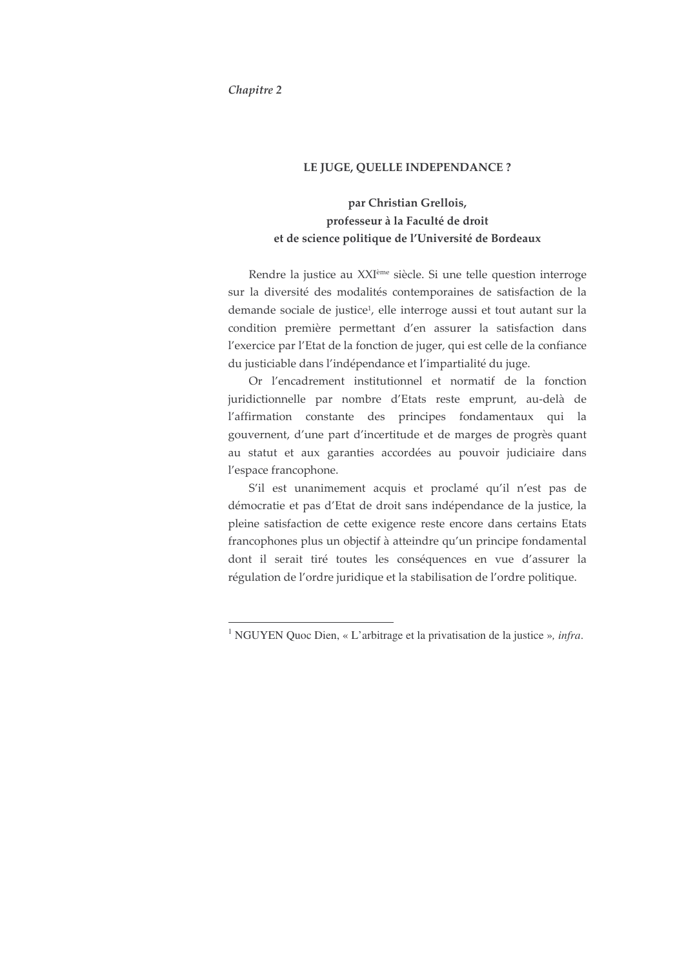### Chapitre 2

#### LE JUGE, QUELLE INDEPENDANCE ?

# par Christian Grellois, professeur à la Faculté de droit et de science politique de l'Université de Bordeaux

Rendre la justice au XXI<sup>ème</sup> siècle. Si une telle question interroge sur la diversité des modalités contemporaines de satisfaction de la demande sociale de justice<sup>1</sup>, elle interroge aussi et tout autant sur la condition première permettant d'en assurer la satisfaction dans l'exercice par l'Etat de la fonction de juger, qui est celle de la confiance du justiciable dans l'indépendance et l'impartialité du juge.

Or l'encadrement institutionnel et normatif de la fonction juridictionnelle par nombre d'Etats reste emprunt, au-delà de l'affirmation constante des principes fondamentaux qui la gouvernent, d'une part d'incertitude et de marges de progrès quant au statut et aux garanties accordées au pouvoir judiciaire dans l'espace francophone.

S'il est unanimement acquis et proclamé qu'il n'est pas de démocratie et pas d'Etat de droit sans indépendance de la justice, la pleine satisfaction de cette exigence reste encore dans certains Etats francophones plus un objectif à atteindre qu'un principe fondamental dont il serait tiré toutes les conséquences en vue d'assurer la régulation de l'ordre juridique et la stabilisation de l'ordre politique.

<sup>&</sup>lt;sup>1</sup> NGUYEN Quoc Dien, « L'arbitrage et la privatisation de la justice », infra.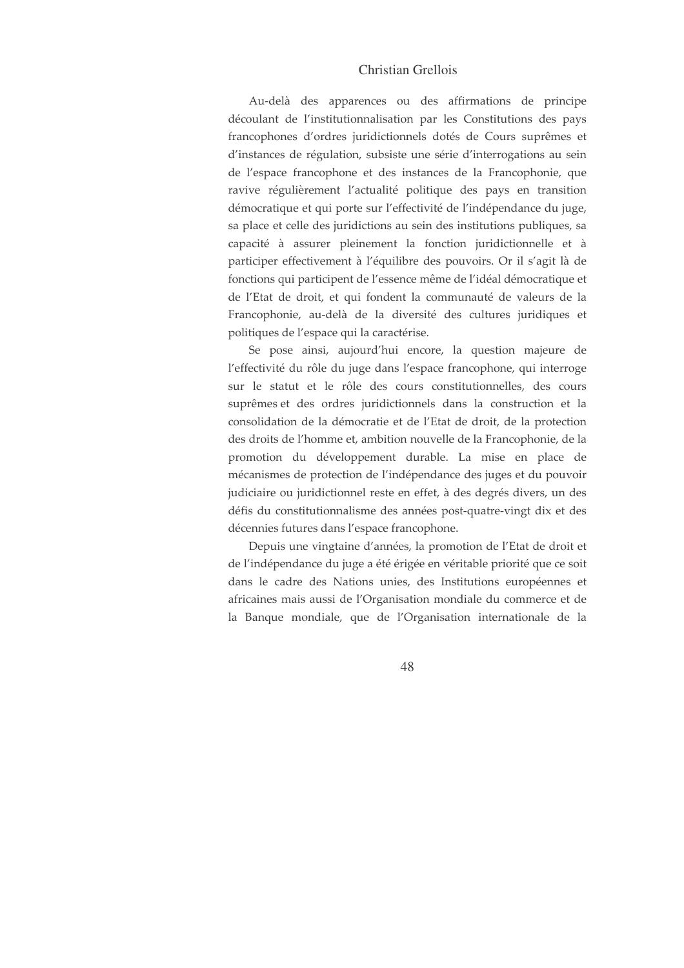Au-delà des apparences ou des affirmations de principe découlant de l'institutionnalisation par les Constitutions des pays francophones d'ordres juridictionnels dotés de Cours suprêmes et d'instances de régulation, subsiste une série d'interrogations au sein de l'espace francophone et des instances de la Francophonie, que ravive régulièrement l'actualité politique des pays en transition démocratique et qui porte sur l'effectivité de l'indépendance du juge, sa place et celle des juridictions au sein des institutions publiques, sa capacité à assurer pleinement la fonction juridictionnelle et à participer effectivement à l'équilibre des pouvoirs. Or il s'agit là de fonctions qui participent de l'essence même de l'idéal démocratique et de l'Etat de droit, et qui fondent la communauté de valeurs de la Francophonie, au-delà de la diversité des cultures juridiques et politiques de l'espace qui la caractérise.

Se pose ainsi, aujourd'hui encore, la question majeure de l'effectivité du rôle du juge dans l'espace francophone, qui interroge sur le statut et le rôle des cours constitutionnelles, des cours suprêmes et des ordres juridictionnels dans la construction et la consolidation de la démocratie et de l'Etat de droit, de la protection des droits de l'homme et, ambition nouvelle de la Francophonie, de la promotion du développement durable. La mise en place de mécanismes de protection de l'indépendance des juges et du pouvoir judiciaire ou juridictionnel reste en effet, à des degrés divers, un des défis du constitutionnalisme des années post-quatre-vingt dix et des décennies futures dans l'espace francophone.

Depuis une vingtaine d'années, la promotion de l'Etat de droit et de l'indépendance du juge a été érigée en véritable priorité que ce soit dans le cadre des Nations unies, des Institutions européennes et africaines mais aussi de l'Organisation mondiale du commerce et de la Banque mondiale, que de l'Organisation internationale de la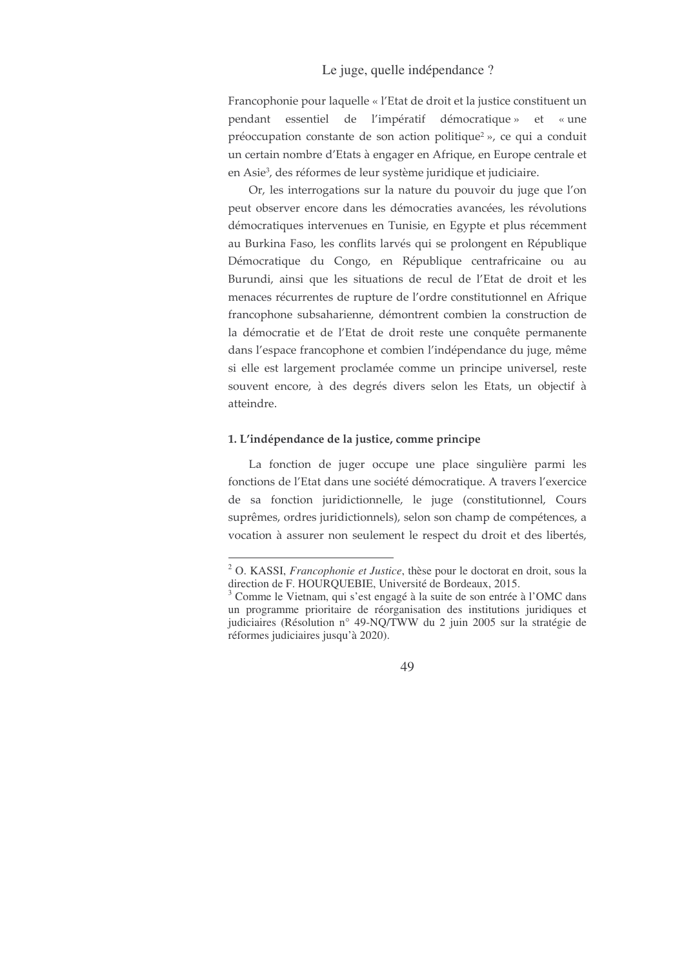Francophonie pour laquelle « l'Etat de droit et la justice constituent un pendant essentiel de l'impératif démocratique» et «une préoccupation constante de son action politique<sup>2</sup>», ce qui a conduit un certain nombre d'Etats à engager en Afrique, en Europe centrale et en Asie<sup>3</sup>, des réformes de leur système juridique et judiciaire.

Or, les interrogations sur la nature du pouvoir du juge que l'on peut observer encore dans les démocraties avancées, les révolutions démocratiques intervenues en Tunisie, en Egypte et plus récemment au Burkina Faso, les conflits larvés qui se prolongent en République Démocratique du Congo, en République centrafricaine ou au Burundi, ainsi que les situations de recul de l'Etat de droit et les menaces récurrentes de rupture de l'ordre constitutionnel en Afrique francophone subsaharienne, démontrent combien la construction de la démocratie et de l'Etat de droit reste une conquête permanente dans l'espace francophone et combien l'indépendance du juge, même si elle est largement proclamée comme un principe universel, reste souvent encore, à des degrés divers selon les Etats, un objectif à atteindre.

### 1. L'indépendance de la justice, comme principe

La fonction de juger occupe une place singulière parmi les fonctions de l'Etat dans une société démocratique. A travers l'exercice de sa fonction juridictionnelle, le juge (constitutionnel, Cours suprêmes, ordres juridictionnels), selon son champ de compétences, a vocation à assurer non seulement le respect du droit et des libertés,

<sup>2</sup> O. KASSI, *Francophonie et Justice*, thèse pour le doctorat en droit, sous la direction de F. HOURQUEBIE, Université de Bordeaux, 2015.

<sup>3</sup> Comme le Vietnam, qui s'est engagé à la suite de son entrée à l'OMC dans un programme prioritaire de réorganisation des institutions juridiques et judiciaires (Résolution n° 49-NQ/TWW du 2 juin 2005 sur la stratégie de réformes judiciaires jusqu'à 2020).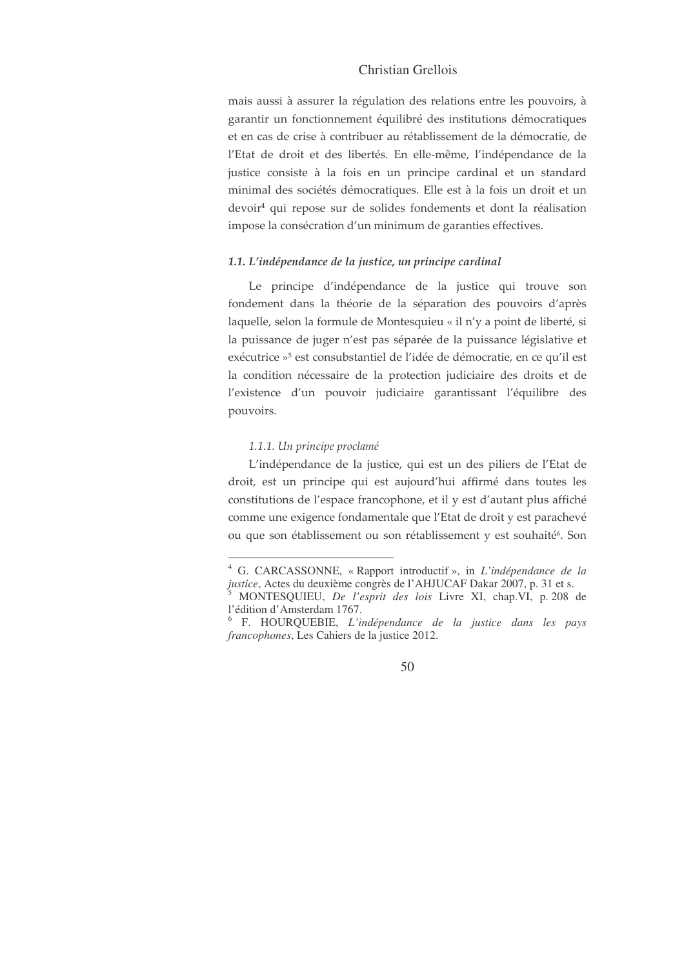mais aussi à assurer la régulation des relations entre les pouvoirs, à garantir un fonctionnement équilibré des institutions démocratiques et en cas de crise à contribuer au rétablissement de la démocratie, de l'Etat de droit et des libertés. En elle-même, l'indépendance de la justice consiste à la fois en un principe cardinal et un standard minimal des sociétés démocratiques. Elle est à la fois un droit et un devoir<sup>4</sup> qui repose sur de solides fondements et dont la réalisation impose la consécration d'un minimum de garanties effectives.

### 1.1. L'indépendance de la justice, un principe cardinal

Le principe d'indépendance de la justice qui trouve son fondement dans la théorie de la séparation des pouvoirs d'après laquelle, selon la formule de Montesquieu « il n'y a point de liberté, si la puissance de juger n'est pas séparée de la puissance législative et exécutrice »<sup>5</sup> est consubstantiel de l'idée de démocratie, en ce qu'il est la condition nécessaire de la protection judiciaire des droits et de l'existence d'un pouvoir judiciaire garantissant l'équilibre des pouvoirs.

#### 1.1.1. Un principe proclamé

L'indépendance de la justice, qui est un des piliers de l'Etat de droit, est un principe qui est aujourd'hui affirmé dans toutes les constitutions de l'espace francophone, et il y est d'autant plus affiché comme une exigence fondamentale que l'Etat de droit y est parachevé ou que son établissement ou son rétablissement y est souhaité<sup>6</sup>. Son

<sup>&</sup>lt;sup>4</sup> G. CARCASSONNE, «Rapport introductif », in *L'indépendance de la* justice, Actes du deuxième congrès de l'AHJUCAF Dakar 2007, p. 31 et s. MONTESQUIEU, De l'esprit des lois Livre XI, chap.VI, p. 208 de

l'édition d'Amsterdam 1767.

<sup>&</sup>lt;sup>6</sup> F. HOURQUEBIE, L'indépendance de la justice dans les pays *francophones*, Les Cahiers de la justice 2012.

<sup>50</sup>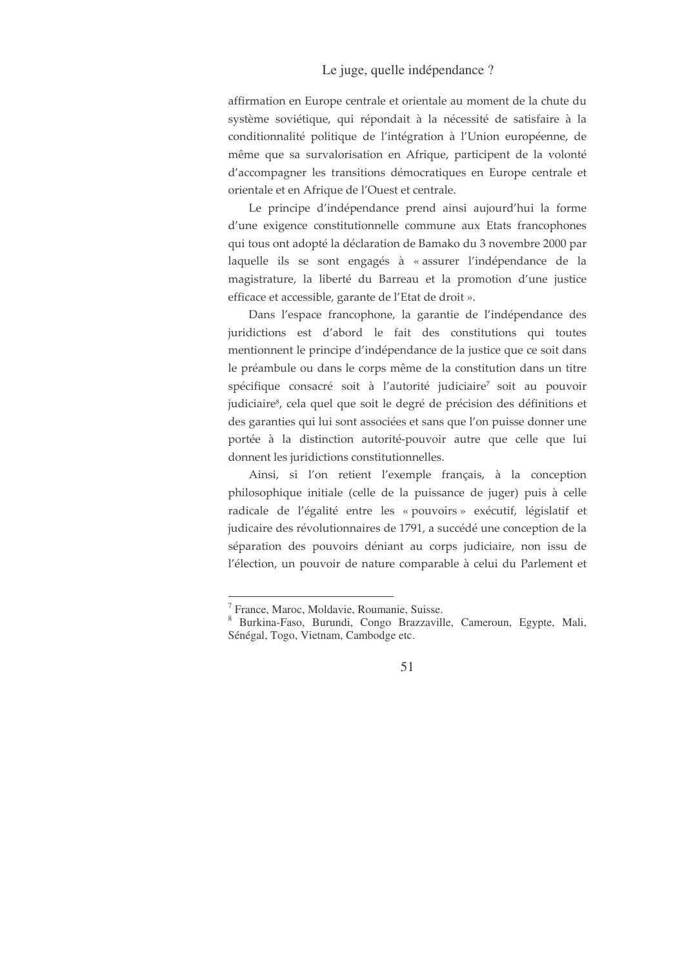affirmation en Europe centrale et orientale au moment de la chute du système soviétique, qui répondait à la nécessité de satisfaire à la conditionnalité politique de l'intégration à l'Union européenne, de même que sa survalorisation en Afrique, participent de la volonté d'accompagner les transitions démocratiques en Europe centrale et orientale et en Afrique de l'Ouest et centrale.

Le principe d'indépendance prend ainsi aujourd'hui la forme d'une exigence constitutionnelle commune aux Etats francophones qui tous ont adopté la déclaration de Bamako du 3 novembre 2000 par laquelle ils se sont engagés à « assurer l'indépendance de la magistrature, la liberté du Barreau et la promotion d'une justice efficace et accessible, garante de l'Etat de droit ».

Dans l'espace francophone, la garantie de l'indépendance des juridictions est d'abord le fait des constitutions qui toutes mentionnent le principe d'indépendance de la justice que ce soit dans le préambule ou dans le corps même de la constitution dans un titre spécifique consacré soit à l'autorité judiciaire<sup>7</sup> soit au pouvoir judiciaire<sup>8</sup>, cela quel que soit le degré de précision des définitions et des garanties qui lui sont associées et sans que l'on puisse donner une portée à la distinction autorité-pouvoir autre que celle que lui donnent les juridictions constitutionnelles.

Ainsi, si l'on retient l'exemple français, à la conception philosophique initiale (celle de la puissance de juger) puis à celle radicale de l'égalité entre les « pouvoirs » exécutif, législatif et judicaire des révolutionnaires de 1791, a succédé une conception de la séparation des pouvoirs déniant au corps judiciaire, non issu de l'élection, un pouvoir de nature comparable à celui du Parlement et

<sup>&</sup>lt;sup>7</sup> France, Maroc, Moldavie, Roumanie, Suisse.

<sup>8</sup> Burkina-Faso, Burundi, Congo Brazzaville, Cameroun, Egypte, Mali, Sénégal, Togo, Vietnam, Cambodge etc.

<sup>51</sup>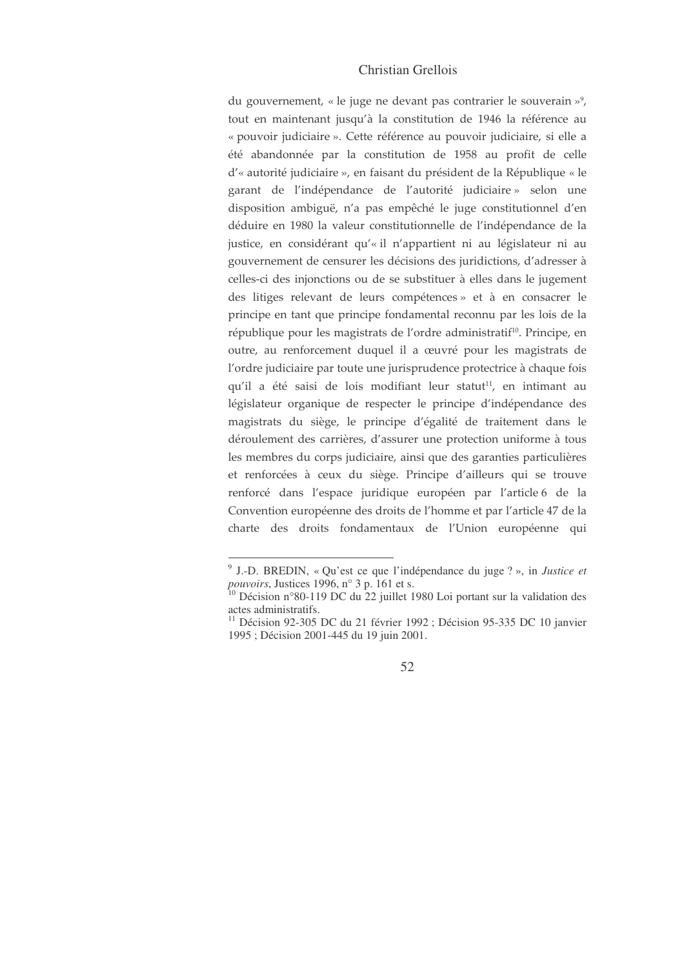du gouvernement, « le juge ne devant pas contrarier le souverain »<sup>9</sup>, tout en maintenant jusqu'à la constitution de 1946 la référence au « pouvoir judiciaire ». Cette référence au pouvoir judiciaire, si elle a été abandonnée par la constitution de 1958 au profit de celle d'« autorité judiciaire », en faisant du président de la République « le garant de l'indépendance de l'autorité judiciaire » selon une disposition ambiguë, n'a pas empêché le juge constitutionnel d'en déduire en 1980 la valeur constitutionnelle de l'indépendance de la justice, en considérant qu'« il n'appartient ni au législateur ni au gouvernement de censurer les décisions des juridictions, d'adresser à celles-ci des injonctions ou de se substituer à elles dans le jugement des litiges relevant de leurs compétences » et à en consacrer le principe en tant que principe fondamental reconnu par les lois de la république pour les magistrats de l'ordre administratif<sup>10</sup>. Principe, en outre, au renforcement duquel il a œuvré pour les magistrats de l'ordre judiciaire par toute une jurisprudence protectrice à chaque fois qu'il a été saisi de lois modifiant leur statut<sup>11</sup>, en intimant au législateur organique de respecter le principe d'indépendance des magistrats du siège, le principe d'égalité de traitement dans le déroulement des carrières, d'assurer une protection uniforme à tous les membres du corps judiciaire, ainsi que des garanties particulières et renforcées à ceux du siège. Principe d'ailleurs qui se trouve renforcé dans l'espace juridique européen par l'article 6 de la Convention européenne des droits de l'homme et par l'article 47 de la charte des droits fondamentaux de l'Union européenne qui

<sup>&</sup>lt;sup>9</sup> J.-D. BREDIN, « Qu'est ce que l'indépendance du juge ? », in *Justice et pouvoirs*, Justices 1996, n° 3 p. 161 et s.<br><sup>10</sup> Décision n°80-119 DC du 22 juillet 1980 Loi portant sur la validation des

actes administratifs.

<sup>&</sup>lt;sup>11</sup> Décision 92-305 DC du 21 février 1992 ; Décision 95-335 DC 10 janvier 1995; Décision 2001-445 du 19 juin 2001.

<sup>52</sup>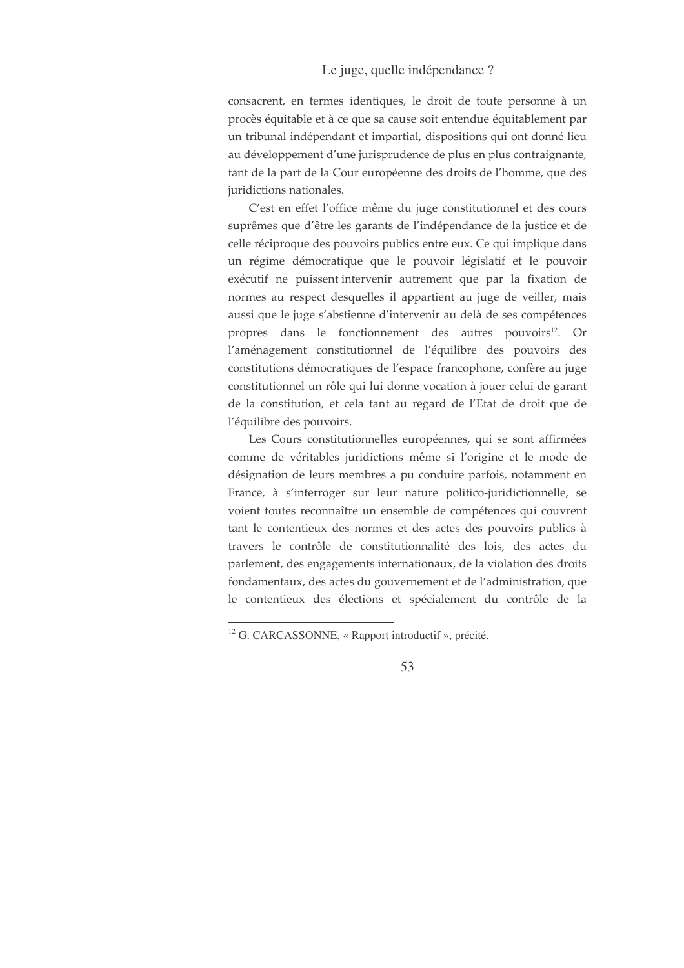consacrent, en termes identiques, le droit de toute personne à un procès équitable et à ce que sa cause soit entendue équitablement par un tribunal indépendant et impartial, dispositions qui ont donné lieu au développement d'une jurisprudence de plus en plus contraignante, tant de la part de la Cour européenne des droits de l'homme, que des juridictions nationales.

C'est en effet l'office même du juge constitutionnel et des cours suprêmes que d'être les garants de l'indépendance de la justice et de celle réciproque des pouvoirs publics entre eux. Ce qui implique dans un régime démocratique que le pouvoir législatif et le pouvoir exécutif ne puissent intervenir autrement que par la fixation de normes au respect desquelles il appartient au juge de veiller, mais aussi que le juge s'abstienne d'intervenir au delà de ses compétences propres dans le fonctionnement des autres pouvoirs<sup>12</sup>. Or l'aménagement constitutionnel de l'équilibre des pouvoirs des constitutions démocratiques de l'espace francophone, confère au juge constitutionnel un rôle qui lui donne vocation à jouer celui de garant de la constitution, et cela tant au regard de l'Etat de droit que de l'équilibre des pouvoirs.

Les Cours constitutionnelles européennes, qui se sont affirmées comme de véritables juridictions même si l'origine et le mode de désignation de leurs membres a pu conduire parfois, notamment en France, à s'interroger sur leur nature politico-juridictionnelle, se voient toutes reconnaître un ensemble de compétences qui couvrent tant le contentieux des normes et des actes des pouvoirs publics à travers le contrôle de constitutionnalité des lois, des actes du parlement, des engagements internationaux, de la violation des droits fondamentaux, des actes du gouvernement et de l'administration, que le contentieux des élections et spécialement du contrôle de la

<sup>&</sup>lt;sup>12</sup> G. CARCASSONNE, « Rapport introductif », précité.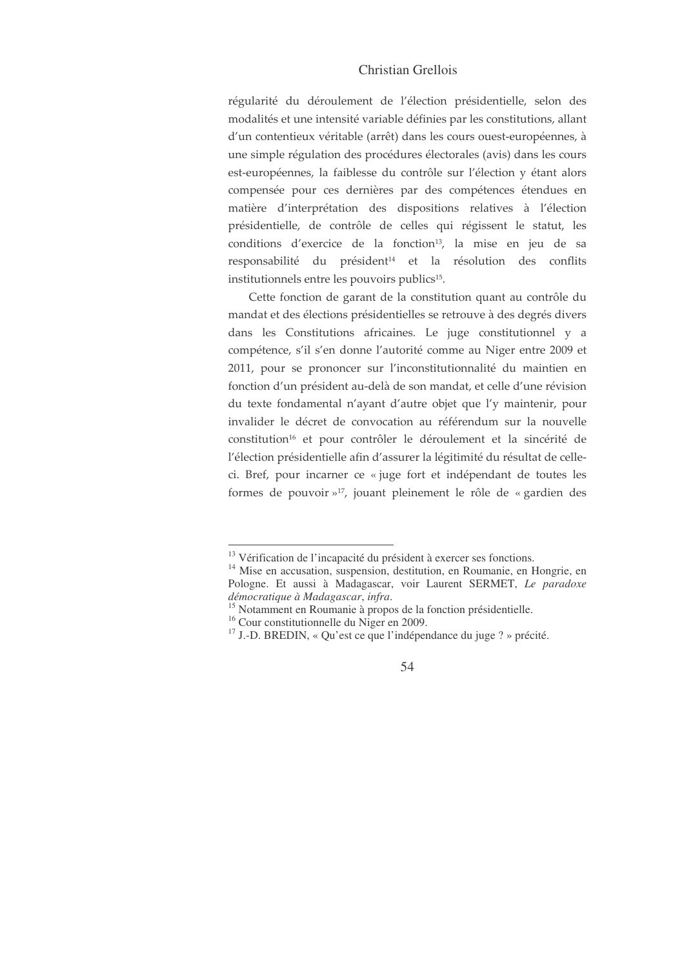régularité du déroulement de l'élection présidentielle, selon des modalités et une intensité variable définies par les constitutions, allant d'un contentieux véritable (arrêt) dans les cours ouest-européennes, à une simple régulation des procédures électorales (avis) dans les cours est-européennes, la faiblesse du contrôle sur l'élection y étant alors compensée pour ces dernières par des compétences étendues en matière d'interprétation des dispositions relatives à l'élection présidentielle, de contrôle de celles qui régissent le statut, les conditions d'exercice de la fonction<sup>13</sup>, la mise en jeu de sa responsabilité du président<sup>14</sup> et la résolution des conflits institutionnels entre les pouvoirs publics<sup>15</sup>.

Cette fonction de garant de la constitution quant au contrôle du mandat et des élections présidentielles se retrouve à des degrés divers dans les Constitutions africaines. Le juge constitutionnel y a compétence, s'il s'en donne l'autorité comme au Niger entre 2009 et 2011, pour se prononcer sur l'inconstitutionnalité du maintien en fonction d'un président au-delà de son mandat, et celle d'une révision du texte fondamental n'ayant d'autre objet que l'y maintenir, pour invalider le décret de convocation au référendum sur la nouvelle constitution<sup>16</sup> et pour contrôler le déroulement et la sincérité de l'élection présidentielle afin d'assurer la légitimité du résultat de celleci. Bref, pour incarner ce « juge fort et indépendant de toutes les formes de pouvoir »<sup>17</sup>, jouant pleinement le rôle de « gardien des

<sup>&</sup>lt;sup>13</sup> Vérification de l'incapacité du président à exercer ses fonctions.

<sup>&</sup>lt;sup>14</sup> Mise en accusation, suspension, destitution, en Roumanie, en Hongrie, en Pologne. Et aussi à Madagascar, voir Laurent SERMET, Le paradoxe démocratique à Madagascar, infra.

<sup>&</sup>lt;sup>15</sup> Notamment en Roumanie à propos de la fonction présidentielle.

 $16$  Cour constitutionnelle du Niger en 2009.

 $17$  J.-D. BREDIN, « Qu'est ce que l'indépendance du juge ? » précité.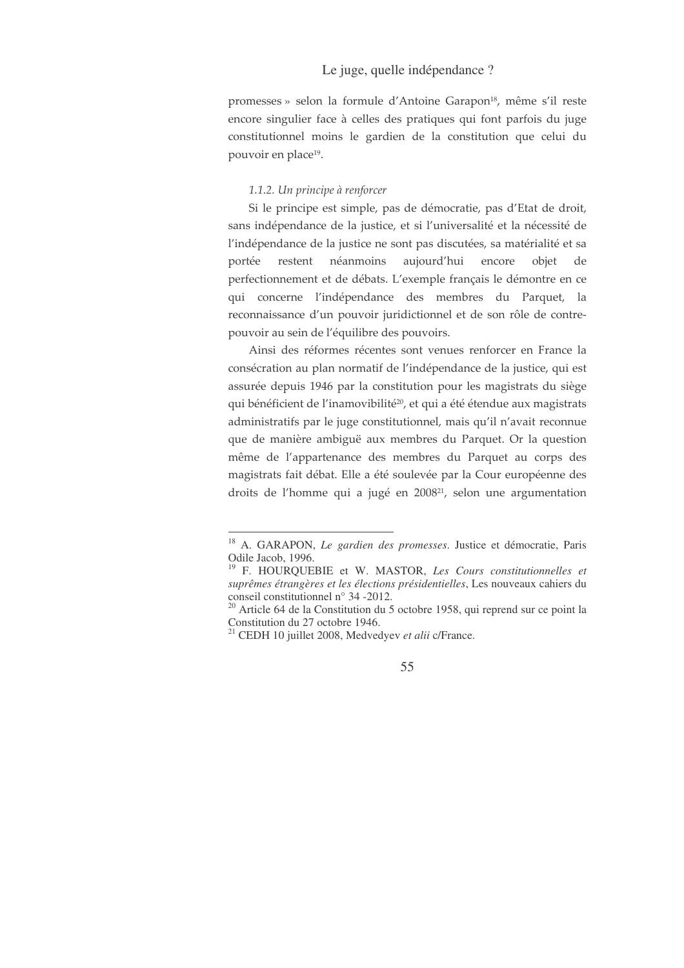promesses » selon la formule d'Antoine Garapon<sup>18</sup>, même s'il reste encore singulier face à celles des pratiques qui font parfois du juge constitutionnel moins le gardien de la constitution que celui du pouvoir en place<sup>19</sup>.

#### 1.1.2. Un principe à renforcer

Si le principe est simple, pas de démocratie, pas d'Etat de droit, sans indépendance de la justice, et si l'universalité et la nécessité de l'indépendance de la justice ne sont pas discutées, sa matérialité et sa portée néanmoins aujourd'hui encore obiet restent de perfectionnement et de débats. L'exemple français le démontre en ce qui concerne l'indépendance des membres du Parquet, la reconnaissance d'un pouvoir juridictionnel et de son rôle de contrepouvoir au sein de l'équilibre des pouvoirs.

Ainsi des réformes récentes sont venues renforcer en France la consécration au plan normatif de l'indépendance de la justice, qui est assurée depuis 1946 par la constitution pour les magistrats du siège qui bénéficient de l'inamovibilité<sup>20</sup>, et qui a été étendue aux magistrats administratifs par le juge constitutionnel, mais qu'il n'avait reconnue que de manière ambiguë aux membres du Parquet. Or la question même de l'appartenance des membres du Parquet au corps des magistrats fait débat. Elle a été soulevée par la Cour européenne des droits de l'homme qui a jugé en 2008<sup>21</sup>, selon une argumentation

<sup>&</sup>lt;sup>18</sup> A. GARAPON, *Le gardien des promesses*. Justice et démocratie, Paris Odile Jacob, 1996.

<sup>&</sup>lt;sup>19</sup> F. HOURQUEBIE et W. MASTOR, Les Cours constitutionnelles et suprêmes étrangères et les élections présidentielles, Les nouveaux cahiers du conseil constitutionnel n° 34 -2012.

<sup>&</sup>lt;sup>20</sup> Article 64 de la Constitution du 5 octobre 1958, qui reprend sur ce point la Constitution du 27 octobre 1946.

 $21$  CEDH 10 juillet 2008, Medvedyev et alii c/France.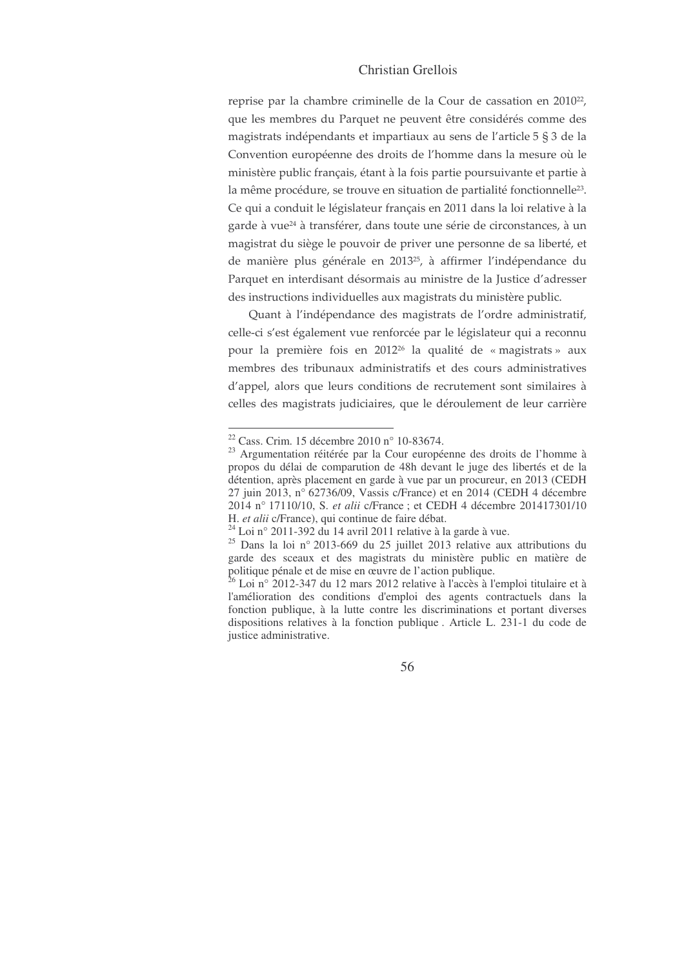reprise par la chambre criminelle de la Cour de cassation en 2010<sup>22</sup>, que les membres du Parquet ne peuvent être considérés comme des magistrats indépendants et impartiaux au sens de l'article 5 § 3 de la Convention européenne des droits de l'homme dans la mesure où le ministère public français, étant à la fois partie poursuivante et partie à la même procédure, se trouve en situation de partialité fonctionnelle $^{23}$ . Ce qui a conduit le législateur français en 2011 dans la loi relative à la garde à vue<sup>24</sup> à transférer, dans toute une série de circonstances, à un magistrat du siège le pouvoir de priver une personne de sa liberté, et de manière plus générale en 2013<sup>25</sup>, à affirmer l'indépendance du Parquet en interdisant désormais au ministre de la Justice d'adresser des instructions individuelles aux magistrats du ministère public.

Quant à l'indépendance des magistrats de l'ordre administratif, celle-ci s'est également vue renforcée par le législateur qui a reconnu pour la première fois en 201226 la qualité de «magistrats» aux membres des tribunaux administratifs et des cours administratives d'appel, alors que leurs conditions de recrutement sont similaires à celles des magistrats judiciaires, que le déroulement de leur carrière

<sup>22</sup> Cass. Crim. 15 décembre 2010 n° 10-83674.

<sup>23</sup> Argumentation réitérée par la Cour européenne des droits de l'homme à propos du délai de comparution de 48h devant le juge des libertés et de la détention, après placement en garde à vue par un procureur, en 2013 (CEDH 27 juin 2013, n° 62736/09, Vassis c/France) et en 2014 (CEDH 4 décembre 2014 n° 17110/10, S. *et alii* c/France ; et CEDH 4 décembre 201417301/10 H. *et alii* c/France), qui continue de faire débat.

 $^{24}$  Loi n° 2011-392 du 14 avril 2011 relative à la garde à vue.

 $25$  Dans la loi n° 2013-669 du 25 juillet 2013 relative aux attributions du garde des sceaux et des magistrats du ministère public en matière de politique pénale et de mise en œuvre de l'action publique.

 $26$  Loi n° 2012-347 du 12 mars 2012 relative à l'accès à l'emploi titulaire et à l'amélioration des conditions d'emploi des agents contractuels dans la fonction publique, à la lutte contre les discriminations et portant diverses dispositions relatives à la fonction publique . Article L. 231-1 du code de justice administrative.

<sup>56</sup>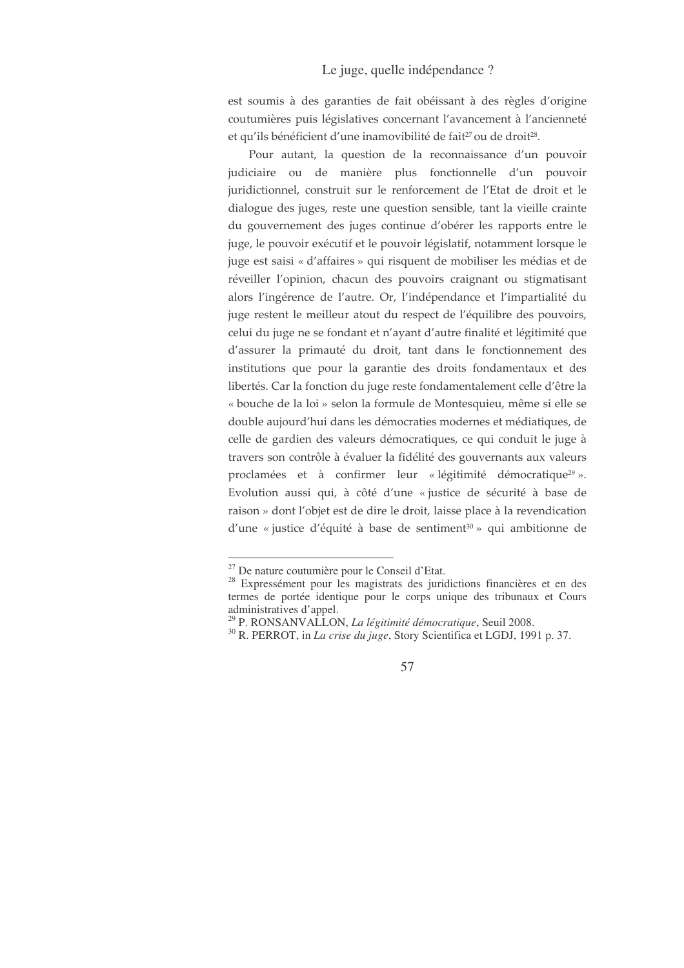est soumis à des garanties de fait obéissant à des règles d'origine coutumières puis législatives concernant l'avancement à l'ancienneté et qu'ils bénéficient d'une inamovibilité de fait<sup>27</sup> ou de droit<sup>28</sup>.

Pour autant, la question de la reconnaissance d'un pouvoir judiciaire ou de manière plus fonctionnelle d'un pouvoir juridictionnel, construit sur le renforcement de l'Etat de droit et le dialogue des juges, reste une question sensible, tant la vieille crainte du gouvernement des juges continue d'obérer les rapports entre le juge, le pouvoir exécutif et le pouvoir législatif, notamment lorsque le juge est saisi « d'affaires » qui risquent de mobiliser les médias et de réveiller l'opinion, chacun des pouvoirs craignant ou stigmatisant alors l'ingérence de l'autre. Or, l'indépendance et l'impartialité du juge restent le meilleur atout du respect de l'équilibre des pouvoirs, celui du juge ne se fondant et n'ayant d'autre finalité et légitimité que d'assurer la primauté du droit, tant dans le fonctionnement des institutions que pour la garantie des droits fondamentaux et des libertés. Car la fonction du juge reste fondamentalement celle d'être la « bouche de la loi » selon la formule de Montesquieu, même si elle se double aujourd'hui dans les démocraties modernes et médiatiques, de celle de gardien des valeurs démocratiques, ce qui conduit le juge à travers son contrôle à évaluer la fidélité des gouvernants aux valeurs proclamées et à confirmer leur « légitimité démocratique<sup>29</sup> ». Evolution aussi qui, à côté d'une « justice de sécurité à base de raison » dont l'objet est de dire le droit, laisse place à la revendication d'une « justice d'équité à base de sentiment<sup>30</sup> » qui ambitionne de

<sup>&</sup>lt;sup>27</sup> De nature coutumière pour le Conseil d'Etat.

<sup>&</sup>lt;sup>28</sup> Expressément pour les magistrats des juridictions financières et en des termes de portée identique pour le corps unique des tribunaux et Cours administratives d'appel.

<sup>&</sup>lt;sup>29</sup> P. RONSANVALLON, La légitimité démocratique, Seuil 2008.

<sup>&</sup>lt;sup>30</sup> R. PERROT, in *La crise du juge*, Story Scientifica et LGDJ, 1991 p. 37.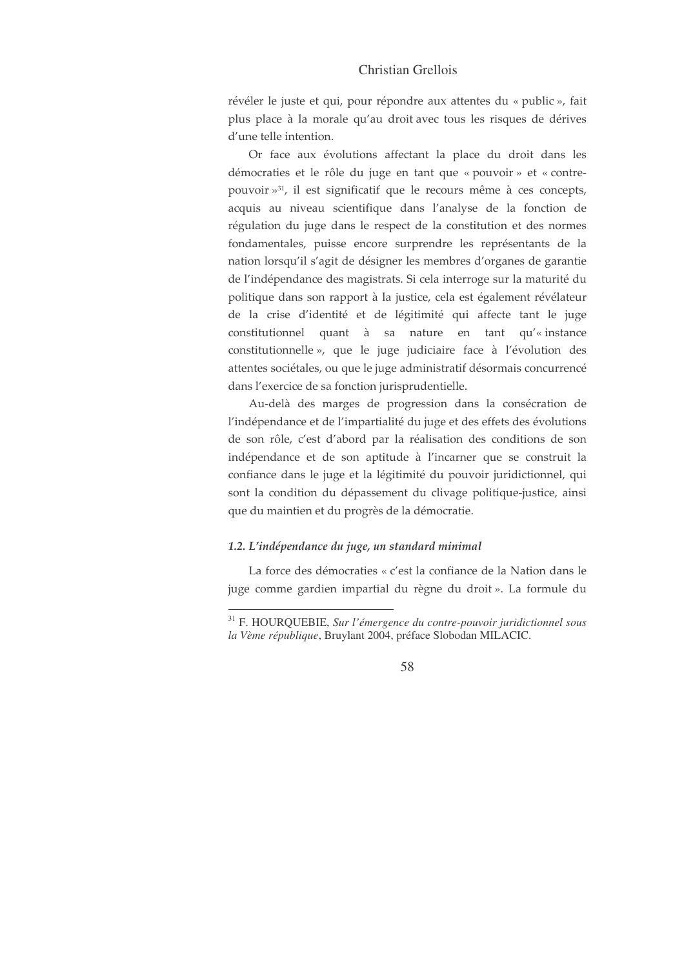révéler le juste et qui, pour répondre aux attentes du « public », fait plus place à la morale qu'au droit avec tous les risques de dérives d'une telle intention.

Or face aux évolutions affectant la place du droit dans les démocraties et le rôle du juge en tant que « pouvoir » et « contrepouvoir »<sup>31</sup>, il est significatif que le recours même à ces concepts, acquis au niveau scientifique dans l'analyse de la fonction de régulation du juge dans le respect de la constitution et des normes fondamentales, puisse encore surprendre les représentants de la nation lorsqu'il s'agit de désigner les membres d'organes de garantie de l'indépendance des magistrats. Si cela interroge sur la maturité du politique dans son rapport à la justice, cela est également révélateur de la crise d'identité et de légitimité qui affecte tant le juge constitutionnel quant à sa nature en tant qu'« instance constitutionnelle », que le juge judiciaire face à l'évolution des attentes sociétales, ou que le juge administratif désormais concurrencé dans l'exercice de sa fonction jurisprudentielle.

Au-delà des marges de progression dans la consécration de l'indépendance et de l'impartialité du juge et des effets des évolutions de son rôle, c'est d'abord par la réalisation des conditions de son indépendance et de son aptitude à l'incarner que se construit la confiance dans le juge et la légitimité du pouvoir juridictionnel, qui sont la condition du dépassement du clivage politique-justice, ainsi que du maintien et du progrès de la démocratie.

## 1.2. L'indépendance du juge, un standard minimal

La force des démocraties « c'est la confiance de la Nation dans le juge comme gardien impartial du règne du droit ». La formule du

<sup>&</sup>lt;sup>31</sup> F. HOURQUEBIE, Sur l'émergence du contre-pouvoir juridictionnel sous la Vème république, Bruylant 2004, préface Slobodan MILACIC.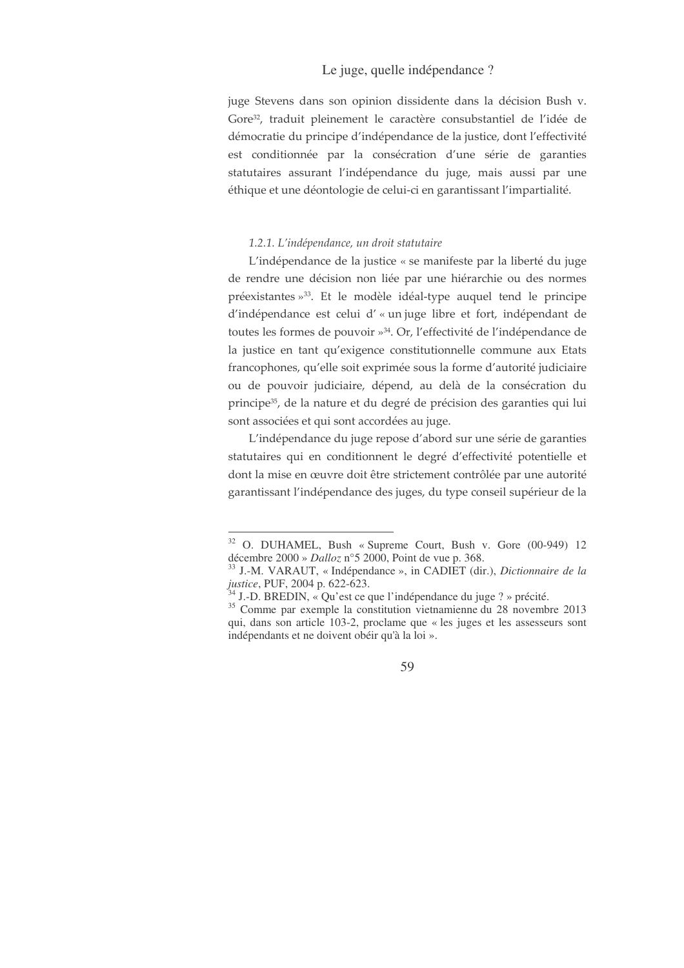juge Stevens dans son opinion dissidente dans la décision Bush v. Gore<sup>32</sup>, traduit pleinement le caractère consubstantiel de l'idée de démocratie du principe d'indépendance de la justice, dont l'effectivité est conditionnée par la consécration d'une série de garanties statutaires assurant l'indépendance du juge, mais aussi par une éthique et une déontologie de celui-ci en garantissant l'impartialité.

#### 1.2.1. L'indépendance, un droit statutaire

L'indépendance de la justice « se manifeste par la liberté du juge de rendre une décision non liée par une hiérarchie ou des normes préexistantes »<sup>33</sup>. Et le modèle idéal-type auquel tend le principe d'indépendance est celui d'« un juge libre et fort, indépendant de toutes les formes de pouvoir »<sup>34</sup>. Or, l'effectivité de l'indépendance de la justice en tant qu'exigence constitutionnelle commune aux Etats francophones, qu'elle soit exprimée sous la forme d'autorité judiciaire ou de pouvoir judiciaire, dépend, au delà de la consécration du principe<sup>35</sup>, de la nature et du degré de précision des garanties qui lui sont associées et qui sont accordées au juge.

L'indépendance du juge repose d'abord sur une série de garanties statutaires qui en conditionnent le degré d'effectivité potentielle et dont la mise en œuvre doit être strictement contrôlée par une autorité garantissant l'indépendance des juges, du type conseil supérieur de la

<sup>&</sup>lt;sup>32</sup> O. DUHAMEL, Bush « Supreme Court, Bush v. Gore (00-949) 12 décembre 2000 » Dalloz n°5 2000, Point de vue p. 368.

<sup>&</sup>lt;sup>33</sup> J.-M. VARAUT, « Indépendance », in CADIET (dir.), Dictionnaire de la justice, PUF, 2004 p. 622-623.<br><sup>34</sup> J.-D. BREDIN, « Qu'est ce que l'indépendance du juge ? » précité.

<sup>&</sup>lt;sup>35</sup> Comme par exemple la constitution vietnamienne du 28 novembre 2013 qui, dans son article 103-2, proclame que « les juges et les assesseurs sont indépendants et ne doivent obéir qu'à la loi ».

<sup>59</sup>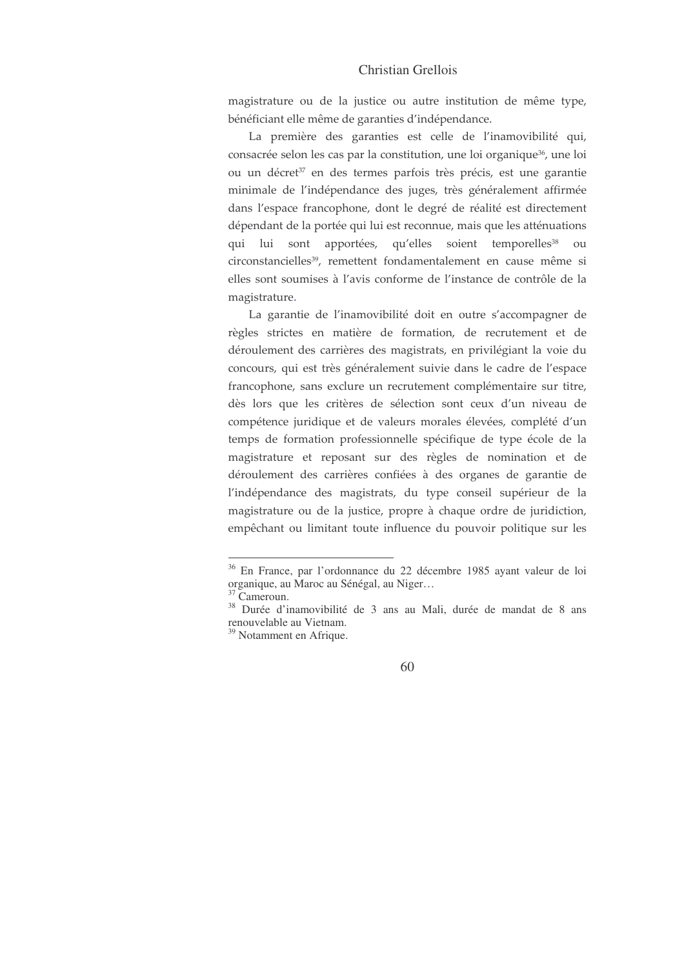magistrature ou de la justice ou autre institution de même type, bénéficiant elle même de garanties d'indépendance.

La première des garanties est celle de l'inamovibilité qui, consacrée selon les cas par la constitution, une loi organique<sup>36</sup>, une loi ou un décret<sup>37</sup> en des termes parfois très précis, est une garantie minimale de l'indépendance des juges, très généralement affirmée dans l'espace francophone, dont le degré de réalité est directement dépendant de la portée qui lui est reconnue, mais que les atténuations qui lui sont apportées, qu'elles soient temporelles<sup>38</sup> ou circonstancielles<sup>39</sup>, remettent fondamentalement en cause même si elles sont soumises à l'avis conforme de l'instance de contrôle de la magistrature.

La garantie de l'inamovibilité doit en outre s'accompagner de règles strictes en matière de formation, de recrutement et de déroulement des carrières des magistrats, en privilégiant la voie du concours, qui est très généralement suivie dans le cadre de l'espace francophone, sans exclure un recrutement complémentaire sur titre, dès lors que les critères de sélection sont ceux d'un niveau de compétence juridique et de valeurs morales élevées, complété d'un temps de formation professionnelle spécifique de type école de la magistrature et reposant sur des règles de nomination et de déroulement des carrières confiées à des organes de garantie de l'indépendance des magistrats, du type conseil supérieur de la magistrature ou de la justice, propre à chaque ordre de juridiction, empêchant ou limitant toute influence du pouvoir politique sur les

<sup>&</sup>lt;sup>36</sup> En France, par l'ordonnance du 22 décembre 1985 ayant valeur de loi organique, au Maroc au Sénégal, au Niger...

<sup>&</sup>lt;sup>37</sup> Cameroun.

<sup>&</sup>lt;sup>38</sup> Durée d'inamovibilité de 3 ans au Mali, durée de mandat de 8 ans renouvelable au Vietnam.

<sup>&</sup>lt;sup>39</sup> Notamment en Afrique.

<sup>60</sup>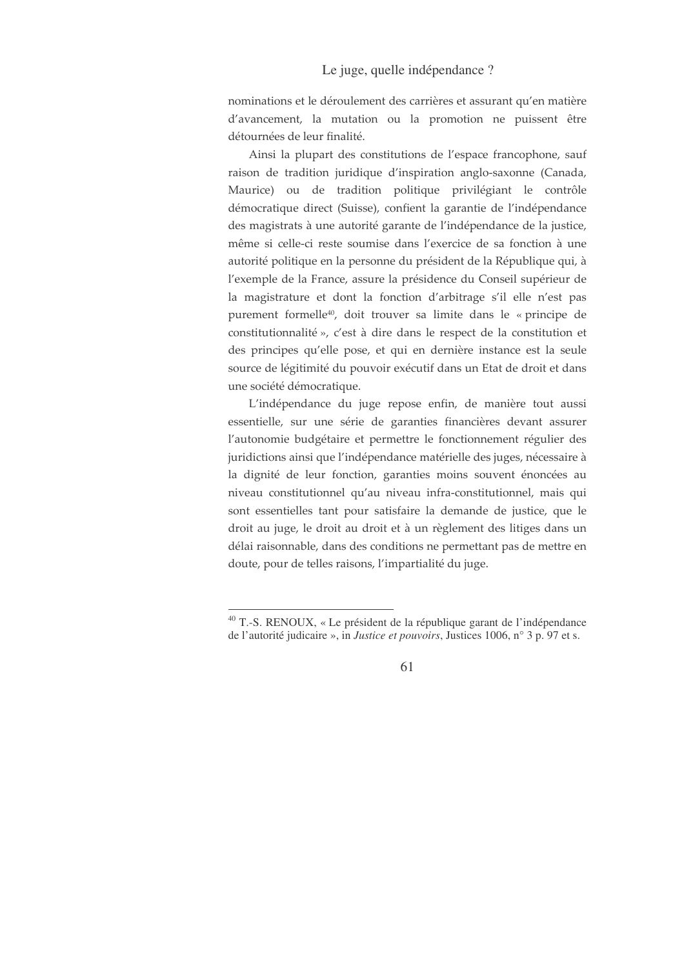nominations et le déroulement des carrières et assurant qu'en matière d'avancement, la mutation ou la promotion ne puissent être détournées de leur finalité.

Ainsi la plupart des constitutions de l'espace francophone, sauf raison de tradition juridique d'inspiration anglo-saxonne (Canada, Maurice) ou de tradition politique privilégiant le contrôle démocratique direct (Suisse), confient la garantie de l'indépendance des magistrats à une autorité garante de l'indépendance de la justice, même si celle-ci reste soumise dans l'exercice de sa fonction à une autorité politique en la personne du président de la République qui, à l'exemple de la France, assure la présidence du Conseil supérieur de la magistrature et dont la fonction d'arbitrage s'il elle n'est pas purement formelle<sup>40</sup>, doit trouver sa limite dans le « principe de constitutionnalité », c'est à dire dans le respect de la constitution et des principes qu'elle pose, et qui en dernière instance est la seule source de légitimité du pouvoir exécutif dans un Etat de droit et dans une société démocratique.

L'indépendance du juge repose enfin, de manière tout aussi essentielle, sur une série de garanties financières devant assurer l'autonomie budgétaire et permettre le fonctionnement régulier des juridictions ainsi que l'indépendance matérielle des juges, nécessaire à la dignité de leur fonction, garanties moins souvent énoncées au niveau constitutionnel qu'au niveau infra-constitutionnel, mais qui sont essentielles tant pour satisfaire la demande de justice, que le droit au juge, le droit au droit et à un règlement des litiges dans un délai raisonnable, dans des conditions ne permettant pas de mettre en doute, pour de telles raisons, l'impartialité du juge.

<sup>&</sup>lt;sup>40</sup> T.-S. RENOUX, « Le président de la république garant de l'indépendance de l'autorité judicaire », in *Justice et pouvoirs*, Justices 1006, n° 3 p. 97 et s.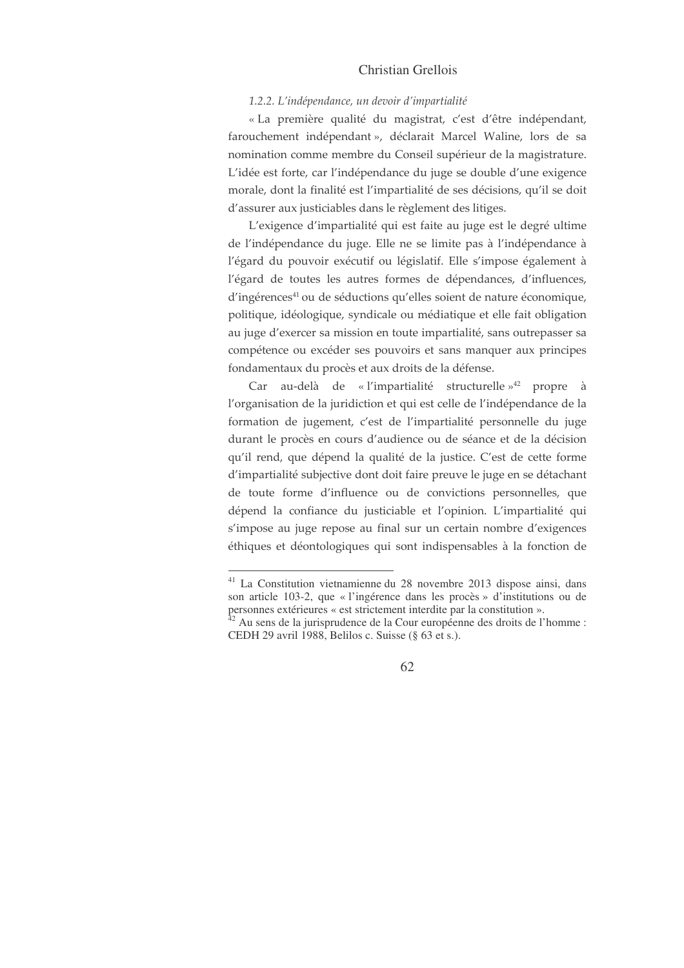#### 1.2.2. L'indépendance, un devoir d'impartialité

« La première qualité du magistrat, c'est d'être indépendant, farouchement indépendant», déclarait Marcel Waline, lors de sa nomination comme membre du Conseil supérieur de la magistrature. L'idée est forte, car l'indépendance du juge se double d'une exigence morale, dont la finalité est l'impartialité de ses décisions, qu'il se doit d'assurer aux justiciables dans le règlement des litiges.

L'exigence d'impartialité qui est faite au juge est le degré ultime de l'indépendance du juge. Elle ne se limite pas à l'indépendance à l'égard du pouvoir exécutif ou législatif. Elle s'impose également à l'égard de toutes les autres formes de dépendances, d'influences, d'ingérences<sup>41</sup> ou de séductions qu'elles soient de nature économique, politique, idéologique, syndicale ou médiatique et elle fait obligation au juge d'exercer sa mission en toute impartialité, sans outrepasser sa compétence ou excéder ses pouvoirs et sans manquer aux principes fondamentaux du procès et aux droits de la défense.

Car au-delà de « l'impartialité structurelle »<sup>42</sup> propre à l'organisation de la juridiction et qui est celle de l'indépendance de la formation de jugement, c'est de l'impartialité personnelle du juge durant le procès en cours d'audience ou de séance et de la décision qu'il rend, que dépend la qualité de la justice. C'est de cette forme d'impartialité subjective dont doit faire preuve le juge en se détachant de toute forme d'influence ou de convictions personnelles, que dépend la confiance du justiciable et l'opinion. L'impartialité qui s'impose au juge repose au final sur un certain nombre d'exigences éthiques et déontologiques qui sont indispensables à la fonction de

<sup>&</sup>lt;sup>41</sup> La Constitution vietnamienne du 28 novembre 2013 dispose ainsi, dans son article 103-2, que « l'ingérence dans les procès » d'institutions ou de personnes extérieures « est strictement interdite par la constitution ».<br><sup>42</sup> Au sens de la jurisprudence de la Cour européenne des droits de l'homme :

CEDH 29 avril 1988, Belilos c. Suisse (§ 63 et s.).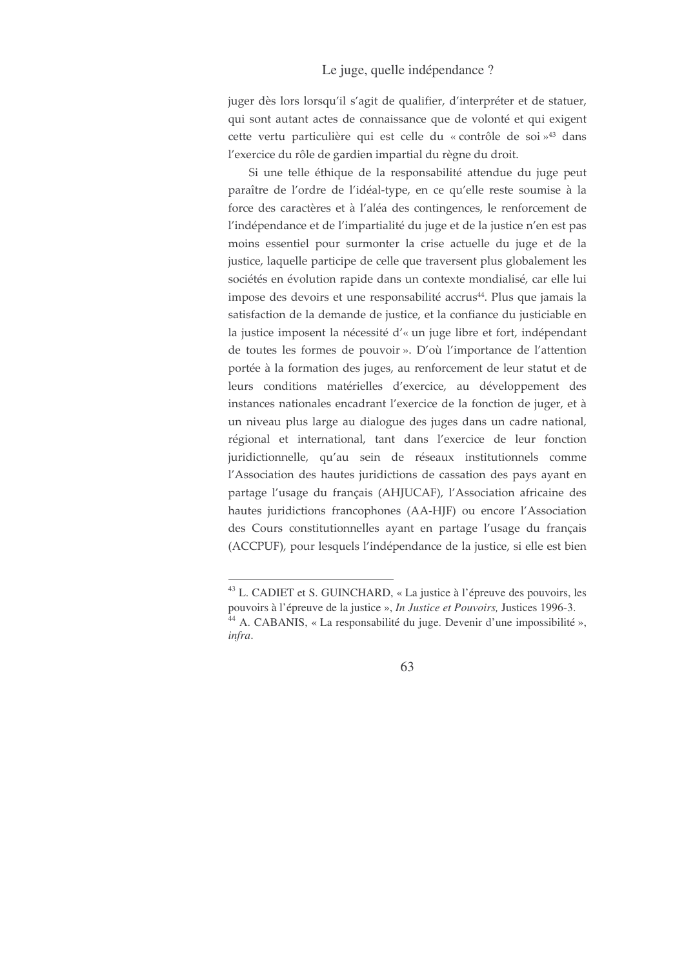juger dès lors lorsqu'il s'agit de qualifier, d'interpréter et de statuer, qui sont autant actes de connaissance que de volonté et qui exigent cette vertu particulière qui est celle du « contrôle de soi »<sup>43</sup> dans l'exercice du rôle de gardien impartial du règne du droit.

Si une telle éthique de la responsabilité attendue du juge peut paraître de l'ordre de l'idéal-type, en ce qu'elle reste soumise à la force des caractères et à l'aléa des contingences, le renforcement de l'indépendance et de l'impartialité du juge et de la justice n'en est pas moins essentiel pour surmonter la crise actuelle du juge et de la justice, laquelle participe de celle que traversent plus globalement les sociétés en évolution rapide dans un contexte mondialisé, car elle lui impose des devoirs et une responsabilité accrus<sup>44</sup>. Plus que jamais la satisfaction de la demande de justice, et la confiance du justiciable en la justice imposent la nécessité d'« un juge libre et fort, indépendant de toutes les formes de pouvoir ». D'où l'importance de l'attention portée à la formation des juges, au renforcement de leur statut et de leurs conditions matérielles d'exercice, au développement des instances nationales encadrant l'exercice de la fonction de juger, et à un niveau plus large au dialogue des juges dans un cadre national, régional et international, tant dans l'exercice de leur fonction juridictionnelle, qu'au sein de réseaux institutionnels comme l'Association des hautes juridictions de cassation des pays ayant en partage l'usage du français (AHJUCAF), l'Association africaine des hautes juridictions francophones (AA-HJF) ou encore l'Association des Cours constitutionnelles ayant en partage l'usage du français (ACCPUF), pour lesquels l'indépendance de la justice, si elle est bien

<sup>&</sup>lt;sup>43</sup> L. CADIET et S. GUINCHARD, « La justice à l'épreuve des pouvoirs, les pouvoirs à l'épreuve de la justice », *In Justice et Pouvoirs*, Justices 1996-3. <sup>44</sup> A. CABANIS, « La responsabilité du juge. Devenir d'une impossibilité », infra.

<sup>63</sup>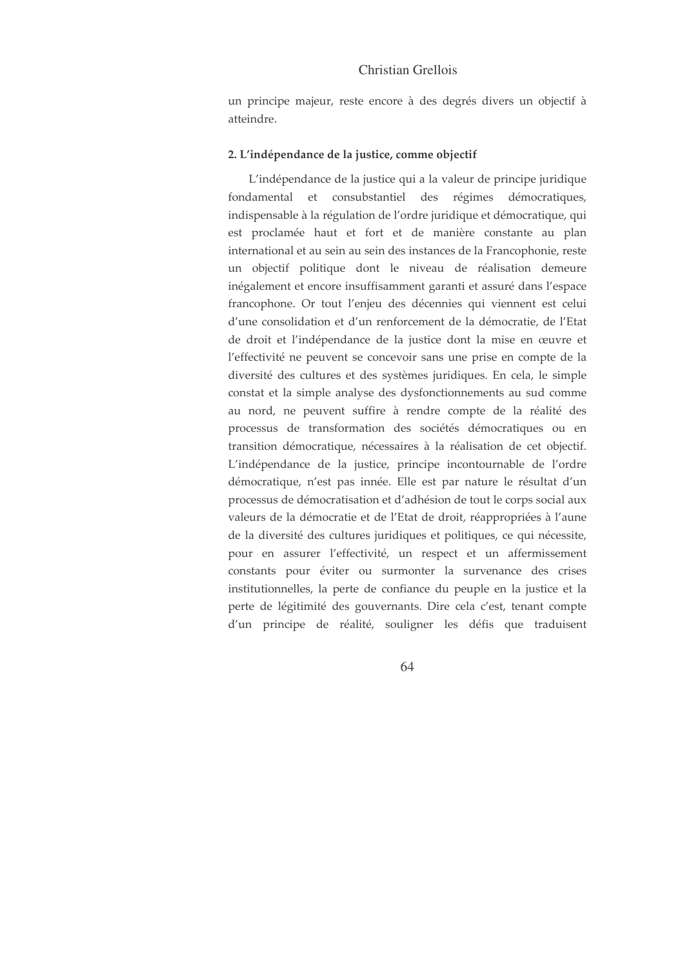un principe majeur, reste encore à des degrés divers un objectif à atteindre.

#### 2. L'indépendance de la justice, comme objectif

L'indépendance de la justice qui a la valeur de principe juridique fondamental et consubstantiel des régimes démocratiques, indispensable à la régulation de l'ordre juridique et démocratique, qui est proclamée haut et fort et de manière constante au plan international et au sein au sein des instances de la Francophonie, reste un objectif politique dont le niveau de réalisation demeure inégalement et encore insuffisamment garanti et assuré dans l'espace francophone. Or tout l'enjeu des décennies qui viennent est celui d'une consolidation et d'un renforcement de la démocratie, de l'Etat de droit et l'indépendance de la justice dont la mise en œuvre et l'effectivité ne peuvent se concevoir sans une prise en compte de la diversité des cultures et des systèmes juridiques. En cela, le simple constat et la simple analyse des dysfonctionnements au sud comme au nord, ne peuvent suffire à rendre compte de la réalité des processus de transformation des sociétés démocratiques ou en transition démocratique, nécessaires à la réalisation de cet objectif. L'indépendance de la justice, principe incontournable de l'ordre démocratique, n'est pas innée. Elle est par nature le résultat d'un processus de démocratisation et d'adhésion de tout le corps social aux valeurs de la démocratie et de l'Etat de droit, réappropriées à l'aune de la diversité des cultures juridiques et politiques, ce qui nécessite, pour en assurer l'effectivité, un respect et un affermissement constants pour éviter ou surmonter la survenance des crises institutionnelles, la perte de confiance du peuple en la justice et la perte de légitimité des gouvernants. Dire cela c'est, tenant compte d'un principe de réalité, souligner les défis que traduisent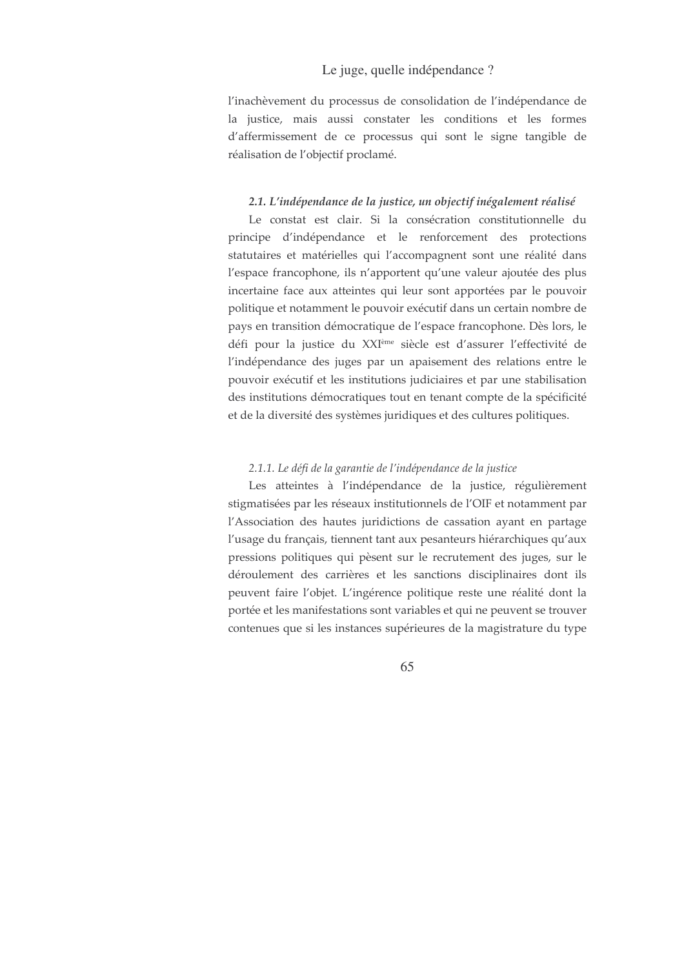l'inachèvement du processus de consolidation de l'indépendance de la justice, mais aussi constater les conditions et les formes d'affermissement de ce processus qui sont le signe tangible de réalisation de l'objectif proclamé.

### 2.1. L'indépendance de la justice, un objectif inégalement réalisé

Le constat est clair. Si la consécration constitutionnelle du principe d'indépendance et le renforcement des protections statutaires et matérielles qui l'accompagnent sont une réalité dans l'espace francophone, ils n'apportent qu'une valeur ajoutée des plus incertaine face aux atteintes qui leur sont apportées par le pouvoir politique et notamment le pouvoir exécutif dans un certain nombre de pays en transition démocratique de l'espace francophone. Dès lors, le défi pour la justice du XXIème siècle est d'assurer l'effectivité de l'indépendance des juges par un apaisement des relations entre le pouvoir exécutif et les institutions judiciaires et par une stabilisation des institutions démocratiques tout en tenant compte de la spécificité et de la diversité des systèmes juridiques et des cultures politiques.

### 2.1.1. Le défi de la garantie de l'indépendance de la justice

Les atteintes à l'indépendance de la justice, régulièrement stigmatisées par les réseaux institutionnels de l'OIF et notamment par l'Association des hautes juridictions de cassation ayant en partage l'usage du français, tiennent tant aux pesanteurs hiérarchiques qu'aux pressions politiques qui pèsent sur le recrutement des juges, sur le déroulement des carrières et les sanctions disciplinaires dont ils peuvent faire l'objet. L'ingérence politique reste une réalité dont la portée et les manifestations sont variables et qui ne peuvent se trouver contenues que si les instances supérieures de la magistrature du type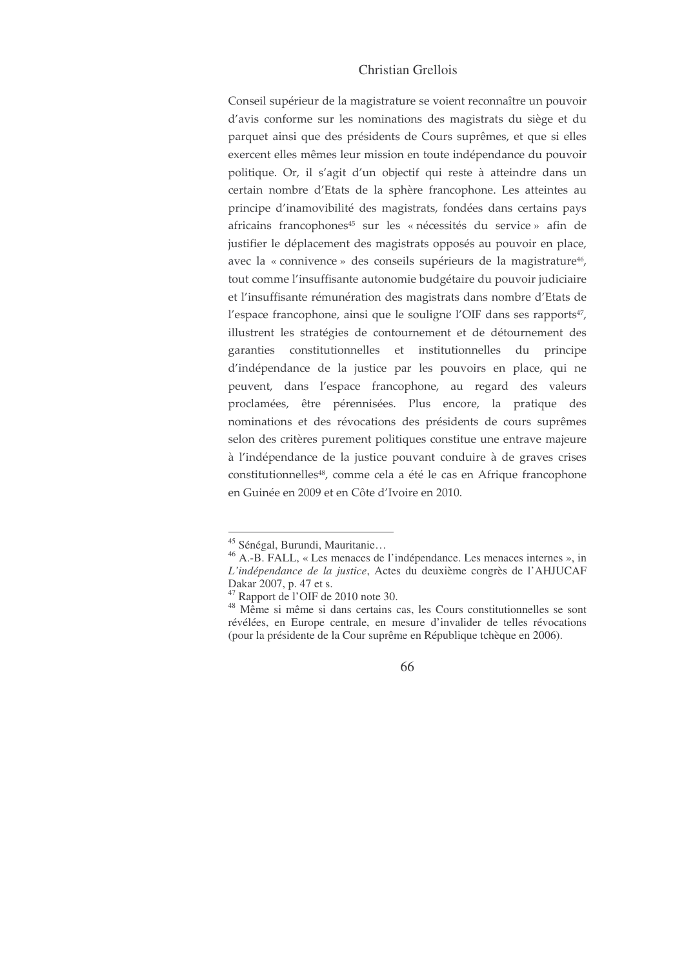Conseil supérieur de la magistrature se voient reconnaître un pouvoir d'avis conforme sur les nominations des magistrats du siège et du parquet ainsi que des présidents de Cours suprêmes, et que si elles exercent elles mêmes leur mission en toute indépendance du pouvoir politique. Or, il s'agit d'un objectif qui reste à atteindre dans un certain nombre d'Etats de la sphère francophone. Les atteintes au principe d'inamovibilité des magistrats, fondées dans certains pays africains francophones<sup>45</sup> sur les « nécessités du service » afin de justifier le déplacement des magistrats opposés au pouvoir en place, avec la « connivence » des conseils supérieurs de la magistrature<sup>46</sup>, tout comme l'insuffisante autonomie budgétaire du pouvoir judiciaire et l'insuffisante rémunération des magistrats dans nombre d'Etats de l'espace francophone, ainsi que le souligne l'OIF dans ses rapports<sup>47</sup>, illustrent les stratégies de contournement et de détournement des garanties constitutionnelles et institutionnelles du principe d'indépendance de la justice par les pouvoirs en place, qui ne peuvent, dans l'espace francophone, au regard des valeurs proclamées, être pérennisées. Plus encore, la pratique des nominations et des révocations des présidents de cours suprêmes selon des critères purement politiques constitue une entrave majeure à l'indépendance de la justice pouvant conduire à de graves crises constitutionnelles<sup>48</sup>, comme cela a été le cas en Afrique francophone en Guinée en 2009 et en Côte d'Ivoire en 2010.

<sup>&</sup>lt;sup>45</sup> Sénégal, Burundi, Mauritanie...

<sup>&</sup>lt;sup>46</sup> A.-B. FALL, « Les menaces de l'indépendance. Les menaces internes », in L'indépendance de la justice, Actes du deuxième congrès de l'AHJUCAF Dakar 2007, p. 47 et s.

<sup>&</sup>lt;sup>47</sup> Rapport de l'OIF de 2010 note 30.

<sup>&</sup>lt;sup>48</sup> Même si même si dans certains cas, les Cours constitutionnelles se sont révélées, en Europe centrale, en mesure d'invalider de telles révocations (pour la présidente de la Cour suprême en République tchèque en 2006).

<sup>66</sup>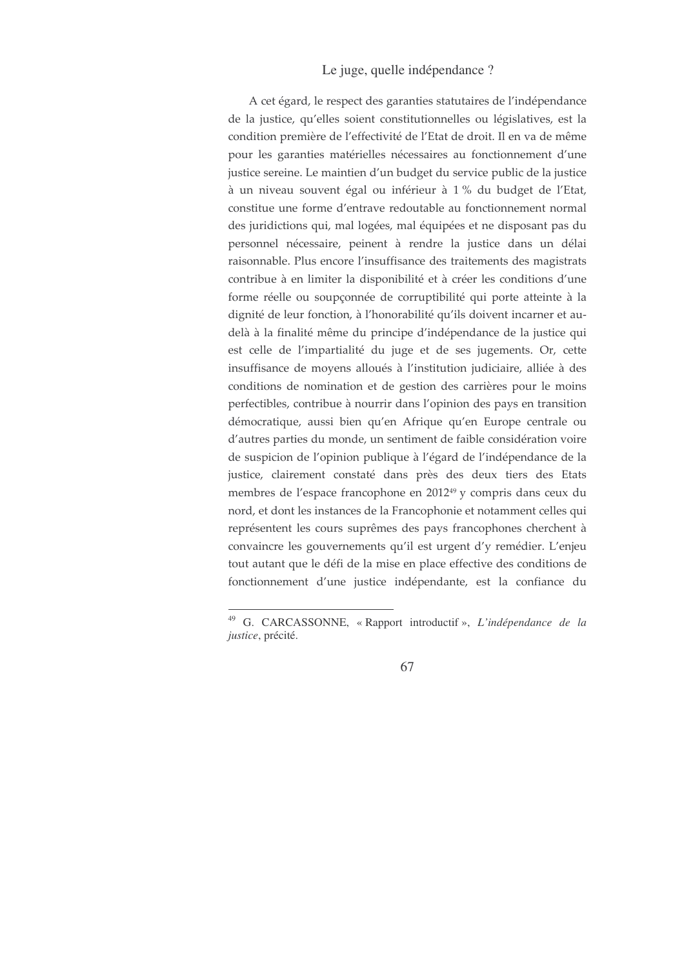A cet égard, le respect des garanties statutaires de l'indépendance de la justice, qu'elles soient constitutionnelles ou législatives, est la condition première de l'effectivité de l'Etat de droit. Il en va de même pour les garanties matérielles nécessaires au fonctionnement d'une justice sereine. Le maintien d'un budget du service public de la justice à un niveau souvent égal ou inférieur à 1 % du budget de l'Etat, constitue une forme d'entrave redoutable au fonctionnement normal des juridictions qui, mal logées, mal équipées et ne disposant pas du personnel nécessaire, peinent à rendre la justice dans un délai raisonnable. Plus encore l'insuffisance des traitements des magistrats contribue à en limiter la disponibilité et à créer les conditions d'une forme réelle ou soupçonnée de corruptibilité qui porte atteinte à la dignité de leur fonction, à l'honorabilité qu'ils doivent incarner et audelà à la finalité même du principe d'indépendance de la justice qui est celle de l'impartialité du juge et de ses jugements. Or, cette insuffisance de moyens alloués à l'institution judiciaire, alliée à des conditions de nomination et de gestion des carrières pour le moins perfectibles, contribue à nourrir dans l'opinion des pays en transition démocratique, aussi bien qu'en Afrique qu'en Europe centrale ou d'autres parties du monde, un sentiment de faible considération voire de suspicion de l'opinion publique à l'égard de l'indépendance de la justice, clairement constaté dans près des deux tiers des Etats membres de l'espace francophone en 2012<sup>49</sup> y compris dans ceux du nord, et dont les instances de la Francophonie et notamment celles qui représentent les cours suprêmes des pays francophones cherchent à convaincre les gouvernements qu'il est urgent d'y remédier. L'enjeu tout autant que le défi de la mise en place effective des conditions de fonctionnement d'une justice indépendante, est la confiance du

<sup>&</sup>lt;sup>49</sup> G. CARCASSONNE, «Rapport introductif», L'indépendance de la justice, précité.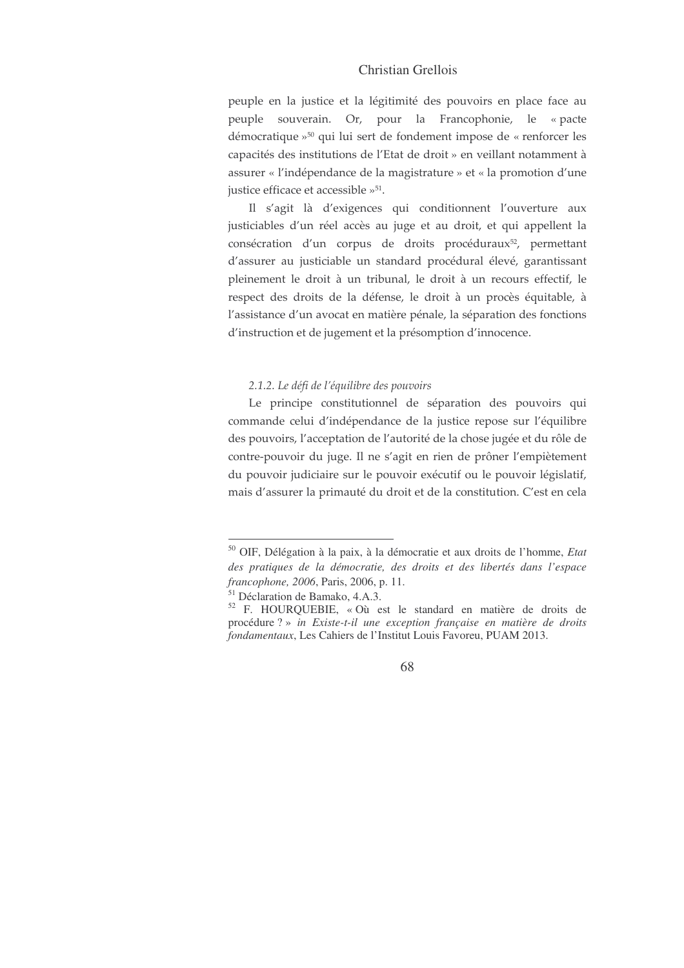peuple en la justice et la légitimité des pouvoirs en place face au peuple souverain. Or, pour la Francophonie, le «pacte démocratique »<sup>50</sup> qui lui sert de fondement impose de « renforcer les capacités des institutions de l'Etat de droit » en veillant notamment à assurer « l'indépendance de la magistrature » et « la promotion d'une justice efficace et accessible  $\nu^{51}$ .

Il s'agit là d'exigences qui conditionnent l'ouverture aux justiciables d'un réel accès au juge et au droit, et qui appellent la consécration d'un corpus de droits procéduraux<sup>52</sup>, permettant d'assurer au justiciable un standard procédural élevé, garantissant pleinement le droit à un tribunal, le droit à un recours effectif, le respect des droits de la défense, le droit à un procès équitable, à l'assistance d'un avocat en matière pénale, la séparation des fonctions d'instruction et de jugement et la présomption d'innocence.

#### 2.1.2. Le défi de l'équilibre des pouvoirs

Le principe constitutionnel de séparation des pouvoirs qui commande celui d'indépendance de la justice repose sur l'équilibre des pouvoirs, l'acceptation de l'autorité de la chose jugée et du rôle de contre-pouvoir du juge. Il ne s'agit en rien de prôner l'empiètement du pouvoir judiciaire sur le pouvoir exécutif ou le pouvoir législatif, mais d'assurer la primauté du droit et de la constitution. C'est en cela

<sup>50</sup> OIF, Délégation à la paix, à la démocratie et aux droits de l'homme, *Etat des pratiques de la démocratie, des droits et des libertés dans l'espace francophone, 2006*, Paris, 2006, p. 11.

<sup>51</sup> Déclaration de Bamako, 4.A.3.

<sup>52</sup> F. HOURQUEBIE, « Où est le standard en matière de droits de procédure ? » *in Existe-t-il une exception française en matière de droits fondamentaux*, Les Cahiers de l'Institut Louis Favoreu, PUAM 2013.

<sup>68</sup>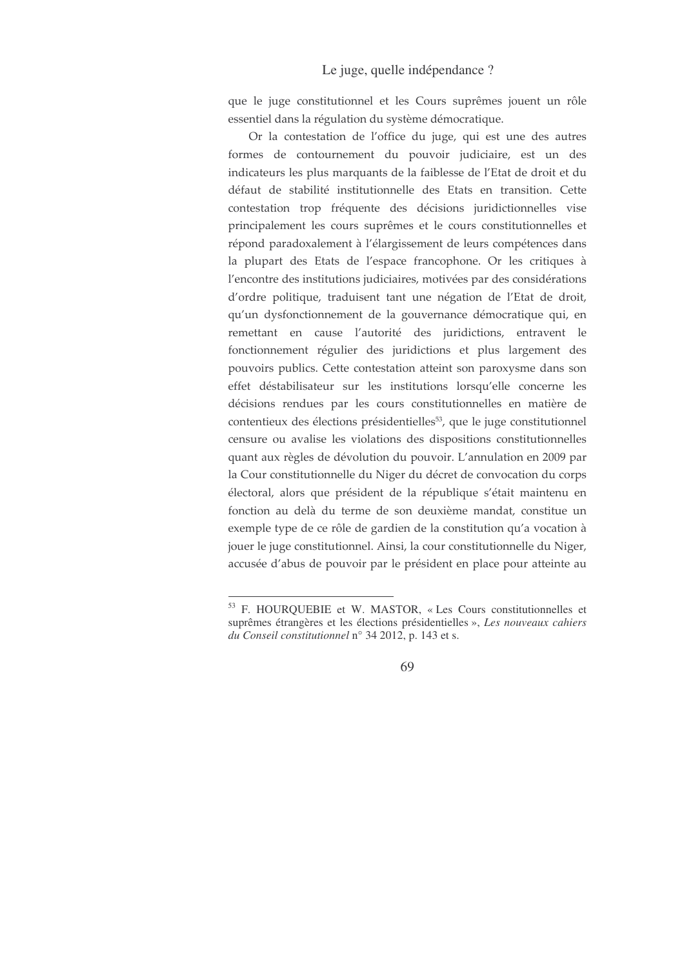que le juge constitutionnel et les Cours suprêmes jouent un rôle essentiel dans la régulation du système démocratique.

Or la contestation de l'office du juge, qui est une des autres formes de contournement du pouvoir judiciaire, est un des indicateurs les plus marquants de la faiblesse de l'Etat de droit et du défaut de stabilité institutionnelle des Etats en transition. Cette contestation trop fréquente des décisions juridictionnelles vise principalement les cours suprêmes et le cours constitutionnelles et répond paradoxalement à l'élargissement de leurs compétences dans la plupart des Etats de l'espace francophone. Or les critiques à l'encontre des institutions judiciaires, motivées par des considérations d'ordre politique, traduisent tant une négation de l'Etat de droit, qu'un dysfonctionnement de la gouvernance démocratique qui, en remettant en cause l'autorité des juridictions, entravent le fonctionnement régulier des juridictions et plus largement des pouvoirs publics. Cette contestation atteint son paroxysme dans son effet déstabilisateur sur les institutions lorsqu'elle concerne les décisions rendues par les cours constitutionnelles en matière de contentieux des élections présidentielles<sup>53</sup>, que le juge constitutionnel censure ou avalise les violations des dispositions constitutionnelles quant aux règles de dévolution du pouvoir. L'annulation en 2009 par la Cour constitutionnelle du Niger du décret de convocation du corps électoral, alors que président de la république s'était maintenu en fonction au delà du terme de son deuxième mandat, constitue un exemple type de ce rôle de gardien de la constitution qu'a vocation à jouer le juge constitutionnel. Ainsi, la cour constitutionnelle du Niger, accusée d'abus de pouvoir par le président en place pour atteinte au

<sup>&</sup>lt;sup>53</sup> F. HOURQUEBIE et W. MASTOR, « Les Cours constitutionnelles et suprêmes étrangères et les élections présidentielles », Les nouveaux cahiers du Conseil constitutionnel n° 34 2012, p. 143 et s.

<sup>69</sup>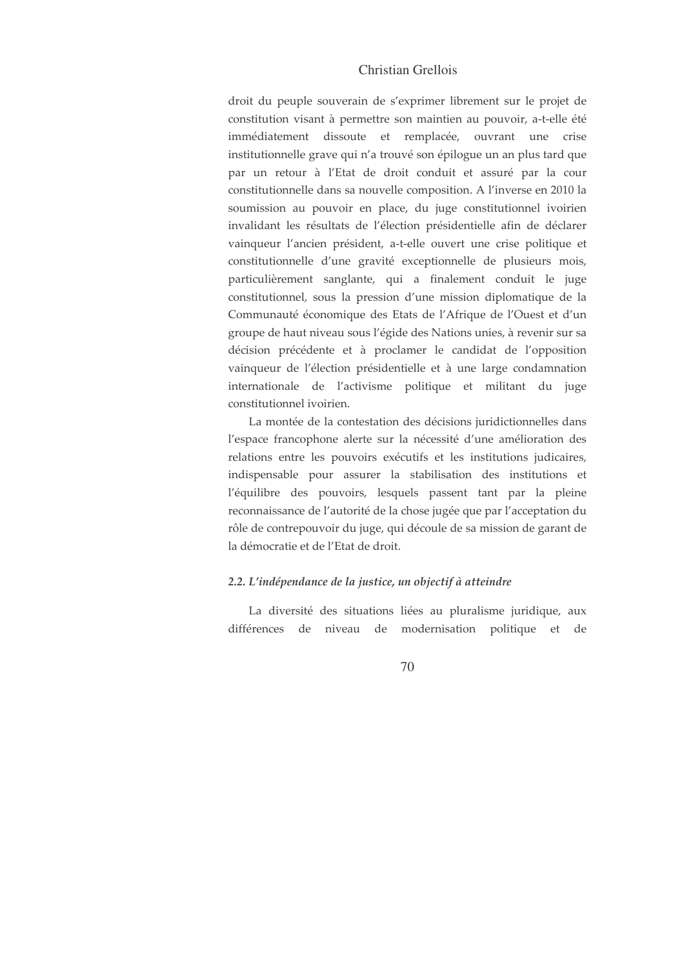droit du peuple souverain de s'exprimer librement sur le projet de constitution visant à permettre son maintien au pouvoir, a-t-elle été immédiatement dissoute et remplacée, ouvrant une crise institutionnelle grave qui n'a trouvé son épilogue un an plus tard que par un retour à l'Etat de droit conduit et assuré par la cour constitutionnelle dans sa nouvelle composition. A l'inverse en 2010 la soumission au pouvoir en place, du juge constitutionnel ivoirien invalidant les résultats de l'élection présidentielle afin de déclarer vainqueur l'ancien président, a-t-elle ouvert une crise politique et constitutionnelle d'une gravité exceptionnelle de plusieurs mois, particulièrement sanglante, qui a finalement conduit le juge constitutionnel, sous la pression d'une mission diplomatique de la Communauté économique des Etats de l'Afrique de l'Ouest et d'un groupe de haut niveau sous l'égide des Nations unies, à revenir sur sa décision précédente et à proclamer le candidat de l'opposition vainqueur de l'élection présidentielle et à une large condamnation internationale de l'activisme politique et militant du juge constitutionnel ivoirien.

La montée de la contestation des décisions juridictionnelles dans l'espace francophone alerte sur la nécessité d'une amélioration des relations entre les pouvoirs exécutifs et les institutions judicaires, indispensable pour assurer la stabilisation des institutions et l'équilibre des pouvoirs, lesquels passent tant par la pleine reconnaissance de l'autorité de la chose jugée que par l'acceptation du rôle de contrepouvoir du juge, qui découle de sa mission de garant de la démocratie et de l'Etat de droit.

### 2.2. L'indépendance de la justice, un objectif à atteindre

La diversité des situations liées au pluralisme juridique, aux différences de niveau de modernisation politique et de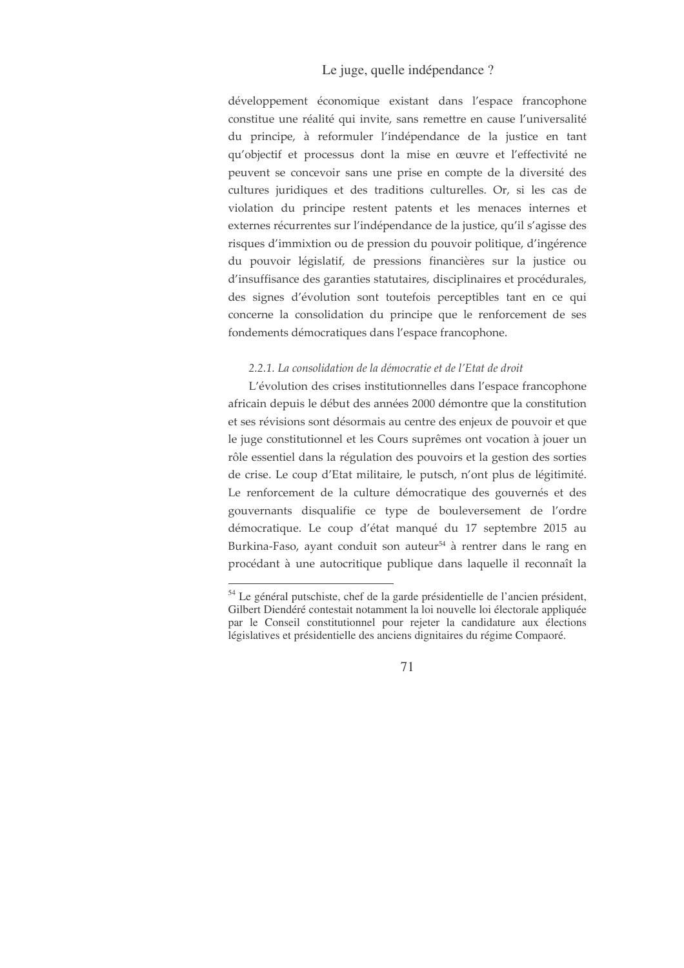développement économique existant dans l'espace francophone constitue une réalité qui invite, sans remettre en cause l'universalité du principe, à reformuler l'indépendance de la justice en tant qu'objectif et processus dont la mise en œuvre et l'effectivité ne peuvent se concevoir sans une prise en compte de la diversité des cultures juridiques et des traditions culturelles. Or, si les cas de violation du principe restent patents et les menaces internes et externes récurrentes sur l'indépendance de la justice, qu'il s'agisse des risques d'immixtion ou de pression du pouvoir politique, d'ingérence du pouvoir législatif, de pressions financières sur la justice ou d'insuffisance des garanties statutaires, disciplinaires et procédurales, des signes d'évolution sont toutefois perceptibles tant en ce qui concerne la consolidation du principe que le renforcement de ses fondements démocratiques dans l'espace francophone.

#### 2.2.1. La consolidation de la démocratie et de l'Etat de droit

L'évolution des crises institutionnelles dans l'espace francophone africain depuis le début des années 2000 démontre que la constitution et ses révisions sont désormais au centre des enjeux de pouvoir et que le juge constitutionnel et les Cours suprêmes ont vocation à jouer un rôle essentiel dans la régulation des pouvoirs et la gestion des sorties de crise. Le coup d'Etat militaire, le putsch, n'ont plus de légitimité. Le renforcement de la culture démocratique des gouvernés et des gouvernants disqualifie ce type de bouleversement de l'ordre démocratique. Le coup d'état manqué du 17 septembre 2015 au Burkina-Faso, ayant conduit son auteur<sup>54</sup> à rentrer dans le rang en procédant à une autocritique publique dans laquelle il reconnaît la

<sup>&</sup>lt;sup>54</sup> Le général putschiste, chef de la garde présidentielle de l'ancien président, Gilbert Diendéré contestait notamment la loi nouvelle loi électorale appliquée par le Conseil constitutionnel pour rejeter la candidature aux élections législatives et présidentielle des anciens dignitaires du régime Compaoré.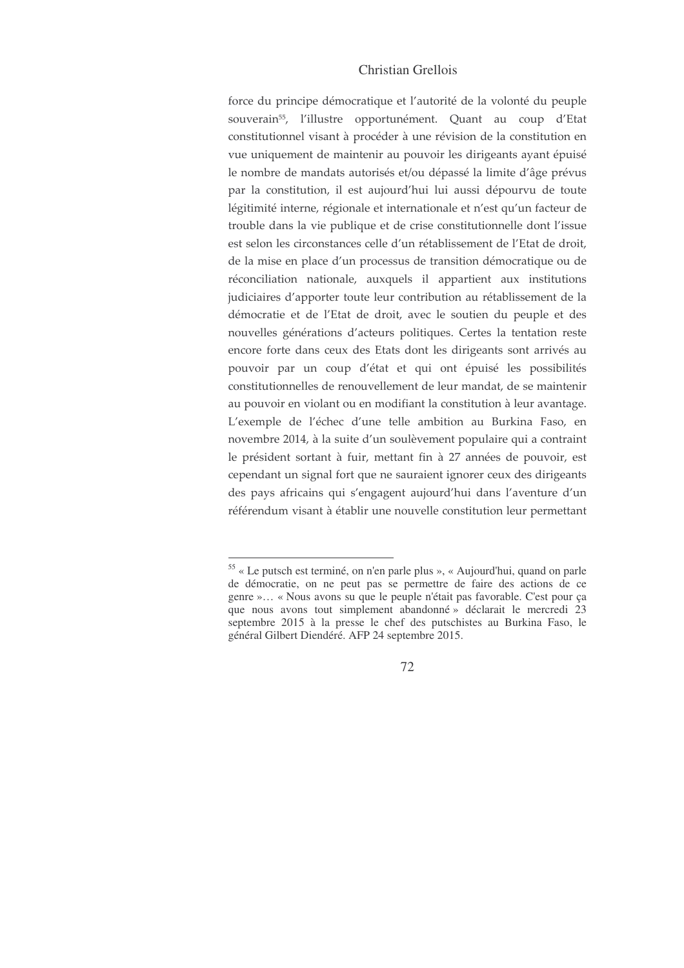force du principe démocratique et l'autorité de la volonté du peuple souverain<sup>55</sup>, l'illustre opportunément. Quant au coup d'Etat constitutionnel visant à procéder à une révision de la constitution en vue uniquement de maintenir au pouvoir les dirigeants ayant épuisé le nombre de mandats autorisés et/ou dépassé la limite d'âge prévus par la constitution, il est aujourd'hui lui aussi dépourvu de toute légitimité interne, régionale et internationale et n'est qu'un facteur de trouble dans la vie publique et de crise constitutionnelle dont l'issue est selon les circonstances celle d'un rétablissement de l'Etat de droit, de la mise en place d'un processus de transition démocratique ou de réconciliation nationale, auxquels il appartient aux institutions judiciaires d'apporter toute leur contribution au rétablissement de la démocratie et de l'Etat de droit, avec le soutien du peuple et des nouvelles générations d'acteurs politiques. Certes la tentation reste encore forte dans ceux des Etats dont les dirigeants sont arrivés au pouvoir par un coup d'état et qui ont épuisé les possibilités constitutionnelles de renouvellement de leur mandat, de se maintenir au pouvoir en violant ou en modifiant la constitution à leur avantage. L'exemple de l'échec d'une telle ambition au Burkina Faso, en novembre 2014, à la suite d'un soulèvement populaire qui a contraint le président sortant à fuir, mettant fin à 27 années de pouvoir, est cependant un signal fort que ne sauraient ignorer ceux des dirigeants des pays africains qui s'engagent aujourd'hui dans l'aventure d'un référendum visant à établir une nouvelle constitution leur permettant

<sup>55 «</sup> Le putsch est terminé, on n'en parle plus », « Aujourd'hui, quand on parle de démocratie, on ne peut pas se permettre de faire des actions de ce genre »... « Nous avons su que le peuple n'était pas favorable. C'est pour ça que nous avons tout simplement abandonné » déclarait le mercredi 23 septembre 2015 à la presse le chef des putschistes au Burkina Faso, le général Gilbert Diendéré. AFP 24 septembre 2015.

<sup>72</sup>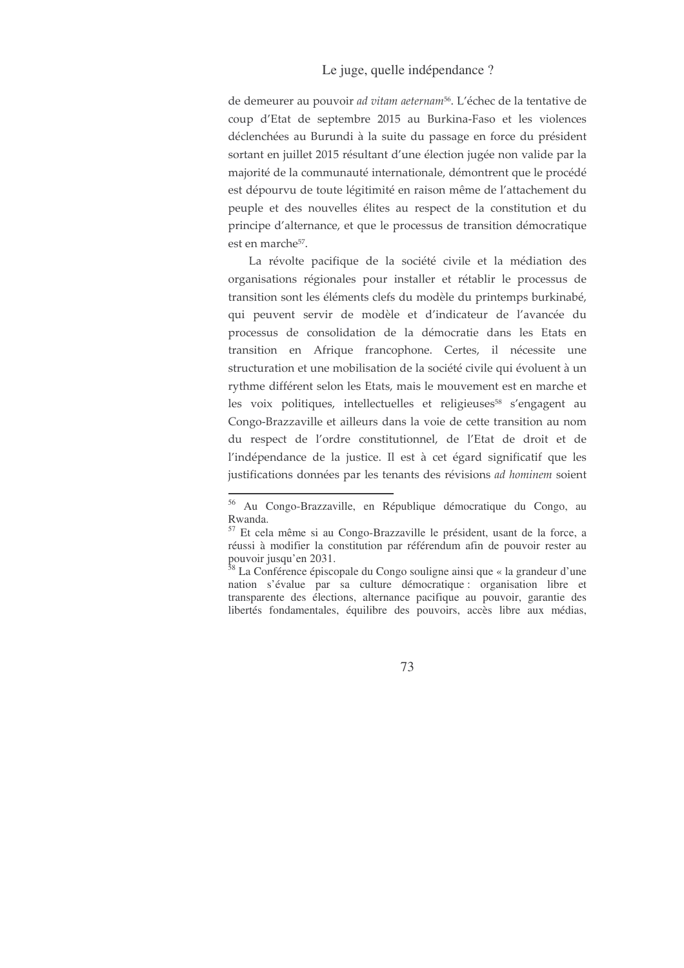## Le juge, quelle indépendance ?

de demeurer au pouvoir ad vitam aeternam<sup>56</sup>. L'échec de la tentative de coup d'Etat de septembre 2015 au Burkina-Faso et les violences déclenchées au Burundi à la suite du passage en force du président sortant en juillet 2015 résultant d'une élection jugée non valide par la majorité de la communauté internationale, démontrent que le procédé est dépourvu de toute légitimité en raison même de l'attachement du peuple et des nouvelles élites au respect de la constitution et du principe d'alternance, et que le processus de transition démocratique est en marche<sup>57</sup>.

La révolte pacifique de la société civile et la médiation des organisations régionales pour installer et rétablir le processus de transition sont les éléments clefs du modèle du printemps burkinabé, qui peuvent servir de modèle et d'indicateur de l'avancée du processus de consolidation de la démocratie dans les Etats en transition en Afrique francophone. Certes, il nécessite une structuration et une mobilisation de la société civile qui évoluent à un rythme différent selon les Etats, mais le mouvement est en marche et les voix politiques, intellectuelles et religieuses<sup>58</sup> s'engagent au Congo-Brazzaville et ailleurs dans la voie de cette transition au nom du respect de l'ordre constitutionnel, de l'Etat de droit et de l'indépendance de la justice. Il est à cet égard significatif que les justifications données par les tenants des révisions *ad hominem* soient

<sup>56</sup> Au Congo-Brazzaville, en République démocratique du Congo, au Rwanda.

<sup>&</sup>lt;sup>57</sup> Et cela même si au Congo-Brazzaville le président, usant de la force, a réussi à modifier la constitution par référendum afin de pouvoir rester au pouvoir jusqu'en 2031.<br><sup>58</sup> La Conférence épiscopale du Congo souligne ainsi que « la grandeur d'une

nation s'évalue par sa culture démocratique : organisation libre et transparente des élections, alternance pacifique au pouvoir, garantie des libertés fondamentales, équilibre des pouvoirs, accès libre aux médias,

<sup>73</sup>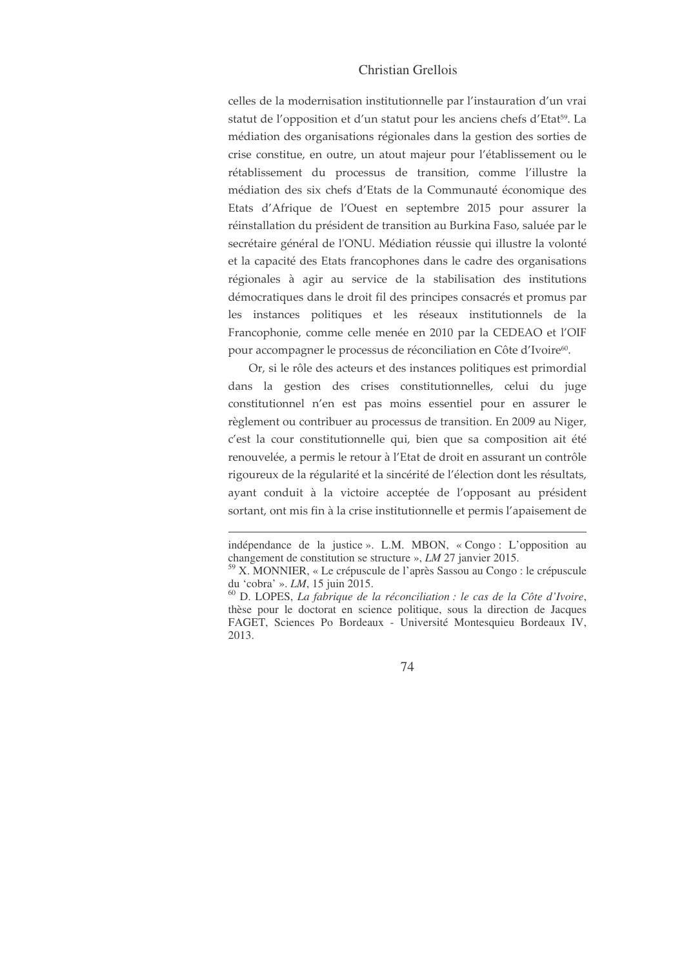## Christian Grellois

celles de la modernisation institutionnelle par l'instauration d'un vrai statut de l'opposition et d'un statut pour les anciens chefs d'Etat<sup>59</sup>. La médiation des organisations régionales dans la gestion des sorties de crise constitue, en outre, un atout majeur pour l'établissement ou le rétablissement du processus de transition, comme l'illustre la médiation des six chefs d'Etats de la Communauté économique des Etats d'Afrique de l'Ouest en septembre 2015 pour assurer la réinstallation du président de transition au Burkina Faso, saluée par le secrétaire général de l'ONU. Médiation réussie qui illustre la volonté et la capacité des Etats francophones dans le cadre des organisations régionales à agir au service de la stabilisation des institutions démocratiques dans le droit fil des principes consacrés et promus par les instances politiques et les réseaux institutionnels de la Francophonie, comme celle menée en 2010 par la CEDEAO et l'OIF pour accompagner le processus de réconciliation en Côte d'Ivoire<sup>60</sup>.

Or, si le rôle des acteurs et des instances politiques est primordial dans la gestion des crises constitutionnelles, celui du juge constitutionnel n'en est pas moins essentiel pour en assurer le règlement ou contribuer au processus de transition. En 2009 au Niger, c'est la cour constitutionnelle qui, bien que sa composition ait été renouvelée, a permis le retour à l'Etat de droit en assurant un contrôle rigoureux de la régularité et la sincérité de l'élection dont les résultats, ayant conduit à la victoire acceptée de l'opposant au président sortant, ont mis fin à la crise institutionnelle et permis l'apaisement de

indépendance de la justice». L.M. MBON, «Congo: L'opposition au changement de constitution se structure »,  $LM$  27 janvier 2015.

<sup>59</sup> X. MONNIER, « Le crépuscule de l'après Sassou au Congo : le crépuscule du 'cobra' ». LM, 15 juin 2015.

 $^{60}$  D. LOPES, *La fabrique de la réconciliation : le cas de la Côte d'Ivoire*, thèse pour le doctorat en science politique, sous la direction de Jacques FAGET, Sciences Po Bordeaux - Université Montesquieu Bordeaux IV, 2013.

<sup>74</sup>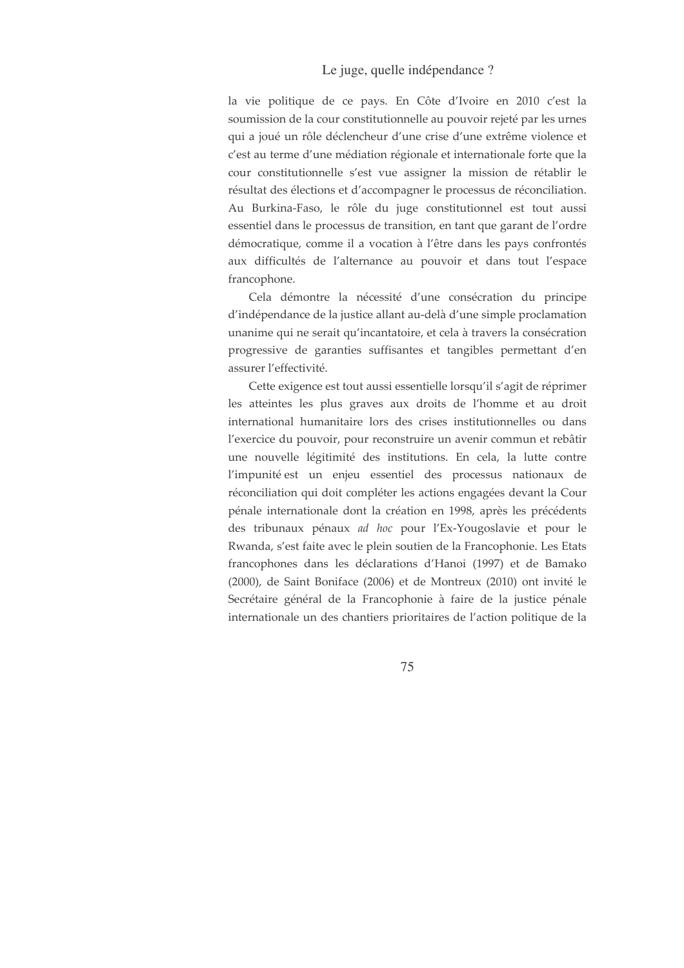### Le juge, quelle indépendance ?

la vie politique de ce pays. En Côte d'Ivoire en 2010 c'est la soumission de la cour constitutionnelle au pouvoir rejeté par les urnes qui a joué un rôle déclencheur d'une crise d'une extrême violence et c'est au terme d'une médiation régionale et internationale forte que la cour constitutionnelle s'est vue assigner la mission de rétablir le résultat des élections et d'accompagner le processus de réconciliation. Au Burkina-Faso, le rôle du juge constitutionnel est tout aussi essentiel dans le processus de transition, en tant que garant de l'ordre démocratique, comme il a vocation à l'être dans les pays confrontés aux difficultés de l'alternance au pouvoir et dans tout l'espace francophone.

Cela démontre la nécessité d'une consécration du principe d'indépendance de la justice allant au-delà d'une simple proclamation unanime qui ne serait qu'incantatoire, et cela à travers la consécration progressive de garanties suffisantes et tangibles permettant d'en assurer l'effectivité.

Cette exigence est tout aussi essentielle lorsqu'il s'agit de réprimer les atteintes les plus graves aux droits de l'homme et au droit international humanitaire lors des crises institutionnelles ou dans l'exercice du pouvoir, pour reconstruire un avenir commun et rebâtir une nouvelle légitimité des institutions. En cela, la lutte contre l'impunité est un enjeu essentiel des processus nationaux de réconciliation qui doit compléter les actions engagées devant la Cour pénale internationale dont la création en 1998, après les précédents des tribunaux pénaux ad hoc pour l'Ex-Yougoslavie et pour le Rwanda, s'est faite avec le plein soutien de la Francophonie. Les Etats francophones dans les déclarations d'Hanoi (1997) et de Bamako (2000), de Saint Boniface (2006) et de Montreux (2010) ont invité le Secrétaire général de la Francophonie à faire de la justice pénale internationale un des chantiers prioritaires de l'action politique de la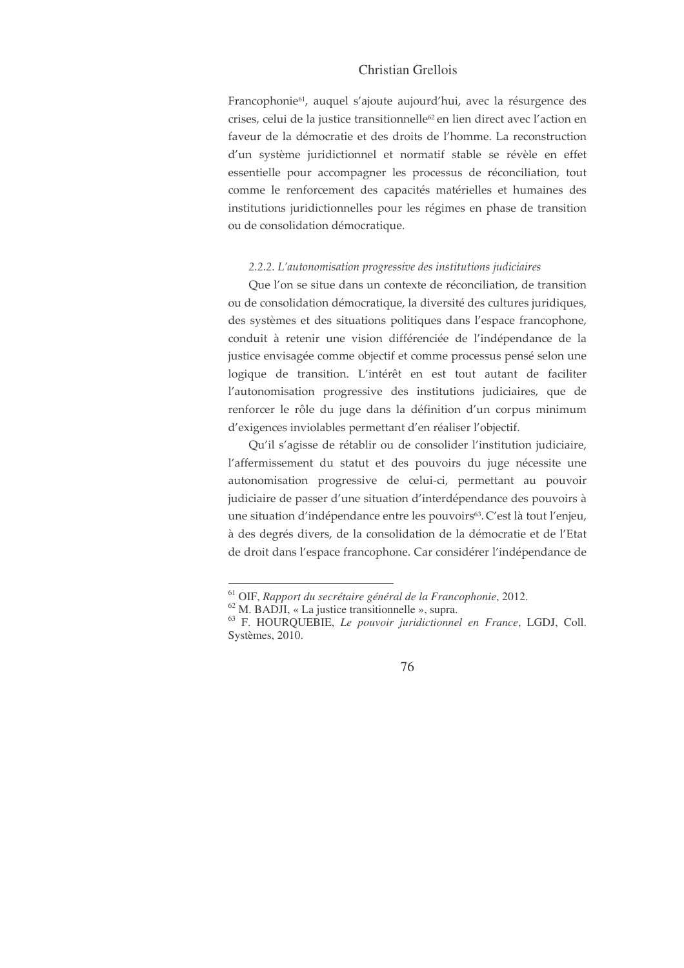## Christian Grellois

Francophonie<sup>61</sup>, auquel s'ajoute aujourd'hui, avec la résurgence des crises, celui de la justice transitionnelle<sup>62</sup> en lien direct avec l'action en faveur de la démocratie et des droits de l'homme. La reconstruction d'un système juridictionnel et normatif stable se révèle en effet essentielle pour accompagner les processus de réconciliation, tout comme le renforcement des capacités matérielles et humaines des institutions juridictionnelles pour les régimes en phase de transition ou de consolidation démocratique.

#### 2.2.2. L'autonomisation progressive des institutions judiciaires

Que l'on se situe dans un contexte de réconciliation, de transition ou de consolidation démocratique, la diversité des cultures juridiques, des systèmes et des situations politiques dans l'espace francophone, conduit à retenir une vision différenciée de l'indépendance de la justice envisagée comme objectif et comme processus pensé selon une logique de transition. L'intérêt en est tout autant de faciliter l'autonomisation progressive des institutions judiciaires, que de renforcer le rôle du juge dans la définition d'un corpus minimum d'exigences inviolables permettant d'en réaliser l'objectif.

Qu'il s'agisse de rétablir ou de consolider l'institution judiciaire, l'affermissement du statut et des pouvoirs du juge nécessite une autonomisation progressive de celui-ci, permettant au pouvoir judiciaire de passer d'une situation d'interdépendance des pouvoirs à une situation d'indépendance entre les pouvoirs<sup>63</sup>. C'est là tout l'enjeu, à des degrés divers, de la consolidation de la démocratie et de l'Etat de droit dans l'espace francophone. Car considérer l'indépendance de

 $61$  OIF, Rapport du secrétaire général de la Francophonie, 2012.

 $^{62}$  M. BADJI, « La justice transitionnelle », supra.

<sup>&</sup>lt;sup>63</sup> F. HOURQUEBIE, Le pouvoir juridictionnel en France, LGDJ, Coll. Systèmes, 2010.

<sup>76</sup>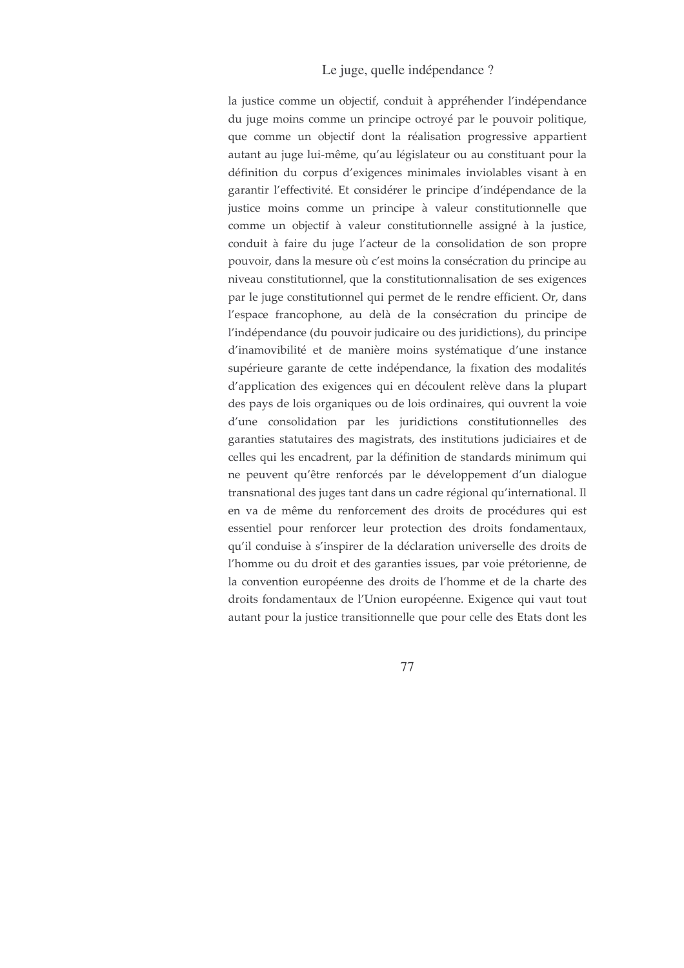## Le juge, quelle indépendance ?

la justice comme un objectif, conduit à appréhender l'indépendance du juge moins comme un principe octroyé par le pouvoir politique, que comme un objectif dont la réalisation progressive appartient autant au juge lui-même, qu'au législateur ou au constituant pour la définition du corpus d'exigences minimales inviolables visant à en garantir l'effectivité. Et considérer le principe d'indépendance de la justice moins comme un principe à valeur constitutionnelle que comme un objectif à valeur constitutionnelle assigné à la justice, conduit à faire du juge l'acteur de la consolidation de son propre pouvoir, dans la mesure où c'est moins la consécration du principe au niveau constitutionnel, que la constitutionnalisation de ses exigences par le juge constitutionnel qui permet de le rendre efficient. Or, dans l'espace francophone, au delà de la consécration du principe de l'indépendance (du pouvoir judicaire ou des juridictions), du principe d'inamovibilité et de manière moins systématique d'une instance supérieure garante de cette indépendance, la fixation des modalités d'application des exigences qui en découlent relève dans la plupart des pays de lois organiques ou de lois ordinaires, qui ouvrent la voie d'une consolidation par les juridictions constitutionnelles des garanties statutaires des magistrats, des institutions judiciaires et de celles qui les encadrent, par la définition de standards minimum qui ne peuvent qu'être renforcés par le développement d'un dialogue transnational des juges tant dans un cadre régional qu'international. Il en va de même du renforcement des droits de procédures qui est essentiel pour renforcer leur protection des droits fondamentaux, qu'il conduise à s'inspirer de la déclaration universelle des droits de l'homme ou du droit et des garanties issues, par voie prétorienne, de la convention européenne des droits de l'homme et de la charte des droits fondamentaux de l'Union européenne. Exigence qui vaut tout autant pour la justice transitionnelle que pour celle des Etats dont les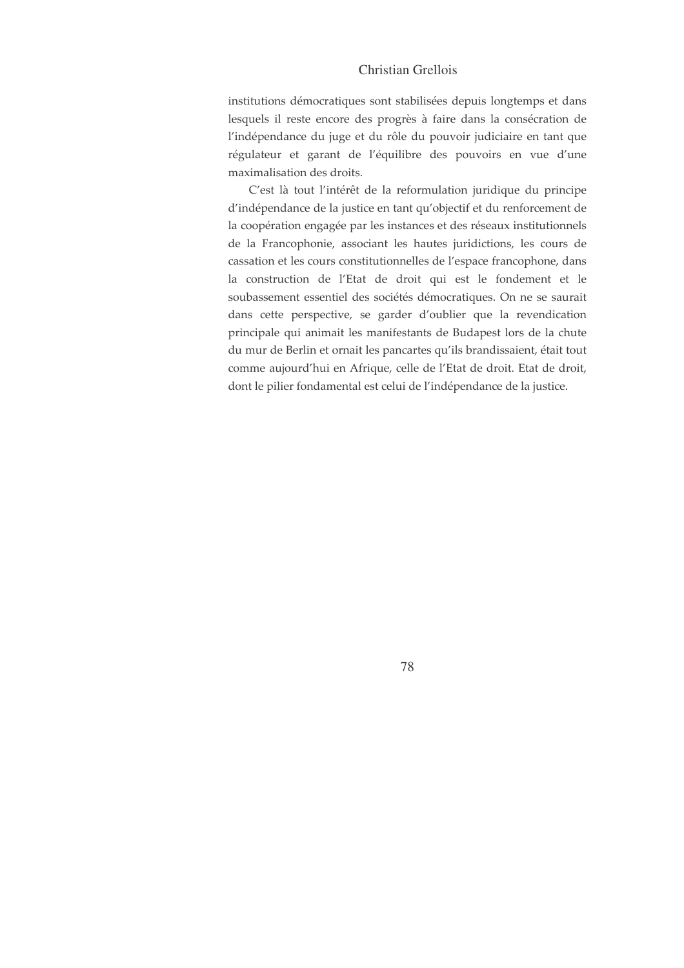## Christian Grellois

institutions démocratiques sont stabilisées depuis longtemps et dans lesquels il reste encore des progrès à faire dans la consécration de l'indépendance du juge et du rôle du pouvoir judiciaire en tant que régulateur et garant de l'équilibre des pouvoirs en vue d'une maximalisation des droits.

C'est là tout l'intérêt de la reformulation juridique du principe d'indépendance de la justice en tant qu'objectif et du renforcement de la coopération engagée par les instances et des réseaux institutionnels de la Francophonie, associant les hautes juridictions, les cours de cassation et les cours constitutionnelles de l'espace francophone, dans la construction de l'Etat de droit qui est le fondement et le soubassement essentiel des sociétés démocratiques. On ne se saurait dans cette perspective, se garder d'oublier que la revendication principale qui animait les manifestants de Budapest lors de la chute du mur de Berlin et ornait les pancartes qu'ils brandissaient, était tout comme aujourd'hui en Afrique, celle de l'Etat de droit. Etat de droit, dont le pilier fondamental est celui de l'indépendance de la justice.

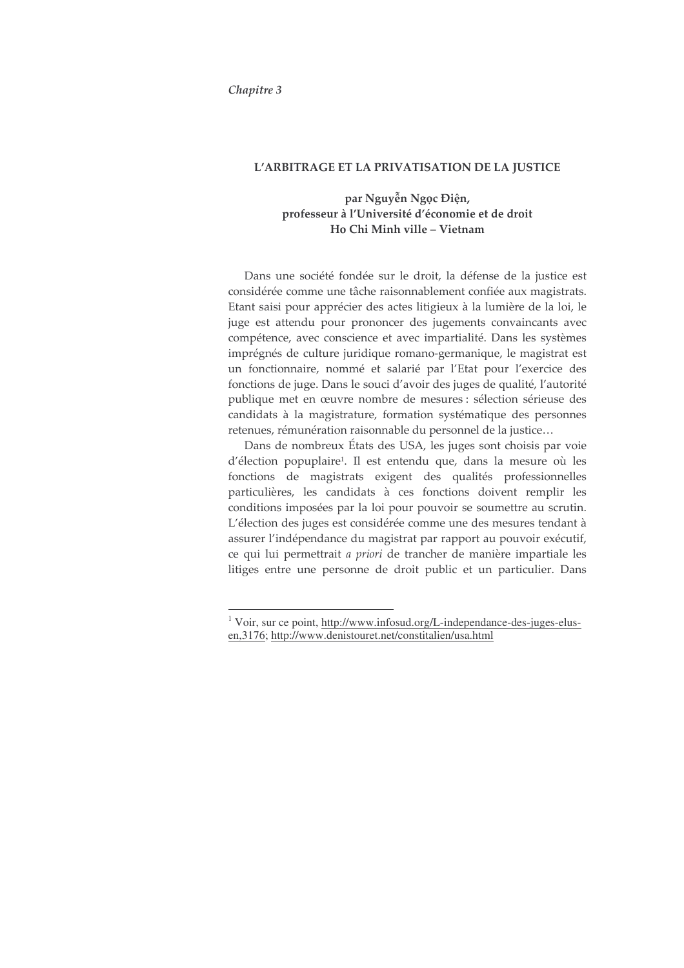Chapitre 3

#### L'ARBITRAGE ET LA PRIVATISATION DE LA JUSTICE

## par Nguyễn Ngọc Điện, professeur à l'Université d'économie et de droit Ho Chi Minh ville - Vietnam

Dans une société fondée sur le droit, la défense de la justice est considérée comme une tâche raisonnablement confiée aux magistrats. Etant saisi pour apprécier des actes litigieux à la lumière de la loi, le juge est attendu pour prononcer des jugements convaincants avec compétence, avec conscience et avec impartialité. Dans les systèmes imprégnés de culture juridique romano-germanique, le magistrat est un fonctionnaire, nommé et salarié par l'Etat pour l'exercice des fonctions de juge. Dans le souci d'avoir des juges de qualité, l'autorité publique met en œuvre nombre de mesures : sélection sérieuse des candidats à la magistrature, formation systématique des personnes retenues, rémunération raisonnable du personnel de la justice...

Dans de nombreux États des USA, les juges sont choisis par voie d'élection popuplaire<sup>1</sup>. Il est entendu que, dans la mesure où les fonctions de magistrats exigent des qualités professionnelles particulières, les candidats à ces fonctions doivent remplir les conditions imposées par la loi pour pouvoir se soumettre au scrutin. L'élection des juges est considérée comme une des mesures tendant à assurer l'indépendance du magistrat par rapport au pouvoir exécutif, ce qui lui permettrait a priori de trancher de manière impartiale les litiges entre une personne de droit public et un particulier. Dans

<sup>&</sup>lt;sup>1</sup> Voir, sur ce point, http://www.infosud.org/L-independance-des-juges-elusen, 3176; http://www.denistouret.net/constitalien/usa.html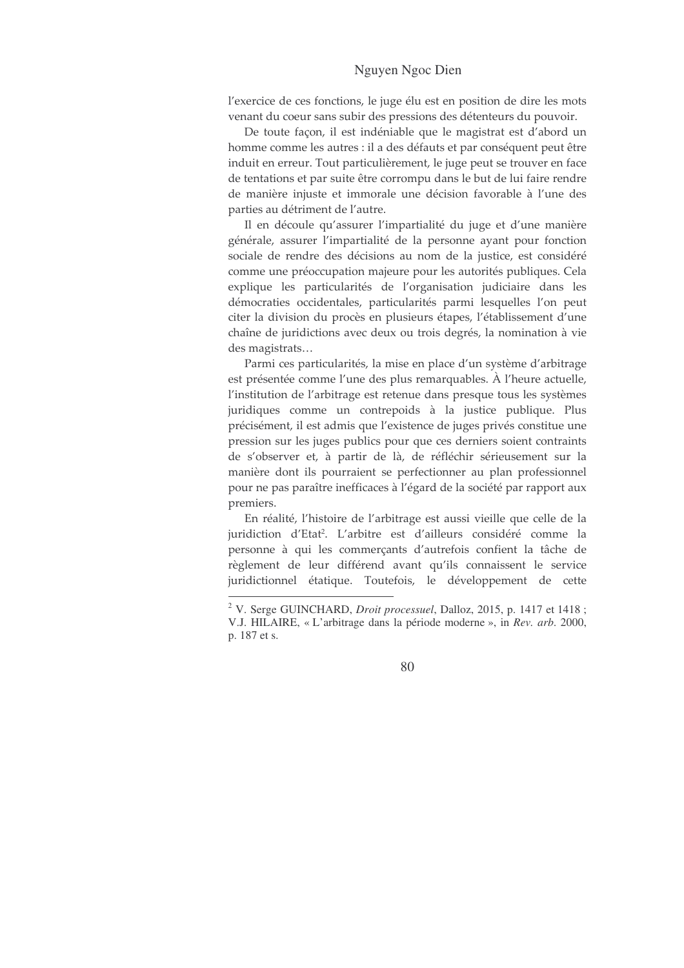l'exercice de ces fonctions, le juge élu est en position de dire les mots venant du coeur sans subir des pressions des détenteurs du pouvoir.

De toute façon, il est indéniable que le magistrat est d'abord un homme comme les autres : il a des défauts et par conséquent peut être induit en erreur. Tout particulièrement, le juge peut se trouver en face de tentations et par suite être corrompu dans le but de lui faire rendre de manière injuste et immorale une décision favorable à l'une des parties au détriment de l'autre.

Il en découle qu'assurer l'impartialité du juge et d'une manière générale, assurer l'impartialité de la personne ayant pour fonction sociale de rendre des décisions au nom de la justice, est considéré comme une préoccupation majeure pour les autorités publiques. Cela explique les particularités de l'organisation judiciaire dans les démocraties occidentales, particularités parmi lesquelles l'on peut citer la division du procès en plusieurs étapes, l'établissement d'une chaîne de juridictions avec deux ou trois degrés, la nomination à vie des magistrats...

Parmi ces particularités, la mise en place d'un système d'arbitrage est présentée comme l'une des plus remarquables. À l'heure actuelle, l'institution de l'arbitrage est retenue dans presque tous les systèmes juridiques comme un contrepoids à la justice publique. Plus précisément, il est admis que l'existence de juges privés constitue une pression sur les juges publics pour que ces derniers soient contraints de s'observer et, à partir de là, de réfléchir sérieusement sur la manière dont ils pourraient se perfectionner au plan professionnel pour ne pas paraître inefficaces à l'égard de la société par rapport aux premiers.

En réalité, l'histoire de l'arbitrage est aussi vieille que celle de la juridiction d'Etat<sup>2</sup>. L'arbitre est d'ailleurs considéré comme la personne à qui les commerçants d'autrefois confient la tâche de règlement de leur différend avant qu'ils connaissent le service juridictionnel étatique. Toutefois, le développement de cette

<sup>&</sup>lt;sup>2</sup> V. Serge GUINCHARD, *Droit processuel*, Dalloz, 2015, p. 1417 et 1418; V.J. HILAIRE, « L'arbitrage dans la période moderne », in Rev. arb. 2000, p. 187 et s.

<sup>80</sup>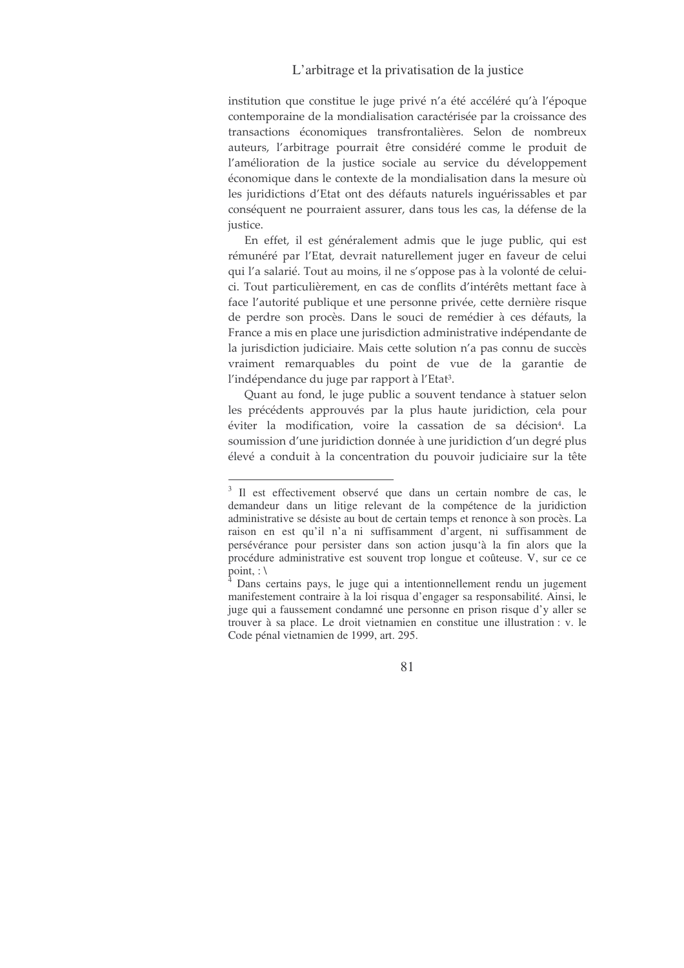institution que constitue le juge privé n'a été accéléré qu'à l'époque contemporaine de la mondialisation caractérisée par la croissance des transactions économiques transfrontalières. Selon de nombreux auteurs, l'arbitrage pourrait être considéré comme le produit de l'amélioration de la justice sociale au service du développement économique dans le contexte de la mondialisation dans la mesure où les juridictions d'Etat ont des défauts naturels inguérissables et par conséquent ne pourraient assurer, dans tous les cas, la défense de la justice.

En effet, il est généralement admis que le juge public, qui est rémunéré par l'Etat, devrait naturellement juger en faveur de celui qui l'a salarié. Tout au moins, il ne s'oppose pas à la volonté de celuici. Tout particulièrement, en cas de conflits d'intérêts mettant face à face l'autorité publique et une personne privée, cette dernière risque de perdre son procès. Dans le souci de remédier à ces défauts, la France a mis en place une jurisdiction administrative indépendante de la jurisdiction judiciaire. Mais cette solution n'a pas connu de succès vraiment remarquables du point de vue de la garantie de l'indépendance du juge par rapport à l'Etat<sup>3</sup>.

Quant au fond, le juge public a souvent tendance à statuer selon les précédents approuvés par la plus haute juridiction, cela pour éviter la modification, voire la cassation de sa décision<sup>4</sup>. La soumission d'une juridiction donnée à une juridiction d'un degré plus élevé a conduit à la concentration du pouvoir judiciaire sur la tête

<sup>&</sup>lt;sup>3</sup> Il est effectivement observé que dans un certain nombre de cas, le demandeur dans un litige relevant de la compétence de la juridiction administrative se désiste au bout de certain temps et renonce à son procès. La raison en est qu'il n'a ni suffisamment d'argent, ni suffisamment de persévérance pour persister dans son action jusqu'à la fin alors que la procédure administrative est souvent trop longue et coûteuse. V, sur ce ce point, :  $\setminus$ 

Dans certains pays, le juge qui a intentionnellement rendu un jugement manifestement contraire à la loi risqua d'engager sa responsabilité. Ainsi, le juge qui a faussement condamné une personne en prison risque d'y aller se trouver à sa place. Le droit vietnamien en constitue une illustration : v. le Code pénal vietnamien de 1999, art. 295.

<sup>81</sup>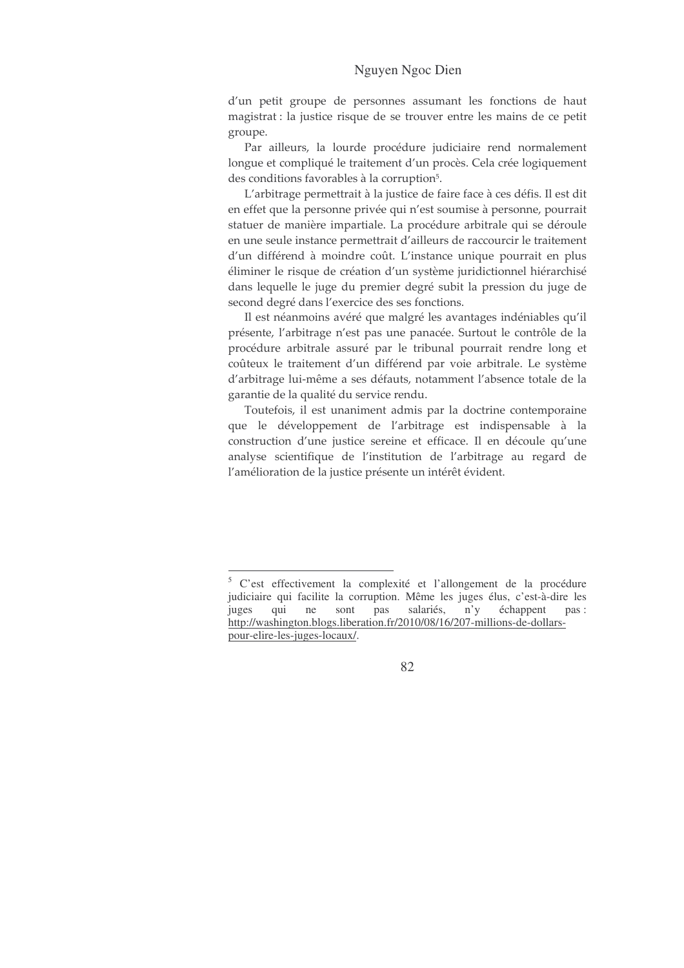d'un petit groupe de personnes assumant les fonctions de haut magistrat : la justice risque de se trouver entre les mains de ce petit groupe.

Par ailleurs, la lourde procédure judiciaire rend normalement longue et compliqué le traitement d'un procès. Cela crée logiquement des conditions favorables à la corruption<sup>5</sup>.

L'arbitrage permettrait à la justice de faire face à ces défis. Il est dit en effet que la personne privée qui n'est soumise à personne, pourrait statuer de manière impartiale. La procédure arbitrale qui se déroule en une seule instance permettrait d'ailleurs de raccourcir le traitement d'un différend à moindre coût. L'instance unique pourrait en plus éliminer le risque de création d'un système juridictionnel hiérarchisé dans lequelle le juge du premier degré subit la pression du juge de second degré dans l'exercice des ses fonctions.

Il est néanmoins avéré que malgré les avantages indéniables qu'il présente, l'arbitrage n'est pas une panacée. Surtout le contrôle de la procédure arbitrale assuré par le tribunal pourrait rendre long et coûteux le traitement d'un différend par voie arbitrale. Le système d'arbitrage lui-même a ses défauts, notamment l'absence totale de la garantie de la qualité du service rendu.

Toutefois, il est unaniment admis par la doctrine contemporaine que le développement de l'arbitrage est indispensable à la construction d'une justice sereine et efficace. Il en découle qu'une analyse scientifique de l'institution de l'arbitrage au regard de l'amélioration de la justice présente un intérêt évident.

<sup>&</sup>lt;sup>5</sup> C'est effectivement la complexité et l'allongement de la procédure judiciaire qui facilite la corruption. Même les juges élus, c'est-à-dire les qui ne sont pas salariés,  $n'y$ échappent juges pas: http://washington.blogs.liberation.fr/2010/08/16/207-millions-de-dollarspour-elire-les-juges-locaux/.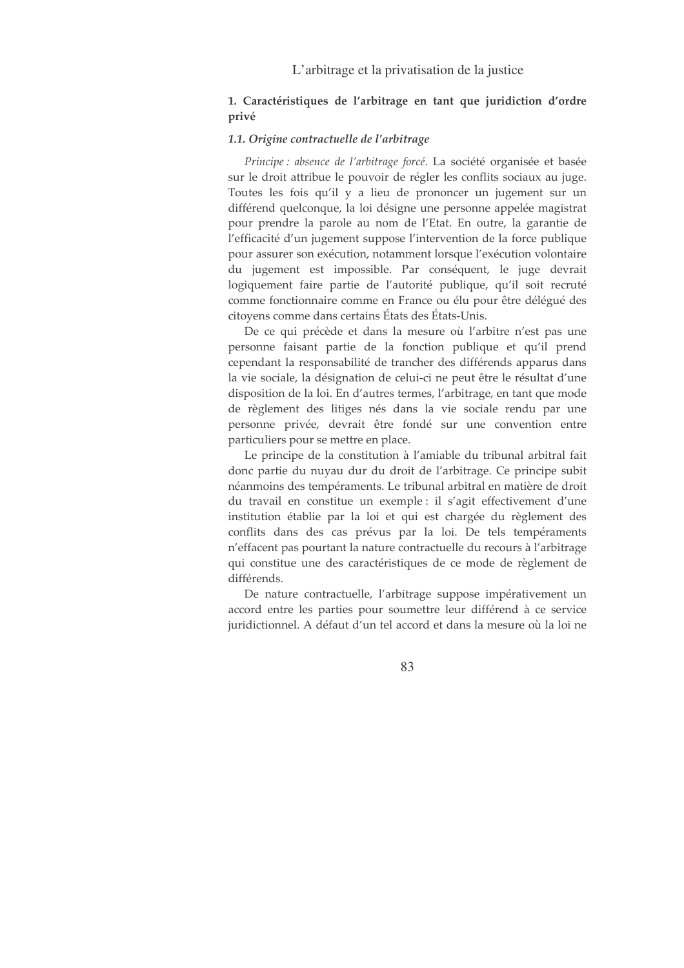### 1. Caractéristiques de l'arbitrage en tant que juridiction d'ordre privé

#### 1.1. Origine contractuelle de l'arbitrage

Principe : absence de l'arbitrage forcé. La société organisée et basée sur le droit attribue le pouvoir de régler les conflits sociaux au juge. Toutes les fois qu'il y a lieu de prononcer un jugement sur un différend quelconque, la loi désigne une personne appelée magistrat pour prendre la parole au nom de l'Etat. En outre, la garantie de l'efficacité d'un jugement suppose l'intervention de la force publique pour assurer son exécution, notamment lorsque l'exécution volontaire du jugement est impossible. Par conséquent, le juge devrait logiquement faire partie de l'autorité publique, qu'il soit recruté comme fonctionnaire comme en France ou élu pour être délégué des citovens comme dans certains États des États-Unis.

De ce qui précède et dans la mesure où l'arbitre n'est pas une personne faisant partie de la fonction publique et qu'il prend cependant la responsabilité de trancher des différends apparus dans la vie sociale, la désignation de celui-ci ne peut être le résultat d'une disposition de la loi. En d'autres termes, l'arbitrage, en tant que mode de règlement des litiges nés dans la vie sociale rendu par une personne privée, devrait être fondé sur une convention entre particuliers pour se mettre en place.

Le principe de la constitution à l'amiable du tribunal arbitral fait donc partie du nuyau dur du droit de l'arbitrage. Ce principe subit néanmoins des tempéraments. Le tribunal arbitral en matière de droit du travail en constitue un exemple : il s'agit effectivement d'une institution établie par la loi et qui est chargée du règlement des conflits dans des cas prévus par la loi. De tels tempéraments n'effacent pas pourtant la nature contractuelle du recours à l'arbitrage qui constitue une des caractéristiques de ce mode de règlement de différends.

De nature contractuelle, l'arbitrage suppose impérativement un accord entre les parties pour soumettre leur différend à ce service juridictionnel. A défaut d'un tel accord et dans la mesure où la loi ne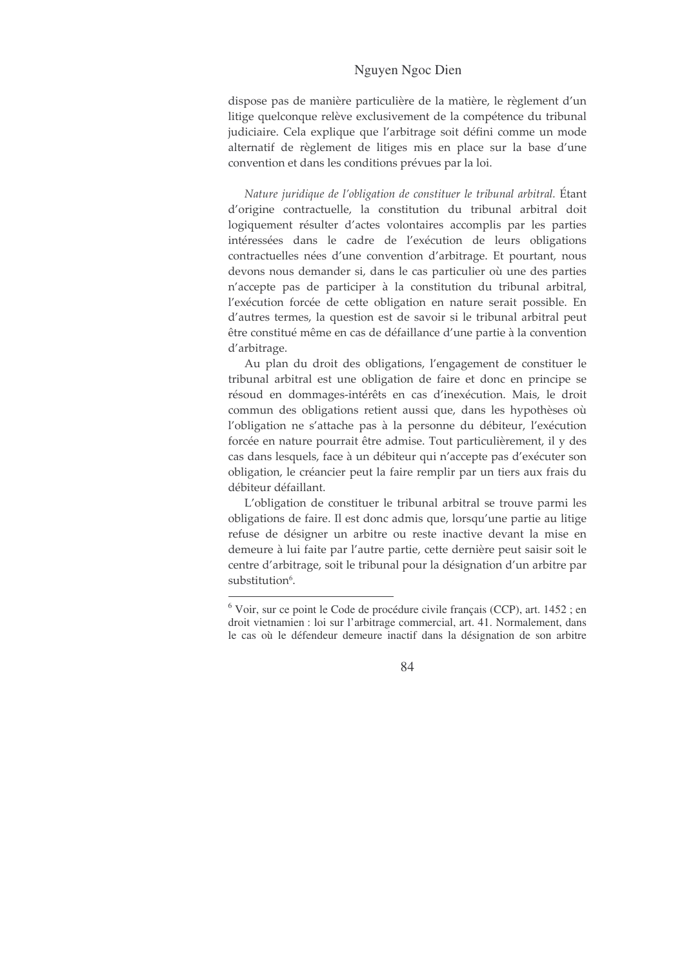dispose pas de manière particulière de la matière, le règlement d'un litige quelconque relève exclusivement de la compétence du tribunal judiciaire. Cela explique que l'arbitrage soit défini comme un mode alternatif de règlement de litiges mis en place sur la base d'une convention et dans les conditions prévues par la loi.

Nature juridique de l'obligation de constituer le tribunal arbitral. Étant d'origine contractuelle, la constitution du tribunal arbitral doit logiquement résulter d'actes volontaires accomplis par les parties intéressées dans le cadre de l'exécution de leurs obligations contractuelles nées d'une convention d'arbitrage. Et pourtant, nous devons nous demander si, dans le cas particulier où une des parties n'accepte pas de participer à la constitution du tribunal arbitral, l'exécution forcée de cette obligation en nature serait possible. En d'autres termes, la question est de savoir si le tribunal arbitral peut être constitué même en cas de défaillance d'une partie à la convention d'arbitrage.

Au plan du droit des obligations, l'engagement de constituer le tribunal arbitral est une obligation de faire et donc en principe se résoud en dommages-intérêts en cas d'inexécution. Mais, le droit commun des obligations retient aussi que, dans les hypothèses où l'obligation ne s'attache pas à la personne du débiteur, l'exécution forcée en nature pourrait être admise. Tout particulièrement, il y des cas dans lesquels, face à un débiteur qui n'accepte pas d'exécuter son obligation, le créancier peut la faire remplir par un tiers aux frais du débiteur défaillant.

L'obligation de constituer le tribunal arbitral se trouve parmi les obligations de faire. Il est donc admis que, lorsqu'une partie au litige refuse de désigner un arbitre ou reste inactive devant la mise en demeure à lui faite par l'autre partie, cette dernière peut saisir soit le centre d'arbitrage, soit le tribunal pour la désignation d'un arbitre par substitution<sup>6</sup>.

<sup>&</sup>lt;sup>6</sup> Voir, sur ce point le Code de procédure civile français (CCP), art. 1452 ; en droit vietnamien : loi sur l'arbitrage commercial, art. 41. Normalement, dans le cas où le défendeur demeure inactif dans la désignation de son arbitre

<sup>84</sup>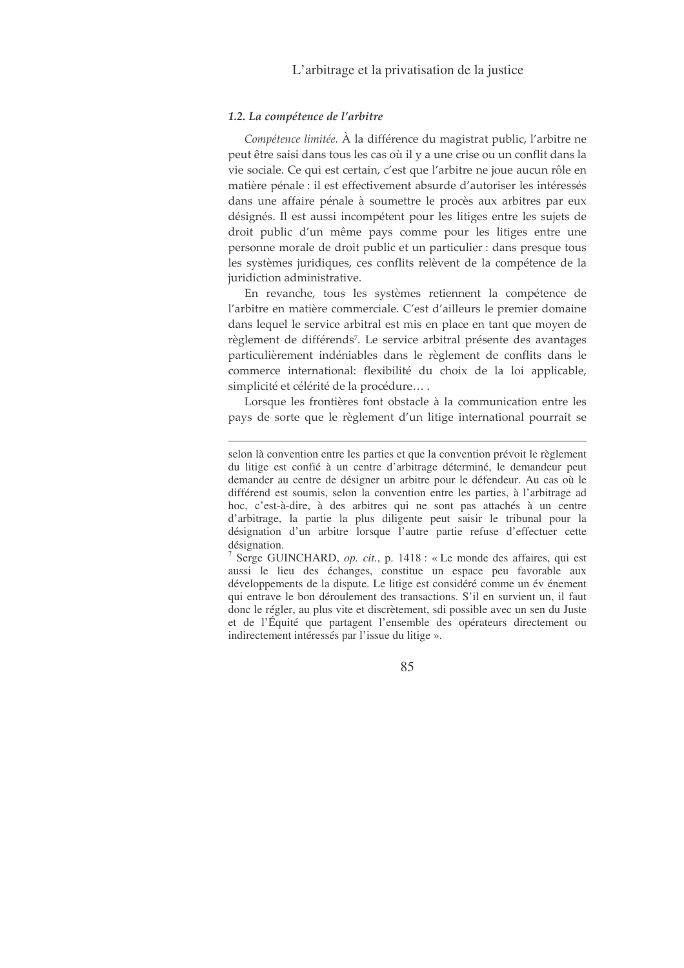#### 1.2. La compétence de l'arbitre

Compétence limitée. À la différence du magistrat public, l'arbitre ne peut être saisi dans tous les cas où il y a une crise ou un conflit dans la vie sociale. Ce qui est certain, c'est que l'arbitre ne joue aucun rôle en matière pénale : il est effectivement absurde d'autoriser les intéressés dans une affaire pénale à soumettre le procès aux arbitres par eux désignés. Il est aussi incompétent pour les litiges entre les sujets de droit public d'un même pays comme pour les litiges entre une personne morale de droit public et un particulier : dans presque tous les systèmes juridiques, ces conflits relèvent de la compétence de la juridiction administrative.

En revanche, tous les systèmes retiennent la compétence de l'arbitre en matière commerciale. C'est d'ailleurs le premier domaine dans lequel le service arbitral est mis en place en tant que moyen de règlement de différends<sup>7</sup>. Le service arbitral présente des avantages particulièrement indéniables dans le règlement de conflits dans le commerce international: flexibilité du choix de la loi applicable, simplicité et célérité de la procédure....

Lorsque les frontières font obstacle à la communication entre les pays de sorte que le règlement d'un litige international pourrait se

<sup>7</sup> Serge GUINCHARD, op. cit., p. 1418 : « Le monde des affaires, qui est aussi le lieu des échanges, constitue un espace peu favorable aux développements de la dispute. Le litige est considéré comme un év énement qui entrave le bon déroulement des transactions. S'il en survient un, il faut donc le régler, au plus vite et discrètement, sdi possible avec un sen du Juste et de l'Équité que partagent l'ensemble des opérateurs directement ou indirectement intéressés par l'issue du litige ».

selon là convention entre les parties et que la convention prévoit le règlement du litige est confié à un centre d'arbitrage déterminé, le demandeur peut demander au centre de désigner un arbitre pour le défendeur. Au cas où le différend est soumis, selon la convention entre les parties, à l'arbitrage ad hoc, c'est-à-dire, à des arbitres qui ne sont pas attachés à un centre d'arbitrage, la partie la plus diligente peut saisir le tribunal pour la désignation d'un arbitre lorsque l'autre partie refuse d'effectuer cette désignation.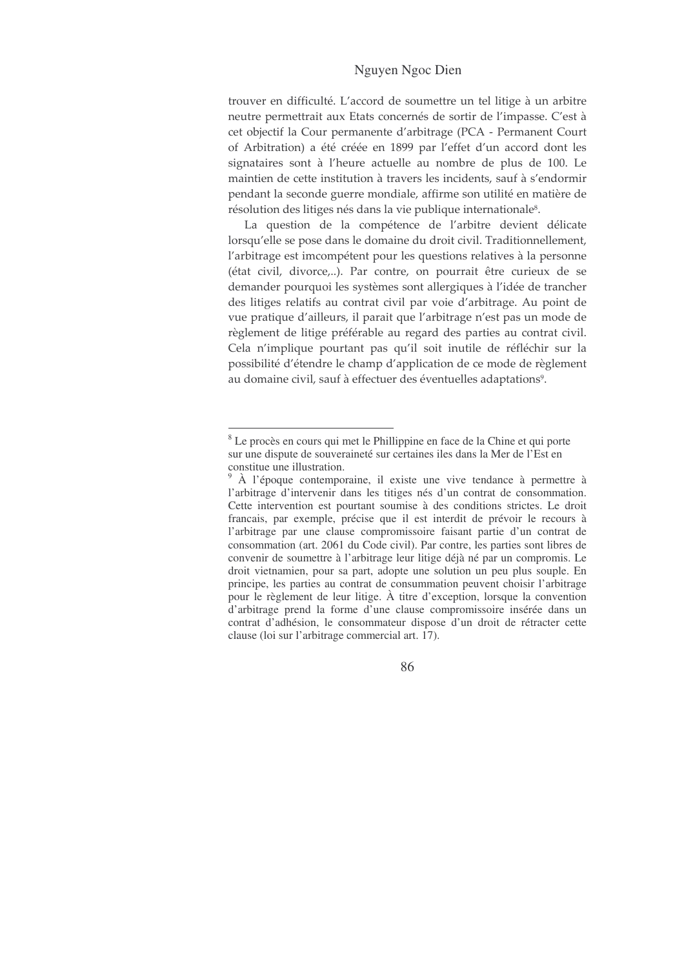trouver en difficulté. L'accord de soumettre un tel litige à un arbitre neutre permettrait aux Etats concernés de sortir de l'impasse. C'est à cet objectif la Cour permanente d'arbitrage (PCA - Permanent Court of Arbitration) a été créée en 1899 par l'effet d'un accord dont les signataires sont à l'heure actuelle au nombre de plus de 100. Le maintien de cette institution à travers les incidents, sauf à s'endormir pendant la seconde guerre mondiale, affirme son utilité en matière de résolution des litiges nés dans la vie publique internationale<sup>8</sup>.

La question de la compétence de l'arbitre devient délicate lorsqu'elle se pose dans le domaine du droit civil. Traditionnellement, l'arbitrage est imcompétent pour les questions relatives à la personne (état civil, divorce,..). Par contre, on pourrait être curieux de se demander pourquoi les systèmes sont allergiques à l'idée de trancher des litiges relatifs au contrat civil par voie d'arbitrage. Au point de vue pratique d'ailleurs, il parait que l'arbitrage n'est pas un mode de règlement de litige préférable au regard des parties au contrat civil. Cela n'implique pourtant pas qu'il soit inutile de réfléchir sur la possibilité d'étendre le champ d'application de ce mode de règlement au domaine civil, sauf à effectuer des éventuelles adaptations<sup>9</sup>.

<sup>&</sup>lt;sup>8</sup> Le procès en cours qui met le Phillippine en face de la Chine et qui porte sur une dispute de souveraineté sur certaines iles dans la Mer de l'Est en constitue une illustration.

 $\hat{A}$  l'époque contemporaine, il existe une vive tendance à permettre à l'arbitrage d'intervenir dans les titiges nés d'un contrat de consommation. Cette intervention est pourtant soumise à des conditions strictes. Le droit francais, par exemple, précise que il est interdit de prévoir le recours à l'arbitrage par une clause compromissoire faisant partie d'un contrat de consommation (art. 2061 du Code civil). Par contre, les parties sont libres de convenir de soumettre à l'arbitrage leur litige déjà né par un compromis. Le droit vietnamien, pour sa part, adopte une solution un peu plus souple. En principe, les parties au contrat de consummation peuvent choisir l'arbitrage pour le règlement de leur litige. À titre d'exception, lorsque la convention d'arbitrage prend la forme d'une clause compromissoire insérée dans un contrat d'adhésion, le consommateur dispose d'un droit de rétracter cette clause (loi sur l'arbitrage commercial art. 17).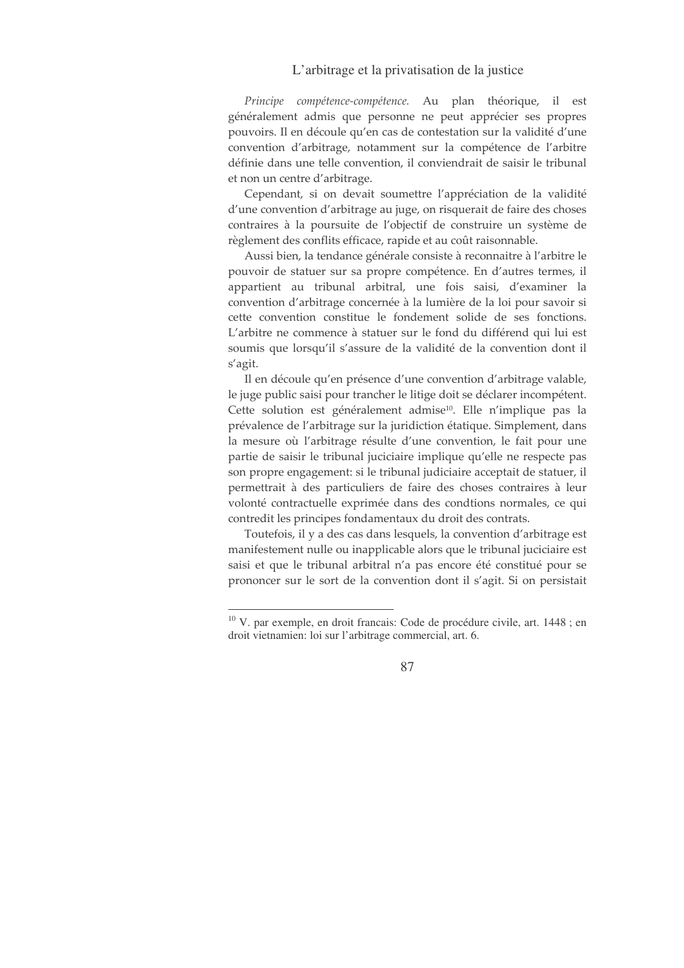Principe compétence-compétence. Au plan théorique, il est généralement admis que personne ne peut apprécier ses propres pouvoirs. Il en découle qu'en cas de contestation sur la validité d'une convention d'arbitrage, notamment sur la compétence de l'arbitre définie dans une telle convention, il conviendrait de saisir le tribunal et non un centre d'arbitrage.

Cependant, si on devait soumettre l'appréciation de la validité d'une convention d'arbitrage au juge, on risquerait de faire des choses contraires à la poursuite de l'objectif de construire un système de règlement des conflits efficace, rapide et au coût raisonnable.

Aussi bien, la tendance générale consiste à reconnaitre à l'arbitre le pouvoir de statuer sur sa propre compétence. En d'autres termes, il appartient au tribunal arbitral, une fois saisi, d'examiner la convention d'arbitrage concernée à la lumière de la loi pour savoir si cette convention constitue le fondement solide de ses fonctions. L'arbitre ne commence à statuer sur le fond du différend qui lui est soumis que lorsqu'il s'assure de la validité de la convention dont il s'agit.

Il en découle qu'en présence d'une convention d'arbitrage valable, le juge public saisi pour trancher le litige doit se déclarer incompétent. Cette solution est généralement admise<sup>10</sup>. Elle n'implique pas la prévalence de l'arbitrage sur la juridiction étatique. Simplement, dans la mesure où l'arbitrage résulte d'une convention, le fait pour une partie de saisir le tribunal juciciaire implique qu'elle ne respecte pas son propre engagement: si le tribunal judiciaire acceptait de statuer, il permettrait à des particuliers de faire des choses contraires à leur volonté contractuelle exprimée dans des condtions normales, ce qui contredit les principes fondamentaux du droit des contrats.

Toutefois, il y a des cas dans lesquels, la convention d'arbitrage est manifestement nulle ou inapplicable alors que le tribunal juciciaire est saisi et que le tribunal arbitral n'a pas encore été constitué pour se prononcer sur le sort de la convention dont il s'agit. Si on persistait

 $10$  V. par exemple, en droit francais: Code de procédure civile, art. 1448 ; en droit vietnamien: loi sur l'arbitrage commercial, art. 6.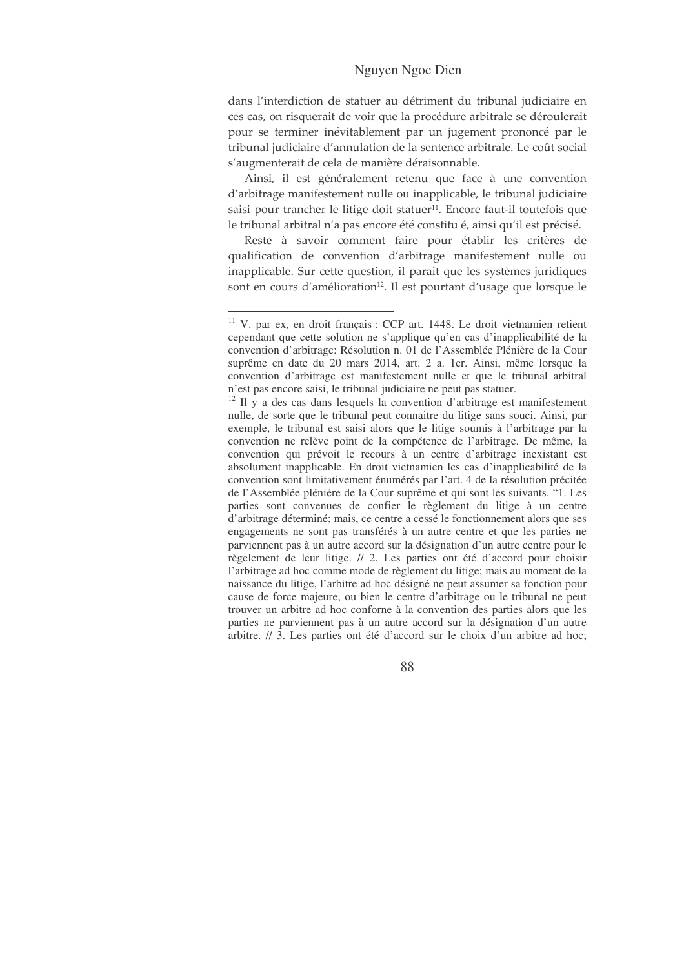dans l'interdiction de statuer au détriment du tribunal judiciaire en ces cas, on risquerait de voir que la procédure arbitrale se déroulerait pour se terminer inévitablement par un jugement prononcé par le tribunal judiciaire d'annulation de la sentence arbitrale. Le coût social s'augmenterait de cela de manière déraisonnable.

Ainsi, il est généralement retenu que face à une convention d'arbitrage manifestement nulle ou inapplicable, le tribunal judiciaire saisi pour trancher le litige doit statuer<sup>11</sup>. Encore faut-il toutefois que le tribunal arbitral n'a pas encore été constitu é, ainsi qu'il est précisé.

Reste à savoir comment faire pour établir les critères de qualification de convention d'arbitrage manifestement nulle ou inapplicable. Sur cette question, il parait que les systèmes juridiques sont en cours d'amélioration<sup>12</sup>. Il est pourtant d'usage que lorsque le

<sup>&</sup>lt;sup>11</sup> V. par ex, en droit français : CCP art. 1448. Le droit vietnamien retient cependant que cette solution ne s'applique qu'en cas d'inapplicabilité de la convention d'arbitrage: Résolution n. 01 de l'Assemblée Plénière de la Cour suprême en date du 20 mars 2014, art. 2 a. 1er. Ainsi, même lorsque la convention d'arbitrage est manifestement nulle et que le tribunal arbitral n'est pas encore saisi, le tribunal judiciaire ne peut pas statuer.

<sup>&</sup>lt;sup>12</sup> Il y a des cas dans lesquels la convention d'arbitrage est manifestement nulle, de sorte que le tribunal peut connaitre du litige sans souci. Ainsi, par exemple, le tribunal est saisi alors que le litige soumis à l'arbitrage par la convention ne relève point de la compétence de l'arbitrage. De même, la convention qui prévoit le recours à un centre d'arbitrage inexistant est absolument inapplicable. En droit vietnamien les cas d'inapplicabilité de la convention sont limitativement énumérés par l'art. 4 de la résolution précitée de l'Assemblée plénière de la Cour suprême et qui sont les suivants. "1. Les parties sont convenues de confier le règlement du litige à un centre d'arbitrage déterminé; mais, ce centre a cessé le fonctionnement alors que ses engagements ne sont pas transférés à un autre centre et que les parties ne parviennent pas à un autre accord sur la désignation d'un autre centre pour le règelement de leur litige. // 2. Les parties ont été d'accord pour choisir l'arbitrage ad hoc comme mode de règlement du litige; mais au moment de la naissance du litige, l'arbitre ad hoc désigné ne peut assumer sa fonction pour cause de force majeure, ou bien le centre d'arbitrage ou le tribunal ne peut trouver un arbitre ad hoc conforne à la convention des parties alors que les parties ne parviennent pas à un autre accord sur la désignation d'un autre arbitre. // 3. Les parties ont été d'accord sur le choix d'un arbitre ad hoc;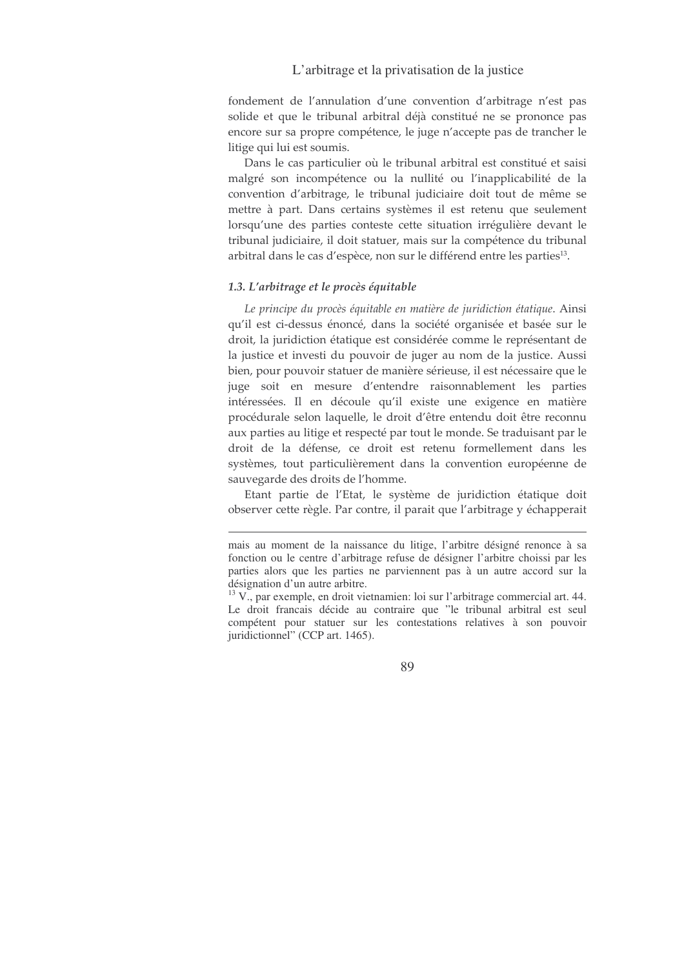fondement de l'annulation d'une convention d'arbitrage n'est pas solide et que le tribunal arbitral déjà constitué ne se prononce pas encore sur sa propre compétence, le juge n'accepte pas de trancher le litige qui lui est soumis.

Dans le cas particulier où le tribunal arbitral est constitué et saisi malgré son incompétence ou la nullité ou l'inapplicabilité de la convention d'arbitrage, le tribunal judiciaire doit tout de même se mettre à part. Dans certains systèmes il est retenu que seulement lorsqu'une des parties conteste cette situation irrégulière devant le tribunal judiciaire, il doit statuer, mais sur la compétence du tribunal arbitral dans le cas d'espèce, non sur le différend entre les parties<sup>13</sup>.

#### 1.3. L'arbitrage et le procès équitable

Le principe du procès équitable en matière de juridiction étatique. Ainsi qu'il est ci-dessus énoncé, dans la société organisée et basée sur le droit, la juridiction étatique est considérée comme le représentant de la justice et investi du pouvoir de juger au nom de la justice. Aussi bien, pour pouvoir statuer de manière sérieuse, il est nécessaire que le juge soit en mesure d'entendre raisonnablement les parties intéressées. Il en découle qu'il existe une exigence en matière procédurale selon laquelle, le droit d'être entendu doit être reconnu aux parties au litige et respecté par tout le monde. Se traduisant par le droit de la défense, ce droit est retenu formellement dans les systèmes, tout particulièrement dans la convention européenne de sauvegarde des droits de l'homme.

Etant partie de l'Etat, le système de juridiction étatique doit observer cette règle. Par contre, il parait que l'arbitrage y échapperait

mais au moment de la naissance du litige, l'arbitre désigné renonce à sa fonction ou le centre d'arbitrage refuse de désigner l'arbitre choissi par les parties alors que les parties ne parviennent pas à un autre accord sur la désignation d'un autre arbitre.

<sup>&</sup>lt;sup>13</sup> V., par exemple, en droit vietnamien: loi sur l'arbitrage commercial art. 44. Le droit francais décide au contraire que "le tribunal arbitral est seul compétent pour statuer sur les contestations relatives à son pouvoir juridictionnel" (CCP art. 1465).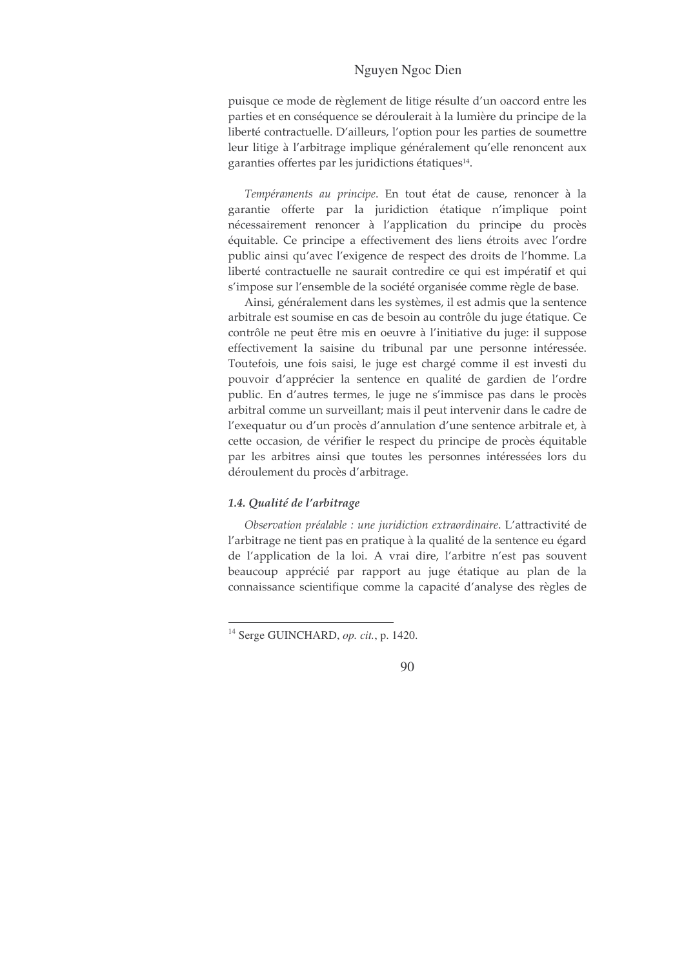puisque ce mode de règlement de litige résulte d'un oaccord entre les parties et en conséquence se déroulerait à la lumière du principe de la liberté contractuelle. D'ailleurs, l'option pour les parties de soumettre leur litige à l'arbitrage implique généralement qu'elle renoncent aux garanties offertes par les juridictions étatiques<sup>14</sup>.

Tempéraments au principe. En tout état de cause, renoncer à la garantie offerte par la juridiction étatique n'implique point nécessairement renoncer à l'application du principe du procès équitable. Ce principe a effectivement des liens étroits avec l'ordre public ainsi qu'avec l'exigence de respect des droits de l'homme. La liberté contractuelle ne saurait contredire ce qui est impératif et qui s'impose sur l'ensemble de la société organisée comme règle de base.

Ainsi, généralement dans les systèmes, il est admis que la sentence arbitrale est soumise en cas de besoin au contrôle du juge étatique. Ce contrôle ne peut être mis en oeuvre à l'initiative du juge: il suppose effectivement la saisine du tribunal par une personne intéressée. Toutefois, une fois saisi, le juge est chargé comme il est investi du pouvoir d'apprécier la sentence en qualité de gardien de l'ordre public. En d'autres termes, le juge ne s'immisce pas dans le procès arbitral comme un surveillant; mais il peut intervenir dans le cadre de l'exequatur ou d'un procès d'annulation d'une sentence arbitrale et, à cette occasion, de vérifier le respect du principe de procès équitable par les arbitres ainsi que toutes les personnes intéressées lors du déroulement du procès d'arbitrage.

#### 1.4. Qualité de l'arbitrage

Observation préalable : une juridiction extraordinaire. L'attractivité de l'arbitrage ne tient pas en pratique à la qualité de la sentence eu égard de l'application de la loi. A vrai dire, l'arbitre n'est pas souvent beaucoup apprécié par rapport au juge étatique au plan de la connaissance scientifique comme la capacité d'analyse des règles de

<sup>&</sup>lt;sup>14</sup> Serge GUINCHARD, op. cit., p. 1420.

<sup>90</sup>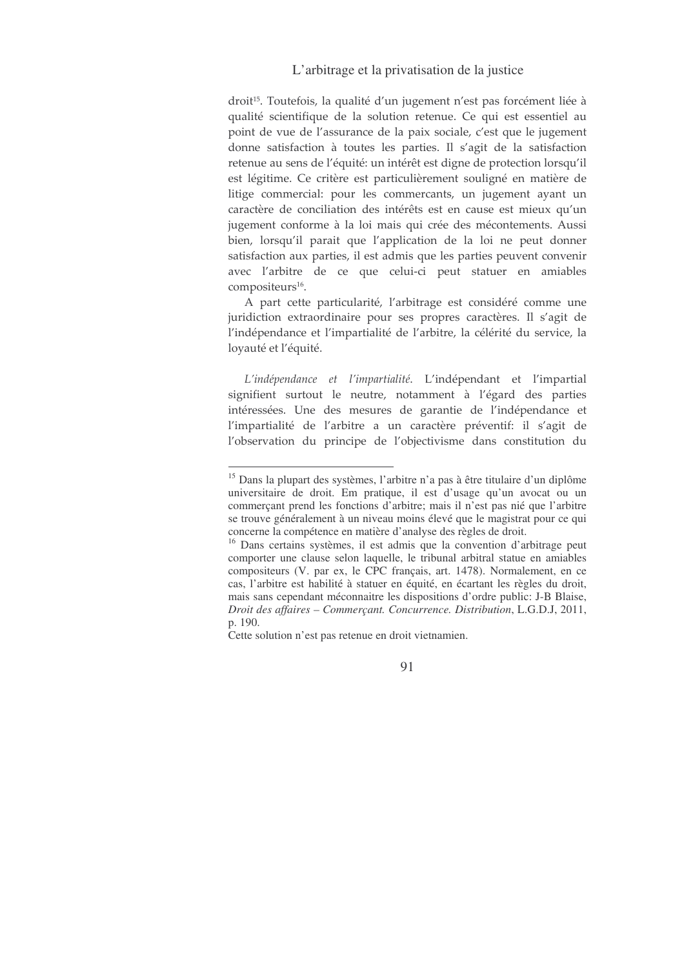droit<sup>15</sup>. Toutefois, la qualité d'un jugement n'est pas forcément liée à qualité scientifique de la solution retenue. Ce qui est essentiel au point de vue de l'assurance de la paix sociale, c'est que le jugement donne satisfaction à toutes les parties. Il s'agit de la satisfaction retenue au sens de l'équité: un intérêt est digne de protection lorsqu'il est légitime. Ce critère est particulièrement souligné en matière de litige commercial: pour les commercants, un jugement ayant un caractère de conciliation des intérêts est en cause est mieux qu'un jugement conforme à la loi mais qui crée des mécontements. Aussi bien, lorsqu'il parait que l'application de la loi ne peut donner satisfaction aux parties, il est admis que les parties peuvent convenir avec l'arbitre de ce que celui-ci peut statuer en amiables compositeurs<sup>16</sup>.

A part cette particularité, l'arbitrage est considéré comme une juridiction extraordinaire pour ses propres caractères. Il s'agit de l'indépendance et l'impartialité de l'arbitre, la célérité du service, la loyauté et l'équité.

L'indépendance et l'impartialité. L'indépendant et l'impartial signifient surtout le neutre, notamment à l'égard des parties intéressées. Une des mesures de garantie de l'indépendance et l'impartialité de l'arbitre a un caractère préventif: il s'agit de l'observation du principe de l'objectivisme dans constitution du

<sup>&</sup>lt;sup>15</sup> Dans la plupart des systèmes, l'arbitre n'a pas à être titulaire d'un diplôme universitaire de droit. Em pratique, il est d'usage qu'un avocat ou un commerçant prend les fonctions d'arbitre; mais il n'est pas nié que l'arbitre se trouve généralement à un niveau moins élevé que le magistrat pour ce qui concerne la compétence en matière d'analyse des règles de droit.

<sup>&</sup>lt;sup>16</sup> Dans certains systèmes, il est admis que la convention d'arbitrage peut comporter une clause selon laquelle, le tribunal arbitral statue en amiables compositeurs (V. par ex, le CPC français, art. 1478). Normalement, en ce cas, l'arbitre est habilité à statuer en équité, en écartant les règles du droit, mais sans cependant méconnaitre les dispositions d'ordre public: J-B Blaise, *Droit des affaires – Commerçant. Concurrence. Distribution*, L.G.D.J, 2011, p. 190.

Cette solution n'est pas retenue en droit vietnamien.

<sup>91</sup>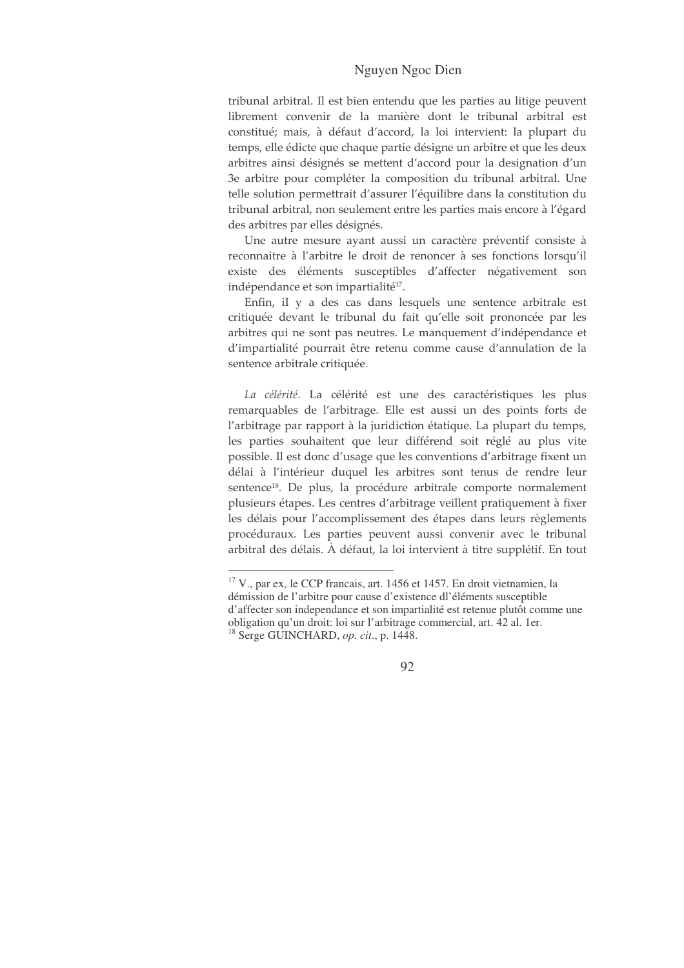tribunal arbitral. Il est bien entendu que les parties au litige peuvent librement convenir de la manière dont le tribunal arbitral est constitué; mais, à défaut d'accord, la loi intervient: la plupart du temps, elle édicte que chaque partie désigne un arbitre et que les deux arbitres ainsi désignés se mettent d'accord pour la designation d'un 3e arbitre pour compléter la composition du tribunal arbitral. Une telle solution permettrait d'assurer l'équilibre dans la constitution du tribunal arbitral, non seulement entre les parties mais encore à l'égard des arbitres par elles désignés.

Une autre mesure ayant aussi un caractère préventif consiste à reconnaitre à l'arbitre le droit de renoncer à ses fonctions lorsqu'il existe des éléments susceptibles d'affecter négativement son indépendance et son impartialité<sup>17</sup>.

Enfin, il y a des cas dans lesquels une sentence arbitrale est critiquée devant le tribunal du fait qu'elle soit prononcée par les arbitres qui ne sont pas neutres. Le manquement d'indépendance et d'impartialité pourrait être retenu comme cause d'annulation de la sentence arbitrale critiquée.

La célérité. La célérité est une des caractéristiques les plus remarquables de l'arbitrage. Elle est aussi un des points forts de l'arbitrage par rapport à la juridiction étatique. La plupart du temps, les parties souhaitent que leur différend soit réglé au plus vite possible. Il est donc d'usage que les conventions d'arbitrage fixent un délai à l'intérieur duquel les arbitres sont tenus de rendre leur sentence<sup>18</sup>. De plus, la procédure arbitrale comporte normalement plusieurs étapes. Les centres d'arbitrage veillent pratiquement à fixer les délais pour l'accomplissement des étapes dans leurs règlements procéduraux. Les parties peuvent aussi convenir avec le tribunal arbitral des délais. À défaut, la loi intervient à titre supplétif. En tout

<sup>&</sup>lt;sup>17</sup> V., par ex, le CCP francais, art. 1456 et 1457. En droit vietnamien, la démission de l'arbitre pour cause d'existence dl'éléments susceptible d'affecter son independance et son impartialité est retenue plutôt comme une obligation qu'un droit: loi sur l'arbitrage commercial, art. 42 al. 1er. <sup>18</sup> Serge GUINCHARD, op. cit., p. 1448.

<sup>92</sup>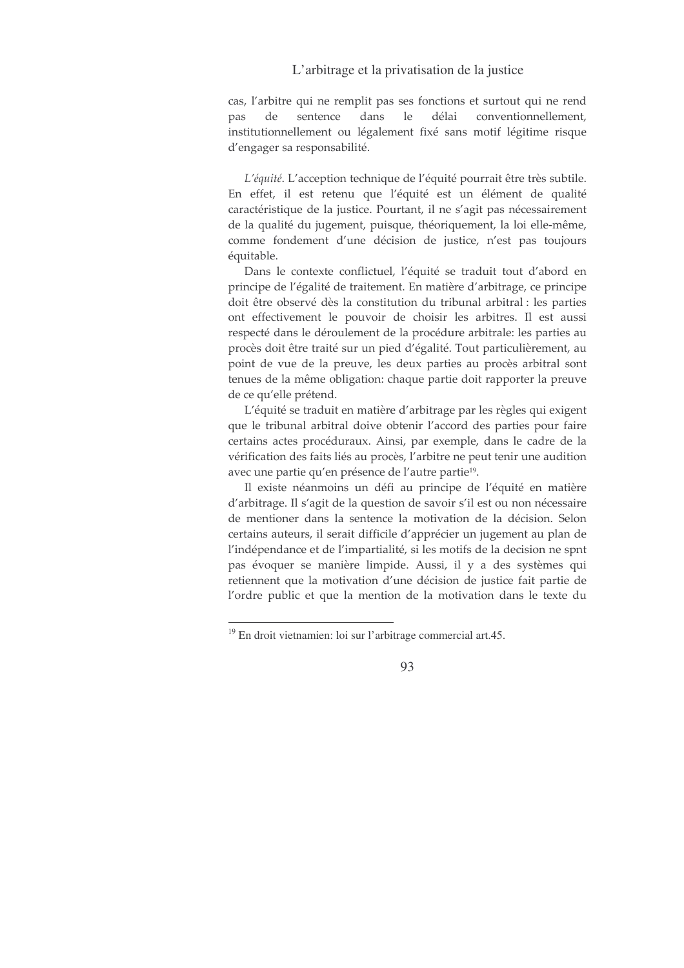cas, l'arbitre qui ne remplit pas ses fonctions et surtout qui ne rend sentence dans le délai conventionnellement, pas de institutionnellement ou légalement fixé sans motif légitime risque d'engager sa responsabilité.

L'équité. L'acception technique de l'équité pourrait être très subtile. En effet, il est retenu que l'équité est un élément de qualité caractéristique de la justice. Pourtant, il ne s'agit pas nécessairement de la qualité du jugement, puisque, théoriquement, la loi elle-même, comme fondement d'une décision de justice, n'est pas toujours équitable.

Dans le contexte conflictuel, l'équité se traduit tout d'abord en principe de l'égalité de traitement. En matière d'arbitrage, ce principe doit être observé dès la constitution du tribunal arbitral : les parties ont effectivement le pouvoir de choisir les arbitres. Il est aussi respecté dans le déroulement de la procédure arbitrale: les parties au procès doit être traité sur un pied d'égalité. Tout particulièrement, au point de vue de la preuve, les deux parties au procès arbitral sont tenues de la même obligation: chaque partie doit rapporter la preuve de ce qu'elle prétend.

L'équité se traduit en matière d'arbitrage par les règles qui exigent que le tribunal arbitral doive obtenir l'accord des parties pour faire certains actes procéduraux. Ainsi, par exemple, dans le cadre de la vérification des faits liés au procès, l'arbitre ne peut tenir une audition avec une partie qu'en présence de l'autre partie<sup>19</sup>.

Il existe néanmoins un défi au principe de l'équité en matière d'arbitrage. Il s'agit de la question de savoir s'il est ou non nécessaire de mentioner dans la sentence la motivation de la décision. Selon certains auteurs, il serait difficile d'apprécier un jugement au plan de l'indépendance et de l'impartialité, si les motifs de la decision ne spnt pas évoquer se manière limpide. Aussi, il y a des systèmes qui retiennent que la motivation d'une décision de justice fait partie de l'ordre public et que la mention de la motivation dans le texte du

<sup>&</sup>lt;sup>19</sup> En droit vietnamien: loi sur l'arbitrage commercial art.45.

<sup>93</sup>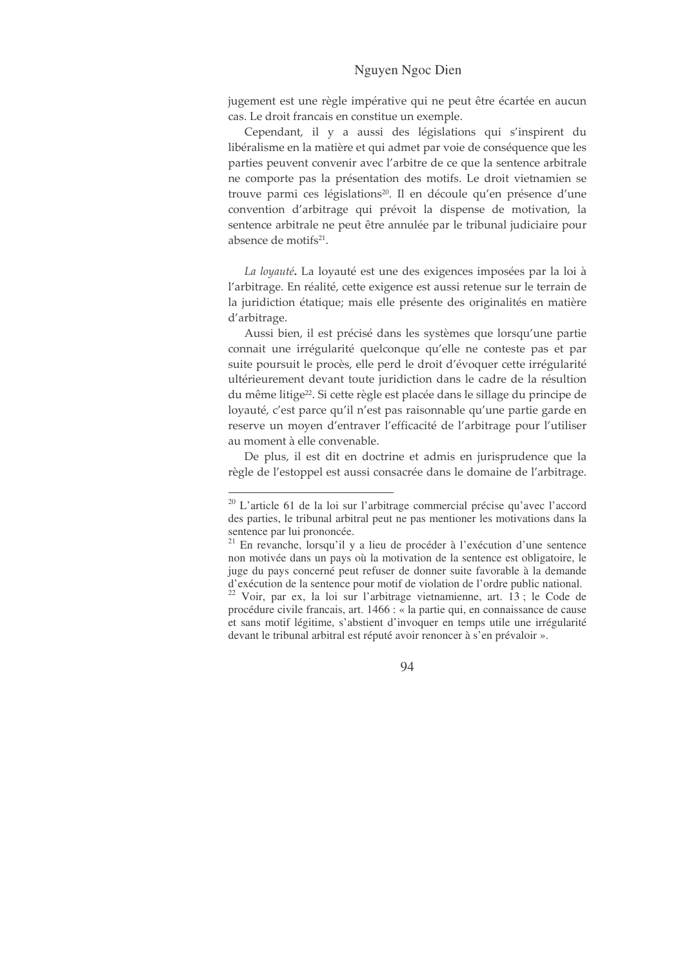jugement est une règle impérative qui ne peut être écartée en aucun cas. Le droit francais en constitue un exemple.

Cependant, il y a aussi des législations qui s'inspirent du libéralisme en la matière et qui admet par voie de conséquence que les parties peuvent convenir avec l'arbitre de ce que la sentence arbitrale ne comporte pas la présentation des motifs. Le droit vietnamien se trouve parmi ces législations<sup>20</sup>. Il en découle qu'en présence d'une convention d'arbitrage qui prévoit la dispense de motivation, la sentence arbitrale ne peut être annulée par le tribunal judiciaire pour absence de motifs<sup>21</sup>.

La loyauté. La loyauté est une des exigences imposées par la loi à l'arbitrage. En réalité, cette exigence est aussi retenue sur le terrain de la juridiction étatique; mais elle présente des originalités en matière d'arbitrage.

Aussi bien, il est précisé dans les systèmes que lorsqu'une partie connait une irrégularité quelconque qu'elle ne conteste pas et par suite poursuit le procès, elle perd le droit d'évoquer cette irrégularité ultérieurement devant toute juridiction dans le cadre de la résultion du même litige<sup>22</sup>. Si cette règle est placée dans le sillage du principe de loyauté, c'est parce qu'il n'est pas raisonnable qu'une partie garde en reserve un moven d'entraver l'efficacité de l'arbitrage pour l'utiliser au moment à elle convenable.

De plus, il est dit en doctrine et admis en jurisprudence que la règle de l'estoppel est aussi consacrée dans le domaine de l'arbitrage.

<sup>&</sup>lt;sup>20</sup> L'article 61 de la loi sur l'arbitrage commercial précise qu'avec l'accord des parties, le tribunal arbitral peut ne pas mentioner les motivations dans la sentence par lui prononcée.

<sup>&</sup>lt;sup>21</sup> En revanche, lorsqu'il y a lieu de procéder à l'exécution d'une sentence non motivée dans un pays où la motivation de la sentence est obligatoire, le juge du pays concerné peut refuser de donner suite favorable à la demande d'exécution de la sentence pour motif de violation de l'ordre public national.

<sup>&</sup>lt;sup>22</sup> Voir, par ex, la loi sur l'arbitrage vietnamienne, art. 13 ; le Code de procédure civile francais, art. 1466 : « la partie qui, en connaissance de cause et sans motif légitime, s'abstient d'invoquer en temps utile une irrégularité devant le tribunal arbitral est réputé avoir renoncer à s'en prévaloir ».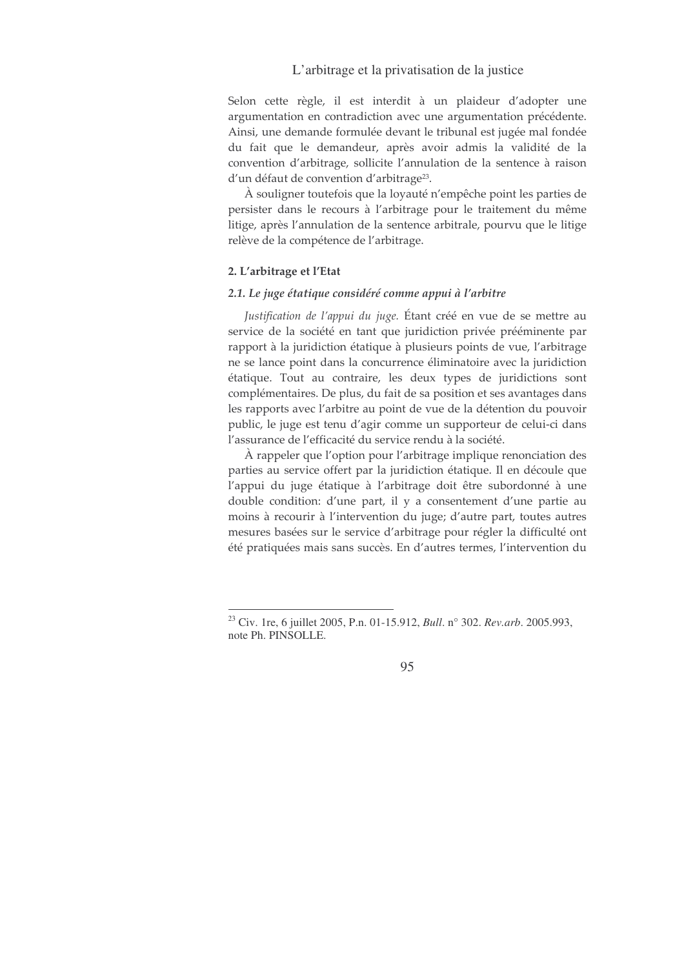Selon cette règle, il est interdit à un plaideur d'adopter une argumentation en contradiction avec une argumentation précédente. Ainsi, une demande formulée devant le tribunal est jugée mal fondée du fait que le demandeur, après avoir admis la validité de la convention d'arbitrage, sollicite l'annulation de la sentence à raison d'un défaut de convention d'arbitrage<sup>23</sup>.

À souligner toutefois que la loyauté n'empêche point les parties de persister dans le recours à l'arbitrage pour le traitement du même litige, après l'annulation de la sentence arbitrale, pourvu que le litige relève de la compétence de l'arbitrage.

### 2. L'arbitrage et l'Etat

#### 2.1. Le juge étatique considéré comme appui à l'arbitre

Justification de l'appui du juge. Étant créé en vue de se mettre au service de la société en tant que juridiction privée prééminente par rapport à la juridiction étatique à plusieurs points de vue, l'arbitrage ne se lance point dans la concurrence éliminatoire avec la juridiction étatique. Tout au contraire, les deux types de juridictions sont complémentaires. De plus, du fait de sa position et ses avantages dans les rapports avec l'arbitre au point de vue de la détention du pouvoir public, le juge est tenu d'agir comme un supporteur de celui-ci dans l'assurance de l'efficacité du service rendu à la société.

À rappeler que l'option pour l'arbitrage implique renonciation des parties au service offert par la juridiction étatique. Il en découle que l'appui du juge étatique à l'arbitrage doit être subordonné à une double condition: d'une part, il y a consentement d'une partie au moins à recourir à l'intervention du juge; d'autre part, toutes autres mesures basées sur le service d'arbitrage pour régler la difficulté ont été pratiquées mais sans succès. En d'autres termes, l'intervention du

<sup>&</sup>lt;sup>23</sup> Civ. 1re, 6 juillet 2005, P.n. 01-15.912, *Bull.* n° 302. *Rev.arb.* 2005.993, note Ph. PINSOLLE.

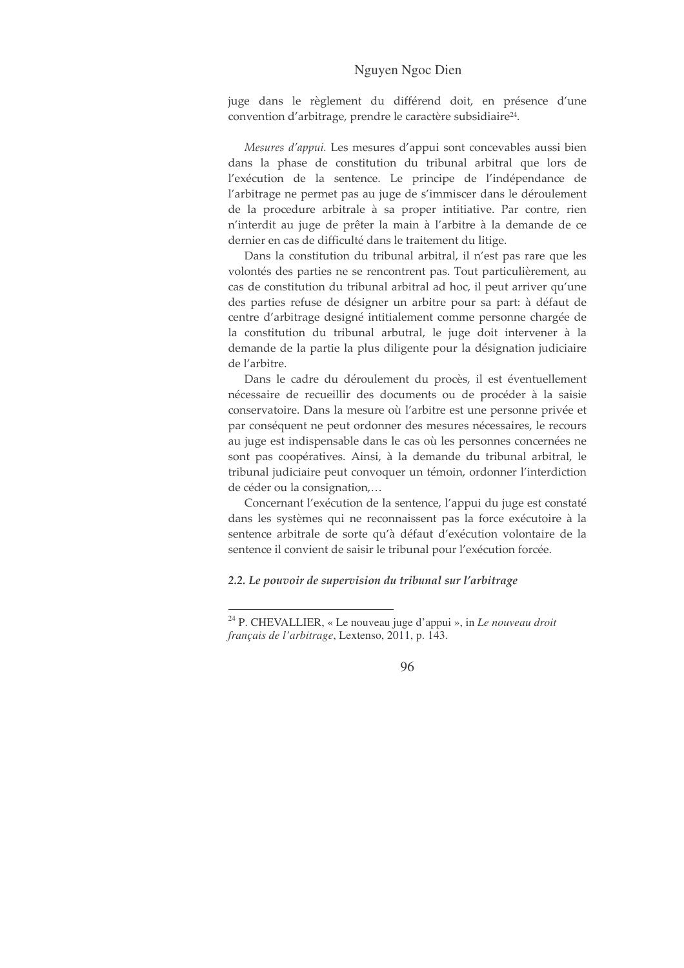juge dans le règlement du différend doit, en présence d'une convention d'arbitrage, prendre le caractère subsidiaire<sup>24</sup>.

Mesures d'appui. Les mesures d'appui sont concevables aussi bien dans la phase de constitution du tribunal arbitral que lors de l'exécution de la sentence. Le principe de l'indépendance de l'arbitrage ne permet pas au juge de s'immiscer dans le déroulement de la procedure arbitrale à sa proper intitiative. Par contre, rien n'interdit au juge de prêter la main à l'arbitre à la demande de ce dernier en cas de difficulté dans le traitement du litige.

Dans la constitution du tribunal arbitral, il n'est pas rare que les volontés des parties ne se rencontrent pas. Tout particulièrement, au cas de constitution du tribunal arbitral ad hoc, il peut arriver qu'une des parties refuse de désigner un arbitre pour sa part: à défaut de centre d'arbitrage designé intitialement comme personne chargée de la constitution du tribunal arbutral, le juge doit intervener à la demande de la partie la plus diligente pour la désignation judiciaire de l'arbitre.

Dans le cadre du déroulement du procès, il est éventuellement nécessaire de recueillir des documents ou de procéder à la saisie conservatoire. Dans la mesure où l'arbitre est une personne privée et par conséquent ne peut ordonner des mesures nécessaires, le recours au juge est indispensable dans le cas où les personnes concernées ne sont pas coopératives. Ainsi, à la demande du tribunal arbitral, le tribunal judiciaire peut convoquer un témoin, ordonner l'interdiction de céder ou la consignation....

Concernant l'exécution de la sentence, l'appui du juge est constaté dans les systèmes qui ne reconnaissent pas la force exécutoire à la sentence arbitrale de sorte qu'à défaut d'exécution volontaire de la sentence il convient de saisir le tribunal pour l'exécution forcée.

#### 2.2. Le pouvoir de supervision du tribunal sur l'arbitrage

<sup>&</sup>lt;sup>24</sup> P. CHEVALLIER, « Le nouveau juge d'appui », in Le nouveau droit français de l'arbitrage, Lextenso, 2011, p. 143.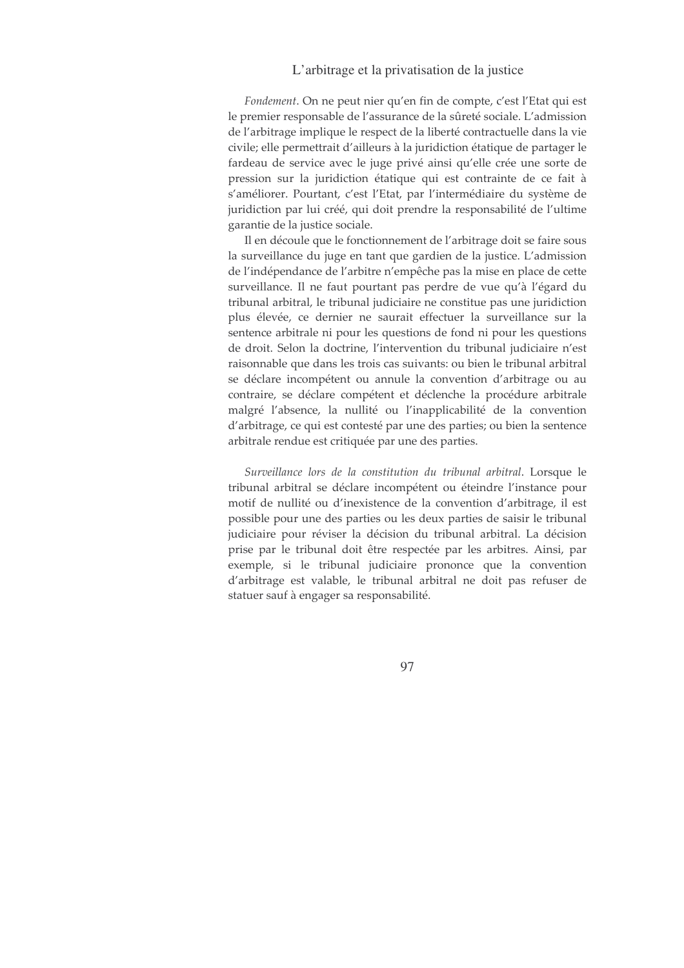Fondement. On ne peut nier qu'en fin de compte, c'est l'Etat qui est le premier responsable de l'assurance de la sûreté sociale. L'admission de l'arbitrage implique le respect de la liberté contractuelle dans la vie civile; elle permettrait d'ailleurs à la juridiction étatique de partager le fardeau de service avec le juge privé ainsi qu'elle crée une sorte de pression sur la juridiction étatique qui est contrainte de ce fait à s'améliorer. Pourtant, c'est l'Etat, par l'intermédiaire du système de juridiction par lui créé, qui doit prendre la responsabilité de l'ultime garantie de la justice sociale.

Il en découle que le fonctionnement de l'arbitrage doit se faire sous la surveillance du juge en tant que gardien de la justice. L'admission de l'indépendance de l'arbitre n'empêche pas la mise en place de cette surveillance. Il ne faut pourtant pas perdre de vue qu'à l'égard du tribunal arbitral, le tribunal judiciaire ne constitue pas une juridiction plus élevée, ce dernier ne saurait effectuer la surveillance sur la sentence arbitrale ni pour les questions de fond ni pour les questions de droit. Selon la doctrine, l'intervention du tribunal judiciaire n'est raisonnable que dans les trois cas suivants: ou bien le tribunal arbitral se déclare incompétent ou annule la convention d'arbitrage ou au contraire, se déclare compétent et déclenche la procédure arbitrale malgré l'absence, la nullité ou l'inapplicabilité de la convention d'arbitrage, ce qui est contesté par une des parties; ou bien la sentence arbitrale rendue est critiquée par une des parties.

Surveillance lors de la constitution du tribunal arbitral. Lorsque le tribunal arbitral se déclare incompétent ou éteindre l'instance pour motif de nullité ou d'inexistence de la convention d'arbitrage, il est possible pour une des parties ou les deux parties de saisir le tribunal judiciaire pour réviser la décision du tribunal arbitral. La décision prise par le tribunal doit être respectée par les arbitres. Ainsi, par exemple, si le tribunal judiciaire prononce que la convention d'arbitrage est valable, le tribunal arbitral ne doit pas refuser de statuer sauf à engager sa responsabilité.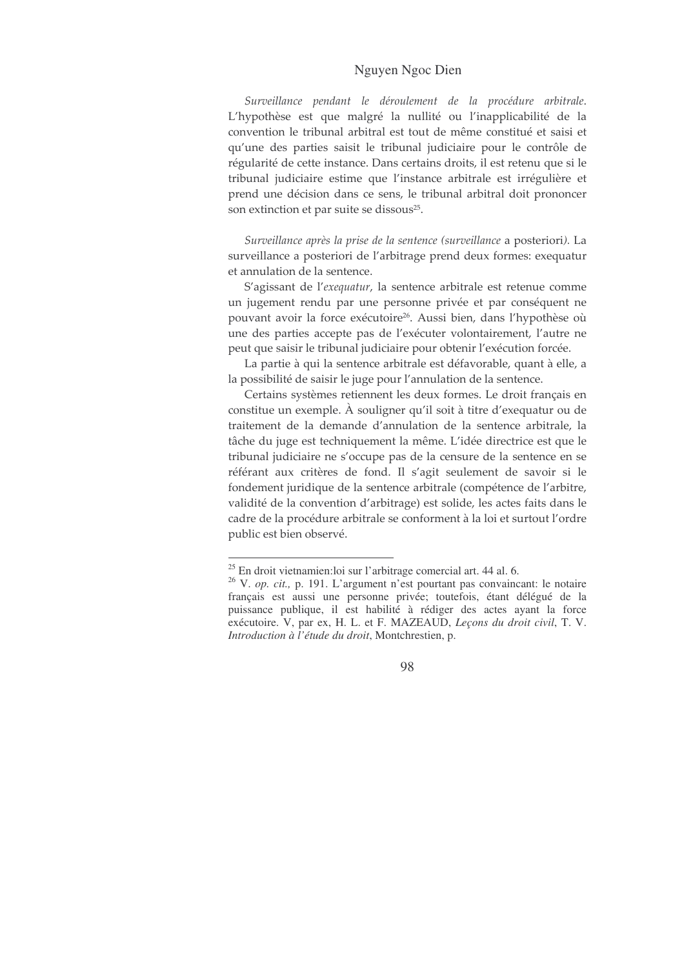Surveillance pendant le déroulement de la procédure arbitrale. L'hypothèse est que malgré la nullité ou l'inapplicabilité de la convention le tribunal arbitral est tout de même constitué et saisi et qu'une des parties saisit le tribunal judiciaire pour le contrôle de régularité de cette instance. Dans certains droits, il est retenu que si le tribunal judiciaire estime que l'instance arbitrale est irrégulière et prend une décision dans ce sens, le tribunal arbitral doit prononcer son extinction et par suite se dissous<sup>25</sup>.

Surveillance après la prise de la sentence (surveillance a posteriori). La surveillance a posteriori de l'arbitrage prend deux formes: exequatur et annulation de la sentence.

S'agissant de l'exequatur, la sentence arbitrale est retenue comme un jugement rendu par une personne privée et par conséquent ne pouvant avoir la force exécutoire<sup>26</sup>. Aussi bien, dans l'hypothèse où une des parties accepte pas de l'exécuter volontairement, l'autre ne peut que saisir le tribunal judiciaire pour obtenir l'exécution forcée.

La partie à qui la sentence arbitrale est défavorable, quant à elle, a la possibilité de saisir le juge pour l'annulation de la sentence.

Certains systèmes retiennent les deux formes. Le droit français en constitue un exemple. À souligner qu'il soit à titre d'exequatur ou de traitement de la demande d'annulation de la sentence arbitrale, la tâche du juge est techniquement la même. L'idée directrice est que le tribunal judiciaire ne s'occupe pas de la censure de la sentence en se référant aux critères de fond. Il s'agit seulement de savoir si le fondement juridique de la sentence arbitrale (compétence de l'arbitre, validité de la convention d'arbitrage) est solide, les actes faits dans le cadre de la procédure arbitrale se conforment à la loi et surtout l'ordre public est bien observé.

<sup>&</sup>lt;sup>25</sup> En droit vietnamien: loi sur l'arbitrage comercial art. 44 al. 6.

<sup>&</sup>lt;sup>26</sup> V. op. cit., p. 191. L'argument n'est pourtant pas convaincant: le notaire français est aussi une personne privée; toutefois, étant délégué de la puissance publique, il est habilité à rédiger des actes ayant la force exécutoire. V, par ex, H. L. et F. MAZEAUD, Leçons du droit civil, T. V. Introduction à l'étude du droit, Montchrestien, p.

<sup>98</sup>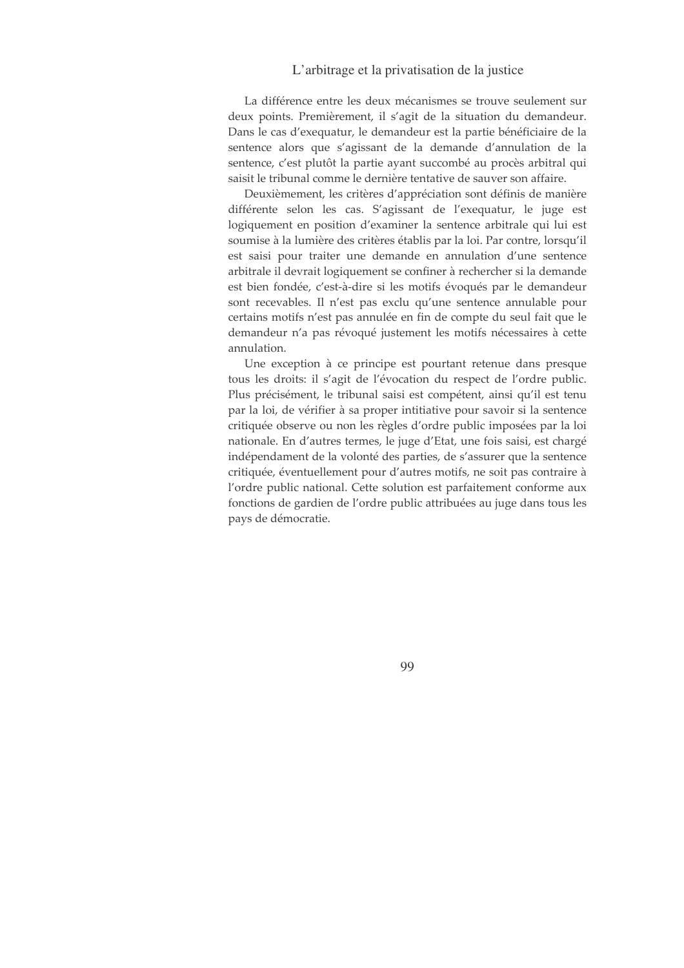La différence entre les deux mécanismes se trouve seulement sur deux points. Premièrement, il s'agit de la situation du demandeur. Dans le cas d'exequatur, le demandeur est la partie bénéficiaire de la sentence alors que s'agissant de la demande d'annulation de la sentence, c'est plutôt la partie ayant succombé au procès arbitral qui saisit le tribunal comme le dernière tentative de sauver son affaire.

Deuxièmement, les critères d'appréciation sont définis de manière différente selon les cas. S'agissant de l'exequatur, le juge est logiquement en position d'examiner la sentence arbitrale qui lui est soumise à la lumière des critères établis par la loi. Par contre, lorsqu'il est saisi pour traiter une demande en annulation d'une sentence arbitrale il devrait logiquement se confiner à rechercher si la demande est bien fondée, c'est-à-dire si les motifs évoqués par le demandeur sont recevables. Il n'est pas exclu qu'une sentence annulable pour certains motifs n'est pas annulée en fin de compte du seul fait que le demandeur n'a pas révoqué justement les motifs nécessaires à cette annulation.

Une exception à ce principe est pourtant retenue dans presque tous les droits: il s'agit de l'évocation du respect de l'ordre public. Plus précisément, le tribunal saisi est compétent, ainsi qu'il est tenu par la loi, de vérifier à sa proper intitiative pour savoir si la sentence critiquée observe ou non les règles d'ordre public imposées par la loi nationale. En d'autres termes, le juge d'Etat, une fois saisi, est chargé indépendament de la volonté des parties, de s'assurer que la sentence critiquée, éventuellement pour d'autres motifs, ne soit pas contraire à l'ordre public national. Cette solution est parfaitement conforme aux fonctions de gardien de l'ordre public attribuées au juge dans tous les pays de démocratie.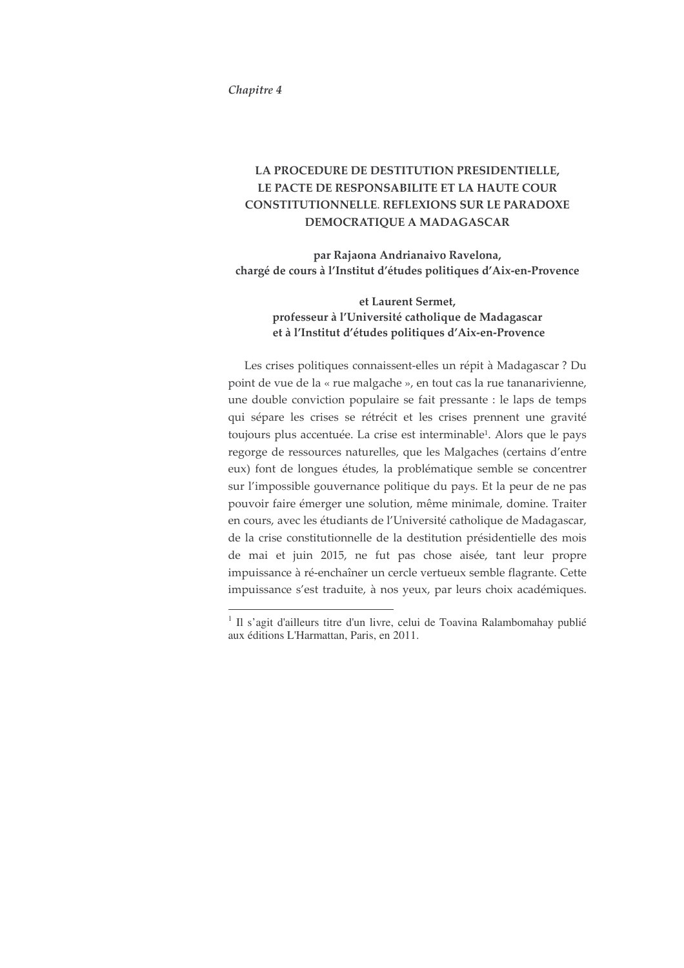#### Chapitre 4

# LA PROCEDURE DE DESTITUTION PRESIDENTIELLE, LE PACTE DE RESPONSABILITE ET LA HAUTE COUR CONSTITUTIONNELLE. REFLEXIONS SUR LE PARADOXE DEMOCRATIQUE A MADAGASCAR

par Rajaona Andrianaivo Ravelona, chargé de cours à l'Institut d'études politiques d'Aix-en-Provence

## et Laurent Sermet, professeur à l'Université catholique de Madagascar et à l'Institut d'études politiques d'Aix-en-Provence

Les crises politiques connaissent-elles un répit à Madagascar ? Du point de vue de la « rue malgache », en tout cas la rue tananarivienne, une double conviction populaire se fait pressante : le laps de temps qui sépare les crises se rétrécit et les crises prennent une gravité toujours plus accentuée. La crise est interminable<sup>1</sup>. Alors que le pays regorge de ressources naturelles, que les Malgaches (certains d'entre eux) font de longues études, la problématique semble se concentrer sur l'impossible gouvernance politique du pays. Et la peur de ne pas pouvoir faire émerger une solution, même minimale, domine. Traiter en cours, avec les étudiants de l'Université catholique de Madagascar, de la crise constitutionnelle de la destitution présidentielle des mois de mai et juin 2015, ne fut pas chose aisée, tant leur propre impuissance à ré-enchaîner un cercle vertueux semble flagrante. Cette impuissance s'est traduite, à nos yeux, par leurs choix académiques.

<sup>&</sup>lt;sup>1</sup> Il s'agit d'ailleurs titre d'un livre, celui de Toavina Ralambomahay publié aux éditions L'Harmattan, Paris, en 2011.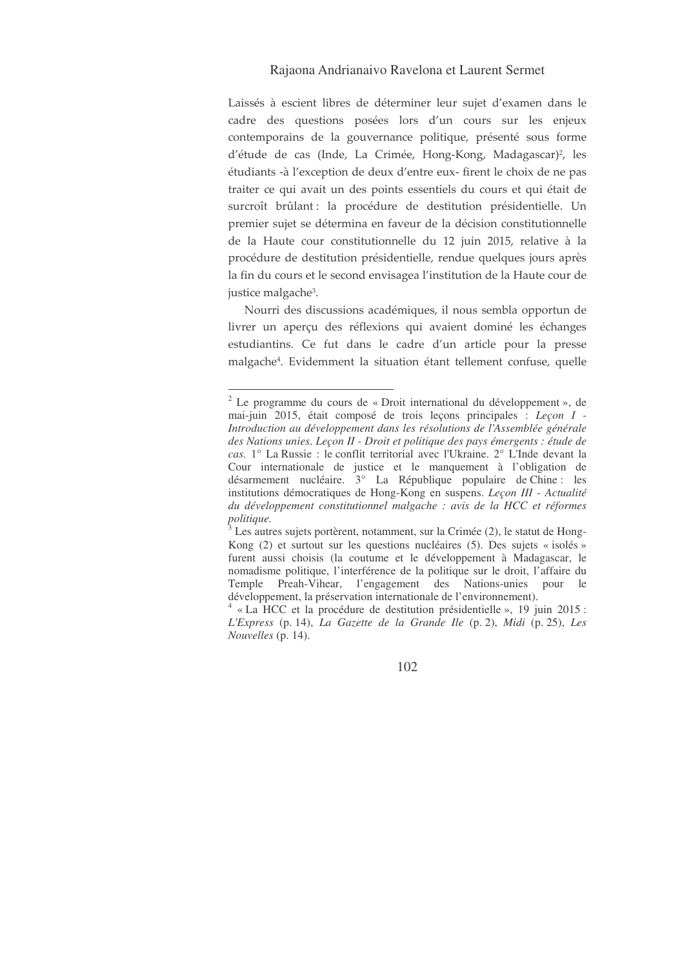### Rajaona Andrianaivo Ravelona et Laurent Sermet

Laissés à escient libres de déterminer leur sujet d'examen dans le cadre des questions posées lors d'un cours sur les enjeux contemporains de la gouvernance politique, présenté sous forme d'étude de cas (Inde, La Crimée, Hong-Kong, Madagascar)<sup>2</sup>, les étudiants -à l'exception de deux d'entre eux- firent le choix de ne pas traiter ce qui avait un des points essentiels du cours et qui était de surcroît brûlant: la procédure de destitution présidentielle. Un premier sujet se détermina en faveur de la décision constitutionnelle de la Haute cour constitutionnelle du 12 juin 2015, relative à la procédure de destitution présidentielle, rendue quelques jours après la fin du cours et le second envisagea l'institution de la Haute cour de justice malgache<sup>3</sup>.

Nourri des discussions académiques, il nous sembla opportun de livrer un aperçu des réflexions qui avaient dominé les échanges estudiantins. Ce fut dans le cadre d'un article pour la presse malgache<sup>4</sup>. Evidemment la situation étant tellement confuse, quelle

<sup>2</sup> Le programme du cours de « Droit international du développement », de mai-juin 2015, était composé de trois leçons principales : *Leçon I - Introduction au développement dans les résolutions de l'Assemblée générale des Nations unies*. *Leçon II - Droit et politique des pays émergents : étude de cas.* 1° La Russie : le conflit territorial avec l'Ukraine. 2° L'Inde devant la Cour internationale de justice et le manquement à l'obligation de désarmement nucléaire. 3° La République populaire de Chine : les institutions démocratiques de Hong-Kong en suspens. *Leçon III - Actualité du développement constitutionnel malgache : avis de la HCC et réformes politique.*

 $3$  Les autres sujets portèrent, notamment, sur la Crimée (2), le statut de Hong-Kong (2) et surtout sur les questions nucléaires (5). Des sujets « isolés » furent aussi choisis (la coutume et le développement à Madagascar, le nomadisme politique, l'interférence de la politique sur le droit, l'affaire du Temple Preah-Vihear, l'engagement des Nations-unies pour le développement, la préservation internationale de l'environnement).

<sup>4</sup> « La HCC et la procédure de destitution présidentielle », 19 juin 2015 : *L'Express* (p. 14), *La Gazette de la Grande Ile* (p. 2), *Midi* (p. 25), *Les Nouvelles* (p. 14).

<sup>102</sup>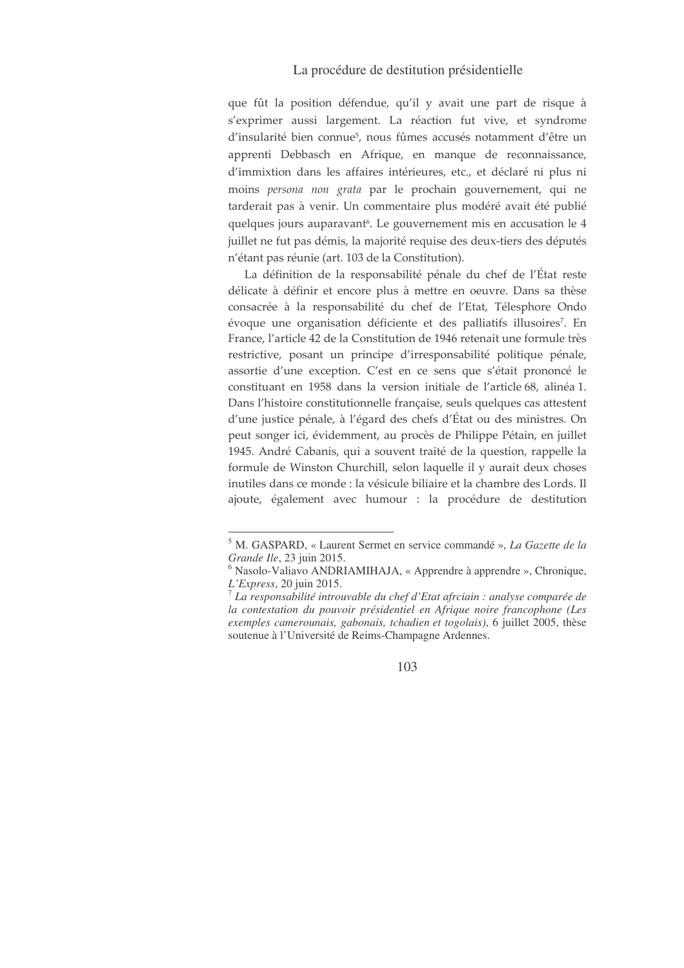## La procédure de destitution présidentielle

que fût la position défendue, qu'il y avait une part de risque à s'exprimer aussi largement. La réaction fut vive, et syndrome d'insularité bien connue<sup>5</sup>, nous fûmes accusés notamment d'être un apprenti Debbasch en Afrique, en manque de reconnaissance, d'immixtion dans les affaires intérieures, etc., et déclaré ni plus ni moins persona non grata par le prochain gouvernement, qui ne tarderait pas à venir. Un commentaire plus modéré avait été publié quelques jours auparavant<sup>6</sup>. Le gouvernement mis en accusation le 4 juillet ne fut pas démis, la majorité requise des deux-tiers des députés n'étant pas réunie (art. 103 de la Constitution).

La définition de la responsabilité pénale du chef de l'État reste délicate à définir et encore plus à mettre en oeuvre. Dans sa thèse consacrée à la responsabilité du chef de l'Etat, Télesphore Ondo évoque une organisation déficiente et des palliatifs illusoires<sup>7</sup>. En France, l'article 42 de la Constitution de 1946 retenait une formule très restrictive, posant un principe d'irresponsabilité politique pénale, assortie d'une exception. C'est en ce sens que s'était prononcé le constituant en 1958 dans la version initiale de l'article 68, alinéa 1. Dans l'histoire constitutionnelle française, seuls quelques cas attestent d'une justice pénale, à l'égard des chefs d'État ou des ministres. On peut songer ici, évidemment, au procès de Philippe Pétain, en juillet 1945. André Cabanis, qui a souvent traité de la question, rappelle la formule de Winston Churchill, selon laquelle il y aurait deux choses inutiles dans ce monde : la vésicule biliaire et la chambre des Lords. Il ajoute, également avec humour : la procédure de destitution

<sup>&</sup>lt;sup>5</sup> M. GASPARD, « Laurent Sermet en service commandé », La Gazette de la Grande Ile, 23 juin 2015.

 $6$  Nasolo-Valiavo ANDRIAMIHAJA, « Apprendre à apprendre », Chronique,  $L$ 'Express, 20 juin 2015.

 $\frac{7}{1}$  La responsabilité introuvable du chef d'Etat afrciain : analyse comparée de la contestation du pouvoir présidentiel en Afrique noire francophone (Les exemples camerounais, gabonais, tchadien et togolais), 6 juillet 2005, thèse soutenue à l'Université de Reims-Champagne Ardennes.

<sup>103</sup>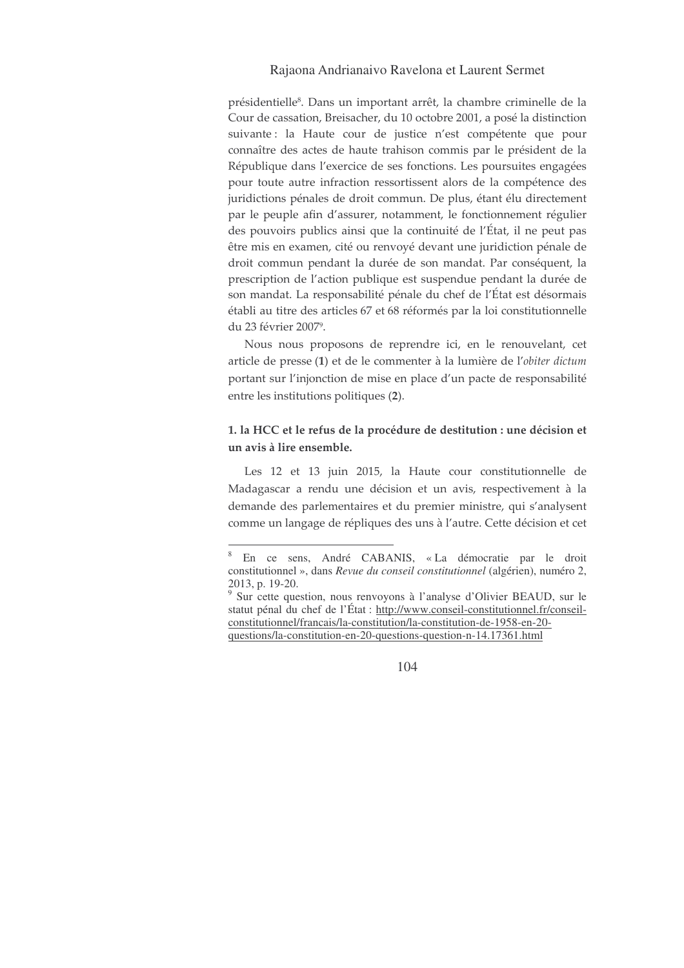### Rajaona Andrianaivo Ravelona et Laurent Sermet

présidentielle<sup>8</sup>. Dans un important arrêt, la chambre criminelle de la Cour de cassation, Breisacher, du 10 octobre 2001, a posé la distinction suivante : la Haute cour de justice n'est compétente que pour connaître des actes de haute trahison commis par le président de la République dans l'exercice de ses fonctions. Les poursuites engagées pour toute autre infraction ressortissent alors de la compétence des juridictions pénales de droit commun. De plus, étant élu directement par le peuple afin d'assurer, notamment, le fonctionnement régulier des pouvoirs publics ainsi que la continuité de l'État, il ne peut pas être mis en examen, cité ou renvoyé devant une juridiction pénale de droit commun pendant la durée de son mandat. Par conséquent, la prescription de l'action publique est suspendue pendant la durée de son mandat. La responsabilité pénale du chef de l'État est désormais établi au titre des articles 67 et 68 réformés par la loi constitutionnelle du 23 février 2007<sup>9</sup>.

Nous nous proposons de reprendre ici, en le renouvelant, cet article de presse (1) et de le commenter à la lumière de l'obiter dictum portant sur l'injonction de mise en place d'un pacte de responsabilité entre les institutions politiques (2).

## 1. la HCC et le refus de la procédure de destitution : une décision et un avis à lire ensemble.

Les 12 et 13 juin 2015, la Haute cour constitutionnelle de Madagascar a rendu une décision et un avis, respectivement à la demande des parlementaires et du premier ministre, qui s'analysent comme un langage de répliques des uns à l'autre. Cette décision et cet

En ce sens, André CABANIS, «La démocratie par le droit constitutionnel », dans Revue du conseil constitutionnel (algérien), numéro 2, 2013, p. 19-20.

<sup>&</sup>lt;sup>9</sup> Sur cette question, nous renvoyons à l'analyse d'Olivier BEAUD, sur le statut pénal du chef de l'État : http://www.conseil-constitutionnel.fr/conseilconstitutionnel/francais/la-constitution/la-constitution-de-1958-en-20questions/la-constitution-en-20-questions-question-n-14.17361.html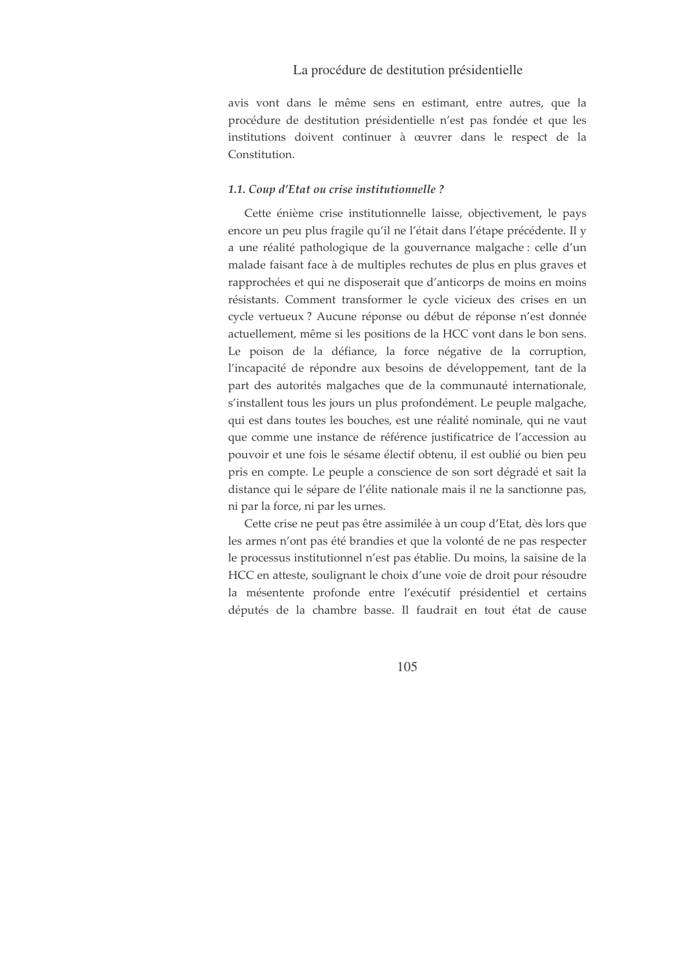### La procédure de destitution présidentielle

avis vont dans le même sens en estimant, entre autres, que la procédure de destitution présidentielle n'est pas fondée et que les institutions doivent continuer à œuvrer dans le respect de la Constitution.

#### 1.1. Coup d'Etat ou crise institutionnelle ?

Cette énième crise institutionnelle laisse, objectivement, le pays encore un peu plus fragile qu'il ne l'était dans l'étape précédente. Il y a une réalité pathologique de la gouvernance malgache : celle d'un malade faisant face à de multiples rechutes de plus en plus graves et rapprochées et qui ne disposerait que d'anticorps de moins en moins résistants. Comment transformer le cycle vicieux des crises en un cycle vertueux? Aucune réponse ou début de réponse n'est donnée actuellement, même si les positions de la HCC vont dans le bon sens. Le poison de la défiance, la force négative de la corruption, l'incapacité de répondre aux besoins de développement, tant de la part des autorités malgaches que de la communauté internationale, s'installent tous les jours un plus profondément. Le peuple malgache, qui est dans toutes les bouches, est une réalité nominale, qui ne vaut que comme une instance de référence justificatrice de l'accession au pouvoir et une fois le sésame électif obtenu, il est oublié ou bien peu pris en compte. Le peuple a conscience de son sort dégradé et sait la distance qui le sépare de l'élite nationale mais il ne la sanctionne pas, ni par la force, ni par les urnes.

Cette crise ne peut pas être assimilée à un coup d'Etat, dès lors que les armes n'ont pas été brandies et que la volonté de ne pas respecter le processus institutionnel n'est pas établie. Du moins, la saisine de la HCC en atteste, soulignant le choix d'une voie de droit pour résoudre la mésentente profonde entre l'exécutif présidentiel et certains députés de la chambre basse. Il faudrait en tout état de cause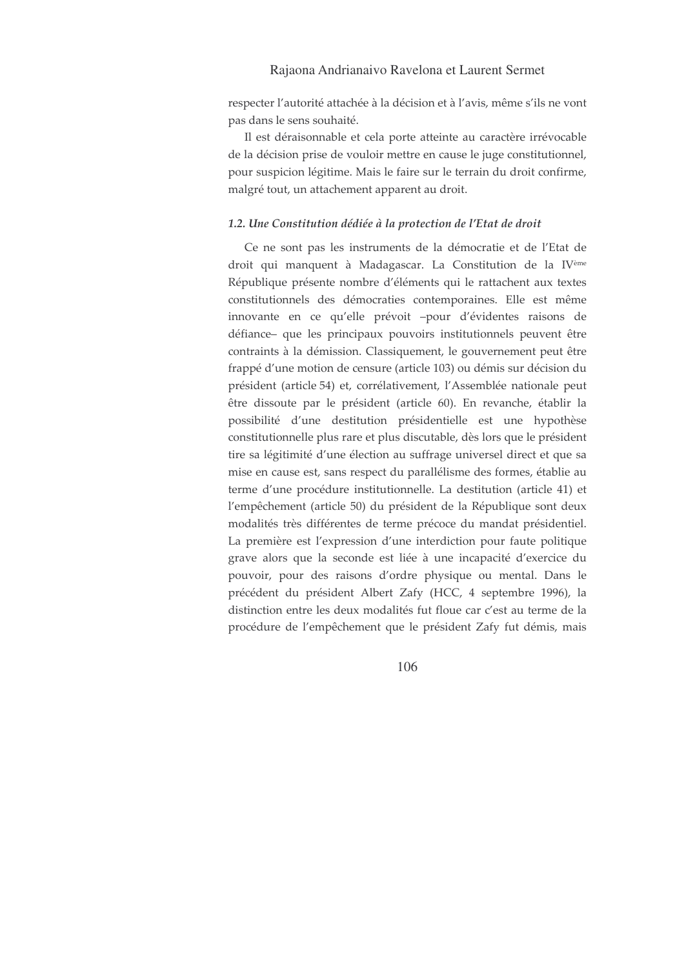### Rajaona Andrianaivo Ravelona et Laurent Sermet

respecter l'autorité attachée à la décision et à l'avis, même s'ils ne vont pas dans le sens souhaité.

Il est déraisonnable et cela porte atteinte au caractère irrévocable de la décision prise de vouloir mettre en cause le juge constitutionnel, pour suspicion légitime. Mais le faire sur le terrain du droit confirme, malgré tout, un attachement apparent au droit.

### 1.2. Une Constitution dédiée à la protection de l'Etat de droit

Ce ne sont pas les instruments de la démocratie et de l'Etat de droit qui manquent à Madagascar. La Constitution de la IVème République présente nombre d'éléments qui le rattachent aux textes constitutionnels des démocraties contemporaines. Elle est même innovante en ce qu'elle prévoit -pour d'évidentes raisons de défiance- que les principaux pouvoirs institutionnels peuvent être contraints à la démission. Classiquement, le gouvernement peut être frappé d'une motion de censure (article 103) ou démis sur décision du président (article 54) et, corrélativement, l'Assemblée nationale peut être dissoute par le président (article 60). En revanche, établir la possibilité d'une destitution présidentielle est une hypothèse constitutionnelle plus rare et plus discutable, dès lors que le président tire sa légitimité d'une élection au suffrage universel direct et que sa mise en cause est, sans respect du parallélisme des formes, établie au terme d'une procédure institutionnelle. La destitution (article 41) et l'empêchement (article 50) du président de la République sont deux modalités très différentes de terme précoce du mandat présidentiel. La première est l'expression d'une interdiction pour faute politique grave alors que la seconde est liée à une incapacité d'exercice du pouvoir, pour des raisons d'ordre physique ou mental. Dans le précédent du président Albert Zafy (HCC, 4 septembre 1996), la distinction entre les deux modalités fut floue car c'est au terme de la procédure de l'empêchement que le président Zafy fut démis, mais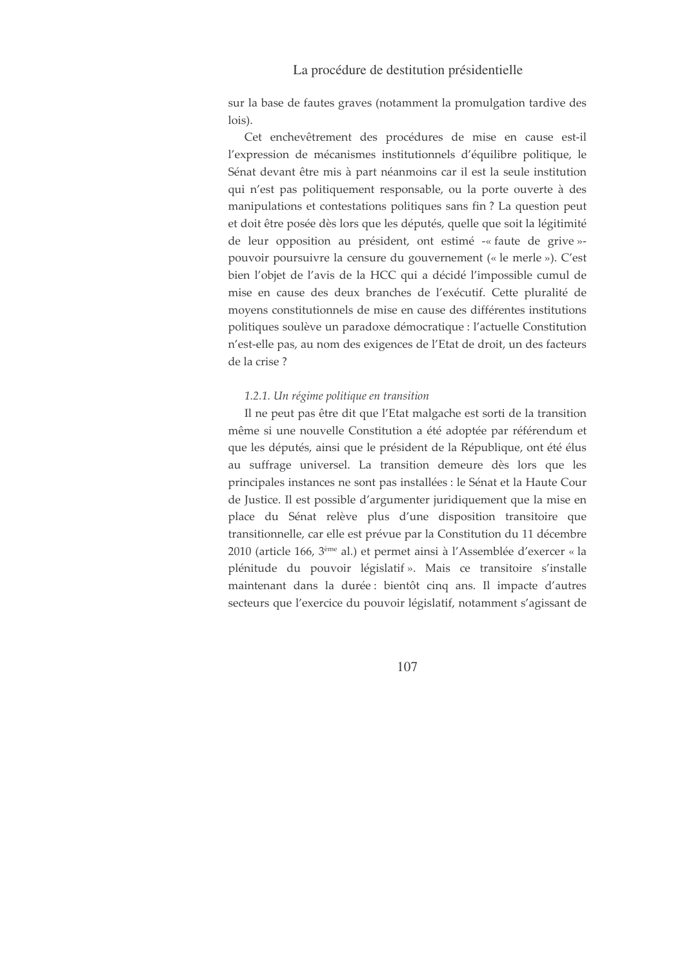### La procédure de destitution présidentielle

sur la base de fautes graves (notamment la promulgation tardive des lois).

Cet enchevêtrement des procédures de mise en cause est-il l'expression de mécanismes institutionnels d'équilibre politique, le Sénat devant être mis à part néanmoins car il est la seule institution qui n'est pas politiquement responsable, ou la porte ouverte à des manipulations et contestations politiques sans fin? La question peut et doit être posée dès lors que les députés, quelle que soit la légitimité de leur opposition au président, ont estimé -« faute de grive »pouvoir poursuivre la censure du gouvernement (« le merle »). C'est bien l'objet de l'avis de la HCC qui a décidé l'impossible cumul de mise en cause des deux branches de l'exécutif. Cette pluralité de moyens constitutionnels de mise en cause des différentes institutions politiques soulève un paradoxe démocratique : l'actuelle Constitution n'est-elle pas, au nom des exigences de l'Etat de droit, un des facteurs de la crise?

### 1.2.1. Un régime politique en transition

Il ne peut pas être dit que l'Etat malgache est sorti de la transition même si une nouvelle Constitution a été adoptée par référendum et que les députés, ainsi que le président de la République, ont été élus au suffrage universel. La transition demeure dès lors que les principales instances ne sont pas installées : le Sénat et la Haute Cour de Justice. Il est possible d'argumenter juridiquement que la mise en place du Sénat relève plus d'une disposition transitoire que transitionnelle, car elle est prévue par la Constitution du 11 décembre 2010 (article 166, 3<sup>ème</sup> al.) et permet ainsi à l'Assemblée d'exercer « la plénitude du pouvoir législatif ». Mais ce transitoire s'installe maintenant dans la durée : bientôt cinq ans. Il impacte d'autres secteurs que l'exercice du pouvoir législatif, notamment s'agissant de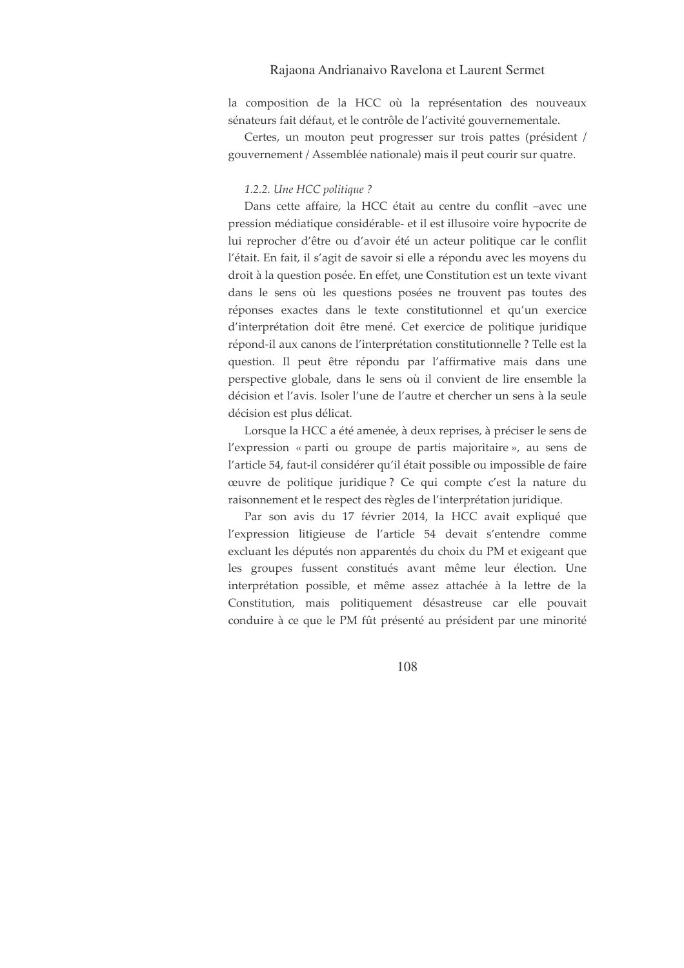### Rajaona Andrianaivo Ravelona et Laurent Sermet

la composition de la HCC où la représentation des nouveaux sénateurs fait défaut, et le contrôle de l'activité gouvernementale.

Certes, un mouton peut progresser sur trois pattes (président / gouvernement / Assemblée nationale) mais il peut courir sur quatre.

#### 1.2.2. Une HCC politique ?

Dans cette affaire, la HCC était au centre du conflit -avec une pression médiatique considérable- et il est illusoire voire hypocrite de lui reprocher d'être ou d'avoir été un acteur politique car le conflit l'était. En fait, il s'agit de savoir si elle a répondu avec les moyens du droit à la question posée. En effet, une Constitution est un texte vivant dans le sens où les questions posées ne trouvent pas toutes des réponses exactes dans le texte constitutionnel et qu'un exercice d'interprétation doit être mené. Cet exercice de politique juridique répond-il aux canons de l'interprétation constitutionnelle ? Telle est la question. Il peut être répondu par l'affirmative mais dans une perspective globale, dans le sens où il convient de lire ensemble la décision et l'avis. Isoler l'une de l'autre et chercher un sens à la seule décision est plus délicat.

Lorsque la HCC a été amenée, à deux reprises, à préciser le sens de l'expression « parti ou groupe de partis majoritaire », au sens de l'article 54, faut-il considérer qu'il était possible ou impossible de faire œuvre de politique juridique? Ce qui compte c'est la nature du raisonnement et le respect des règles de l'interprétation juridique.

Par son avis du 17 février 2014, la HCC avait expliqué que l'expression litigieuse de l'article 54 devait s'entendre comme excluant les députés non apparentés du choix du PM et exigeant que les groupes fussent constitués avant même leur élection. Une interprétation possible, et même assez attachée à la lettre de la Constitution, mais politiquement désastreuse car elle pouvait conduire à ce que le PM fût présenté au président par une minorité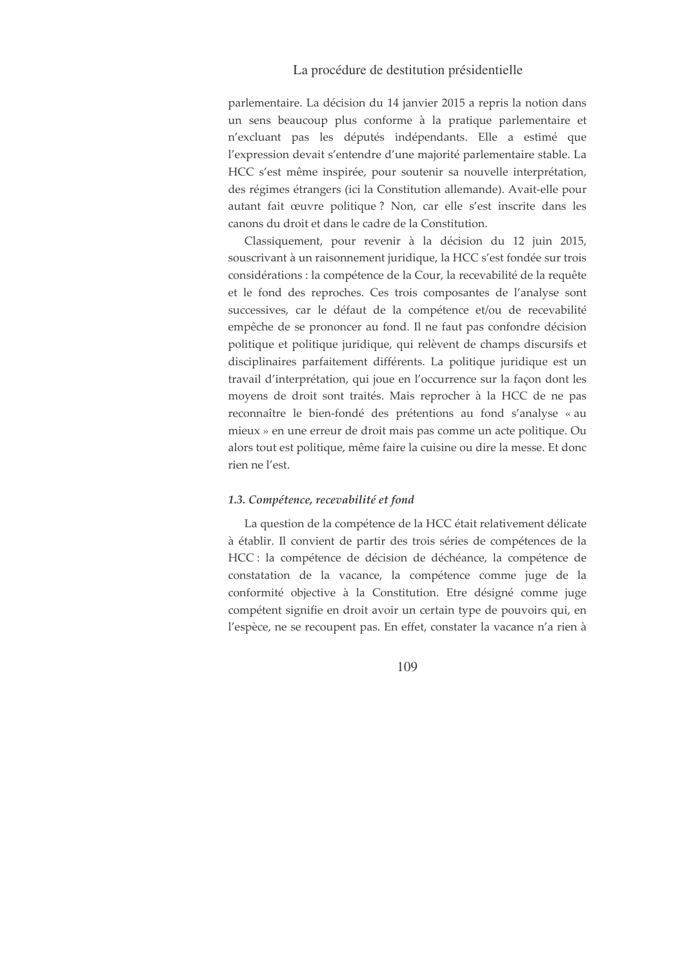parlementaire. La décision du 14 janvier 2015 a repris la notion dans un sens beaucoup plus conforme à la pratique parlementaire et n'excluant pas les députés indépendants. Elle a estimé que l'expression devait s'entendre d'une majorité parlementaire stable. La HCC s'est même inspirée, pour soutenir sa nouvelle interprétation, des régimes étrangers (ici la Constitution allemande). Avait-elle pour autant fait œuvre politique? Non, car elle s'est inscrite dans les canons du droit et dans le cadre de la Constitution.

Classiquement, pour revenir à la décision du 12 juin 2015, souscrivant à un raisonnement juridique, la HCC s'est fondée sur trois considérations : la compétence de la Cour, la recevabilité de la requête et le fond des reproches. Ces trois composantes de l'analyse sont successives, car le défaut de la compétence et/ou de recevabilité empêche de se prononcer au fond. Il ne faut pas confondre décision politique et politique juridique, qui relèvent de champs discursifs et disciplinaires parfaitement différents. La politique juridique est un travail d'interprétation, qui joue en l'occurrence sur la façon dont les moyens de droit sont traités. Mais reprocher à la HCC de ne pas reconnaître le bien-fondé des prétentions au fond s'analyse « au mieux » en une erreur de droit mais pas comme un acte politique. Ou alors tout est politique, même faire la cuisine ou dire la messe. Et donc rien ne l'est.

#### 1.3. Compétence, recevabilité et fond

La question de la compétence de la HCC était relativement délicate à établir. Il convient de partir des trois séries de compétences de la HCC : la compétence de décision de déchéance, la compétence de constatation de la vacance, la compétence comme juge de la conformité objective à la Constitution. Etre désigné comme juge compétent signifie en droit avoir un certain type de pouvoirs qui, en l'espèce, ne se recoupent pas. En effet, constater la vacance n'a rien à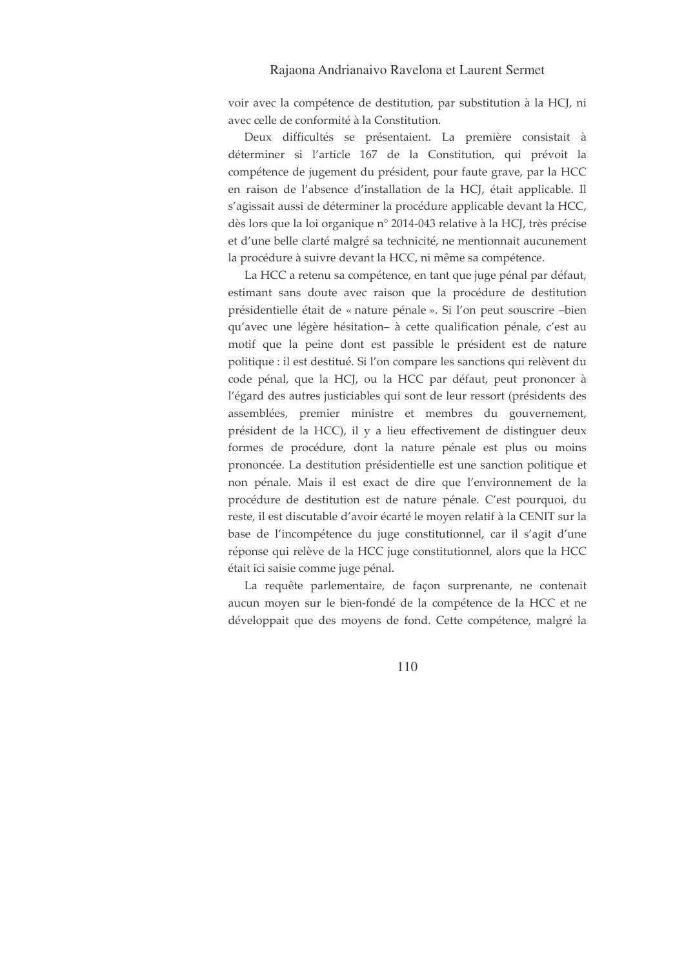voir avec la compétence de destitution, par substitution à la HCJ, ni avec celle de conformité à la Constitution.

Deux difficultés se présentaient. La première consistait à déterminer si l'article 167 de la Constitution, qui prévoit la compétence de jugement du président, pour faute grave, par la HCC en raison de l'absence d'installation de la HCJ, était applicable. Il s'agissait aussi de déterminer la procédure applicable devant la HCC, dès lors que la loi organique n° 2014-043 relative à la HCJ, très précise et d'une belle clarté malgré sa technicité, ne mentionnait aucunement la procédure à suivre devant la HCC, ni même sa compétence.

La HCC a retenu sa compétence, en tant que juge pénal par défaut, estimant sans doute avec raison que la procédure de destitution présidentielle était de « nature pénale ». Si l'on peut souscrire -bien qu'avec une légère hésitation- à cette qualification pénale, c'est au motif que la peine dont est passible le président est de nature politique : il est destitué. Si l'on compare les sanctions qui relèvent du code pénal, que la HCJ, ou la HCC par défaut, peut prononcer à l'égard des autres justiciables qui sont de leur ressort (présidents des assemblées, premier ministre et membres du gouvernement, président de la HCC), il y a lieu effectivement de distinguer deux formes de procédure, dont la nature pénale est plus ou moins prononcée. La destitution présidentielle est une sanction politique et non pénale. Mais il est exact de dire que l'environnement de la procédure de destitution est de nature pénale. C'est pourquoi, du reste, il est discutable d'avoir écarté le moyen relatif à la CENIT sur la base de l'incompétence du juge constitutionnel, car il s'agit d'une réponse qui relève de la HCC juge constitutionnel, alors que la HCC était ici saisie comme juge pénal.

La requête parlementaire, de façon surprenante, ne contenait aucun moyen sur le bien-fondé de la compétence de la HCC et ne développait que des moyens de fond. Cette compétence, malgré la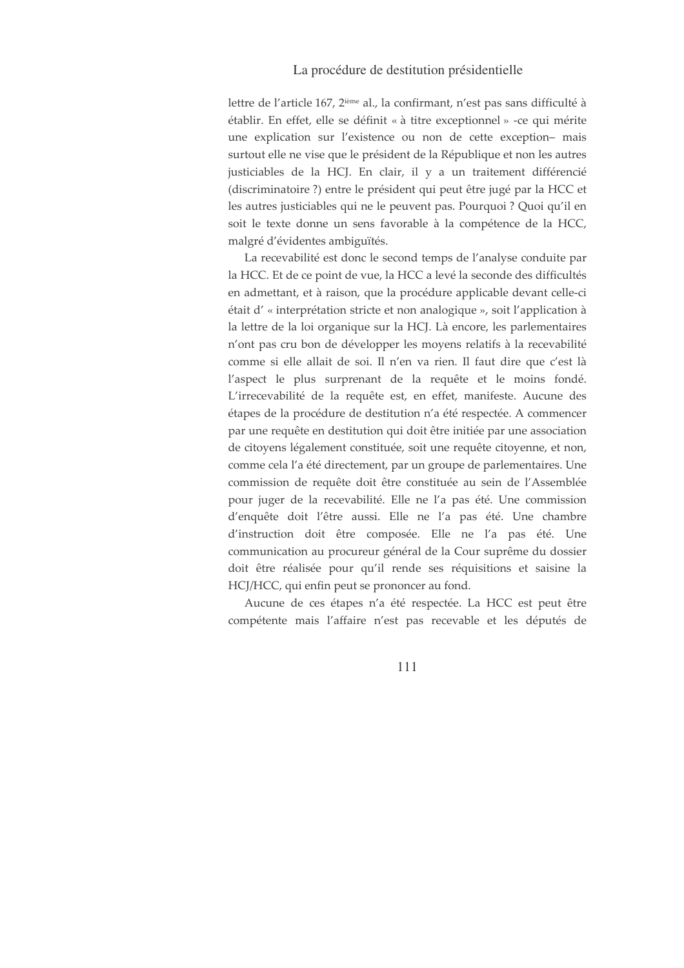lettre de l'article 167, 2<sup>ième</sup> al., la confirmant, n'est pas sans difficulté à établir. En effet, elle se définit « à titre exceptionnel » -ce qui mérite une explication sur l'existence ou non de cette exception- mais surtout elle ne vise que le président de la République et non les autres justiciables de la HCJ. En clair, il y a un traitement différencié (discriminatoire ?) entre le président qui peut être jugé par la HCC et les autres justiciables qui ne le peuvent pas. Pourquoi ? Quoi qu'il en soit le texte donne un sens favorable à la compétence de la HCC, malgré d'évidentes ambiguïtés.

La recevabilité est donc le second temps de l'analyse conduite par la HCC. Et de ce point de vue, la HCC a levé la seconde des difficultés en admettant, et à raison, que la procédure applicable devant celle-ci était d'« interprétation stricte et non analogique », soit l'application à la lettre de la loi organique sur la HCJ. Là encore, les parlementaires n'ont pas cru bon de développer les moyens relatifs à la recevabilité comme si elle allait de soi. Il n'en va rien. Il faut dire que c'est là l'aspect le plus surprenant de la requête et le moins fondé. L'irrecevabilité de la requête est, en effet, manifeste. Aucune des étapes de la procédure de destitution n'a été respectée. A commencer par une requête en destitution qui doit être initiée par une association de citoyens légalement constituée, soit une requête citoyenne, et non, comme cela l'a été directement, par un groupe de parlementaires. Une commission de requête doit être constituée au sein de l'Assemblée pour juger de la recevabilité. Elle ne l'a pas été. Une commission d'enquête doit l'être aussi. Elle ne l'a pas été. Une chambre d'instruction doit être composée. Elle ne l'a pas été. Une communication au procureur général de la Cour suprême du dossier doit être réalisée pour qu'il rende ses réquisitions et saisine la HCJ/HCC, qui enfin peut se prononcer au fond.

Aucune de ces étapes n'a été respectée. La HCC est peut être compétente mais l'affaire n'est pas recevable et les députés de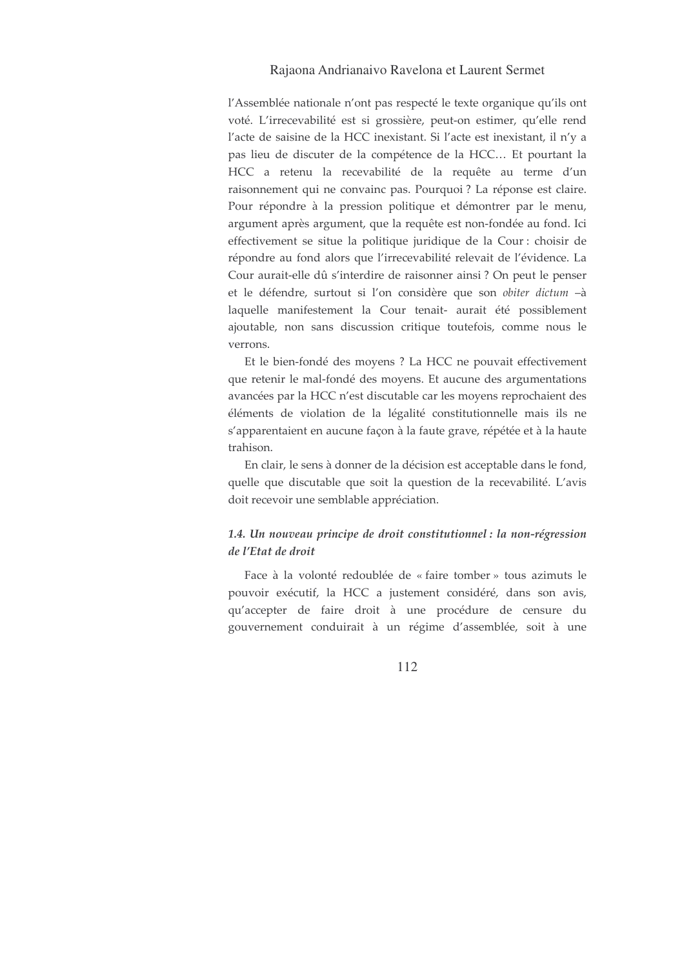l'Assemblée nationale n'ont pas respecté le texte organique qu'ils ont voté. L'irrecevabilité est si grossière, peut-on estimer, qu'elle rend l'acte de saisine de la HCC inexistant. Si l'acte est inexistant, il n'y a pas lieu de discuter de la compétence de la HCC... Et pourtant la HCC a retenu la recevabilité de la requête au terme d'un raisonnement qui ne convainc pas. Pourquoi ? La réponse est claire. Pour répondre à la pression politique et démontrer par le menu, argument après argument, que la requête est non-fondée au fond. Ici effectivement se situe la politique juridique de la Cour : choisir de répondre au fond alors que l'irrecevabilité relevait de l'évidence. La Cour aurait-elle dû s'interdire de raisonner ainsi ? On peut le penser et le défendre, surtout si l'on considère que son obiter dictum -à laquelle manifestement la Cour tenait- aurait été possiblement ajoutable, non sans discussion critique toutefois, comme nous le verrons.

Et le bien-fondé des moyens ? La HCC ne pouvait effectivement que retenir le mal-fondé des moyens. Et aucune des argumentations avancées par la HCC n'est discutable car les moyens reprochaient des éléments de violation de la légalité constitutionnelle mais ils ne s'apparentaient en aucune façon à la faute grave, répétée et à la haute trahison.

En clair, le sens à donner de la décision est acceptable dans le fond, quelle que discutable que soit la question de la recevabilité. L'avis doit recevoir une semblable appréciation.

# 1.4. Un nouveau principe de droit constitutionnel : la non-régression de l'Etat de droit

Face à la volonté redoublée de « faire tomber » tous azimuts le pouvoir exécutif, la HCC a justement considéré, dans son avis, qu'accepter de faire droit à une procédure de censure du gouvernement conduirait à un régime d'assemblée, soit à une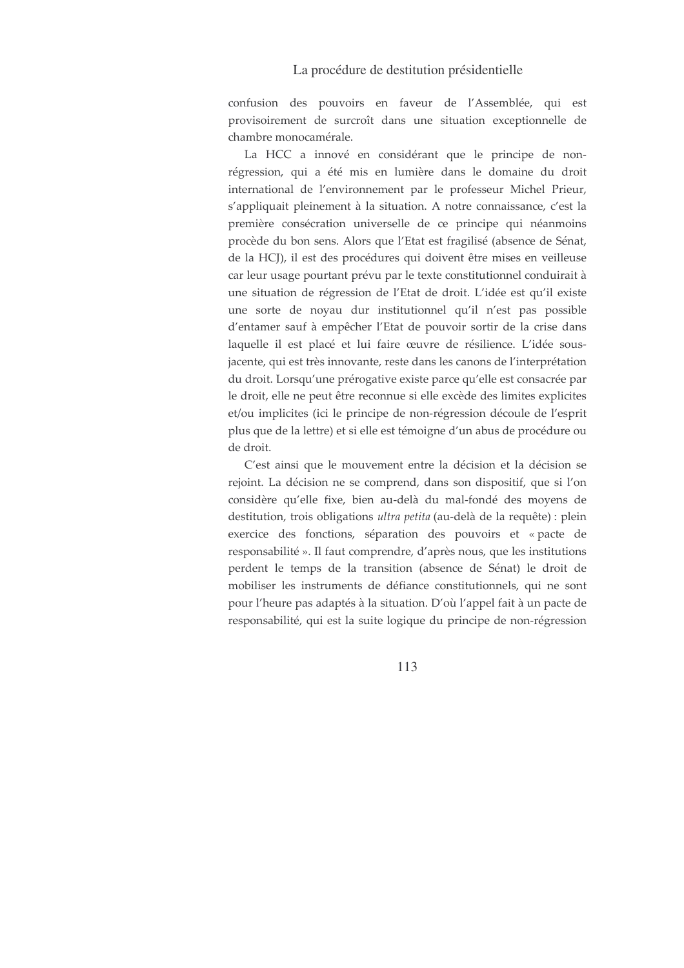confusion des pouvoirs en faveur de l'Assemblée, qui est provisoirement de surcroît dans une situation exceptionnelle de chambre monocamérale.

La HCC a innové en considérant que le principe de nonrégression, qui a été mis en lumière dans le domaine du droit international de l'environnement par le professeur Michel Prieur, s'appliquait pleinement à la situation. A notre connaissance, c'est la première consécration universelle de ce principe qui néanmoins procède du bon sens. Alors que l'Etat est fragilisé (absence de Sénat, de la HCJ), il est des procédures qui doivent être mises en veilleuse car leur usage pourtant prévu par le texte constitutionnel conduirait à une situation de régression de l'Etat de droit. L'idée est qu'il existe une sorte de noyau dur institutionnel qu'il n'est pas possible d'entamer sauf à empêcher l'Etat de pouvoir sortir de la crise dans laquelle il est placé et lui faire œuvre de résilience. L'idée sousjacente, qui est très innovante, reste dans les canons de l'interprétation du droit. Lorsqu'une prérogative existe parce qu'elle est consacrée par le droit, elle ne peut être reconnue si elle excède des limites explicites et/ou implicites (ici le principe de non-régression découle de l'esprit plus que de la lettre) et si elle est témoigne d'un abus de procédure ou de droit.

C'est ainsi que le mouvement entre la décision et la décision se rejoint. La décision ne se comprend, dans son dispositif, que si l'on considère qu'elle fixe, bien au-delà du mal-fondé des moyens de destitution, trois obligations ultra petita (au-delà de la requête) : plein exercice des fonctions, séparation des pouvoirs et « pacte de responsabilité ». Il faut comprendre, d'après nous, que les institutions perdent le temps de la transition (absence de Sénat) le droit de mobiliser les instruments de défiance constitutionnels, qui ne sont pour l'heure pas adaptés à la situation. D'où l'appel fait à un pacte de responsabilité, qui est la suite logique du principe de non-régression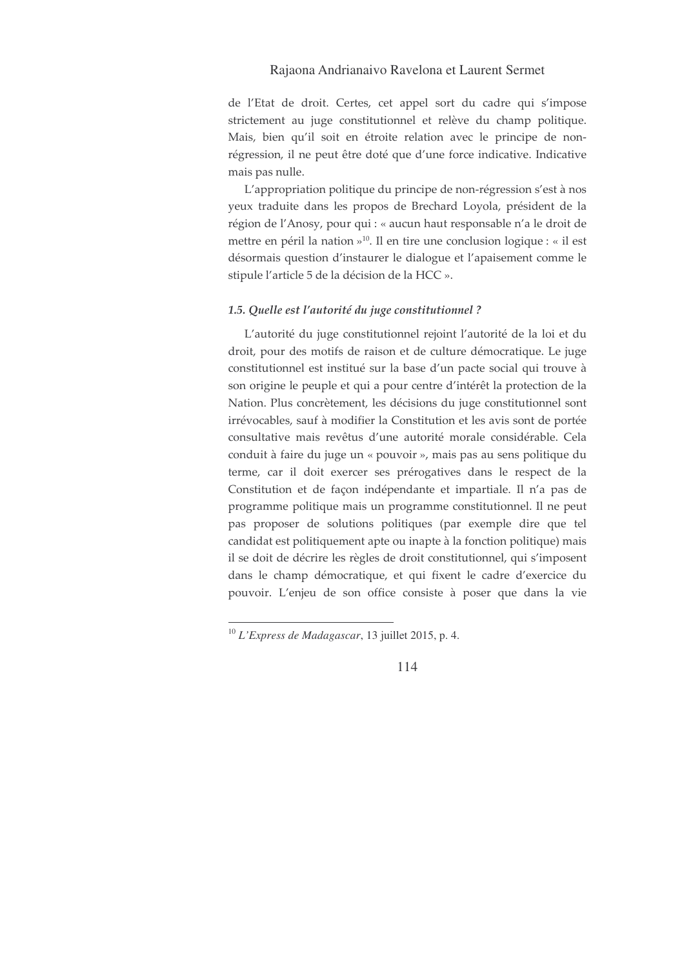de l'Etat de droit. Certes, cet appel sort du cadre qui s'impose strictement au juge constitutionnel et relève du champ politique. Mais, bien qu'il soit en étroite relation avec le principe de nonrégression, il ne peut être doté que d'une force indicative. Indicative mais pas nulle.

L'appropriation politique du principe de non-régression s'est à nos yeux traduite dans les propos de Brechard Loyola, président de la région de l'Anosy, pour qui : « aucun haut responsable n'a le droit de mettre en péril la nation »<sup>10</sup>. Il en tire une conclusion logique : « il est désormais question d'instaurer le dialogue et l'apaisement comme le stipule l'article 5 de la décision de la HCC ».

#### 1.5. Quelle est l'autorité du juge constitutionnel ?

L'autorité du juge constitutionnel rejoint l'autorité de la loi et du droit, pour des motifs de raison et de culture démocratique. Le juge constitutionnel est institué sur la base d'un pacte social qui trouve à son origine le peuple et qui a pour centre d'intérêt la protection de la Nation. Plus concrètement, les décisions du juge constitutionnel sont irrévocables, sauf à modifier la Constitution et les avis sont de portée consultative mais revêtus d'une autorité morale considérable. Cela conduit à faire du juge un « pouvoir », mais pas au sens politique du terme, car il doit exercer ses prérogatives dans le respect de la Constitution et de façon indépendante et impartiale. Il n'a pas de programme politique mais un programme constitutionnel. Il ne peut pas proposer de solutions politiques (par exemple dire que tel candidat est politiquement apte ou inapte à la fonction politique) mais il se doit de décrire les règles de droit constitutionnel, qui s'imposent dans le champ démocratique, et qui fixent le cadre d'exercice du pouvoir. L'enjeu de son office consiste à poser que dans la vie

 $10$  L'Express de Madagascar, 13 juillet 2015, p. 4.

<sup>114</sup>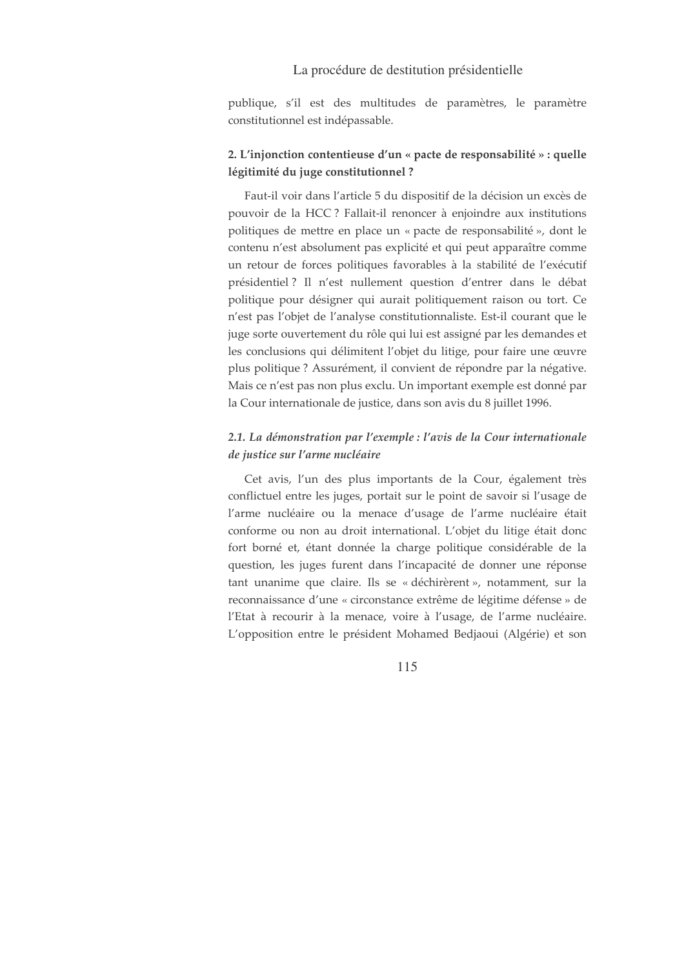publique, s'il est des multitudes de paramètres, le paramètre constitutionnel est indépassable.

## 2. L'injonction contentieuse d'un « pacte de responsabilité » : quelle légitimité du juge constitutionnel ?

Faut-il voir dans l'article 5 du dispositif de la décision un excès de pouvoir de la HCC ? Fallait-il renoncer à enjoindre aux institutions politiques de mettre en place un « pacte de responsabilité », dont le contenu n'est absolument pas explicité et qui peut apparaître comme un retour de forces politiques favorables à la stabilité de l'exécutif présidentiel ? Il n'est nullement question d'entrer dans le débat politique pour désigner qui aurait politiquement raison ou tort. Ce n'est pas l'objet de l'analyse constitutionnaliste. Est-il courant que le juge sorte ouvertement du rôle qui lui est assigné par les demandes et les conclusions qui délimitent l'objet du litige, pour faire une œuvre plus politique? Assurément, il convient de répondre par la négative. Mais ce n'est pas non plus exclu. Un important exemple est donné par la Cour internationale de justice, dans son avis du 8 juillet 1996.

## 2.1. La démonstration par l'exemple : l'avis de la Cour internationale de justice sur l'arme nucléaire

Cet avis, l'un des plus importants de la Cour, également très conflictuel entre les juges, portait sur le point de savoir si l'usage de l'arme nucléaire ou la menace d'usage de l'arme nucléaire était conforme ou non au droit international. L'objet du litige était donc fort borné et, étant donnée la charge politique considérable de la question, les juges furent dans l'incapacité de donner une réponse tant unanime que claire. Ils se « déchirèrent », notamment, sur la reconnaissance d'une « circonstance extrême de légitime défense » de l'Etat à recourir à la menace, voire à l'usage, de l'arme nucléaire. L'opposition entre le président Mohamed Bedjaoui (Algérie) et son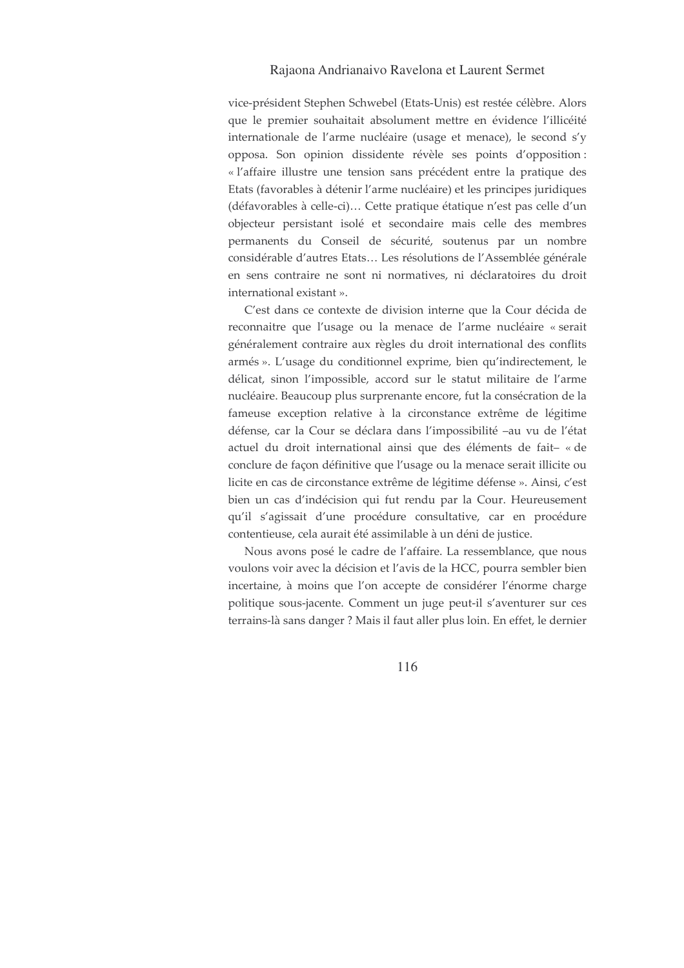vice-président Stephen Schwebel (Etats-Unis) est restée célèbre. Alors que le premier souhaitait absolument mettre en évidence l'illicéité internationale de l'arme nucléaire (usage et menace), le second s'y opposa. Son opinion dissidente révèle ses points d'opposition: « l'affaire illustre une tension sans précédent entre la pratique des Etats (favorables à détenir l'arme nucléaire) et les principes juridiques (défavorables à celle-ci)... Cette pratique étatique n'est pas celle d'un objecteur persistant isolé et secondaire mais celle des membres permanents du Conseil de sécurité, soutenus par un nombre considérable d'autres Etats... Les résolutions de l'Assemblée générale en sens contraire ne sont ni normatives, ni déclaratoires du droit international existant ».

C'est dans ce contexte de division interne que la Cour décida de reconnaitre que l'usage ou la menace de l'arme nucléaire « serait généralement contraire aux règles du droit international des conflits armés ». L'usage du conditionnel exprime, bien qu'indirectement, le délicat, sinon l'impossible, accord sur le statut militaire de l'arme nucléaire. Beaucoup plus surprenante encore, fut la consécration de la fameuse exception relative à la circonstance extrême de légitime défense, car la Cour se déclara dans l'impossibilité -au vu de l'état actuel du droit international ainsi que des éléments de fait-« de conclure de façon définitive que l'usage ou la menace serait illicite ou licite en cas de circonstance extrême de légitime défense ». Ainsi, c'est bien un cas d'indécision qui fut rendu par la Cour. Heureusement qu'il s'agissait d'une procédure consultative, car en procédure contentieuse, cela aurait été assimilable à un déni de justice.

Nous avons posé le cadre de l'affaire. La ressemblance, que nous voulons voir avec la décision et l'avis de la HCC, pourra sembler bien incertaine, à moins que l'on accepte de considérer l'énorme charge politique sous-jacente. Comment un juge peut-il s'aventurer sur ces terrains-là sans danger ? Mais il faut aller plus loin. En effet, le dernier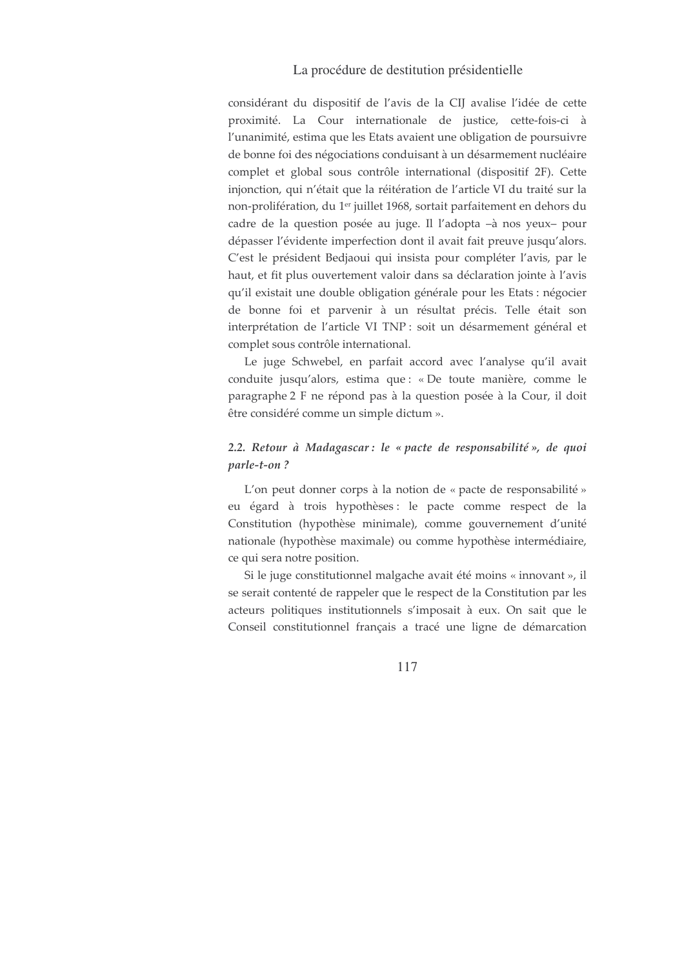considérant du dispositif de l'avis de la CIJ avalise l'idée de cette proximité. La Cour internationale de justice, cette-fois-ci à l'unanimité, estima que les Etats avaient une obligation de poursuivre de bonne foi des négociations conduisant à un désarmement nucléaire complet et global sous contrôle international (dispositif 2F). Cette injonction, qui n'était que la réitération de l'article VI du traité sur la non-prolifération, du 1<sup>er</sup> juillet 1968, sortait parfaitement en dehors du cadre de la question posée au juge. Il l'adopta -à nos yeux- pour dépasser l'évidente imperfection dont il avait fait preuve jusqu'alors. C'est le président Bedjaoui qui insista pour compléter l'avis, par le haut, et fit plus ouvertement valoir dans sa déclaration jointe à l'avis qu'il existait une double obligation générale pour les Etats : négocier de bonne foi et parvenir à un résultat précis. Telle était son interprétation de l'article VI TNP : soit un désarmement général et complet sous contrôle international.

Le juge Schwebel, en parfait accord avec l'analyse qu'il avait conduite jusqu'alors, estima que : « De toute manière, comme le paragraphe 2 F ne répond pas à la question posée à la Cour, il doit être considéré comme un simple dictum ».

# 2.2. Retour à Madagascar: le « pacte de responsabilité », de quoi parle-t-on?

L'on peut donner corps à la notion de « pacte de responsabilité » eu égard à trois hypothèses : le pacte comme respect de la Constitution (hypothèse minimale), comme gouvernement d'unité nationale (hypothèse maximale) ou comme hypothèse intermédiaire, ce qui sera notre position.

Si le juge constitutionnel malgache avait été moins « innovant », il se serait contenté de rappeler que le respect de la Constitution par les acteurs politiques institutionnels s'imposait à eux. On sait que le Conseil constitutionnel français a tracé une ligne de démarcation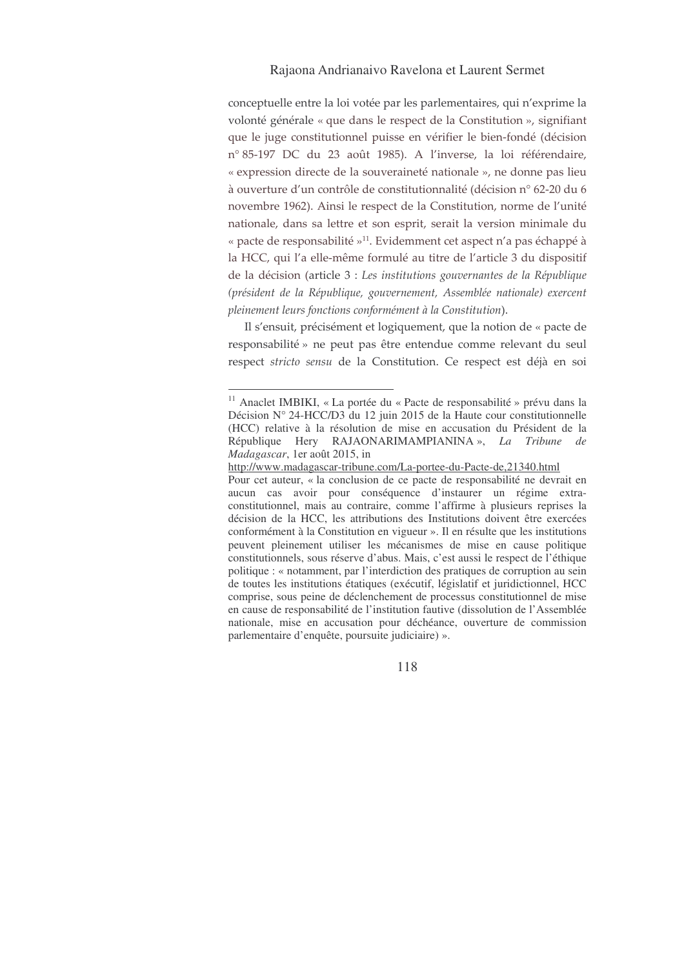conceptuelle entre la loi votée par les parlementaires, qui n'exprime la volonté générale « que dans le respect de la Constitution », signifiant que le juge constitutionnel puisse en vérifier le bien-fondé (décision n° 85-197 DC du 23 août 1985). A l'inverse, la loi référendaire, « expression directe de la souveraineté nationale », ne donne pas lieu à ouverture d'un contrôle de constitutionnalité (décision n° 62-20 du 6 novembre 1962). Ainsi le respect de la Constitution, norme de l'unité nationale, dans sa lettre et son esprit, serait la version minimale du « pacte de responsabilité »<sup>11</sup>. Evidemment cet aspect n'a pas échappé à la HCC, qui l'a elle-même formulé au titre de l'article 3 du dispositif de la décision (article 3 : Les institutions gouvernantes de la République (président de la République, gouvernement, Assemblée nationale) exercent pleinement leurs fonctions conformément à la Constitution).

Il s'ensuit, précisément et logiquement, que la notion de « pacte de responsabilité » ne peut pas être entendue comme relevant du seul respect stricto sensu de la Constitution. Ce respect est déjà en soi

<sup>&</sup>lt;sup>11</sup> Anaclet IMBIKI, « La portée du « Pacte de responsabilité » prévu dans la Décision N° 24-HCC/D3 du 12 juin 2015 de la Haute cour constitutionnelle (HCC) relative à la résolution de mise en accusation du Président de la République Hery RAJAONARIMAMPIANINA », *La Tribune de Madagascar*, 1er août 2015, in

http://www.madagascar-tribune.com/La-portee-du-Pacte-de,21340.html

Pour cet auteur, « la conclusion de ce pacte de responsabilité ne devrait en aucun cas avoir pour conséquence d'instaurer un régime extraconstitutionnel, mais au contraire, comme l'affirme à plusieurs reprises la décision de la HCC, les attributions des Institutions doivent être exercées conformément à la Constitution en vigueur ». Il en résulte que les institutions peuvent pleinement utiliser les mécanismes de mise en cause politique constitutionnels, sous réserve d'abus. Mais, c'est aussi le respect de l'éthique politique : « notamment, par l'interdiction des pratiques de corruption au sein de toutes les institutions étatiques (exécutif, législatif et juridictionnel, HCC comprise, sous peine de déclenchement de processus constitutionnel de mise en cause de responsabilité de l'institution fautive (dissolution de l'Assemblée nationale, mise en accusation pour déchéance, ouverture de commission parlementaire d'enquête, poursuite judiciaire) ».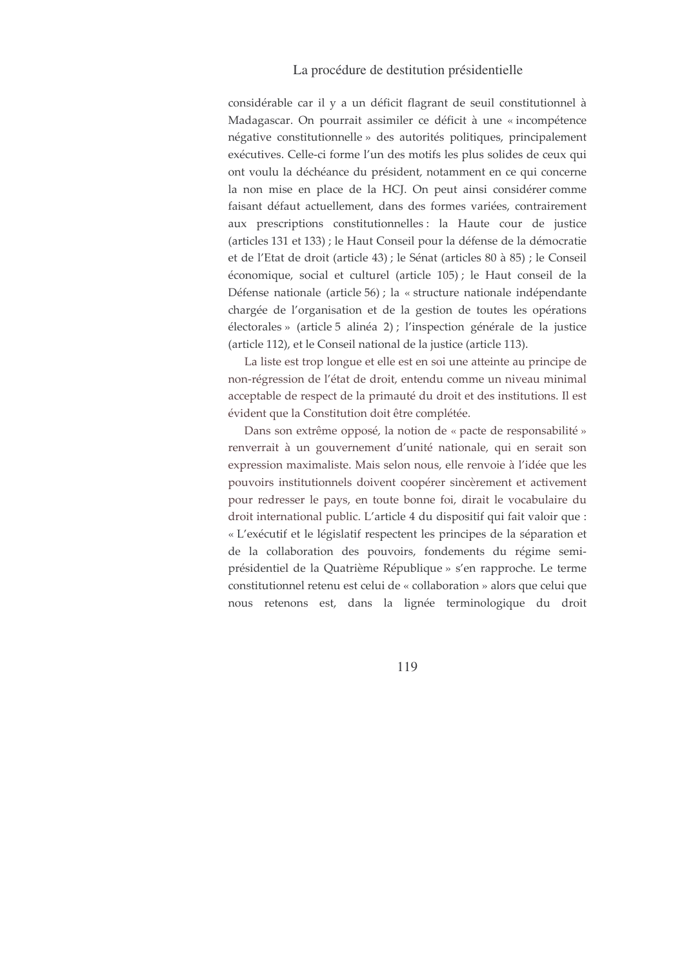considérable car il y a un déficit flagrant de seuil constitutionnel à Madagascar. On pourrait assimiler ce déficit à une « incompétence négative constitutionnelle » des autorités politiques, principalement exécutives. Celle-ci forme l'un des motifs les plus solides de ceux qui ont voulu la déchéance du président, notamment en ce qui concerne la non mise en place de la HCJ. On peut ainsi considérer comme faisant défaut actuellement, dans des formes variées, contrairement aux prescriptions constitutionnelles : la Haute cour de justice (articles 131 et 133) ; le Haut Conseil pour la défense de la démocratie et de l'Etat de droit (article 43) ; le Sénat (articles 80 à 85) ; le Conseil économique, social et culturel (article 105); le Haut conseil de la Défense nationale (article 56) ; la « structure nationale indépendante chargée de l'organisation et de la gestion de toutes les opérations électorales » (article 5 alinéa 2) ; l'inspection générale de la justice (article 112), et le Conseil national de la justice (article 113).

La liste est trop longue et elle est en soi une atteinte au principe de non-régression de l'état de droit, entendu comme un niveau minimal acceptable de respect de la primauté du droit et des institutions. Il est évident que la Constitution doit être complétée.

Dans son extrême opposé, la notion de « pacte de responsabilité » renverrait à un gouvernement d'unité nationale, qui en serait son expression maximaliste. Mais selon nous, elle renvoie à l'idée que les pouvoirs institutionnels doivent coopérer sincèrement et activement pour redresser le pays, en toute bonne foi, dirait le vocabulaire du droit international public. L'article 4 du dispositif qui fait valoir que : « L'exécutif et le législatif respectent les principes de la séparation et de la collaboration des pouvoirs, fondements du régime semiprésidentiel de la Quatrième République » s'en rapproche. Le terme constitutionnel retenu est celui de « collaboration » alors que celui que nous retenons est, dans la lignée terminologique du droit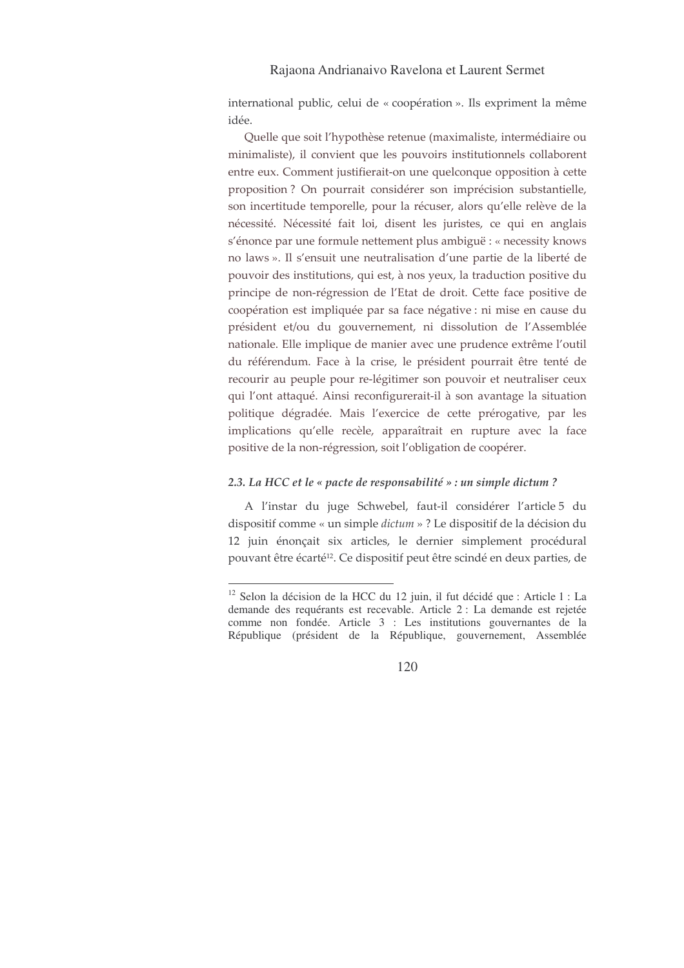international public, celui de « coopération ». Ils expriment la même idée.

Quelle que soit l'hypothèse retenue (maximaliste, intermédiaire ou minimaliste), il convient que les pouvoirs institutionnels collaborent entre eux. Comment justifierait-on une quelconque opposition à cette proposition? On pourrait considérer son imprécision substantielle, son incertitude temporelle, pour la récuser, alors qu'elle relève de la nécessité. Nécessité fait loi, disent les juristes, ce qui en anglais s'énonce par une formule nettement plus ambiguë : « necessity knows no laws ». Il s'ensuit une neutralisation d'une partie de la liberté de pouvoir des institutions, qui est, à nos yeux, la traduction positive du principe de non-régression de l'Etat de droit. Cette face positive de coopération est impliquée par sa face négative : ni mise en cause du président et/ou du gouvernement, ni dissolution de l'Assemblée nationale. Elle implique de manier avec une prudence extrême l'outil du référendum. Face à la crise, le président pourrait être tenté de recourir au peuple pour re-légitimer son pouvoir et neutraliser ceux qui l'ont attaqué. Ainsi reconfigurerait-il à son avantage la situation politique dégradée. Mais l'exercice de cette prérogative, par les implications qu'elle recèle, apparaîtrait en rupture avec la face positive de la non-régression, soit l'obligation de coopérer.

#### 2.3. La HCC et le « pacte de responsabilité » : un simple dictum ?

A l'instar du juge Schwebel, faut-il considérer l'article 5 du dispositif comme « un simple *dictum* » ? Le dispositif de la décision du 12 juin énonçait six articles, le dernier simplement procédural pouvant être écarté<sup>12</sup>. Ce dispositif peut être scindé en deux parties, de

<sup>&</sup>lt;sup>12</sup> Selon la décision de la HCC du 12 juin, il fut décidé que : Article 1 : La demande des requérants est recevable. Article 2 : La demande est rejetée comme non fondée. Article 3 : Les institutions gouvernantes de la République (président de la République, gouvernement, Assemblée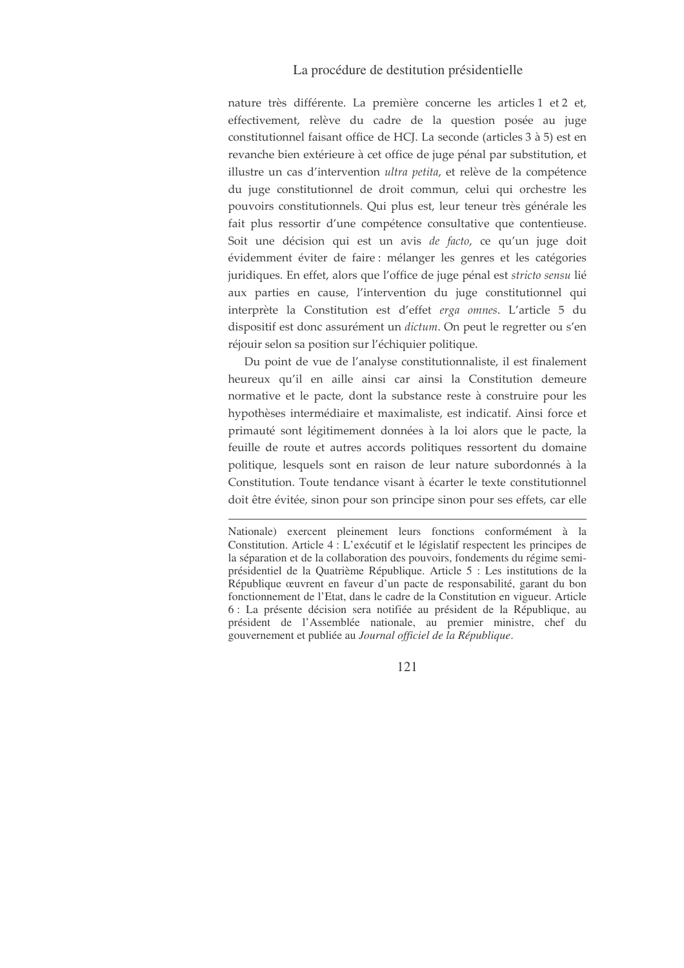nature très différente. La première concerne les articles 1 et 2 et, effectivement, relève du cadre de la question posée au juge constitutionnel faisant office de HCJ. La seconde (articles 3 à 5) est en revanche bien extérieure à cet office de juge pénal par substitution, et illustre un cas d'intervention ultra petita, et relève de la compétence du juge constitutionnel de droit commun, celui qui orchestre les pouvoirs constitutionnels. Qui plus est, leur teneur très générale les fait plus ressortir d'une compétence consultative que contentieuse. Soit une décision qui est un avis de facto, ce qu'un juge doit évidemment éviter de faire : mélanger les genres et les catégories juridiques. En effet, alors que l'office de juge pénal est stricto sensu lié aux parties en cause, l'intervention du juge constitutionnel qui interprète la Constitution est d'effet erga omnes. L'article 5 du dispositif est donc assurément un dictum. On peut le regretter ou s'en réjouir selon sa position sur l'échiquier politique.

Du point de vue de l'analyse constitutionnaliste, il est finalement heureux qu'il en aille ainsi car ainsi la Constitution demeure normative et le pacte, dont la substance reste à construire pour les hypothèses intermédiaire et maximaliste, est indicatif. Ainsi force et primauté sont légitimement données à la loi alors que le pacte, la feuille de route et autres accords politiques ressortent du domaine politique, lesquels sont en raison de leur nature subordonnés à la Constitution. Toute tendance visant à écarter le texte constitutionnel doit être évitée, sinon pour son principe sinon pour ses effets, car elle

Nationale) exercent pleinement leurs fonctions conformément à la Constitution. Article 4 : L'exécutif et le législatif respectent les principes de la séparation et de la collaboration des pouvoirs, fondements du régime semiprésidentiel de la Quatrième République. Article 5 : Les institutions de la République œuvrent en faveur d'un pacte de responsabilité, garant du bon fonctionnement de l'Etat, dans le cadre de la Constitution en vigueur. Article 6 : La présente décision sera notifiée au président de la République, au président de l'Assemblée nationale, au premier ministre, chef du gouvernement et publiée au Journal officiel de la République.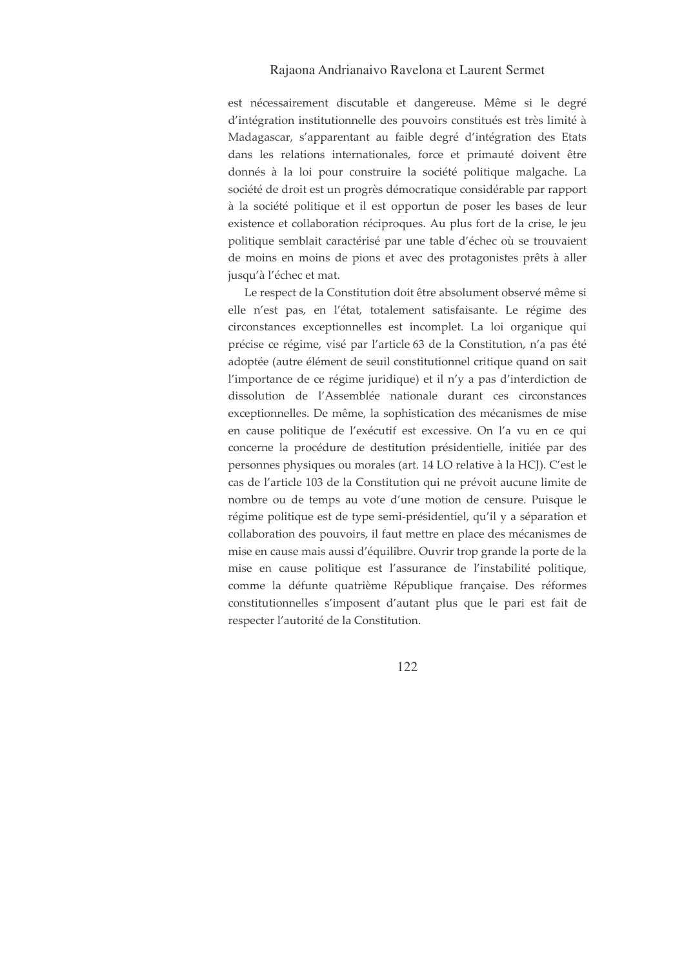est nécessairement discutable et dangereuse. Même si le degré d'intégration institutionnelle des pouvoirs constitués est très limité à Madagascar, s'apparentant au faible degré d'intégration des Etats dans les relations internationales, force et primauté doivent être donnés à la loi pour construire la société politique malgache. La société de droit est un progrès démocratique considérable par rapport à la société politique et il est opportun de poser les bases de leur existence et collaboration réciproques. Au plus fort de la crise, le jeu politique semblait caractérisé par une table d'échec où se trouvaient de moins en moins de pions et avec des protagonistes prêts à aller jusqu'à l'échec et mat.

Le respect de la Constitution doit être absolument observé même si elle n'est pas, en l'état, totalement satisfaisante. Le régime des circonstances exceptionnelles est incomplet. La loi organique qui précise ce régime, visé par l'article 63 de la Constitution, n'a pas été adoptée (autre élément de seuil constitutionnel critique quand on sait l'importance de ce régime juridique) et il n'y a pas d'interdiction de dissolution de l'Assemblée nationale durant ces circonstances exceptionnelles. De même, la sophistication des mécanismes de mise en cause politique de l'exécutif est excessive. On l'a vu en ce qui concerne la procédure de destitution présidentielle, initiée par des personnes physiques ou morales (art. 14 LO relative à la HCJ). C'est le cas de l'article 103 de la Constitution qui ne prévoit aucune limite de nombre ou de temps au vote d'une motion de censure. Puisque le régime politique est de type semi-présidentiel, qu'il y a séparation et collaboration des pouvoirs, il faut mettre en place des mécanismes de mise en cause mais aussi d'équilibre. Ouvrir trop grande la porte de la mise en cause politique est l'assurance de l'instabilité politique, comme la défunte quatrième République française. Des réformes constitutionnelles s'imposent d'autant plus que le pari est fait de respecter l'autorité de la Constitution.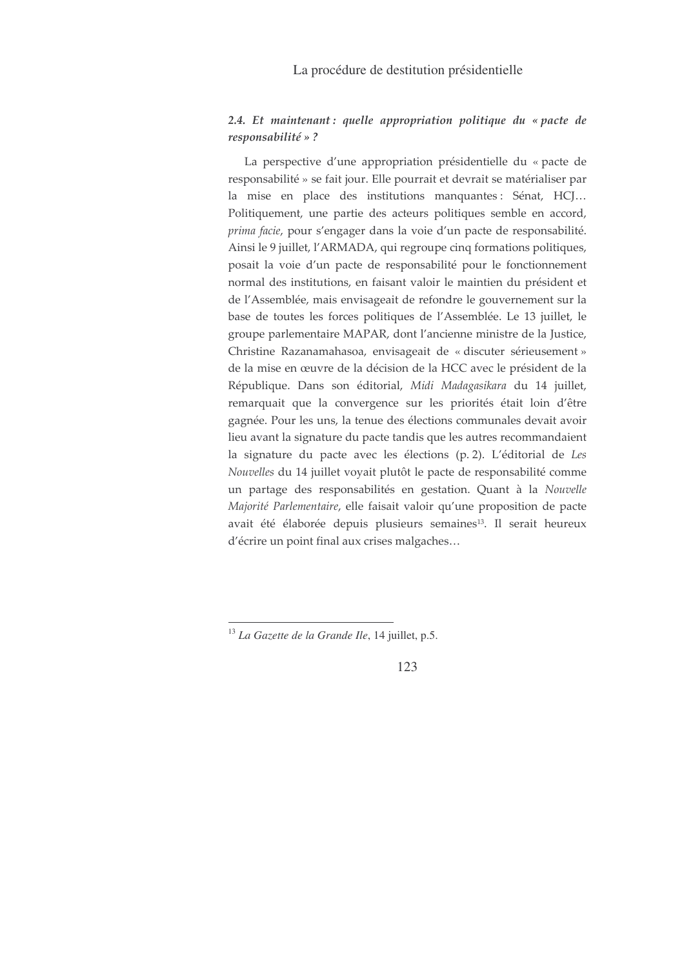# $2.4.$  Et maintenant: quelle appropriation politique du « pacte de responsabilité »?

La perspective d'une appropriation présidentielle du « pacte de responsabilité » se fait jour. Elle pourrait et devrait se matérialiser par la mise en place des institutions manquantes: Sénat, HCJ... Politiquement, une partie des acteurs politiques semble en accord, prima facie, pour s'engager dans la voie d'un pacte de responsabilité. Ainsi le 9 juillet, l'ARMADA, qui regroupe cinq formations politiques, posait la voie d'un pacte de responsabilité pour le fonctionnement normal des institutions, en faisant valoir le maintien du président et de l'Assemblée, mais envisageait de refondre le gouvernement sur la base de toutes les forces politiques de l'Assemblée. Le 13 juillet, le groupe parlementaire MAPAR, dont l'ancienne ministre de la Justice, Christine Razanamahasoa, envisageait de « discuter sérieusement » de la mise en œuvre de la décision de la HCC avec le président de la République. Dans son éditorial, Midi Madagasikara du 14 juillet, remarquait que la convergence sur les priorités était loin d'être gagnée. Pour les uns, la tenue des élections communales devait avoir lieu avant la signature du pacte tandis que les autres recommandaient la signature du pacte avec les élections (p. 2). L'éditorial de Les Nouvelles du 14 juillet voyait plutôt le pacte de responsabilité comme un partage des responsabilités en gestation. Quant à la Nouvelle Majorité Parlementaire, elle faisait valoir qu'une proposition de pacte avait été élaborée depuis plusieurs semaines<sup>13</sup>. Il serait heureux d'écrire un point final aux crises malgaches...

 $^{13}$  La Gazette de la Grande Ile, 14 juillet, p.5.

<sup>123</sup>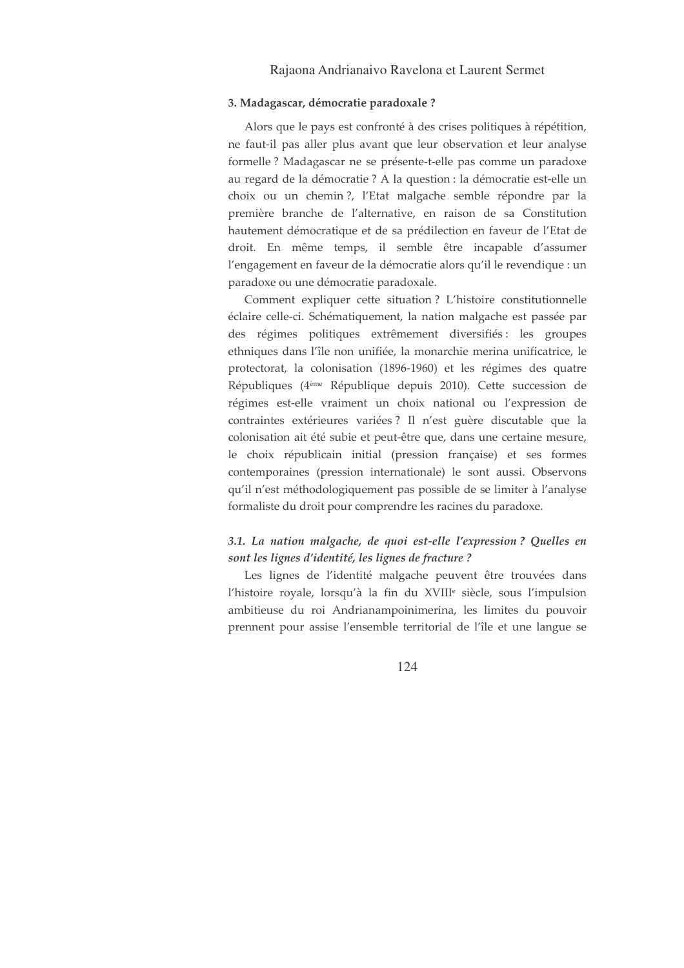#### 3. Madagascar, démocratie paradoxale ?

Alors que le pays est confronté à des crises politiques à répétition, ne faut-il pas aller plus avant que leur observation et leur analyse formelle ? Madagascar ne se présente-t-elle pas comme un paradoxe au regard de la démocratie ? A la question : la démocratie est-elle un choix ou un chemin?, l'Etat malgache semble répondre par la première branche de l'alternative, en raison de sa Constitution hautement démocratique et de sa prédilection en faveur de l'Etat de droit. En même temps, il semble être incapable d'assumer l'engagement en faveur de la démocratie alors qu'il le revendique : un paradoxe ou une démocratie paradoxale.

Comment expliquer cette situation? L'histoire constitutionnelle éclaire celle-ci. Schématiquement, la nation malgache est passée par des régimes politiques extrêmement diversifiés : les groupes ethniques dans l'île non unifiée, la monarchie merina unificatrice, le protectorat, la colonisation (1896-1960) et les régimes des quatre Républiques (4<sup>ème</sup> République depuis 2010). Cette succession de régimes est-elle vraiment un choix national ou l'expression de contraintes extérieures variées? Il n'est guère discutable que la colonisation ait été subie et peut-être que, dans une certaine mesure, le choix républicain initial (pression française) et ses formes contemporaines (pression internationale) le sont aussi. Observons qu'il n'est méthodologiquement pas possible de se limiter à l'analyse formaliste du droit pour comprendre les racines du paradoxe.

## 3.1. La nation malgache, de quoi est-elle l'expression? Quelles en sont les lignes d'identité, les lignes de fracture ?

Les lignes de l'identité malgache peuvent être trouvées dans l'histoire royale, lorsqu'à la fin du XVIII<sup>e</sup> siècle, sous l'impulsion ambitieuse du roi Andrianampoinimerina, les limites du pouvoir prennent pour assise l'ensemble territorial de l'île et une langue se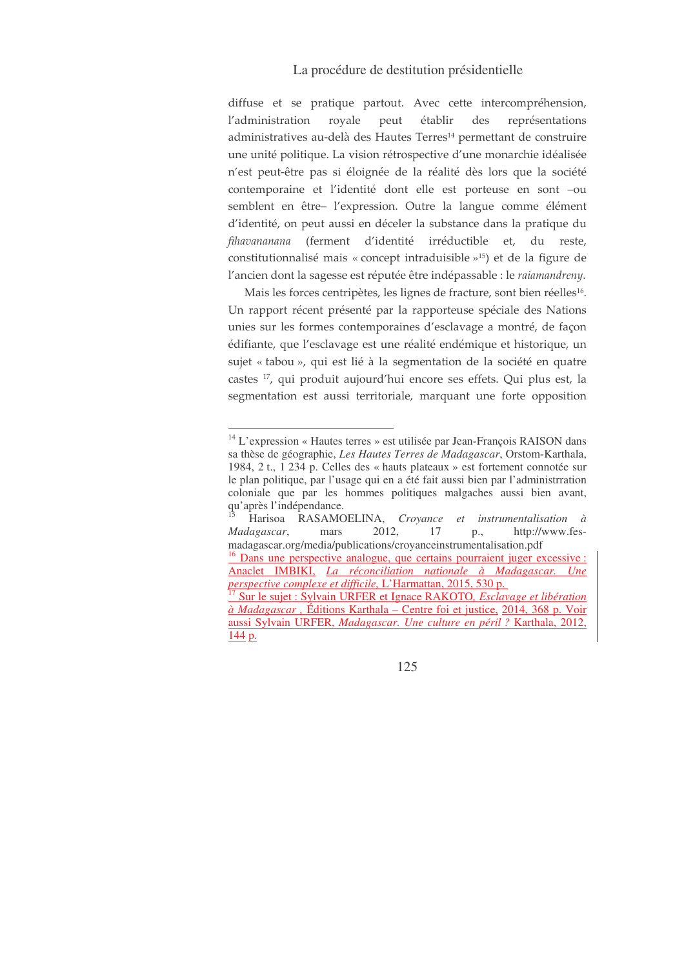diffuse et se pratique partout. Avec cette intercompréhension, l'administration r royale peut établir des eprésentations administratives au-delà des Hautes Terres<sup>14</sup> permettant de construire une unité politique. La vision rétrospective d'une monarchie idéalisée n'est peut-être pas si éloignée de la réalité dès lors que la société contemporaine et l'identité dont elle est porteuse en sont -ou semblent en être– l'expression. Outre la langue comme élément d'identité, on peut aussi en déceler la substance dans la pratique du fihavananana (ferment d'identité irréductible et, du reste, constitutionnalisé mais « concept intraduisible » $15$ ) et de la figure de l'ancien dont la sagesse est réputée être indépassable : le *raiamandreny.* 

Mais les forces centripètes, les lignes de fracture, sont bien réelles<sup>16</sup>. Un rapport récent présenté par la rapporteuse spéciale des Nations unies sur les formes contemporaines d'esclavage a montré, de façon édifiante, que l'esclavage est une réalité endémique et historique, un sujet « tabou », qui est lié à la segmentation de la société en quatre castes <sup>17</sup>, qui produit aujourd'hui encore ses effets. Qui plus est, la segmentation est aussi territoriale, marquant une forte opposition

<sup>14</sup> L'expression « Hautes terres » est utilisée par Jean-François RAISON dans sa thèse de géographie, *Les Hautes Terres de Madagascar*, Orstom-Karthala, 1984, 2 t., 1 234 p. Celles des « hauts plateaux » est fortement connotée sur le plan politique, par l'usage qui en a été fait aussi bien par l'administrration coloniale que par les hommes politiques malgaches aussi bien avant, qu'après l'indépendance.

<sup>15</sup> Harisoa RASAMOELINA, *Croyance et instrumentalisation à Madagascar*, mars 2012, 17 p., http://www.fesmadagascar.org/media/publications/croyanceinstrumentalisation.pdf <sup>16</sup> Dans une perspective analogue, que certains pourraient juger excessive : Anaclet IMBIKI, *La réconciliation nationale à Madagascar. Une perspective complexe et difficile,* L'Harmattan, 2015, 530 p. 17 Sur le sujet : Sylvain URFER et Ignace RAKOTO*, Esclavage et libération à Madagascar ,* Éditions Karthala – Centre foi et justice, 2014, 368 p. Voir

aussi Sylvain URFER, *Madagascar. Une culture en péril ?* Karthala, 2012, 144 p.

<sup>125</sup>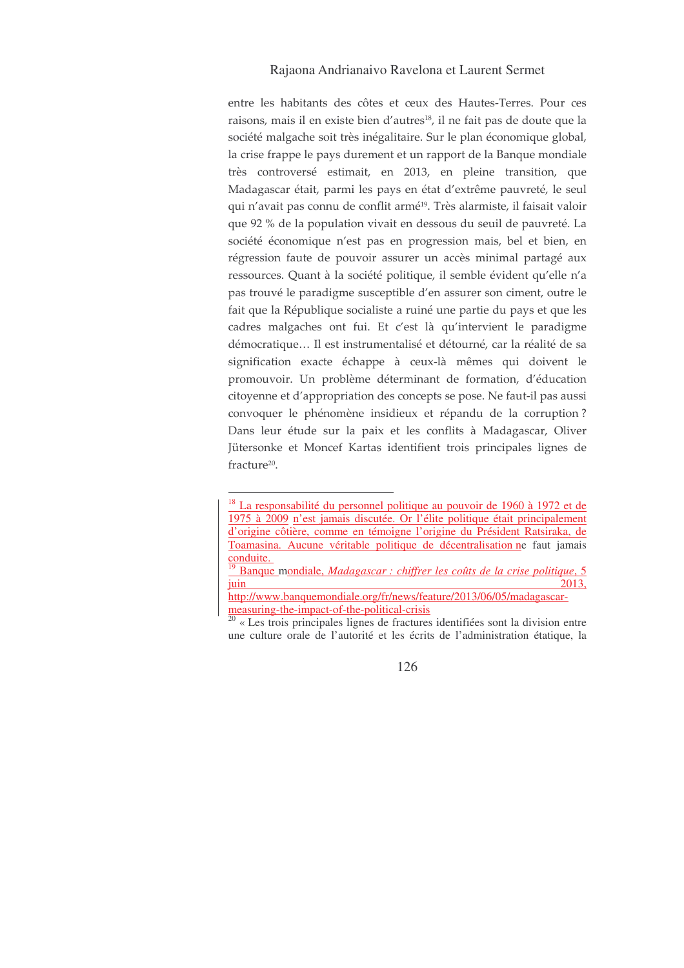entre les habitants des côtes et ceux des Hautes-Terres. Pour ces raisons, mais il en existe bien d'autres<sup>18</sup>, il ne fait pas de doute que la société malgache soit très inégalitaire. Sur le plan économique global, la crise frappe le pays durement et un rapport de la Banque mondiale très controversé estimait, en 2013, en pleine transition, que Madagascar était, parmi les pays en état d'extrême pauvreté, le seul qui n'avait pas connu de conflit armé<sup>19</sup>. Très alarmiste, il faisait valoir que 92 % de la population vivait en dessous du seuil de pauvreté. La société économique n'est pas en progression mais, bel et bien, en régression faute de pouvoir assurer un accès minimal partagé aux ressources. Quant à la société politique, il semble évident qu'elle n'a pas trouvé le paradigme susceptible d'en assurer son ciment, outre le fait que la République socialiste a ruiné une partie du pays et que les cadres malgaches ont fui. Et c'est là qu'intervient le paradigme démocratique... Il est instrumentalisé et détourné, car la réalité de sa signification exacte échappe à ceux-là mêmes qui doivent le promouvoir. Un problème déterminant de formation, d'éducation citoyenne et d'appropriation des concepts se pose. Ne faut-il pas aussi convoquer le phénomène insidieux et répandu de la corruption? Dans leur étude sur la paix et les conflits à Madagascar, Oliver Jütersonke et Moncef Kartas identifient trois principales lignes de fracture<sup>20</sup>.

<sup>&</sup>lt;sup>18</sup> La responsabilité du personnel politique au pouvoir de 1960 à 1972 et de 1975 à 2009 n'est jamais discutée. Or l'élite politique était principalement d'origine côtière, comme en témoigne l'origine du Président Ratsiraka, de Toamasina. Aucune véritable politique de décentralisation ne faut jamais conduite.

 $19$  Banque mondiale, Madagascar : chiffrer les coûts de la crise politique, 5 juin 2013,

http://www.banquemondiale.org/fr/news/feature/2013/06/05/madagascarmeasuring-the-impact-of-the-political-crisis

 $\frac{1}{20}$  « Les trois principales lignes de fractures identifiées sont la division entre une culture orale de l'autorité et les écrits de l'administration étatique, la

<sup>126</sup>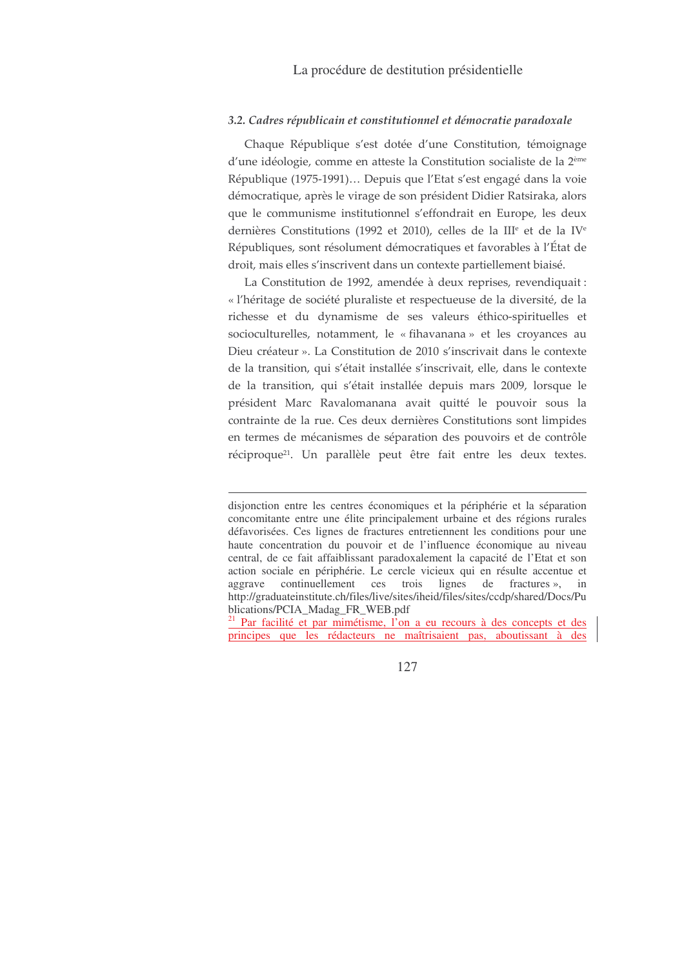### 3.2. Cadres républicain et constitutionnel et démocratie paradoxale

Chaque République s'est dotée d'une Constitution, témoignage d'une idéologie, comme en atteste la Constitution socialiste de la 2<sup>ème</sup> République (1975-1991)... Depuis que l'Etat s'est engagé dans la voie démocratique, après le virage de son président Didier Ratsiraka, alors que le communisme institutionnel s'effondrait en Europe, les deux dernières Constitutions (1992 et 2010), celles de la III<sup>e</sup> et de la IV<sup>e</sup> Républiques, sont résolument démocratiques et favorables à l'État de droit, mais elles s'inscrivent dans un contexte partiellement biaisé.

La Constitution de 1992, amendée à deux reprises, revendiquait : « l'héritage de société pluraliste et respectueuse de la diversité, de la richesse et du dynamisme de ses valeurs éthico-spirituelles et socioculturelles, notamment, le « fihavanana » et les croyances au Dieu créateur ». La Constitution de 2010 s'inscrivait dans le contexte de la transition, qui s'était installée s'inscrivait, elle, dans le contexte de la transition, qui s'était installée depuis mars 2009, lorsque le président Marc Ravalomanana avait quitté le pouvoir sous la contrainte de la rue. Ces deux dernières Constitutions sont limpides en termes de mécanismes de séparation des pouvoirs et de contrôle réciproque<sup>21</sup>. Un parallèle peut être fait entre les deux textes.

<sup>21</sup> Par facilité et par mimétisme, l'on a eu recours à des concepts et des principes que les rédacteurs ne maîtrisaient pas, aboutissant à des

disjonction entre les centres économiques et la périphérie et la séparation concomitante entre une élite principalement urbaine et des régions rurales défavorisées. Ces lignes de fractures entretiennent les conditions pour une haute concentration du pouvoir et de l'influence économique au niveau central, de ce fait affaiblissant paradoxalement la capacité de l'Etat et son action sociale en périphérie. Le cercle vicieux qui en résulte accentue et aggrave continuellement ces trois lignes de fractures », in http://graduateinstitute.ch/files/live/sites/iheid/files/sites/ccdp/shared/Docs/Pu blications/PCIA\_Madag\_FR\_WEB.pdf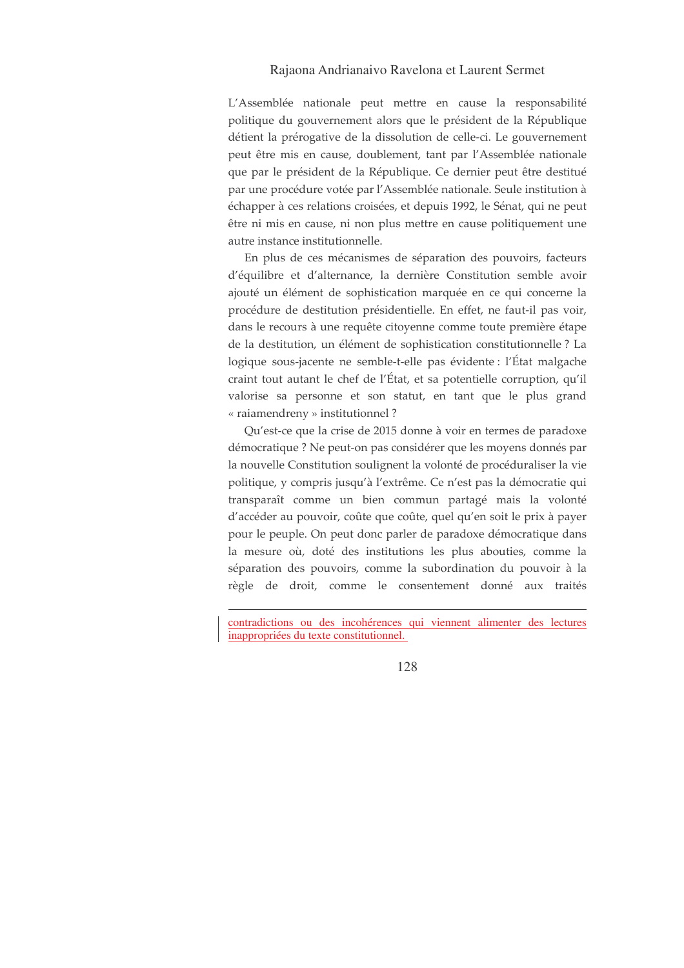L'Assemblée nationale peut mettre en cause la responsabilité politique du gouvernement alors que le président de la République détient la prérogative de la dissolution de celle-ci. Le gouvernement peut être mis en cause, doublement, tant par l'Assemblée nationale que par le président de la République. Ce dernier peut être destitué par une procédure votée par l'Assemblée nationale. Seule institution à échapper à ces relations croisées, et depuis 1992, le Sénat, qui ne peut être ni mis en cause, ni non plus mettre en cause politiquement une autre instance institutionnelle.

En plus de ces mécanismes de séparation des pouvoirs, facteurs d'équilibre et d'alternance, la dernière Constitution semble avoir ajouté un élément de sophistication marquée en ce qui concerne la procédure de destitution présidentielle. En effet, ne faut-il pas voir, dans le recours à une requête citoyenne comme toute première étape de la destitution, un élément de sophistication constitutionnelle ? La logique sous-jacente ne semble-t-elle pas évidente : l'État malgache craint tout autant le chef de l'État, et sa potentielle corruption, qu'il valorise sa personne et son statut, en tant que le plus grand « raiamendreny » institutionnel?

Qu'est-ce que la crise de 2015 donne à voir en termes de paradoxe démocratique ? Ne peut-on pas considérer que les moyens donnés par la nouvelle Constitution soulignent la volonté de procéduraliser la vie politique, y compris jusqu'à l'extrême. Ce n'est pas la démocratie qui transparaît comme un bien commun partagé mais la volonté d'accéder au pouvoir, coûte que coûte, quel qu'en soit le prix à payer pour le peuple. On peut donc parler de paradoxe démocratique dans la mesure où, doté des institutions les plus abouties, comme la séparation des pouvoirs, comme la subordination du pouvoir à la règle de droit, comme le consentement donné aux traités

contradictions ou des incohérences qui viennent alimenter des lectures inappropriées du texte constitutionnel.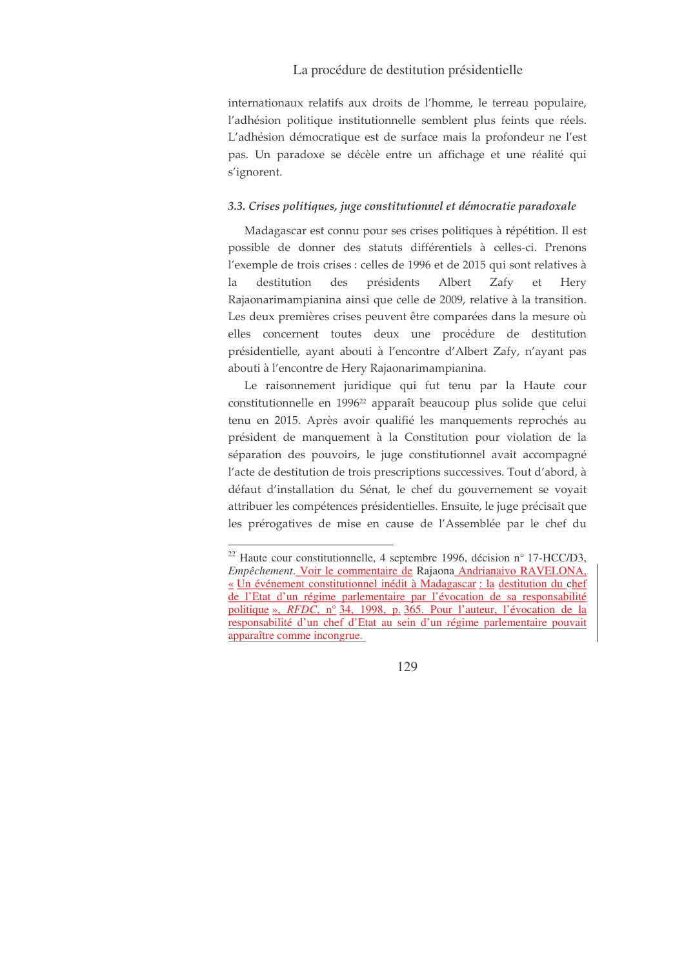internationaux relatifs aux droits de l'homme, le terreau populaire, l'adhésion politique institutionnelle semblent plus feints que réels. L'adhésion démocratique est de surface mais la profondeur ne l'est pas. Un paradoxe se décèle entre un affichage et une réalité qui s'ignorent.

### 3.3. Crises politiques, juge constitutionnel et démocratie paradoxale

Madagascar est connu pour ses crises politiques à répétition. Il est possible de donner des statuts différentiels à celles-ci. Prenons l'exemple de trois crises : celles de 1996 et de 2015 qui sont relatives à destitution des présidents Albert Zafy la et Hery Rajaonarimampianina ainsi que celle de 2009, relative à la transition. Les deux premières crises peuvent être comparées dans la mesure où elles concernent toutes deux une procédure de destitution présidentielle, ayant abouti à l'encontre d'Albert Zafy, n'ayant pas abouti à l'encontre de Hery Rajaonarimampianina.

Le raisonnement juridique qui fut tenu par la Haute cour constitutionnelle en 1996<sup>22</sup> apparaît beaucoup plus solide que celui tenu en 2015. Après avoir qualifié les manquements reprochés au président de manquement à la Constitution pour violation de la séparation des pouvoirs, le juge constitutionnel avait accompagné l'acte de destitution de trois prescriptions successives. Tout d'abord, à défaut d'installation du Sénat, le chef du gouvernement se voyait attribuer les compétences présidentielles. Ensuite, le juge précisait que les prérogatives de mise en cause de l'Assemblée par le chef du

<sup>&</sup>lt;sup>22</sup> Haute cour constitutionnelle, 4 septembre 1996, décision n° 17-HCC/D3, Empêchement. Voir le commentaire de Rajaona Andrianaivo RAVELONA, « Un événement constitutionnel inédit à Madagascar : la destitution du chef de l'Etat d'un régime parlementaire par l'évocation de sa responsabilité politique », RFDC, nº 34, 1998, p. 365. Pour l'auteur, l'évocation de la responsabilité d'un chef d'Etat au sein d'un régime parlementaire pouvait apparaître comme incongrue.

<sup>129</sup>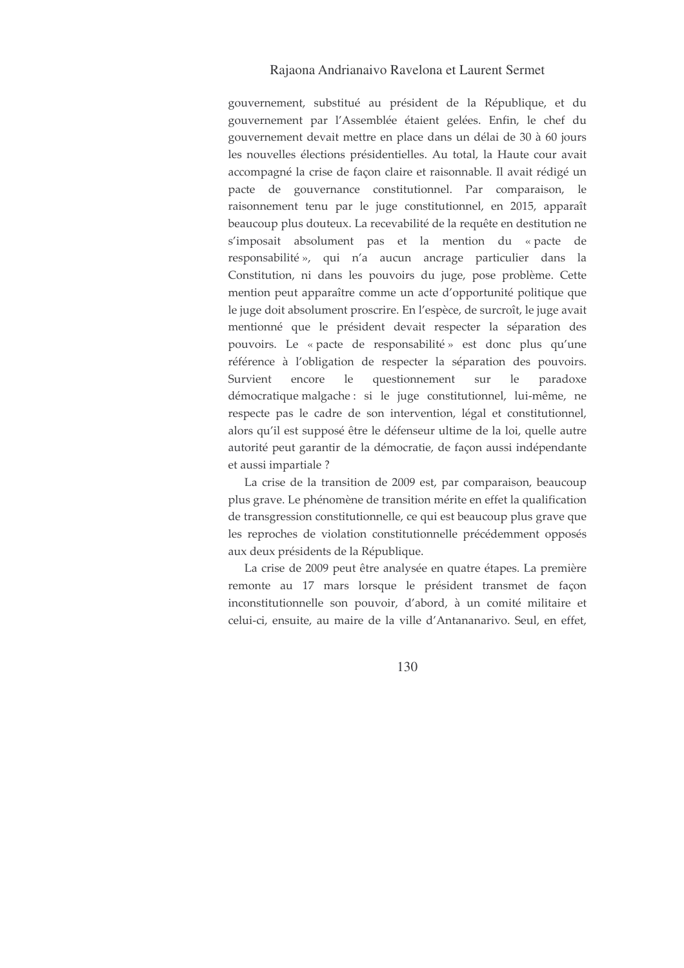gouvernement, substitué au président de la République, et du gouvernement par l'Assemblée étaient gelées. Enfin, le chef du gouvernement devait mettre en place dans un délai de 30 à 60 jours les nouvelles élections présidentielles. Au total, la Haute cour avait accompagné la crise de façon claire et raisonnable. Il avait rédigé un pacte de gouvernance constitutionnel. Par comparaison, le raisonnement tenu par le juge constitutionnel, en 2015, apparaît beaucoup plus douteux. La recevabilité de la requête en destitution ne s'imposait absolument pas et la mention du «pacte de responsabilité », qui n'a aucun ancrage particulier dans la Constitution, ni dans les pouvoirs du juge, pose problème. Cette mention peut apparaître comme un acte d'opportunité politique que le juge doit absolument proscrire. En l'espèce, de surcroît, le juge avait mentionné que le président devait respecter la séparation des pouvoirs. Le « pacte de responsabilité » est donc plus qu'une référence à l'obligation de respecter la séparation des pouvoirs. Survient encore le questionnement sur le paradoxe démocratique malgache : si le juge constitutionnel, lui-même, ne respecte pas le cadre de son intervention, légal et constitutionnel, alors qu'il est supposé être le défenseur ultime de la loi, quelle autre autorité peut garantir de la démocratie, de façon aussi indépendante et aussi impartiale ?

La crise de la transition de 2009 est, par comparaison, beaucoup plus grave. Le phénomène de transition mérite en effet la qualification de transgression constitutionnelle, ce qui est beaucoup plus grave que les reproches de violation constitutionnelle précédemment opposés aux deux présidents de la République.

La crise de 2009 peut être analysée en quatre étapes. La première remonte au 17 mars lorsque le président transmet de façon inconstitutionnelle son pouvoir, d'abord, à un comité militaire et celui-ci, ensuite, au maire de la ville d'Antananarivo. Seul, en effet,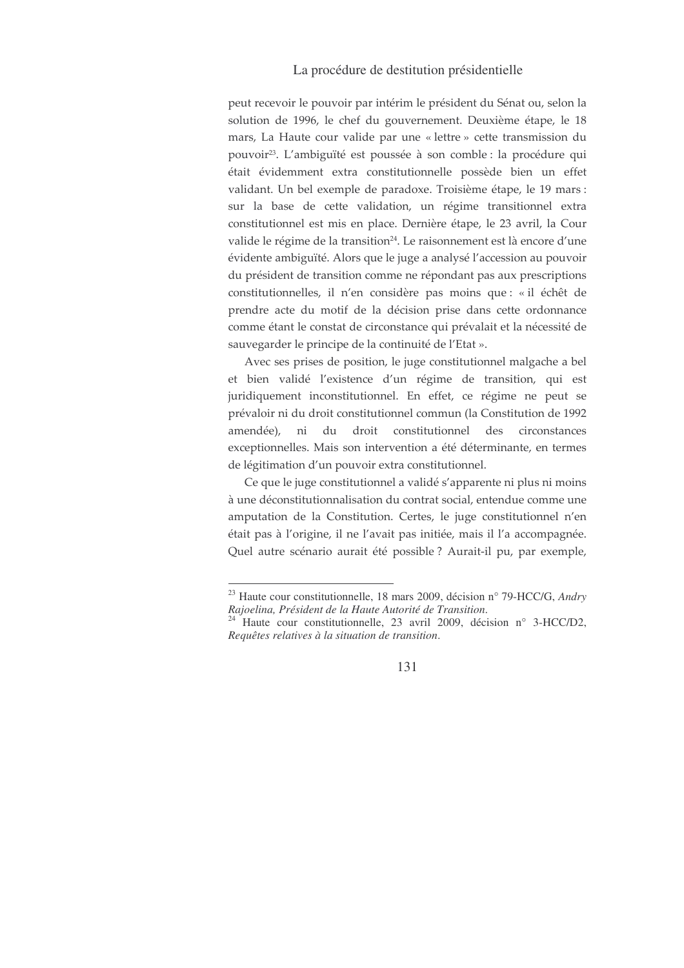peut recevoir le pouvoir par intérim le président du Sénat ou, selon la solution de 1996, le chef du gouvernement. Deuxième étape, le 18 mars, La Haute cour valide par une « lettre » cette transmission du pouvoir<sup>23</sup>. L'ambiguïté est poussée à son comble : la procédure qui était évidemment extra constitutionnelle possède bien un effet validant. Un bel exemple de paradoxe. Troisième étape, le 19 mars : sur la base de cette validation, un régime transitionnel extra constitutionnel est mis en place. Dernière étape, le 23 avril, la Cour valide le régime de la transition<sup>24</sup>. Le raisonnement est là encore d'une évidente ambiguïté. Alors que le juge a analysé l'accession au pouvoir du président de transition comme ne répondant pas aux prescriptions constitutionnelles, il n'en considère pas moins que : « il échêt de prendre acte du motif de la décision prise dans cette ordonnance comme étant le constat de circonstance qui prévalait et la nécessité de sauvegarder le principe de la continuité de l'Etat ».

Avec ses prises de position, le juge constitutionnel malgache a bel et bien validé l'existence d'un régime de transition, qui est juridiquement inconstitutionnel. En effet, ce régime ne peut se prévaloir ni du droit constitutionnel commun (la Constitution de 1992 amendée), ni du droit constitutionnel des circonstances exceptionnelles. Mais son intervention a été déterminante, en termes de légitimation d'un pouvoir extra constitutionnel.

Ce que le juge constitutionnel a validé s'apparente ni plus ni moins à une déconstitutionnalisation du contrat social, entendue comme une amputation de la Constitution. Certes, le juge constitutionnel n'en était pas à l'origine, il ne l'avait pas initiée, mais il l'a accompagnée. Quel autre scénario aurait été possible ? Aurait-il pu, par exemple,

<sup>&</sup>lt;sup>23</sup> Haute cour constitutionnelle, 18 mars 2009, décision n° 79-HCC/G, Andry Rajoelina, Président de la Haute Autorité de Transition.

<sup>&</sup>lt;sup>24</sup> Haute cour constitutionnelle, 23 avril 2009, décision n° 3-HCC/D2, Requêtes relatives à la situation de transition.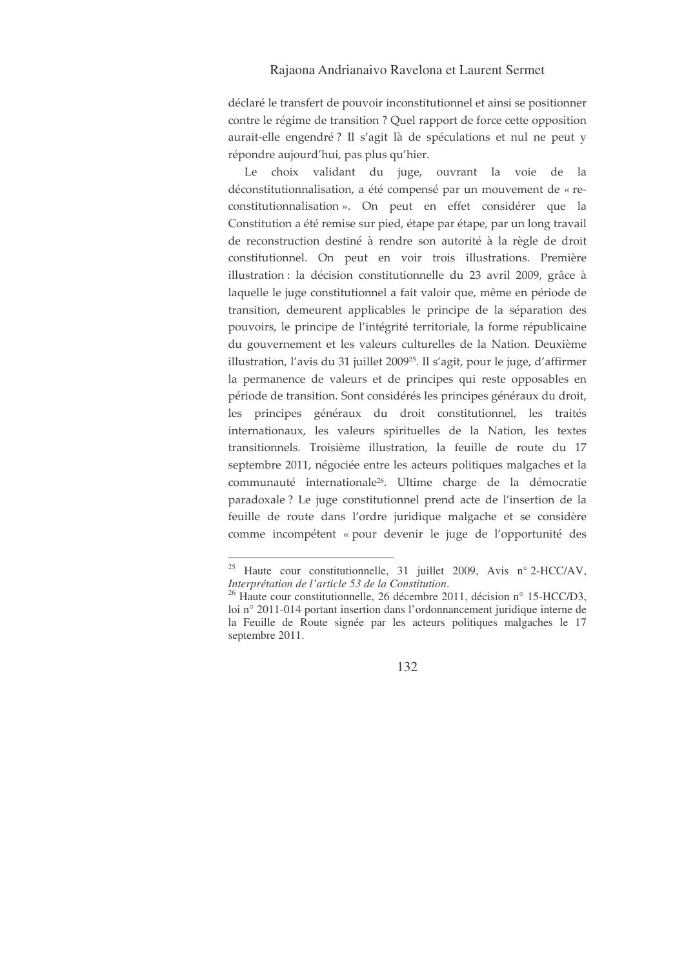déclaré le transfert de pouvoir inconstitutionnel et ainsi se positionner contre le régime de transition ? Quel rapport de force cette opposition aurait-elle engendré? Il s'agit là de spéculations et nul ne peut y répondre aujourd'hui, pas plus qu'hier.

Le choix validant du juge, ouvrant la voie de la déconstitutionnalisation, a été compensé par un mouvement de « reconstitutionnalisation». On peut en effet considérer que la Constitution a été remise sur pied, étape par étape, par un long travail de reconstruction destiné à rendre son autorité à la règle de droit constitutionnel. On peut en voir trois illustrations. Première illustration : la décision constitutionnelle du 23 avril 2009, grâce à laquelle le juge constitutionnel a fait valoir que, même en période de transition, demeurent applicables le principe de la séparation des pouvoirs, le principe de l'intégrité territoriale, la forme républicaine du gouvernement et les valeurs culturelles de la Nation. Deuxième illustration, l'avis du 31 juillet 2009<sup>25</sup>. Il s'agit, pour le juge, d'affirmer la permanence de valeurs et de principes qui reste opposables en période de transition. Sont considérés les principes généraux du droit, les principes généraux du droit constitutionnel, les traités internationaux, les valeurs spirituelles de la Nation, les textes transitionnels. Troisième illustration, la feuille de route du 17 septembre 2011, négociée entre les acteurs politiques malgaches et la communauté internationale<sup>26</sup>. Ultime charge de la démocratie paradoxale ? Le juge constitutionnel prend acte de l'insertion de la feuille de route dans l'ordre juridique malgache et se considère comme incompétent « pour devenir le juge de l'opportunité des

<sup>&</sup>lt;sup>25</sup> Haute cour constitutionnelle, 31 juillet 2009, Avis n° 2-HCC/AV, Interprétation de l'article 53 de la Constitution.

<sup>&</sup>lt;sup>26</sup> Haute cour constitutionnelle, 26 décembre 2011, décision n° 15-HCC/D3, loi nº 2011-014 portant insertion dans l'ordonnancement juridique interne de la Feuille de Route signée par les acteurs politiques malgaches le 17 septembre 2011.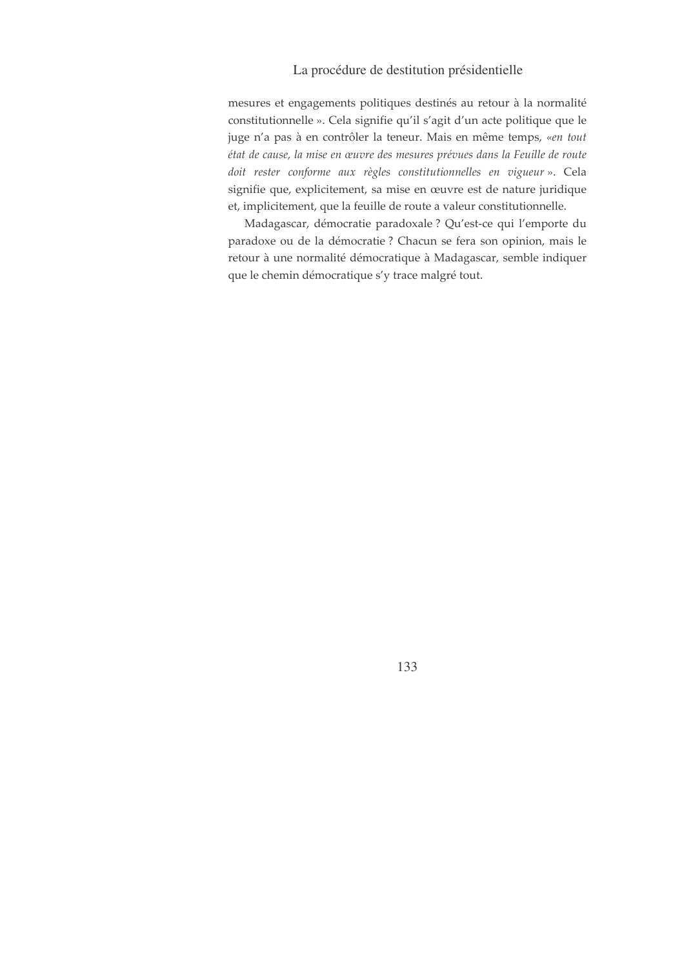mesures et engagements politiques destinés au retour à la normalité constitutionnelle ». Cela signifie qu'il s'agit d'un acte politique que le juge n'a pas à en contrôler la teneur. Mais en même temps, «en tout état de cause, la mise en œuvre des mesures prévues dans la Feuille de route doit rester conforme aux règles constitutionnelles en vigueur ». Cela signifie que, explicitement, sa mise en œuvre est de nature juridique et, implicitement, que la feuille de route a valeur constitutionnelle.

Madagascar, démocratie paradoxale ? Qu'est-ce qui l'emporte du paradoxe ou de la démocratie ? Chacun se fera son opinion, mais le retour à une normalité démocratique à Madagascar, semble indiquer que le chemin démocratique s'y trace malgré tout.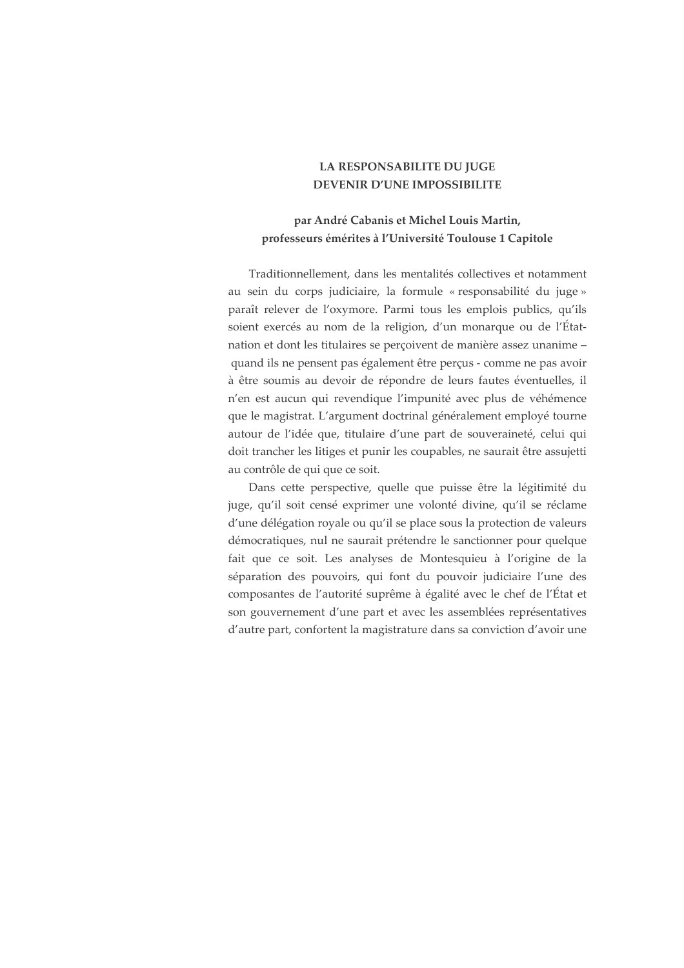## LA RESPONSABILITE DU JUGE **DEVENIR D'UNE IMPOSSIBILITE**

# par André Cabanis et Michel Louis Martin, professeurs émérites à l'Université Toulouse 1 Capitole

Traditionnellement, dans les mentalités collectives et notamment au sein du corps judiciaire, la formule « responsabilité du juge » paraît relever de l'oxymore. Parmi tous les emplois publics, qu'ils soient exercés au nom de la religion, d'un monarque ou de l'Étatnation et dont les titulaires se perçoivent de manière assez unanime quand ils ne pensent pas également être perçus - comme ne pas avoir à être soumis au devoir de répondre de leurs fautes éventuelles, il n'en est aucun qui revendique l'impunité avec plus de véhémence que le magistrat. L'argument doctrinal généralement employé tourne autour de l'idée que, titulaire d'une part de souveraineté, celui qui doit trancher les litiges et punir les coupables, ne saurait être assujetti au contrôle de qui que ce soit.

Dans cette perspective, quelle que puisse être la légitimité du juge, qu'il soit censé exprimer une volonté divine, qu'il se réclame d'une délégation royale ou qu'il se place sous la protection de valeurs démocratiques, nul ne saurait prétendre le sanctionner pour quelque fait que ce soit. Les analyses de Montesquieu à l'origine de la séparation des pouvoirs, qui font du pouvoir judiciaire l'une des composantes de l'autorité suprême à égalité avec le chef de l'État et son gouvernement d'une part et avec les assemblées représentatives d'autre part, confortent la magistrature dans sa conviction d'avoir une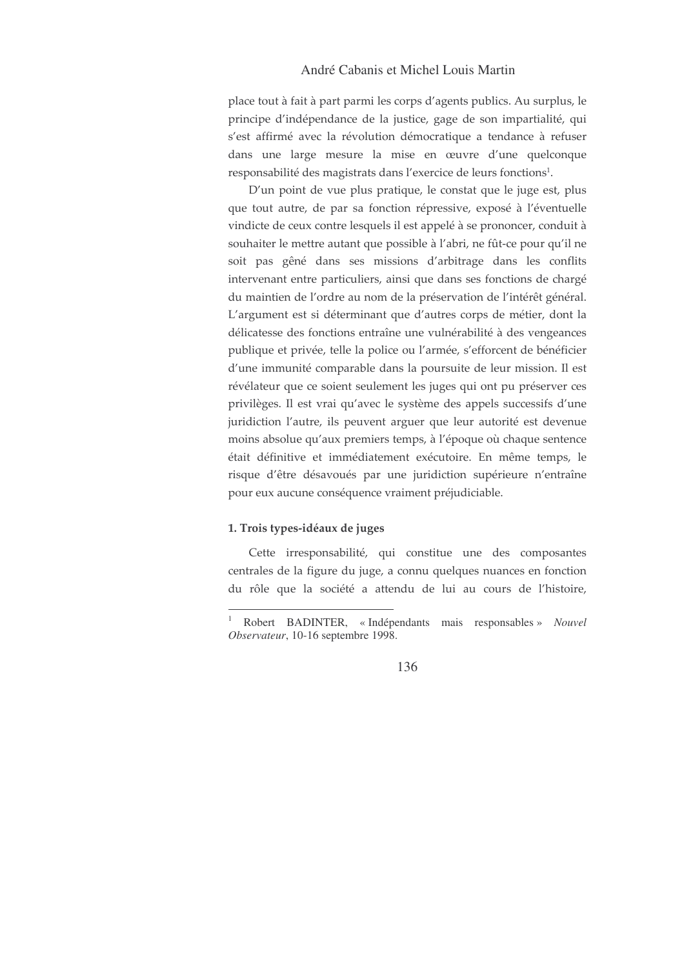## André Cabanis et Michel Louis Martin

place tout à fait à part parmi les corps d'agents publics. Au surplus, le principe d'indépendance de la justice, gage de son impartialité, qui s'est affirmé avec la révolution démocratique a tendance à refuser dans une large mesure la mise en œuvre d'une quelconque responsabilité des magistrats dans l'exercice de leurs fonctions<sup>1</sup>.

D'un point de vue plus pratique, le constat que le juge est, plus que tout autre, de par sa fonction répressive, exposé à l'éventuelle vindicte de ceux contre lesquels il est appelé à se prononcer, conduit à souhaiter le mettre autant que possible à l'abri, ne fût-ce pour qu'il ne soit pas gêné dans ses missions d'arbitrage dans les conflits intervenant entre particuliers, ainsi que dans ses fonctions de chargé du maintien de l'ordre au nom de la préservation de l'intérêt général. L'argument est si déterminant que d'autres corps de métier, dont la délicatesse des fonctions entraîne une vulnérabilité à des vengeances publique et privée, telle la police ou l'armée, s'efforcent de bénéficier d'une immunité comparable dans la poursuite de leur mission. Il est révélateur que ce soient seulement les juges qui ont pu préserver ces privilèges. Il est vrai qu'avec le système des appels successifs d'une juridiction l'autre, ils peuvent arguer que leur autorité est devenue moins absolue qu'aux premiers temps, à l'époque où chaque sentence était définitive et immédiatement exécutoire. En même temps, le risque d'être désavoués par une juridiction supérieure n'entraîne pour eux aucune conséquence vraiment préjudiciable.

#### 1. Trois types-idéaux de juges

Cette irresponsabilité, qui constitue une des composantes centrales de la figure du juge, a connu quelques nuances en fonction du rôle que la société a attendu de lui au cours de l'histoire,

Robert BADINTER, «Indépendants mais responsables» Nouvel Observateur, 10-16 septembre 1998.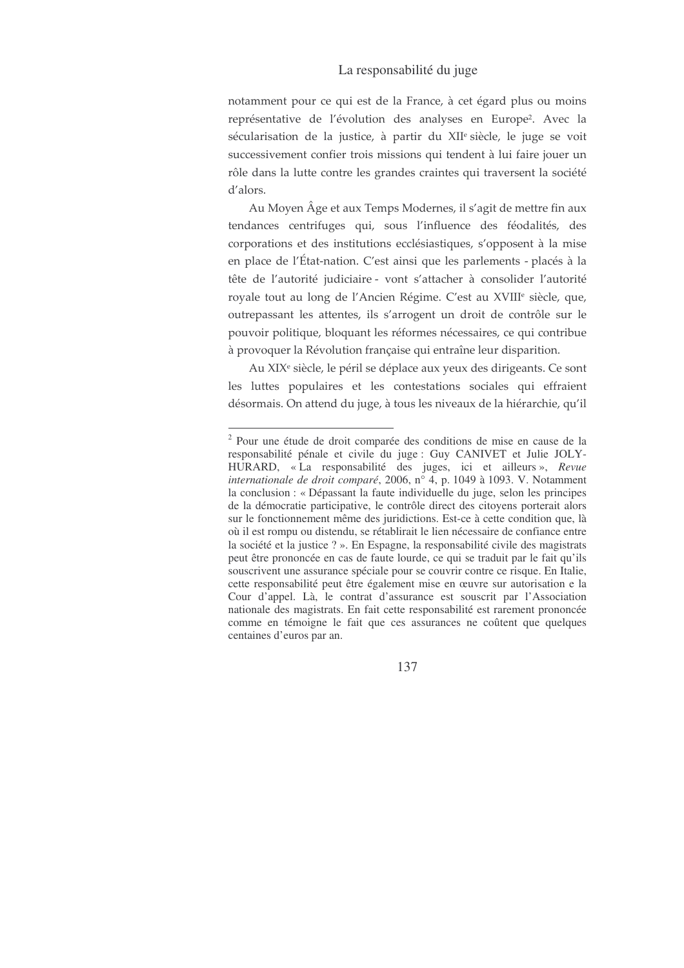## La responsabilité du juge

notamment pour ce qui est de la France, à cet égard plus ou moins représentative de l'évolution des analyses en Europe<sup>2</sup>. Avec la sécularisation de la justice, à partir du XII<sup>e</sup>-siècle, le juge se voit successivement confier trois missions qui tendent à lui faire jouer un rôle dans la lutte contre les grandes craintes qui traversent la société d'alors.

Au Moyen Âge et aux Temps Modernes, il s'agit de mettre fin aux tendances centrifuges qui, sous l'influence des féodalités, des corporations et des institutions ecclésiastiques, s'opposent à la mise en place de l'État-nation. C'est ainsi que les parlements - placés à la tête de l'autorité judiciaire - vont s'attacher à consolider l'autorité royale tout au long de l'Ancien Régime. C'est au XVIII<sup>e</sup> siècle, que, outrepassant les attentes, ils s'arrogent un droit de contrôle sur le pouvoir politique, bloquant les réformes nécessaires, ce qui contribue à provoquer la Révolution française qui entraîne leur disparition.

Au XIX<sup>e</sup> siècle, le péril se déplace aux yeux des dirigeants. Ce sont les luttes populaires et les contestations sociales qui effraient désormais. On attend du juge, à tous les niveaux de la hiérarchie, qu'il

<sup>&</sup>lt;sup>2</sup> Pour une étude de droit comparée des conditions de mise en cause de la responsabilité pénale et civile du juge : Guy CANIVET et Julie JOLY-HURARD, « La responsabilité des juges, ici et ailleurs », *Revue internationale de droit comparé*, 2006, n° 4, p. 1049 à 1093. V. Notamment la conclusion : « Dépassant la faute individuelle du juge, selon les principes de la démocratie participative, le contrôle direct des citoyens porterait alors sur le fonctionnement même des juridictions. Est-ce à cette condition que, là où il est rompu ou distendu, se rétablirait le lien nécessaire de confiance entre la société et la justice ? ». En Espagne, la responsabilité civile des magistrats peut être prononcée en cas de faute lourde, ce qui se traduit par le fait qu'ils souscrivent une assurance spéciale pour se couvrir contre ce risque. En Italie, cette responsabilité peut être également mise en œuvre sur autorisation e la Cour d'appel. Là, le contrat d'assurance est souscrit par l'Association nationale des magistrats. En fait cette responsabilité est rarement prononcée comme en témoigne le fait que ces assurances ne coûtent que quelques centaines d'euros par an.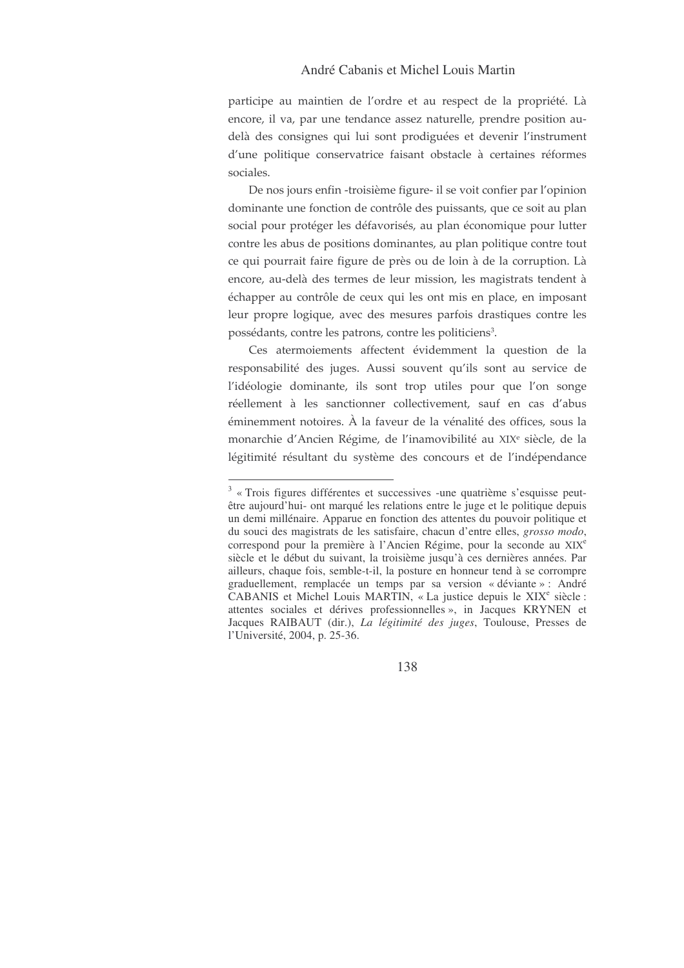participe au maintien de l'ordre et au respect de la propriété. Là encore, il va, par une tendance assez naturelle, prendre position audelà des consignes qui lui sont prodiguées et devenir l'instrument d'une politique conservatrice faisant obstacle à certaines réformes sociales.

De nos jours enfin -troisième figure- il se voit confier par l'opinion dominante une fonction de contrôle des puissants, que ce soit au plan social pour protéger les défavorisés, au plan économique pour lutter contre les abus de positions dominantes, au plan politique contre tout ce qui pourrait faire figure de près ou de loin à de la corruption. Là encore, au-delà des termes de leur mission, les magistrats tendent à échapper au contrôle de ceux qui les ont mis en place, en imposant leur propre logique, avec des mesures parfois drastiques contre les possédants, contre les patrons, contre les politiciens<sup>3</sup>.

Ces atermoiements affectent évidemment la question de la responsabilité des juges. Aussi souvent qu'ils sont au service de l'idéologie dominante, ils sont trop utiles pour que l'on songe réellement à les sanctionner collectivement, sauf en cas d'abus éminemment notoires. À la faveur de la vénalité des offices, sous la monarchie d'Ancien Régime, de l'inamovibilité au XIX<sup>e</sup> siècle, de la légitimité résultant du système des concours et de l'indépendance

 $3 \times$  Trois figures différentes et successives -une quatrième s'esquisse peutêtre aujourd'hui- ont marqué les relations entre le juge et le politique depuis un demi millénaire. Apparue en fonction des attentes du pouvoir politique et du souci des magistrats de les satisfaire, chacun d'entre elles, grosso modo, correspond pour la première à l'Ancien Régime, pour la seconde au XIX<sup>e</sup> siècle et le début du suivant, la troisième jusqu'à ces dernières années. Par ailleurs, chaque fois, semble-t-il, la posture en honneur tend à se corrompre graduellement, remplacée un temps par sa version « déviante » : André CABANIS et Michel Louis MARTIN, « La justice depuis le XIX<sup>e</sup> siècle : attentes sociales et dérives professionnelles », in Jacques KRYNEN et Jacques RAIBAUT (dir.), La légitimité des juges, Toulouse, Presses de l'Université, 2004, p. 25-36.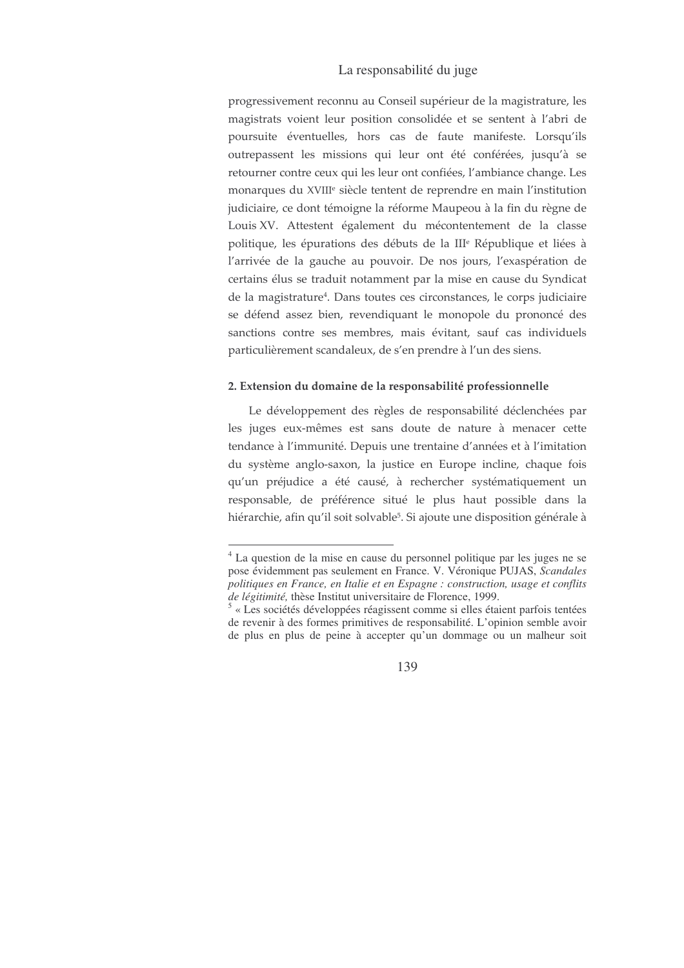### La responsabilité du juge

progressivement reconnu au Conseil supérieur de la magistrature, les magistrats voient leur position consolidée et se sentent à l'abri de poursuite éventuelles, hors cas de faute manifeste. Lorsqu'ils outrepassent les missions qui leur ont été conférées, jusqu'à se retourner contre ceux qui les leur ont confiées, l'ambiance change. Les monarques du XVIII<sup>e</sup> siècle tentent de reprendre en main l'institution judiciaire, ce dont témoigne la réforme Maupeou à la fin du règne de Louis XV. Attestent également du mécontentement de la classe politique, les épurations des débuts de la III<sup>e</sup> République et liées à l'arrivée de la gauche au pouvoir. De nos jours, l'exaspération de certains élus se traduit notamment par la mise en cause du Syndicat de la magistrature<sup>4</sup>. Dans toutes ces circonstances, le corps judiciaire se défend assez bien, revendiquant le monopole du prononcé des sanctions contre ses membres, mais évitant, sauf cas individuels particulièrement scandaleux, de s'en prendre à l'un des siens.

#### 2. Extension du domaine de la responsabilité professionnelle

Le développement des règles de responsabilité déclenchées par les juges eux-mêmes est sans doute de nature à menacer cette tendance à l'immunité. Depuis une trentaine d'années et à l'imitation du système anglo-saxon, la justice en Europe incline, chaque fois qu'un préjudice a été causé, à rechercher systématiquement un responsable, de préférence situé le plus haut possible dans la hiérarchie, afin qu'il soit solvable<sup>5</sup>. Si ajoute une disposition générale à

<sup>&</sup>lt;sup>4</sup> La question de la mise en cause du personnel politique par les juges ne se pose évidemment pas seulement en France. V. Véronique PUJAS, Scandales politiques en France, en Italie et en Espagne : construction, usage et conflits de légitimité, thèse Institut universitaire de Florence, 1999.

<sup>&</sup>lt;sup>5</sup> « Les sociétés développées réagissent comme si elles étaient parfois tentées de revenir à des formes primitives de responsabilité. L'opinion semble avoir de plus en plus de peine à accepter qu'un dommage ou un malheur soit

<sup>139</sup>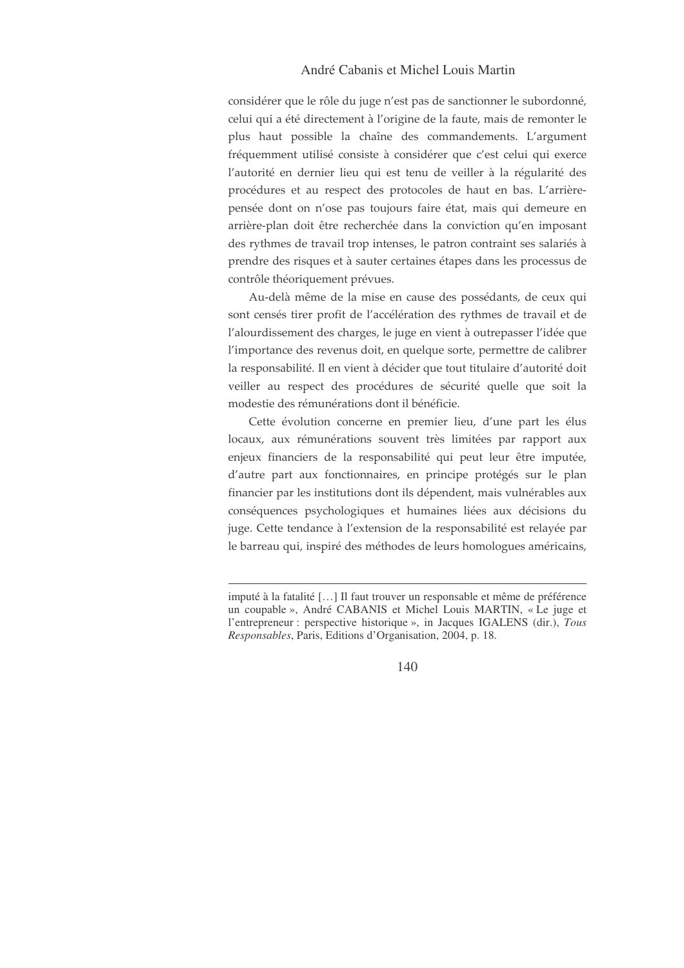## André Cabanis et Michel Louis Martin

considérer que le rôle du juge n'est pas de sanctionner le subordonné, celui qui a été directement à l'origine de la faute, mais de remonter le plus haut possible la chaîne des commandements. L'argument fréquemment utilisé consiste à considérer que c'est celui qui exerce l'autorité en dernier lieu qui est tenu de veiller à la régularité des procédures et au respect des protocoles de haut en bas. L'arrièrepensée dont on n'ose pas toujours faire état, mais qui demeure en arrière-plan doit être recherchée dans la conviction qu'en imposant des rythmes de travail trop intenses, le patron contraint ses salariés à prendre des risques et à sauter certaines étapes dans les processus de contrôle théoriquement prévues.

Au-delà même de la mise en cause des possédants, de ceux qui sont censés tirer profit de l'accélération des rythmes de travail et de l'alourdissement des charges, le juge en vient à outrepasser l'idée que l'importance des revenus doit, en quelque sorte, permettre de calibrer la responsabilité. Il en vient à décider que tout titulaire d'autorité doit veiller au respect des procédures de sécurité quelle que soit la modestie des rémunérations dont il bénéficie.

Cette évolution concerne en premier lieu, d'une part les élus locaux, aux rémunérations souvent très limitées par rapport aux enjeux financiers de la responsabilité qui peut leur être imputée, d'autre part aux fonctionnaires, en principe protégés sur le plan financier par les institutions dont ils dépendent, mais vulnérables aux conséquences psychologiques et humaines liées aux décisions du juge. Cette tendance à l'extension de la responsabilité est relayée par le barreau qui, inspiré des méthodes de leurs homologues américains,

imputé à la fatalité [...] Il faut trouver un responsable et même de préférence un coupable », André CABANIS et Michel Louis MARTIN, « Le juge et l'entrepreneur : perspective historique », in Jacques IGALENS (dir.), Tous Responsables, Paris, Editions d'Organisation, 2004, p. 18.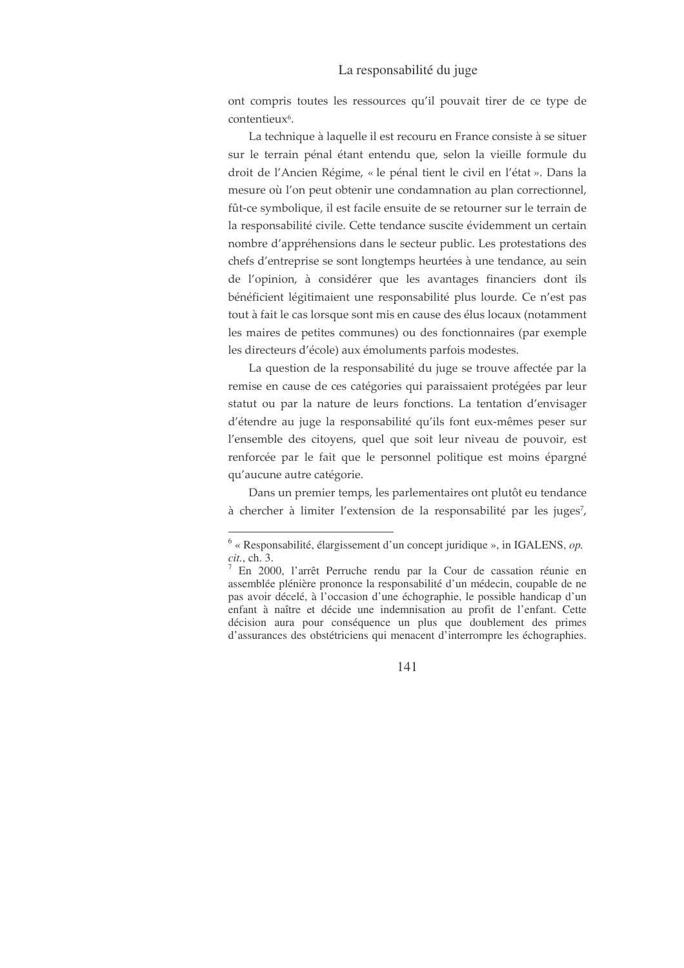#### La responsabilité du juge

ont compris toutes les ressources qu'il pouvait tirer de ce type de contentieux<sup>6</sup>.

La technique à laquelle il est recouru en France consiste à se situer sur le terrain pénal étant entendu que, selon la vieille formule du droit de l'Ancien Régime, « le pénal tient le civil en l'état ». Dans la mesure où l'on peut obtenir une condamnation au plan correctionnel, fût-ce symbolique, il est facile ensuite de se retourner sur le terrain de la responsabilité civile. Cette tendance suscite évidemment un certain nombre d'appréhensions dans le secteur public. Les protestations des chefs d'entreprise se sont longtemps heurtées à une tendance, au sein de l'opinion, à considérer que les avantages financiers dont ils bénéficient légitimaient une responsabilité plus lourde. Ce n'est pas tout à fait le cas lorsque sont mis en cause des élus locaux (notamment les maires de petites communes) ou des fonctionnaires (par exemple les directeurs d'école) aux émoluments parfois modestes.

La question de la responsabilité du juge se trouve affectée par la remise en cause de ces catégories qui paraissaient protégées par leur statut ou par la nature de leurs fonctions. La tentation d'envisager d'étendre au juge la responsabilité qu'ils font eux-mêmes peser sur l'ensemble des citoyens, quel que soit leur niveau de pouvoir, est renforcée par le fait que le personnel politique est moins épargné qu'aucune autre catégorie.

Dans un premier temps, les parlementaires ont plutôt eu tendance à chercher à limiter l'extension de la responsabilité par les juges<sup>7</sup>,

 $6 \times$  Responsabilité, élargissement d'un concept juridique », in IGALENS, op. *cit.*, ch. 3.

<sup>7</sup> En 2000, l'arrêt Perruche rendu par la Cour de cassation réunie en assemblée plénière prononce la responsabilité d'un médecin, coupable de ne pas avoir décelé, à l'occasion d'une échographie, le possible handicap d'un enfant à naître et décide une indemnisation au profit de l'enfant. Cette décision aura pour conséquence un plus que doublement des primes d'assurances des obstétriciens qui menacent d'interrompre les échographies.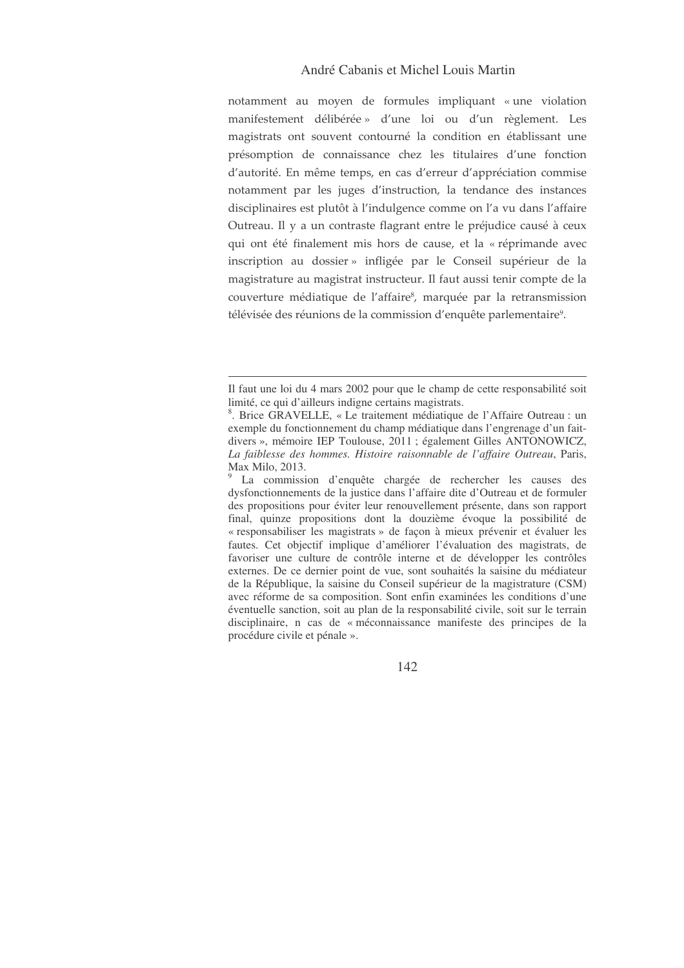# André Cabanis et Michel Louis Martin

notamment au moyen de formules impliquant «une violation manifestement délibérée» d'une loi ou d'un règlement. Les magistrats ont souvent contourné la condition en établissant une présomption de connaissance chez les titulaires d'une fonction d'autorité. En même temps, en cas d'erreur d'appréciation commise notamment par les juges d'instruction, la tendance des instances disciplinaires est plutôt à l'indulgence comme on l'a vu dans l'affaire Outreau. Il y a un contraste flagrant entre le préjudice causé à ceux qui ont été finalement mis hors de cause, et la « réprimande avec inscription au dossier» infligée par le Conseil supérieur de la magistrature au magistrat instructeur. Il faut aussi tenir compte de la couverture médiatique de l'affaire<sup>8</sup>, marquée par la retransmission télévisée des réunions de la commission d'enquête parlementaire<sup>9</sup>.

Il faut une loi du 4 mars 2002 pour que le champ de cette responsabilité soit limité, ce qui d'ailleurs indigne certains magistrats.

<sup>8</sup> . Brice GRAVELLE, « Le traitement médiatique de l'Affaire Outreau : un exemple du fonctionnement du champ médiatique dans l'engrenage d'un faitdivers », mémoire IEP Toulouse, 2011 ; également Gilles ANTONOWICZ, *La faiblesse des hommes. Histoire raisonnable de l'affaire Outreau*, Paris, Max Milo, 2013.

<sup>9</sup> La commission d'enquête chargée de rechercher les causes des dysfonctionnements de la justice dans l'affaire dite d'Outreau et de formuler des propositions pour éviter leur renouvellement présente, dans son rapport final, quinze propositions dont la douzième évoque la possibilité de « responsabiliser les magistrats » de façon à mieux prévenir et évaluer les fautes. Cet objectif implique d'améliorer l'évaluation des magistrats, de favoriser une culture de contrôle interne et de développer les contrôles externes. De ce dernier point de vue, sont souhaités la saisine du médiateur de la République, la saisine du Conseil supérieur de la magistrature (CSM) avec réforme de sa composition. Sont enfin examinées les conditions d'une éventuelle sanction, soit au plan de la responsabilité civile, soit sur le terrain disciplinaire, n cas de « méconnaissance manifeste des principes de la procédure civile et pénale ».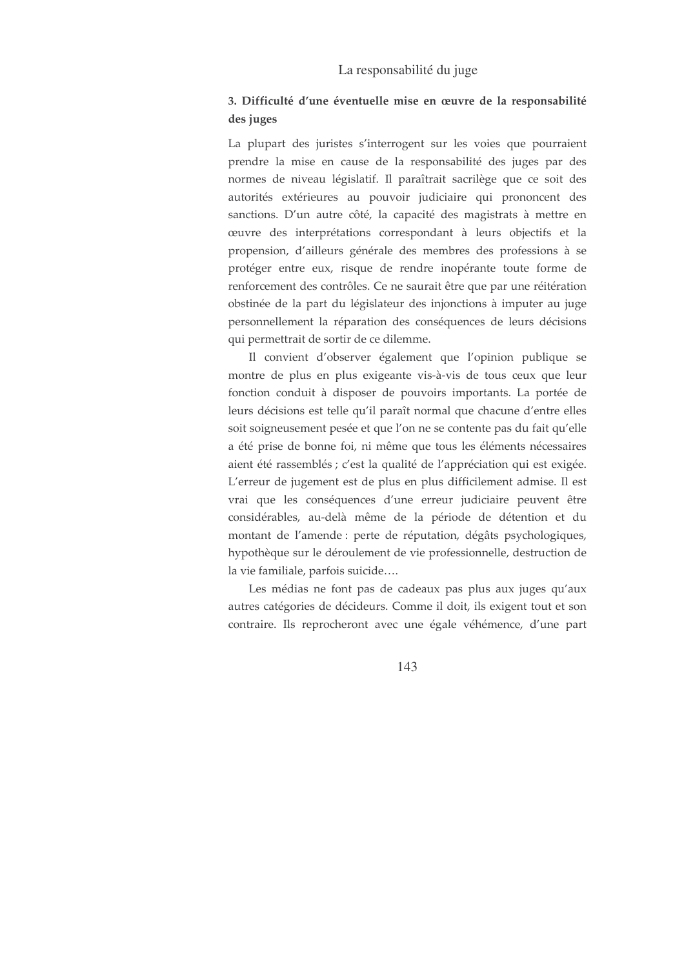#### La responsabilité du juge

# 3. Difficulté d'une éventuelle mise en œuvre de la responsabilité des juges

La plupart des juristes s'interrogent sur les voies que pourraient prendre la mise en cause de la responsabilité des juges par des normes de niveau législatif. Il paraîtrait sacrilège que ce soit des autorités extérieures au pouvoir judiciaire qui prononcent des sanctions. D'un autre côté, la capacité des magistrats à mettre en œuvre des interprétations correspondant à leurs objectifs et la propension, d'ailleurs générale des membres des professions à se protéger entre eux, risque de rendre inopérante toute forme de renforcement des contrôles. Ce ne saurait être que par une réitération obstinée de la part du législateur des injonctions à imputer au juge personnellement la réparation des conséquences de leurs décisions qui permettrait de sortir de ce dilemme.

Il convient d'observer également que l'opinion publique se montre de plus en plus exigeante vis-à-vis de tous ceux que leur fonction conduit à disposer de pouvoirs importants. La portée de leurs décisions est telle qu'il paraît normal que chacune d'entre elles soit soigneusement pesée et que l'on ne se contente pas du fait qu'elle a été prise de bonne foi, ni même que tous les éléments nécessaires aient été rassemblés ; c'est la qualité de l'appréciation qui est exigée. L'erreur de jugement est de plus en plus difficilement admise. Il est vrai que les conséquences d'une erreur judiciaire peuvent être considérables, au-delà même de la période de détention et du montant de l'amende : perte de réputation, dégâts psychologiques, hypothèque sur le déroulement de vie professionnelle, destruction de la vie familiale, parfois suicide....

Les médias ne font pas de cadeaux pas plus aux juges qu'aux autres catégories de décideurs. Comme il doit, ils exigent tout et son contraire. Ils reprocheront avec une égale véhémence, d'une part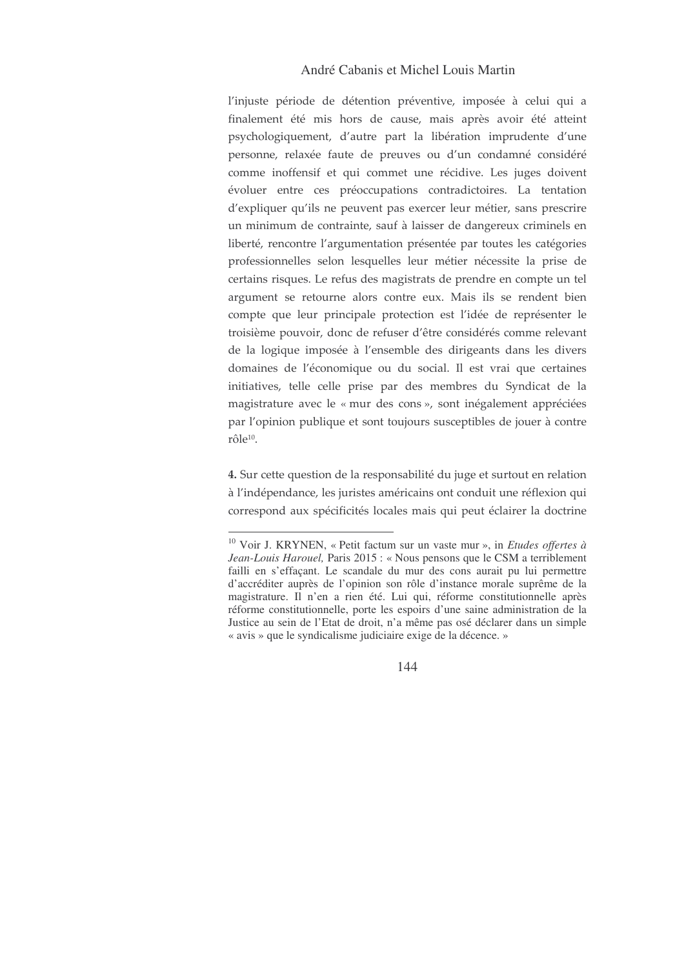## André Cabanis et Michel Louis Martin

l'injuste période de détention préventive, imposée à celui qui a finalement été mis hors de cause, mais après avoir été atteint psychologiquement, d'autre part la libération imprudente d'une personne, relaxée faute de preuves ou d'un condamné considéré comme inoffensif et qui commet une récidive. Les juges doivent évoluer entre ces préoccupations contradictoires. La tentation d'expliquer qu'ils ne peuvent pas exercer leur métier, sans prescrire un minimum de contrainte, sauf à laisser de dangereux criminels en liberté, rencontre l'argumentation présentée par toutes les catégories professionnelles selon lesquelles leur métier nécessite la prise de certains risques. Le refus des magistrats de prendre en compte un tel argument se retourne alors contre eux. Mais ils se rendent bien compte que leur principale protection est l'idée de représenter le troisième pouvoir, donc de refuser d'être considérés comme relevant de la logique imposée à l'ensemble des dirigeants dans les divers domaines de l'économique ou du social. Il est vrai que certaines initiatives, telle celle prise par des membres du Syndicat de la magistrature avec le « mur des cons », sont inégalement appréciées par l'opinion publique et sont toujours susceptibles de jouer à contre rôle<sup>10</sup>.

4. Sur cette question de la responsabilité du juge et surtout en relation à l'indépendance, les juristes américains ont conduit une réflexion qui correspond aux spécificités locales mais qui peut éclairer la doctrine

<sup>&</sup>lt;sup>10</sup> Voir J. KRYNEN, « Petit factum sur un vaste mur », in *Etudes offertes à* Jean-Louis Harouel, Paris 2015 : « Nous pensons que le CSM a terriblement failli en s'effaçant. Le scandale du mur des cons aurait pu lui permettre d'accréditer auprès de l'opinion son rôle d'instance morale suprême de la magistrature. Il n'en a rien été. Lui qui, réforme constitutionnelle après réforme constitutionnelle, porte les espoirs d'une saine administration de la Justice au sein de l'Etat de droit, n'a même pas osé déclarer dans un simple « avis » que le syndicalisme judiciaire exige de la décence. »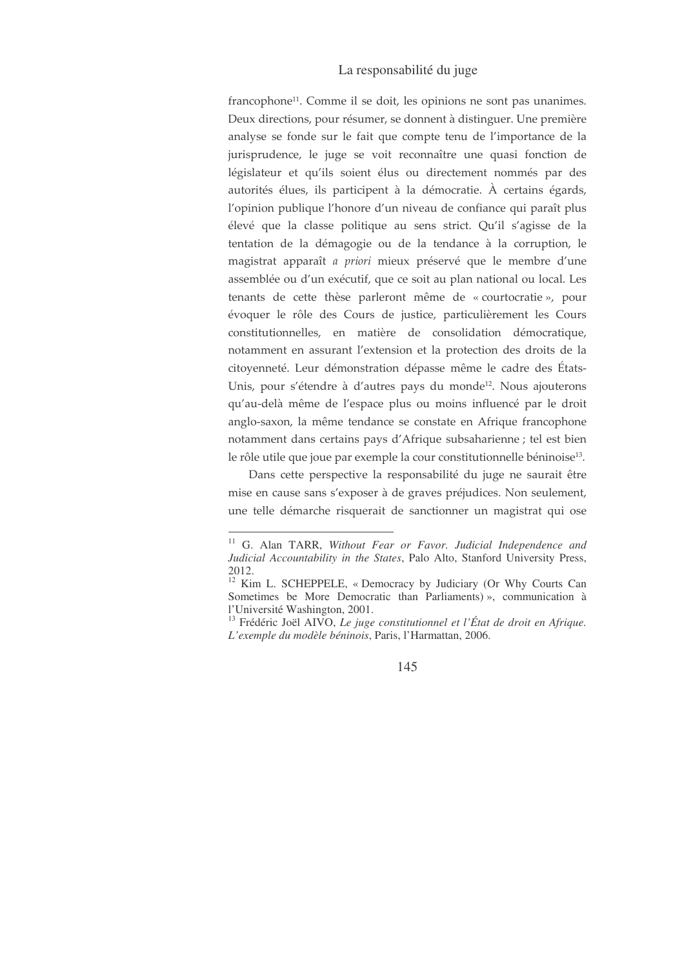francophone<sup>11</sup>. Comme il se doit, les opinions ne sont pas unanimes. Deux directions, pour résumer, se donnent à distinguer. Une première analyse se fonde sur le fait que compte tenu de l'importance de la jurisprudence, le juge se voit reconnaître une quasi fonction de législateur et qu'ils soient élus ou directement nommés par des autorités élues, ils participent à la démocratie. À certains égards, l'opinion publique l'honore d'un niveau de confiance qui paraît plus élevé que la classe politique au sens strict. Qu'il s'agisse de la tentation de la démagogie ou de la tendance à la corruption, le magistrat apparaît a priori mieux préservé que le membre d'une assemblée ou d'un exécutif, que ce soit au plan national ou local. Les tenants de cette thèse parleront même de « courtocratie », pour évoquer le rôle des Cours de justice, particulièrement les Cours constitutionnelles, en matière de consolidation démocratique, notamment en assurant l'extension et la protection des droits de la citoyenneté. Leur démonstration dépasse même le cadre des États-Unis, pour s'étendre à d'autres pays du monde<sup>12</sup>. Nous ajouterons qu'au-delà même de l'espace plus ou moins influencé par le droit anglo-saxon, la même tendance se constate en Afrique francophone notamment dans certains pays d'Afrique subsaharienne ; tel est bien le rôle utile que joue par exemple la cour constitutionnelle béninoise<sup>13</sup>.

Dans cette perspective la responsabilité du juge ne saurait être mise en cause sans s'exposer à de graves préjudices. Non seulement, une telle démarche risquerait de sanctionner un magistrat qui ose

<sup>&</sup>lt;sup>11</sup> G. Alan TARR, Without Fear or Favor. Judicial Independence and Judicial Accountability in the States, Palo Alto, Stanford University Press, 2012.

<sup>&</sup>lt;sup>12</sup> Kim L. SCHEPPELE, « Democracy by Judiciary (Or Why Courts Can Sometimes be More Democratic than Parliaments)», communication à l'Université Washington, 2001.

<sup>&</sup>lt;sup>13</sup> Frédéric Joël AIVO, Le juge constitutionnel et l'État de droit en Afrique. L'exemple du modèle béninois, Paris, l'Harmattan, 2006.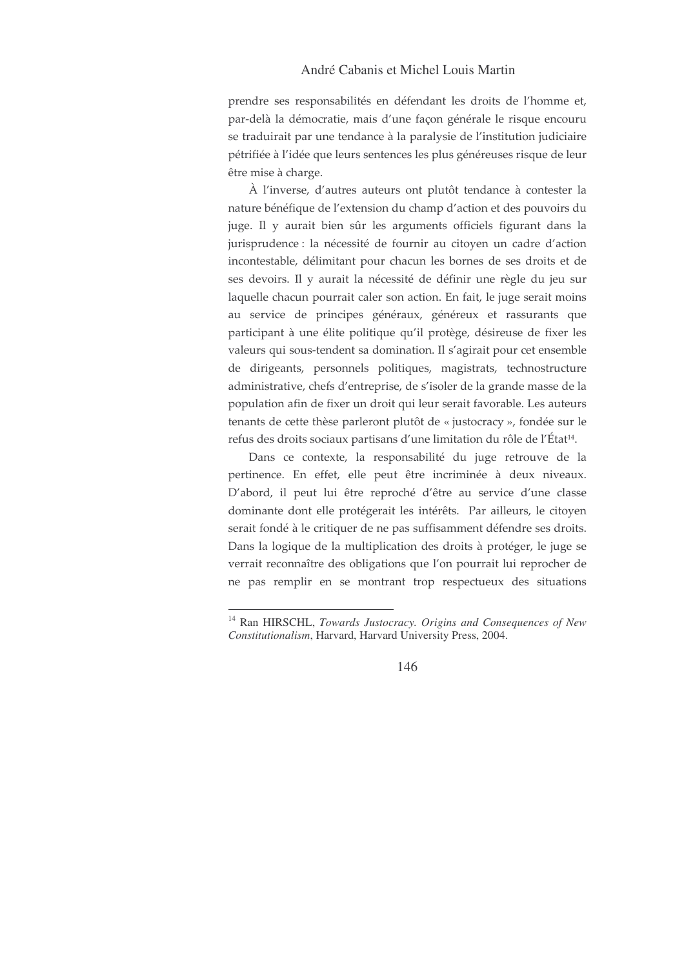prendre ses responsabilités en défendant les droits de l'homme et, par-delà la démocratie, mais d'une façon générale le risque encouru se traduirait par une tendance à la paralysie de l'institution judiciaire pétrifiée à l'idée que leurs sentences les plus généreuses risque de leur être mise à charge.

À l'inverse, d'autres auteurs ont plutôt tendance à contester la nature bénéfique de l'extension du champ d'action et des pouvoirs du juge. Il y aurait bien sûr les arguments officiels figurant dans la jurisprudence : la nécessité de fournir au citoyen un cadre d'action incontestable, délimitant pour chacun les bornes de ses droits et de ses devoirs. Il y aurait la nécessité de définir une règle du jeu sur laquelle chacun pourrait caler son action. En fait, le juge serait moins au service de principes généraux, généreux et rassurants que participant à une élite politique qu'il protège, désireuse de fixer les valeurs qui sous-tendent sa domination. Il s'agirait pour cet ensemble de dirigeants, personnels politiques, magistrats, technostructure administrative, chefs d'entreprise, de s'isoler de la grande masse de la population afin de fixer un droit qui leur serait favorable. Les auteurs tenants de cette thèse parleront plutôt de « justocracy », fondée sur le refus des droits sociaux partisans d'une limitation du rôle de l'État<sup>14</sup>.

Dans ce contexte, la responsabilité du juge retrouve de la pertinence. En effet, elle peut être incriminée à deux niveaux. D'abord, il peut lui être reproché d'être au service d'une classe dominante dont elle protégerait les intérêts. Par ailleurs, le citoyen serait fondé à le critiquer de ne pas suffisamment défendre ses droits. Dans la logique de la multiplication des droits à protéger, le juge se verrait reconnaître des obligations que l'on pourrait lui reprocher de ne pas remplir en se montrant trop respectueux des situations

<sup>&</sup>lt;sup>14</sup> Ran HIRSCHL, Towards Justocracy. Origins and Consequences of New Constitutionalism, Harvard, Harvard University Press, 2004.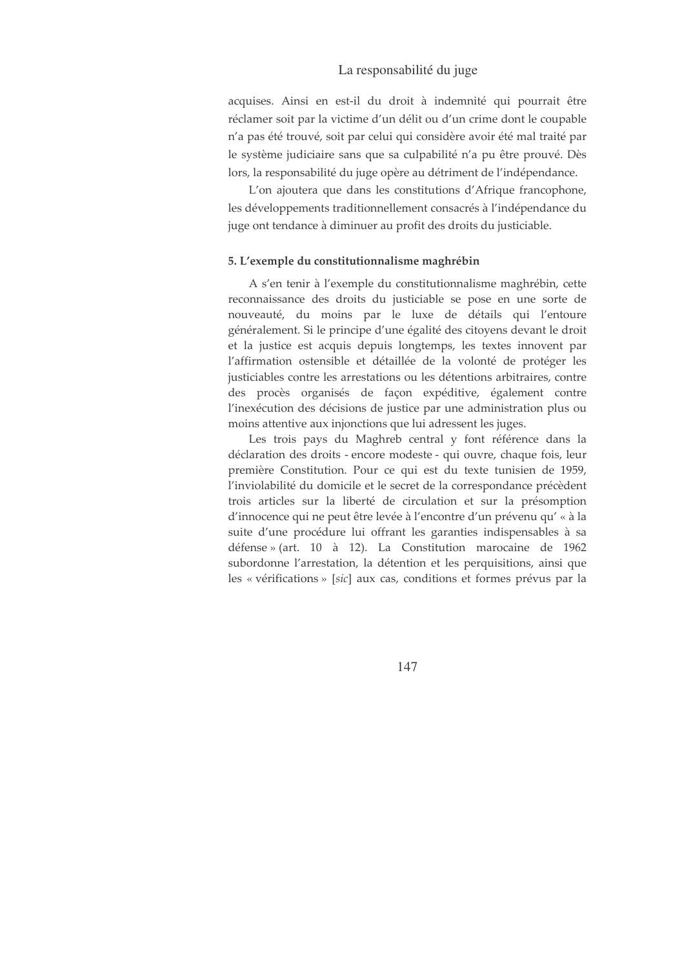acquises. Ainsi en est-il du droit à indemnité qui pourrait être réclamer soit par la victime d'un délit ou d'un crime dont le coupable n'a pas été trouvé, soit par celui qui considère avoir été mal traité par le système judiciaire sans que sa culpabilité n'a pu être prouvé. Dès lors, la responsabilité du juge opère au détriment de l'indépendance.

L'on ajoutera que dans les constitutions d'Afrique francophone, les développements traditionnellement consacrés à l'indépendance du juge ont tendance à diminuer au profit des droits du justiciable.

#### 5. L'exemple du constitutionnalisme maghrébin

A s'en tenir à l'exemple du constitutionnalisme maghrébin, cette reconnaissance des droits du justiciable se pose en une sorte de nouveauté, du moins par le luxe de détails qui l'entoure généralement. Si le principe d'une égalité des citoyens devant le droit et la justice est acquis depuis longtemps, les textes innovent par l'affirmation ostensible et détaillée de la volonté de protéger les justiciables contre les arrestations ou les détentions arbitraires, contre des procès organisés de façon expéditive, également contre l'inexécution des décisions de justice par une administration plus ou moins attentive aux injonctions que lui adressent les juges.

Les trois pays du Maghreb central y font référence dans la déclaration des droits - encore modeste - qui ouvre, chaque fois, leur première Constitution. Pour ce qui est du texte tunisien de 1959, l'inviolabilité du domicile et le secret de la correspondance précèdent trois articles sur la liberté de circulation et sur la présomption d'innocence qui ne peut être levée à l'encontre d'un prévenu qu' « à la suite d'une procédure lui offrant les garanties indispensables à sa défense » (art. 10 à 12). La Constitution marocaine de 1962 subordonne l'arrestation, la détention et les perquisitions, ainsi que les « vérifications » [sic] aux cas, conditions et formes prévus par la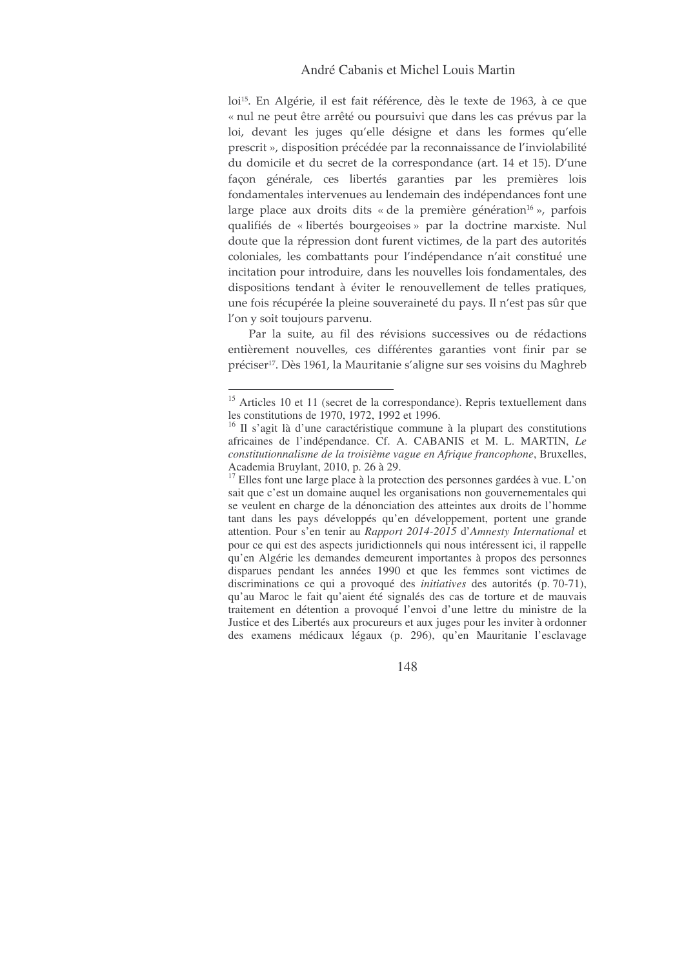loi<sup>15</sup>. En Algérie, il est fait référence, dès le texte de 1963, à ce que « nul ne peut être arrêté ou poursuivi que dans les cas prévus par la loi, devant les juges qu'elle désigne et dans les formes qu'elle prescrit », disposition précédée par la reconnaissance de l'inviolabilité du domicile et du secret de la correspondance (art. 14 et 15). D'une façon générale, ces libertés garanties par les premières lois fondamentales intervenues au lendemain des indépendances font une large place aux droits dits « de la première génération $^{16}$  », parfois qualifiés de « libertés bourgeoises » par la doctrine marxiste. Nul doute que la répression dont furent victimes, de la part des autorités coloniales, les combattants pour l'indépendance n'ait constitué une incitation pour introduire, dans les nouvelles lois fondamentales, des dispositions tendant à éviter le renouvellement de telles pratiques, une fois récupérée la pleine souveraineté du pays. Il n'est pas sûr que l'on y soit toujours parvenu.

Par la suite, au fil des révisions successives ou de rédactions entièrement nouvelles, ces différentes garanties vont finir par se préciser<sup>17</sup>. Dès 1961, la Mauritanie s'aligne sur ses voisins du Maghreb

<sup>&</sup>lt;sup>15</sup> Articles 10 et 11 (secret de la correspondance). Repris textuellement dans les constitutions de 1970, 1972, 1992 et 1996.

<sup>&</sup>lt;sup>16</sup> Il s'agit là d'une caractéristique commune à la plupart des constitutions africaines de l'indépendance. Cf. A. CABANIS et M. L. MARTIN, *Le constitutionnalisme de la troisième vague en Afrique francophone*, Bruxelles, Academia Bruylant, 2010, p. 26 à 29.

<sup>&</sup>lt;sup>17</sup> Elles font une large place à la protection des personnes gardées à vue. L'on sait que c'est un domaine auquel les organisations non gouvernementales qui se veulent en charge de la dénonciation des atteintes aux droits de l'homme tant dans les pays développés qu'en développement, portent une grande attention. Pour s'en tenir au *Rapport 2014-2015* d'*Amnesty International* et pour ce qui est des aspects juridictionnels qui nous intéressent ici, il rappelle qu'en Algérie les demandes demeurent importantes à propos des personnes disparues pendant les années 1990 et que les femmes sont victimes de discriminations ce qui a provoqué des *initiatives* des autorités (p. 70-71), qu'au Maroc le fait qu'aient été signalés des cas de torture et de mauvais traitement en détention a provoqué l'envoi d'une lettre du ministre de la Justice et des Libertés aux procureurs et aux juges pour les inviter à ordonner des examens médicaux légaux (p. 296), qu'en Mauritanie l'esclavage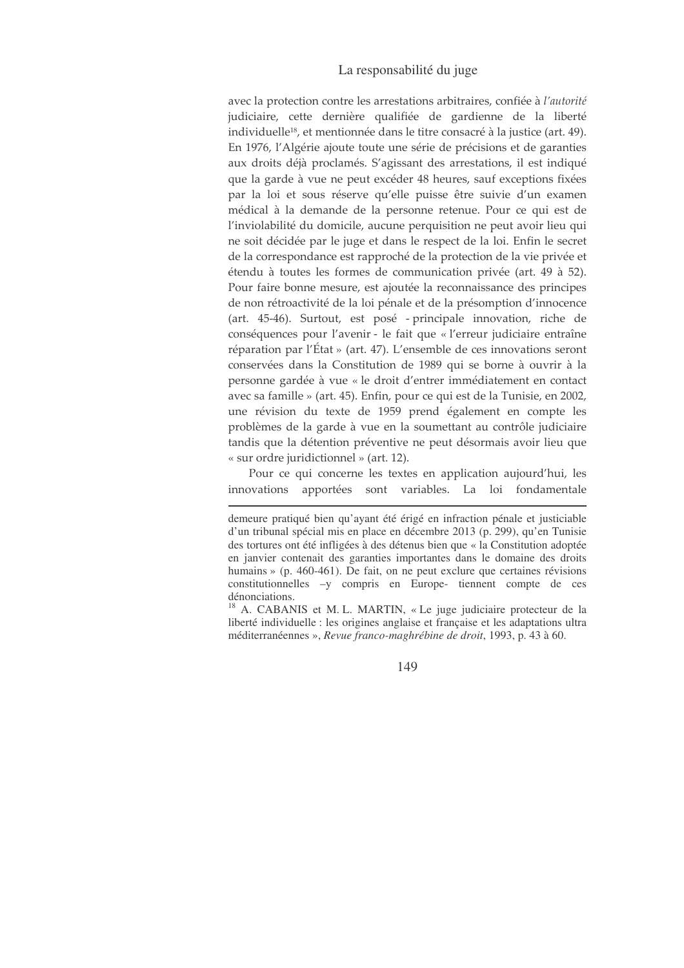avec la protection contre les arrestations arbitraires, confiée à l'autorité judiciaire, cette dernière qualifiée de gardienne de la liberté individuelle<sup>18</sup>, et mentionnée dans le titre consacré à la justice (art. 49). En 1976, l'Algérie ajoute toute une série de précisions et de garanties aux droits déjà proclamés. S'agissant des arrestations, il est indiqué que la garde à vue ne peut excéder 48 heures, sauf exceptions fixées par la loi et sous réserve qu'elle puisse être suivie d'un examen médical à la demande de la personne retenue. Pour ce qui est de l'inviolabilité du domicile, aucune perquisition ne peut avoir lieu qui ne soit décidée par le juge et dans le respect de la loi. Enfin le secret de la correspondance est rapproché de la protection de la vie privée et étendu à toutes les formes de communication privée (art. 49 à 52). Pour faire bonne mesure, est ajoutée la reconnaissance des principes de non rétroactivité de la loi pénale et de la présomption d'innocence (art. 45-46). Surtout, est posé - principale innovation, riche de conséquences pour l'avenir - le fait que « l'erreur judiciaire entraîne réparation par l'État » (art. 47). L'ensemble de ces innovations seront conservées dans la Constitution de 1989 qui se borne à ouvrir à la personne gardée à vue « le droit d'entrer immédiatement en contact avec sa famille » (art. 45). Enfin, pour ce qui est de la Tunisie, en 2002, une révision du texte de 1959 prend également en compte les problèmes de la garde à vue en la soumettant au contrôle judiciaire tandis que la détention préventive ne peut désormais avoir lieu que « sur ordre juridictionnel » (art. 12).

Pour ce qui concerne les textes en application aujourd'hui, les innovations apportées sont variables. La  $10i$ fondamentale

demeure pratiqué bien qu'ayant été érigé en infraction pénale et justiciable d'un tribunal spécial mis en place en décembre 2013 (p. 299), qu'en Tunisie des tortures ont été infligées à des détenus bien que « la Constitution adoptée en janvier contenait des garanties importantes dans le domaine des droits humains » (p. 460-461). De fait, on ne peut exclure que certaines révisions constitutionnelles -y compris en Europe- tiennent compte de ces dénonciations.

<sup>&</sup>lt;sup>18</sup> A. CABANIS et M. L. MARTIN, « Le juge judiciaire protecteur de la liberté individuelle : les origines anglaise et française et les adaptations ultra méditerranéennes », Revue franco-maghrébine de droit, 1993, p. 43 à 60.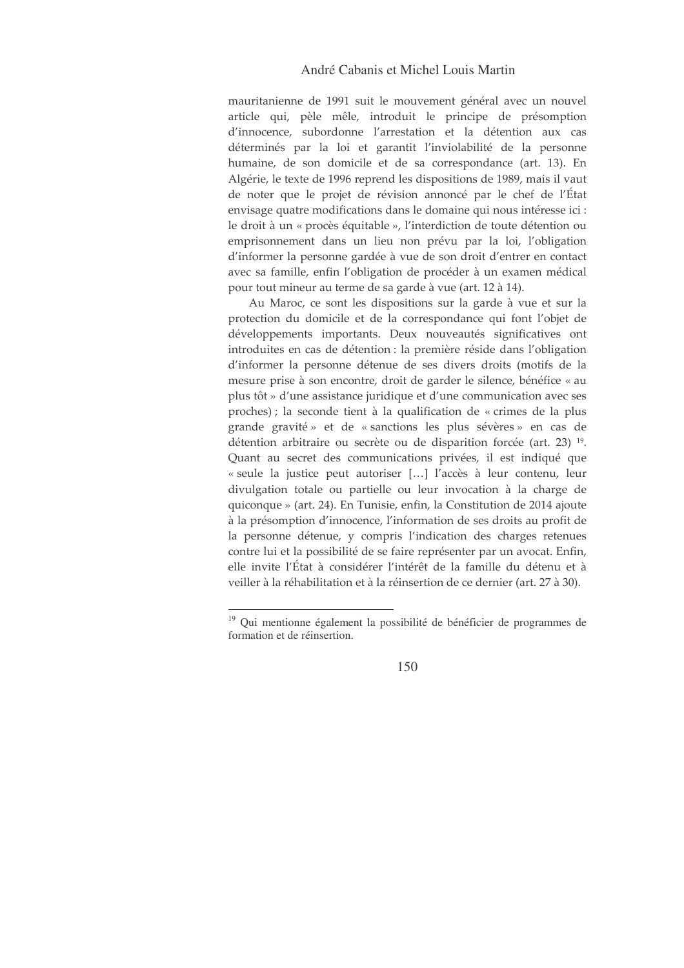mauritanienne de 1991 suit le mouvement général avec un nouvel article qui, pèle mêle, introduit le principe de présomption d'innocence, subordonne l'arrestation et la détention aux cas déterminés par la loi et garantit l'inviolabilité de la personne humaine, de son domicile et de sa correspondance (art. 13). En Algérie, le texte de 1996 reprend les dispositions de 1989, mais il vaut de noter que le projet de révision annoncé par le chef de l'État envisage quatre modifications dans le domaine qui nous intéresse ici : le droit à un « procès équitable », l'interdiction de toute détention ou emprisonnement dans un lieu non prévu par la loi, l'obligation d'informer la personne gardée à vue de son droit d'entrer en contact avec sa famille, enfin l'obligation de procéder à un examen médical pour tout mineur au terme de sa garde à vue (art. 12 à 14).

Au Maroc, ce sont les dispositions sur la garde à vue et sur la protection du domicile et de la correspondance qui font l'objet de développements importants. Deux nouveautés significatives ont introduites en cas de détention : la première réside dans l'obligation d'informer la personne détenue de ses divers droits (motifs de la mesure prise à son encontre, droit de garder le silence, bénéfice « au plus tôt » d'une assistance juridique et d'une communication avec ses proches) ; la seconde tient à la qualification de « crimes de la plus grande gravité» et de « sanctions les plus sévères » en cas de détention arbitraire ou secrète ou de disparition forcée (art. 23)<sup>19</sup>. Quant au secret des communications privées, il est indiqué que « seule la justice peut autoriser [...] l'accès à leur contenu, leur divulgation totale ou partielle ou leur invocation à la charge de quiconque » (art. 24). En Tunisie, enfin, la Constitution de 2014 ajoute à la présomption d'innocence, l'information de ses droits au profit de la personne détenue, y compris l'indication des charges retenues contre lui et la possibilité de se faire représenter par un avocat. Enfin, elle invite l'État à considérer l'intérêt de la famille du détenu et à veiller à la réhabilitation et à la réinsertion de ce dernier (art. 27 à 30).

<sup>&</sup>lt;sup>19</sup> Oui mentionne également la possibilité de bénéficier de programmes de formation et de réinsertion.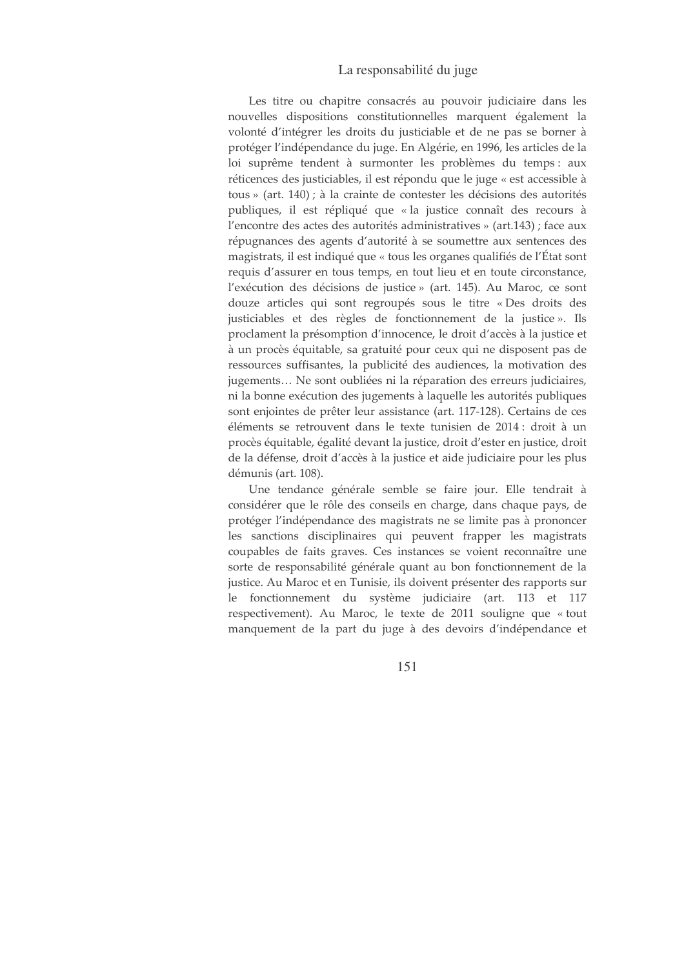Les titre ou chapitre consacrés au pouvoir judiciaire dans les nouvelles dispositions constitutionnelles marquent également la volonté d'intégrer les droits du justiciable et de ne pas se borner à protéger l'indépendance du juge. En Algérie, en 1996, les articles de la loi suprême tendent à surmonter les problèmes du temps : aux réticences des justiciables, il est répondu que le juge « est accessible à tous » (art. 140); à la crainte de contester les décisions des autorités publiques, il est répliqué que « la justice connaît des recours à l'encontre des actes des autorités administratives » (art.143) ; face aux répugnances des agents d'autorité à se soumettre aux sentences des magistrats, il est indiqué que « tous les organes qualifiés de l'État sont requis d'assurer en tous temps, en tout lieu et en toute circonstance, l'exécution des décisions de justice » (art. 145). Au Maroc, ce sont douze articles qui sont regroupés sous le titre « Des droits des justiciables et des règles de fonctionnement de la justice». Ils proclament la présomption d'innocence, le droit d'accès à la justice et à un procès équitable, sa gratuité pour ceux qui ne disposent pas de ressources suffisantes, la publicité des audiences, la motivation des jugements... Ne sont oubliées ni la réparation des erreurs judiciaires, ni la bonne exécution des jugements à laquelle les autorités publiques sont enjointes de prêter leur assistance (art. 117-128). Certains de ces éléments se retrouvent dans le texte tunisien de 2014 : droit à un procès équitable, égalité devant la justice, droit d'ester en justice, droit de la défense, droit d'accès à la justice et aide judiciaire pour les plus démunis (art. 108).

Une tendance générale semble se faire jour. Elle tendrait à considérer que le rôle des conseils en charge, dans chaque pays, de protéger l'indépendance des magistrats ne se limite pas à prononcer les sanctions disciplinaires qui peuvent frapper les magistrats coupables de faits graves. Ces instances se voient reconnaître une sorte de responsabilité générale quant au bon fonctionnement de la justice. Au Maroc et en Tunisie, ils doivent présenter des rapports sur le fonctionnement du système judiciaire (art. 113 et 117 respectivement). Au Maroc, le texte de 2011 souligne que « tout manquement de la part du juge à des devoirs d'indépendance et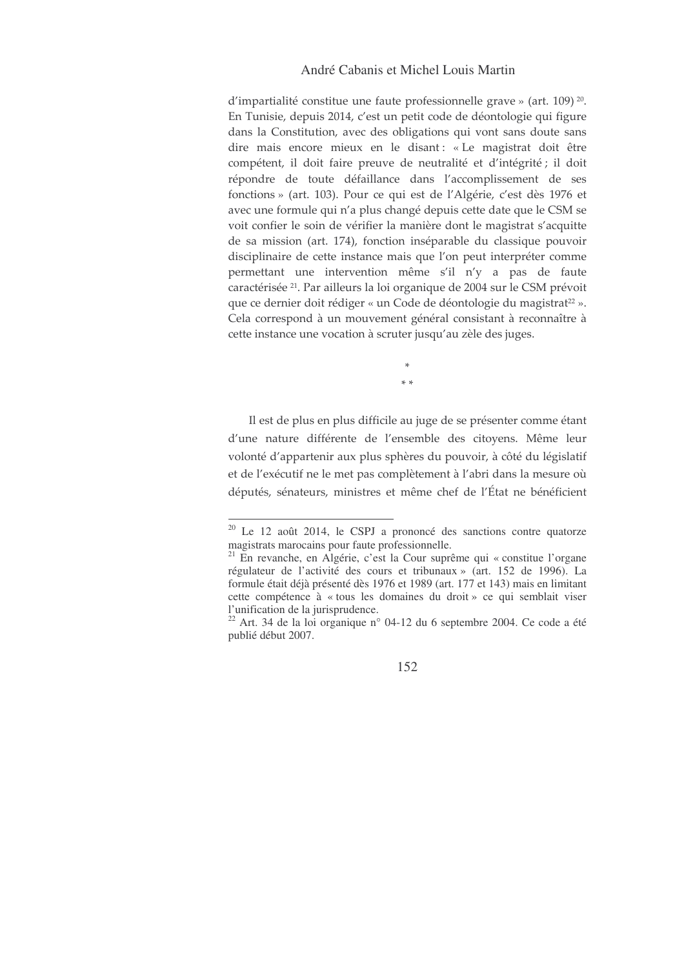d'impartialité constitue une faute professionnelle grave » (art. 109)<sup>20</sup>. En Tunisie, depuis 2014, c'est un petit code de déontologie qui figure dans la Constitution, avec des obligations qui vont sans doute sans dire mais encore mieux en le disant : « Le magistrat doit être compétent, il doit faire preuve de neutralité et d'intégrité ; il doit répondre de toute défaillance dans l'accomplissement de ses fonctions » (art. 103). Pour ce qui est de l'Algérie, c'est dès 1976 et avec une formule qui n'a plus changé depuis cette date que le CSM se voit confier le soin de vérifier la manière dont le magistrat s'acquitte de sa mission (art. 174), fonction inséparable du classique pouvoir disciplinaire de cette instance mais que l'on peut interpréter comme permettant une intervention même s'il n'y a pas de faute caractérisée <sup>21</sup>. Par ailleurs la loi organique de 2004 sur le CSM prévoit que ce dernier doit rédiger « un Code de déontologie du magistrat<sup>22</sup> ». Cela correspond à un mouvement général consistant à reconnaître à cette instance une vocation à scruter jusqu'au zèle des juges.

 $\frac{1}{2}$ 

Il est de plus en plus difficile au juge de se présenter comme étant d'une nature différente de l'ensemble des citoyens. Même leur volonté d'appartenir aux plus sphères du pouvoir, à côté du législatif et de l'exécutif ne le met pas complètement à l'abri dans la mesure où députés, sénateurs, ministres et même chef de l'État ne bénéficient

<sup>&</sup>lt;sup>20</sup> Le 12 août 2014, le CSPJ a prononcé des sanctions contre quatorze magistrats marocains pour faute professionnelle.

<sup>&</sup>lt;sup>21</sup> En revanche, en Algérie, c'est la Cour suprême qui « constitue l'organe régulateur de l'activité des cours et tribunaux » (art. 152 de 1996). La formule était déjà présenté dès 1976 et 1989 (art. 177 et 143) mais en limitant cette compétence à « tous les domaines du droit » ce qui semblait viser l'unification de la jurisprudence.

 $22$  Art. 34 de la loi organique n° 04-12 du 6 septembre 2004. Ce code a été publié début 2007.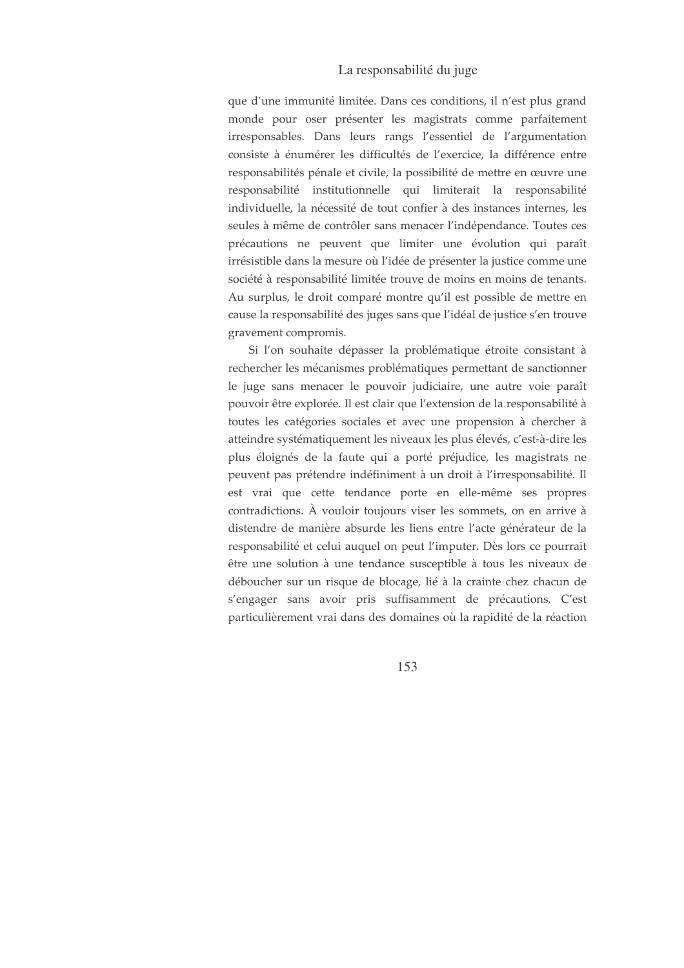que d'une immunité limitée. Dans ces conditions, il n'est plus grand monde pour oser présenter les magistrats comme parfaitement irresponsables. Dans leurs rangs l'essentiel de l'argumentation consiste à énumérer les difficultés de l'exercice, la différence entre responsabilités pénale et civile, la possibilité de mettre en œuvre une responsabilité institutionnelle qui limiterait la responsabilité individuelle, la nécessité de tout confier à des instances internes, les seules à même de contrôler sans menacer l'indépendance. Toutes ces précautions ne peuvent que limiter une évolution qui paraît irrésistible dans la mesure où l'idée de présenter la justice comme une société à responsabilité limitée trouve de moins en moins de tenants. Au surplus, le droit comparé montre qu'il est possible de mettre en cause la responsabilité des juges sans que l'idéal de justice s'en trouve gravement compromis.

Si l'on souhaite dépasser la problématique étroite consistant à rechercher les mécanismes problématiques permettant de sanctionner le juge sans menacer le pouvoir judiciaire, une autre voie paraît pouvoir être explorée. Il est clair que l'extension de la responsabilité à toutes les catégories sociales et avec une propension à chercher à atteindre systématiquement les niveaux les plus élevés, c'est-à-dire les plus éloignés de la faute qui a porté préjudice, les magistrats ne peuvent pas prétendre indéfiniment à un droit à l'irresponsabilité. Il est vrai que cette tendance porte en elle-même ses propres contradictions. À vouloir toujours viser les sommets, on en arrive à distendre de manière absurde les liens entre l'acte générateur de la responsabilité et celui auquel on peut l'imputer. Dès lors ce pourrait être une solution à une tendance susceptible à tous les niveaux de déboucher sur un risque de blocage, lié à la crainte chez chacun de s'engager sans avoir pris suffisamment de précautions. C'est particulièrement vrai dans des domaines où la rapidité de la réaction